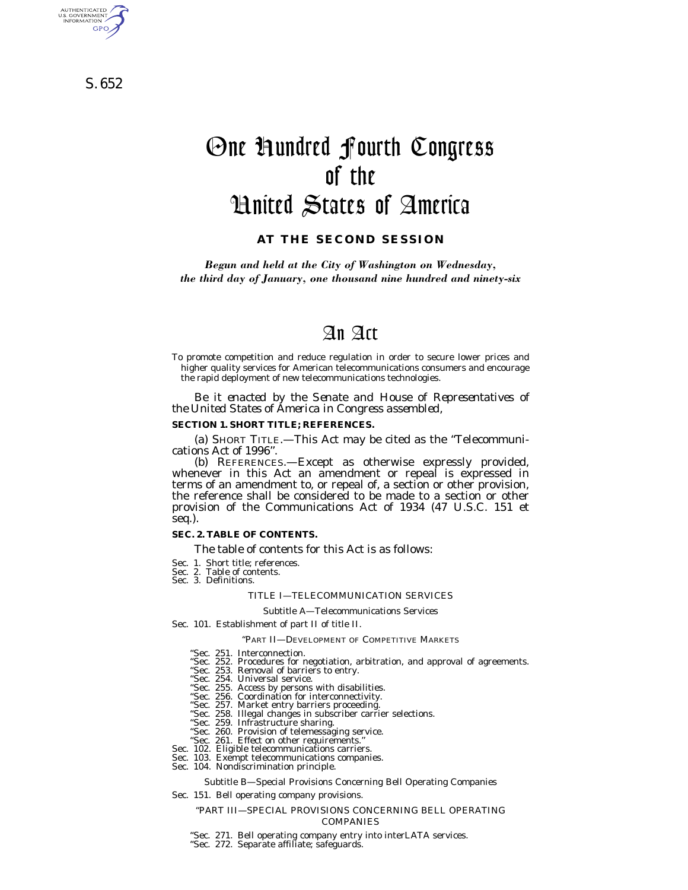S. 652

AUTHENTICATED GPO

# One Hundred Fourth Congress of the United States of America

## **AT THE SECOND SESSION**

*Begun and held at the City of Washington on Wednesday, the third day of January, one thousand nine hundred and ninety-six*

## An Act

To promote competition and reduce regulation in order to secure lower prices and higher quality services for American telecommunications consumers and encourage the rapid deployment of new telecommunications technologies.

*Be it enacted by the Senate and House of Representatives of the United States of America in Congress assembled,*

#### **SECTION 1. SHORT TITLE; REFERENCES.**

(a) SHORT TITLE.—This Act may be cited as the ''Telecommunications Act of 1996''.

(b) REFERENCES.—Except as otherwise expressly provided, whenever in this Act an amendment or repeal is expressed in terms of an amendment to, or repeal of, a section or other provision, the reference shall be considered to be made to a section or other provision of the Communications Act of 1934 (47 U.S.C. 151 et seq.).

#### **SEC. 2. TABLE OF CONTENTS.**

The table of contents for this Act is as follows:

- 
- Sec. 1. Short title; references. Sec. 2. Table of contents.

Sec. 3. Definitions.

#### TITLE I—TELECOMMUNICATION SERVICES

#### Subtitle A—Telecommunications Services

Sec. 101. Establishment of part II of title II.

#### ''PART II—DEVELOPMENT OF COMPETITIVE MARKETS

- 
- "Sec. 251. Interconnection.<br>"Sec. 252. Procedures for negotiation, arbitration, and approval of agreements.<br>"Sec. 253. Removal of barriers to entry.<br>"Sec. 254. Universal service.
- 
- 
- ''Sec. 255. Access by persons with disabilities. ''Sec. 256. Coordination for interconnectivity.
- 
- 
- ''Sec. 257. Market entry barriers proceeding. ''Sec. 258. Illegal changes in subscriber carrier selections. ''Sec. 259. Infrastructure sharing.
- 
- "Sec. 260. Provision of telemessaging service.<br>"Sec. 261. Effect on other requirements."
- 
- ''Sec. 261. Effect on other requirements.'' Sec. 102. Eligible telecommunications carriers. Sec. 103. Exempt telecommunications companies.
- Sec. 104. Nondiscrimination principle.

## Subtitle B—Special Provisions Concerning Bell Operating Companies

Sec. 151. Bell operating company provisions.

#### ''PART III—SPECIAL PROVISIONS CONCERNING BELL OPERATING COMPANIES

''Sec. 271. Bell operating company entry into interLATA services. ''Sec. 272. Separate affiliate; safeguards.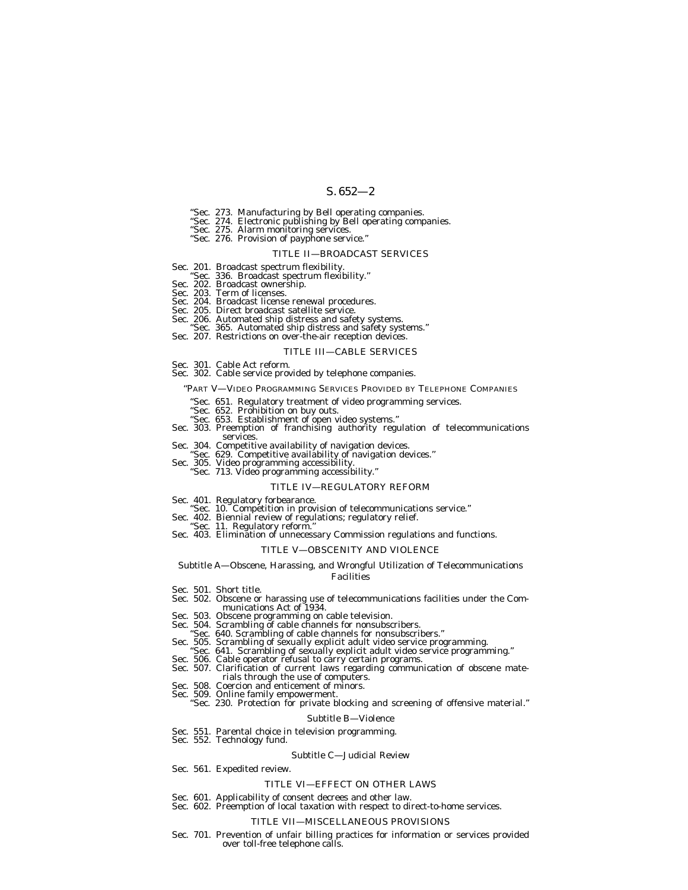- ''Sec. 273. Manufacturing by Bell operating companies.
- ''Sec. 274. Electronic publishing by Bell operating companies.
- ''Sec. 275. Alarm monitoring services. ''Sec. 276. Provision of payphone service.''
- 

#### TITLE II—BROADCAST SERVICES

- 
- Sec. 201. Broadcast spectrum flexibility. "Sec. 336. Broadcast spectrum flexibility."<br>Sec. 202. Broadcast ownership.<br>Sec. 202. Broadcast ownership.<br>Sec. 203. Term of licenses.
- 
- 
- Sec. 204. Broadcast license renewal procedures.
- 
- Sec. 205. Direct broadcast satellite service.<br>Sec. 206. Automated ship distress and safety systems.
- Sec. 206. Automated ship distress and safety systems. ''Sec. 365. Automated ship distress and safety systems.'' Sec. 207. Restrictions on over-the-air reception devices.
	-

#### TITLE III—CABLE SERVICES

- Sec. 301. Cable Act reform. Sec. 302. Cable service provided by telephone companies.
	- ''PART V—VIDEO PROGRAMMING SERVICES PROVIDED BY TELEPHONE COMPANIES
		- ''Sec. 651. Regulatory treatment of video programming services.
		-
		- "Sec. 652. Prohibition on buy outs.<br>"Sec. 653. Establishment of open video systems."
- Sec. 303. Preemption of franchising authority regulation of telecommunications services.
- 
- Sec. 304. Competitive availability of navigation devices. ''<br>Sec. 629. Competitive availability of navigation devices.''<br>Sec. 305. Video programming accessibility.''<br>''Sec. 713. Video programming accessibility.''
	-
	-

#### TITLE IV—REGULATORY REFORM

- 
- Sec. 401. Regulatory forbearance.<br>
"Sec. 10. Competition in provision of telecommunications service."<br>
Sec. 10. Biennial review of regulations; regulatory relief.<br>
"Sec. 11. Regulatory reform."<br>
Sec. 403. Elimination of un
- 
- -

#### TITLE V—OBSCENITY AND VIOLENCE

#### Subtitle A—Obscene, Harassing, and Wrongful Utilization of Telecommunications Facilities

- Sec. 501. Short title.
- Sec. 502. Obscene or harassing use of telecommunications facilities under the Communications Act of 1934.
- 
- 
- Sec. 503. Obscene programming on cable television.<br>Sec. 504. Scrambling of cable channels for nonsubscribers.<br>"Sec. 640. Scrambling of cable channels for nonsubscribers."
	-
- Sec. 505. Scrambling of sexually explicit adult video service programming."<br>"Sec. 641. Scrambling of sexually explicit adult video service programming."
- 
- Sec. 506. Cable operator refusal to carry certain programs.<br>Sec. 507. Clarification of current laws regarding communication of obscene materials through the use of computers. Sec. 508. Coercion and enticement of minors.
- 
- 
- Sec. 509. Online family empowerment. ''Sec. 230. Protection for private blocking and screening of offensive material.''

#### Subtitle B—Violence

- Sec. 551. Parental choice in television programming. Sec. 552. Technology fund.
- 

#### Subtitle C—Judicial Review

Sec. 561. Expedited review.

## TITLE VI—EFFECT ON OTHER LAWS

- Sec. 601. Applicability of consent decrees and other law.
- Sec. 602. Preemption of local taxation with respect to direct-to-home services.

#### TITLE VII—MISCELLANEOUS PROVISIONS

Sec. 701. Prevention of unfair billing practices for information or services provided over toll-free telephone calls.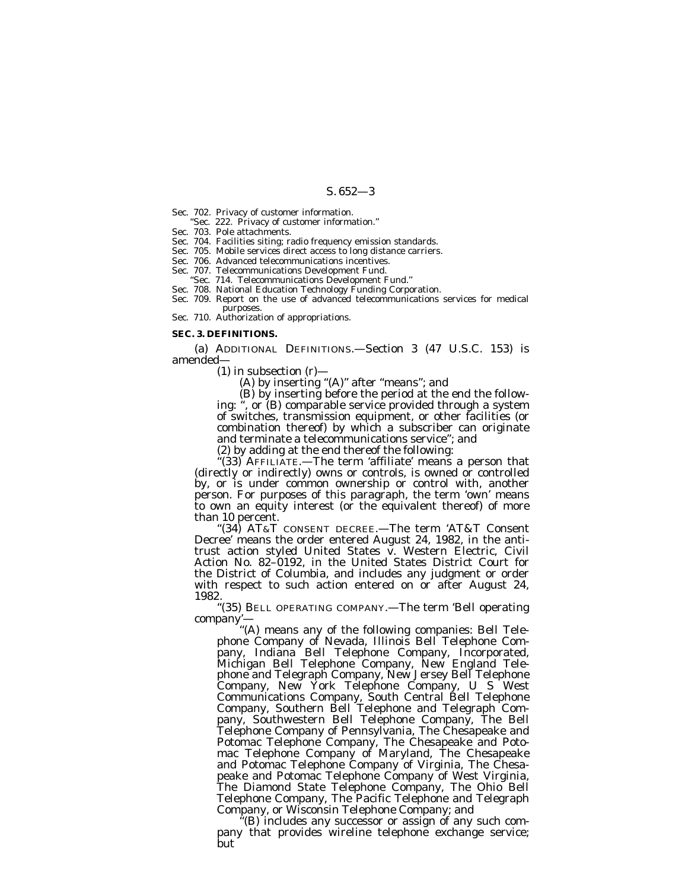Sec. 702. Privacy of customer information.

''Sec. 222. Privacy of customer information.''

Sec. 703. Pole attachments.

Sec. 704. Facilities siting; radio frequency emission standards.

Sec. 705. Mobile services direct access to long distance carriers.

Sec. 706. Advanced telecommunications incentives.

Sec. 707. Telecommunications Development Fund.

'Sec. 714. Telecommunications Development Fund."

Sec. 708. National Education Technology Funding Corporation.

Sec. 709. Report on the use of advanced telecommunications services for medical purposes.

Sec. 710. Authorization of appropriations.

#### **SEC. 3. DEFINITIONS.**

(a) ADDITIONAL DEFINITIONS.—Section 3 (47 U.S.C. 153) is amended—

 $(1)$  in subsection  $(r)$ –

(A) by inserting "(A)" after "means"; and

(B) by inserting before the period at the end the following: '', or (B) comparable service provided through a system of switches, transmission equipment, or other facilities (or combination thereof) by which a subscriber can originate and terminate a telecommunications service''; and

(2) by adding at the end thereof the following:

''(33) AFFILIATE.—The term 'affiliate' means a person that (directly or indirectly) owns or controls, is owned or controlled by, or is under common ownership or control with, another person. For purposes of this paragraph, the term 'own' means to own an equity interest (or the equivalent thereof) of more than 10 percent.

'(34) AT&T CONSENT DECREE.—The term 'AT&T Consent Decree' means the order entered August 24, 1982, in the antitrust action styled United States v. Western Electric, Civil Action No. 82–0192, in the United States District Court for the District of Columbia, and includes any judgment or order with respect to such action entered on or after August 24, 1982.

''(35) BELL OPERATING COMPANY.—The term 'Bell operating company'—<br>"(A) means any of the following companies: Bell Tele-

phone Company of Nevada, Illinois Bell Telephone Company, Indiana Bell Telephone Company, Incorporated, Michigan Bell Telephone Company, New England Telephone and Telegraph Company, New Jersey Bell Telephone Company, New York Telephone Company, U S West Communications Company, South Central Bell Telephone Company, Southern Bell Telephone and Telegraph Company, Southwestern Bell Telephone Company, The Bell Telephone Company of Pennsylvania, The Chesapeake and Potomac Telephone Company, The Chesapeake and Potomac Telephone Company of Maryland, The Chesapeake and Potomac Telephone Company of Virginia, The Chesapeake and Potomac Telephone Company of West Virginia, The Diamond State Telephone Company, The Ohio Bell Telephone Company, The Pacific Telephone and Telegraph Company, or Wisconsin Telephone Company; and

"(B) includes any successor or assign of any such company that provides wireline telephone exchange service; but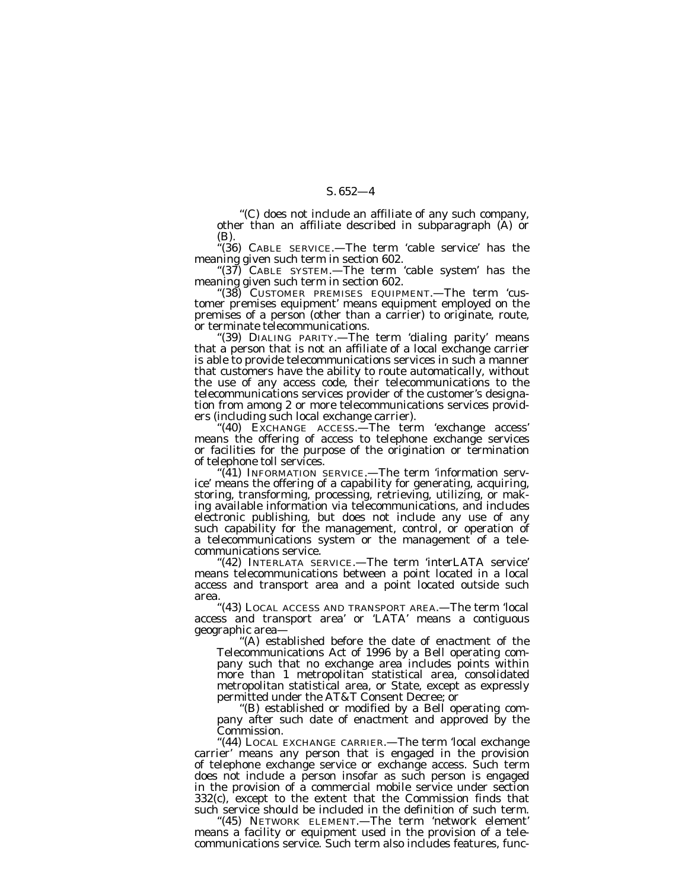''(C) does not include an affiliate of any such company, other than an affiliate described in subparagraph (A) or (B).

''(36) CABLE SERVICE.—The term 'cable service' has the meaning given such term in section 602.

" $(37)$  CABLE SYSTEM.—The term 'cable system' has the meaning given such term in section 602.

''(38) CUSTOMER PREMISES EQUIPMENT.—The term 'customer premises equipment' means equipment employed on the premises of a person (other than a carrier) to originate, route, or terminate telecommunications.

'(39) DIALING PARITY.—The term 'dialing parity' means that a person that is not an affiliate of a local exchange carrier is able to provide telecommunications services in such a manner that customers have the ability to route automatically, without the use of any access code, their telecommunications to the telecommunications services provider of the customer's designation from among 2 or more telecommunications services providers (including such local exchange carrier).

"(40) EXCHANGE ACCESS.—The term 'exchange access' means the offering of access to telephone exchange services or facilities for the purpose of the origination or termination of telephone toll services.

"(41) INFORMATION SERVICE.—The term 'information service' means the offering of a capability for generating, acquiring, storing, transforming, processing, retrieving, utilizing, or making available information via telecommunications, and includes electronic publishing, but does not include any use of any such capability for the management, control, or operation of a telecommunications system or the management of a telecommunications service.

"(42) INTERLATA SERVICE.—The term 'interLATA service' means telecommunications between a point located in a local access and transport area and a point located outside such area.

''(43) LOCAL ACCESS AND TRANSPORT AREA.—The term 'local access and transport area' or 'LATA' means a contiguous geographic area— ''(A) established before the date of enactment of the

Telecommunications Act of 1996 by a Bell operating company such that no exchange area includes points within more than 1 metropolitan statistical area, consolidated metropolitan statistical area, or State, except as expressly permitted under the AT&T Consent Decree; or

''(B) established or modified by a Bell operating company after such date of enactment and approved by the Commission.

"(44) LOCAL EXCHANGE CARRIER.—The term 'local exchange carrier' means any person that is engaged in the provision of telephone exchange service or exchange access. Such term does not include a person insofar as such person is engaged in the provision of a commercial mobile service under section 332(c), except to the extent that the Commission finds that such service should be included in the definition of such term.

''(45) NETWORK ELEMENT.—The term 'network element' means a facility or equipment used in the provision of a telecommunications service. Such term also includes features, func-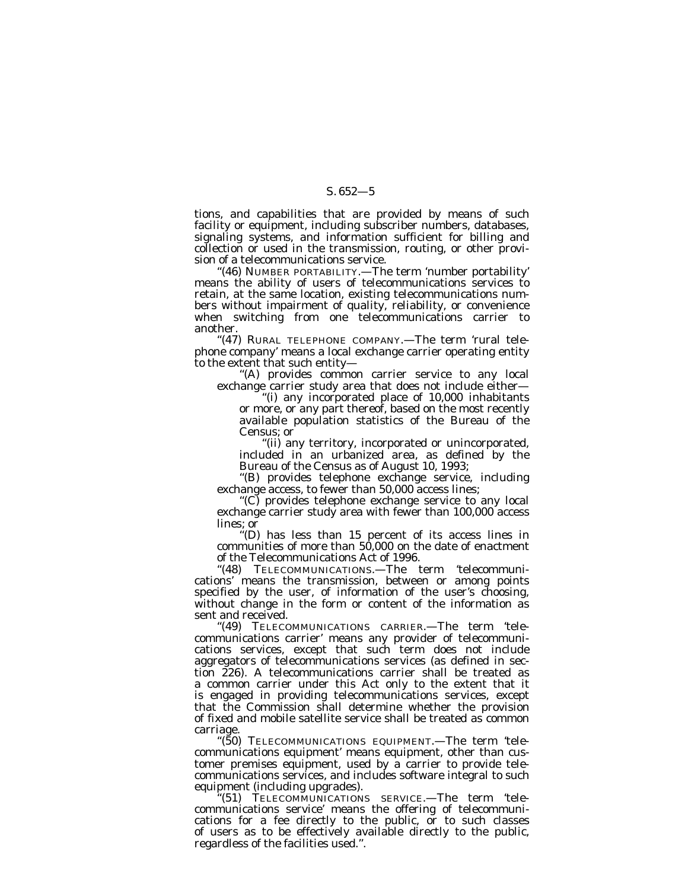tions, and capabilities that are provided by means of such facility or equipment, including subscriber numbers, databases, signaling systems, and information sufficient for billing and collection or used in the transmission, routing, or other provision of a telecommunications service.

''(46) NUMBER PORTABILITY.—The term 'number portability' means the ability of users of telecommunications services to retain, at the same location, existing telecommunications numbers without impairment of quality, reliability, or convenience when switching from one telecommunications carrier to another.

"(47) RURAL TELEPHONE COMPANY.—The term 'rural telephone company' means a local exchange carrier operating entity to the extent that such entity—

''(A) provides common carrier service to any local exchange carrier study area that does not include either—

''(i) any incorporated place of 10,000 inhabitants or more, or any part thereof, based on the most recently available population statistics of the Bureau of the Census; or

''(ii) any territory, incorporated or unincorporated, included in an urbanized area, as defined by the Bureau of the Census as of August 10, 1993;

''(B) provides telephone exchange service, including exchange access, to fewer than 50,000 access lines;

''(C) provides telephone exchange service to any local exchange carrier study area with fewer than 100,000 access lines; or

''(D) has less than 15 percent of its access lines in communities of more than 50,000 on the date of enactment of the Telecommunications Act of 1996.

''(48) TELECOMMUNICATIONS.—The term 'telecommunications' means the transmission, between or among points specified by the user, of information of the user's choosing, without change in the form or content of the information as sent and received.

"(49) TELECOMMUNICATIONS CARRIER.—The term 'telecommunications carrier' means any provider of telecommunications services, except that such term does not include aggregators of telecommunications services (as defined in section 226). A telecommunications carrier shall be treated as a common carrier under this Act only to the extent that it is engaged in providing telecommunications services, except that the Commission shall determine whether the provision of fixed and mobile satellite service shall be treated as common carriage.

''(50) TELECOMMUNICATIONS EQUIPMENT.—The term 'telecommunications equipment' means equipment, other than customer premises equipment, used by a carrier to provide telecommunications services, and includes software integral to such equipment (including upgrades).

''(51) TELECOMMUNICATIONS SERVICE.—The term 'telecommunications service' means the offering of telecommunications for a fee directly to the public, or to such classes of users as to be effectively available directly to the public, regardless of the facilities used.''.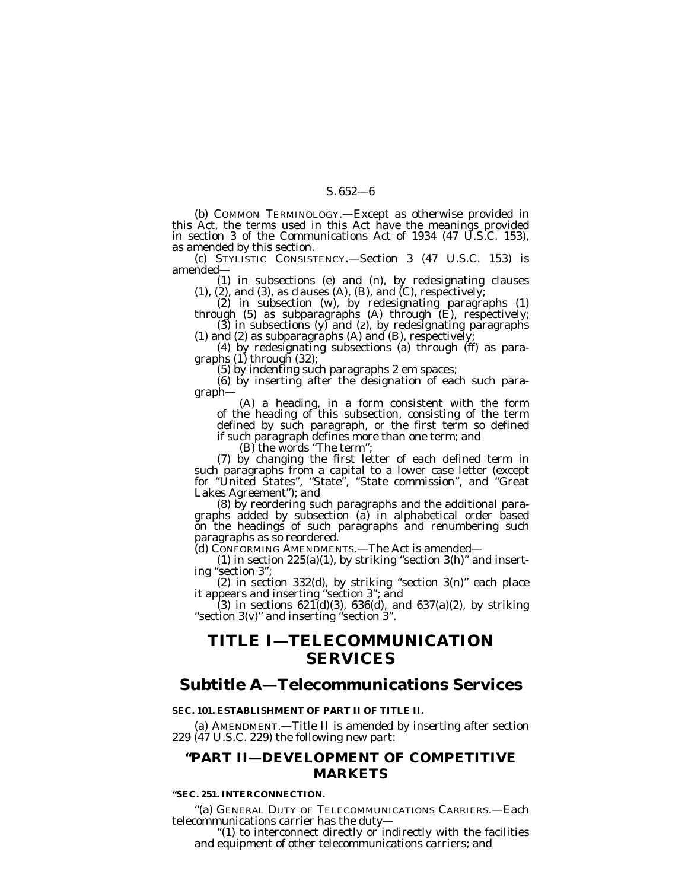(b) COMMON TERMINOLOGY.—Except as otherwise provided in this Act, the terms used in this Act have the meanings provided in section 3 of the Communications Act of 1934 (47  $\check{U}$ .S.C. 153), as amended by this section.

 $\alpha$  (c) STYLISTIC CONSISTENCY.—Section 3 (47 U.S.C. 153) is amended—

(1) in subsections (e) and (n), by redesignating clauses<br>
(1), (2), and (3), as clauses (A), (B), and (C), respectively;<br>
(2) in subsection (w), by redesignating paragraphs (1)<br>
through (5) as subparagraphs (A) through (E

graph—<br>(A) a heading, in a form consistent with the form<br>of the heading of this subsection, consisting of the term defined by such paragraph, or the first term so defined if such paragraph defines more than one term; and<br>(B) the words "The term";<br>(7) by changing the first letter of each defined term in

(7) by changing the first letter of each defined term in such paragraphs from a capital to a lower case letter (except for ''United States'', ''State'', ''State commission'', and ''Great

Lakes Agreement"); and<br>
(8) by reordering such paragraphs and the additional paragraphs added by subsection (a) in alphabetical order based on the headings of such paragraphs and renumbering such paragraphs as so reordered.

(d) CONFORMING AMENDMENTS.—The Act is amended—

(1) in section  $225(a)(1)$ , by striking "section  $3(h)$ " and inserting "section 3";

(2) in section  $332(d)$ , by striking "section  $3(n)$ " each place it appears and inserting ''section 3''; and

(3) in sections  $621\text{d}(3)$ ,  $636\text{d}(3)$ , and  $637\text{d}(2)$ , by striking ''section 3(v)'' and inserting ''section 3''.

## **TITLE I—TELECOMMUNICATION SERVICES**

## **Subtitle A—Telecommunications Services**

#### **SEC. 101. ESTABLISHMENT OF PART II OF TITLE II.**

(a) AMENDMENT.—Title II is amended by inserting after section 229 (47 U.S.C. 229) the following new part:

## **''PART II—DEVELOPMENT OF COMPETITIVE MARKETS**

#### **''SEC. 251. INTERCONNECTION.**

''(a) GENERAL DUTY OF TELECOMMUNICATIONS CARRIERS.—Each telecommunications carrier has the duty—

"(1) to interconnect directly or indirectly with the facilities and equipment of other telecommunications carriers; and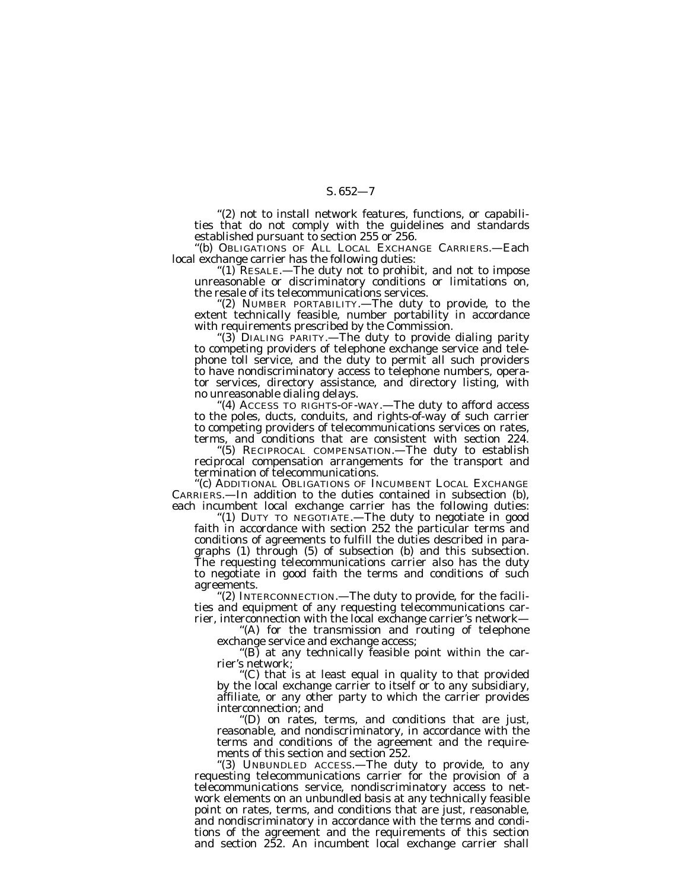"(2) not to install network features, functions, or capabilities that do not comply with the guidelines and standards established pursuant to section 255 or 256.

''(b) OBLIGATIONS OF ALL LOCAL EXCHANGE CARRIERS.—Each local exchange carrier has the following duties:

''(1) RESALE.—The duty not to prohibit, and not to impose unreasonable or discriminatory conditions or limitations on, the resale of its telecommunications services.

''(2) NUMBER PORTABILITY.—The duty to provide, to the extent technically feasible, number portability in accordance with requirements prescribed by the Commission.

''(3) DIALING PARITY.—The duty to provide dialing parity to competing providers of telephone exchange service and telephone toll service, and the duty to permit all such providers to have nondiscriminatory access to telephone numbers, operator services, directory assistance, and directory listing, with no unreasonable dialing delays.

"(4) ACCESS TO RIGHTS-OF-WAY.—The duty to afford access to the poles, ducts, conduits, and rights-of-way of such carrier to competing providers of telecommunications services on rates, terms, and conditions that are consistent with section 224.

''(5) RECIPROCAL COMPENSATION.—The duty to establish reciprocal compensation arrangements for the transport and termination of telecommunications.

''(c) ADDITIONAL OBLIGATIONS OF INCUMBENT LOCAL EXCHANGE CARRIERS.—In addition to the duties contained in subsection (b), each incumbent local exchange carrier has the following duties:

"(1) DUTY TO NEGOTIATE.—The duty to negotiate in good faith in accordance with section 252 the particular terms and conditions of agreements to fulfill the duties described in paragraphs (1) through (5) of subsection (b) and this subsection. The requesting telecommunications carrier also has the duty to negotiate in good faith the terms and conditions of such agreements.

"(2) INTERCONNECTION.—The duty to provide, for the facilities and equipment of any requesting telecommunications car-

"(A) for the transmission and routing of telephone exchange service and exchange access;

"(B) at any technically feasible point within the carrier's network;

''(C) that is at least equal in quality to that provided by the local exchange carrier to itself or to any subsidiary, affiliate, or any other party to which the carrier provides interconnection; and

''(D) on rates, terms, and conditions that are just, reasonable, and nondiscriminatory, in accordance with the terms and conditions of the agreement and the requirements of this section and section 252.

''(3) UNBUNDLED ACCESS.—The duty to provide, to any requesting telecommunications carrier for the provision of a telecommunications service, nondiscriminatory access to network elements on an unbundled basis at any technically feasible point on rates, terms, and conditions that are just, reasonable, and nondiscriminatory in accordance with the terms and conditions of the agreement and the requirements of this section and section 252. An incumbent local exchange carrier shall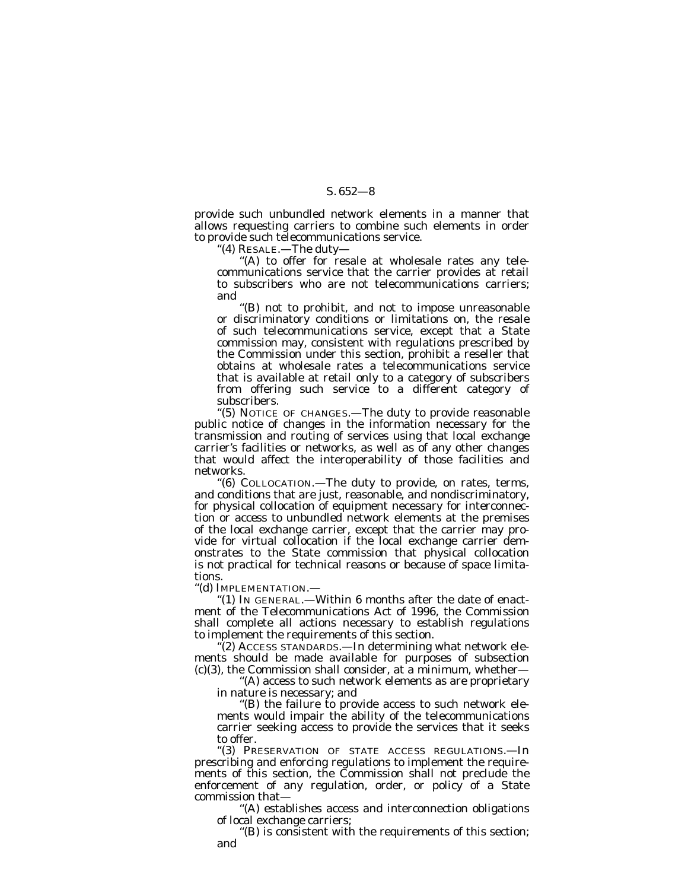provide such unbundled network elements in a manner that allows requesting carriers to combine such elements in order to provide such telecommunications service.

''(4) RESALE.—The duty—

"(A) to offer for resale at wholesale rates any telecommunications service that the carrier provides at retail to subscribers who are not telecommunications carriers; and

''(B) not to prohibit, and not to impose unreasonable or discriminatory conditions or limitations on, the resale of such telecommunications service, except that a State commission may, consistent with regulations prescribed by the Commission under this section, prohibit a reseller that obtains at wholesale rates a telecommunications service that is available at retail only to a category of subscribers from offering such service to a different category of subscribers.

''(5) NOTICE OF CHANGES.—The duty to provide reasonable public notice of changes in the information necessary for the transmission and routing of services using that local exchange carrier's facilities or networks, as well as of any other changes that would affect the interoperability of those facilities and networks.

''(6) COLLOCATION.—The duty to provide, on rates, terms, and conditions that are just, reasonable, and nondiscriminatory, for physical collocation of equipment necessary for interconnection or access to unbundled network elements at the premises of the local exchange carrier, except that the carrier may provide for virtual collocation if the local exchange carrier demonstrates to the State commission that physical collocation is not practical for technical reasons or because of space limitations.

'(d) IMPLEMENTATION.-

'(1) IN GENERAL.—Within 6 months after the date of enactment of the Telecommunications Act of 1996, the Commission shall complete all actions necessary to establish regulations to implement the requirements of this section.

''(2) ACCESS STANDARDS.—In determining what network elements should be made available for purposes of subsection  $(c)(3)$ , the Commission shall consider, at a minimum, whether—

''(A) access to such network elements as are proprietary in nature is necessary; and

''(B) the failure to provide access to such network elements would impair the ability of the telecommunications carrier seeking access to provide the services that it seeks to offer.

''(3) PRESERVATION OF STATE ACCESS REGULATIONS.—In prescribing and enforcing regulations to implement the requirements of this section, the Commission shall not preclude the enforcement of any regulation, order, or policy of a State commission that—

''(A) establishes access and interconnection obligations of local exchange carriers;

'(B) is consistent with the requirements of this section; and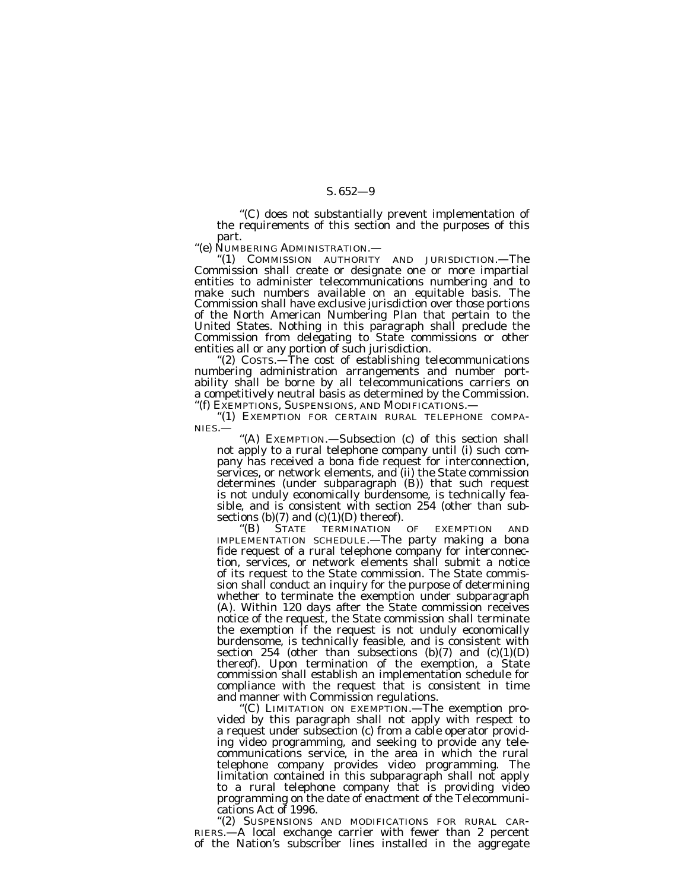''(C) does not substantially prevent implementation of the requirements of this section and the purposes of this part.

''(e) NUMBERING ADMINISTRATION.—

''(1) COMMISSION AUTHORITY AND JURISDICTION.—The Commission shall create or designate one or more impartial entities to administer telecommunications numbering and to make such numbers available on an equitable basis. The Commission shall have exclusive jurisdiction over those portions of the North American Numbering Plan that pertain to the United States. Nothing in this paragraph shall preclude the Commission from delegating to State commissions or other entities all or any portion of such jurisdiction.

''(2) COSTS.—The cost of establishing telecommunications numbering administration arrangements and number portability shall be borne by all telecommunications carriers on a competitively neutral basis as determined by the Commission. ''(f) EXEMPTIONS, SUSPENSIONS, AND MODIFICATIONS.—

"(1) EXEMPTION FOR CERTAIN RURAL TELEPHONE COMPA-NIES.—

''(A) EXEMPTION.—Subsection (c) of this section shall not apply to a rural telephone company until (i) such company has received a bona fide request for interconnection, services, or network elements, and (ii) the State commission determines (under subparagraph (B)) that such request is not unduly economically burdensome, is technically feasible, and is consistent with section 254 (other than subsections (b)(7) and (c)(1)(D) thereof).

''(B) STATE TERMINATION OF EXEMPTION AND IMPLEMENTATION SCHEDULE.—The party making a bona fide request of a rural telephone company for interconnection, services, or network elements shall submit a notice of its request to the State commission. The State commission shall conduct an inquiry for the purpose of determining whether to terminate the exemption under subparagraph (A). Within 120 days after the State commission receives notice of the request, the State commission shall terminate the exemption if the request is not unduly economically burdensome, is technically feasible, and is consistent with section 254 (other than subsections  $(b)(7)$  and  $(c)(1)(D)$ thereof). Upon termination of the exemption, a State commission shall establish an implementation schedule for compliance with the request that is consistent in time

"(C) LIMITATION ON EXEMPTION.—The exemption provided by this paragraph shall not apply with respect to a request under subsection (c) from a cable operator providing video programming, and seeking to provide any telecommunications service, in the area in which the rural telephone company provides video programming. The limitation contained in this subparagraph shall not apply to a rural telephone company that is providing video programming on the date of enactment of the Telecommunications Act of 1996.

"(2) SUSPENSIONS AND MODIFICATIONS FOR RURAL CAR-RIERS.—A local exchange carrier with fewer than 2 percent of the Nation's subscriber lines installed in the aggregate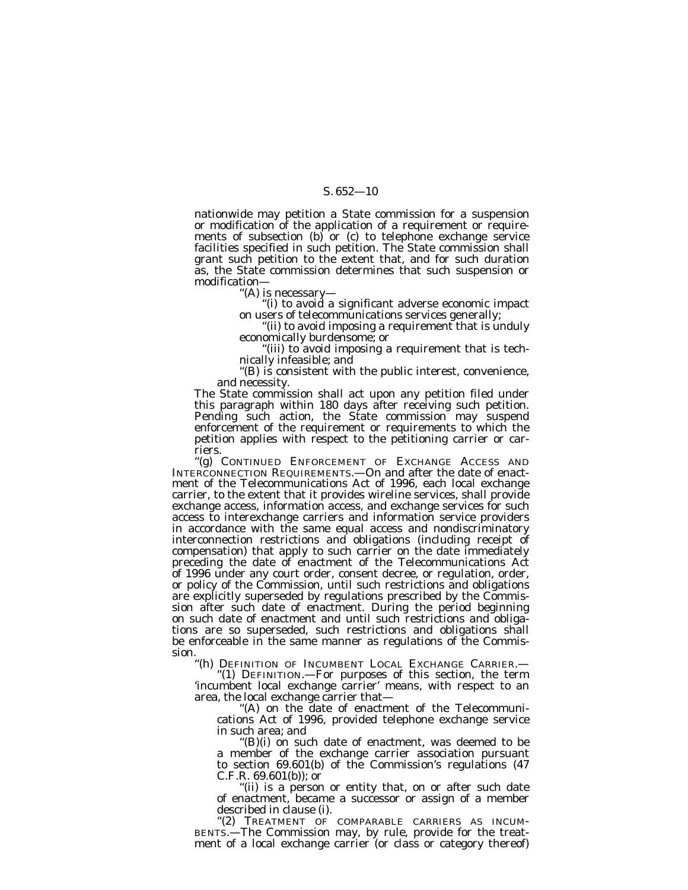nationwide may petition a State commission for a suspension or modification of the application of a requirement or requirements of subsection (b) or (c) to telephone exchange service facilities specified in such petition. The State commission shall grant such petition to the extent that, and for such duration as, the State commission determines that such suspension or modification—

''(A) is necessary—

''(i) to avoid a significant adverse economic impact on users of telecommunications services generally;

''(ii) to avoid imposing a requirement that is unduly economically burdensome; or

''(iii) to avoid imposing a requirement that is technically infeasible; and

''(B) is consistent with the public interest, convenience, and necessity.

The State commission shall act upon any petition filed under this paragraph within 180 days after receiving such petition. Pending such action, the State commission may suspend enforcement of the requirement or requirements to which the petition applies with respect to the petitioning carrier or carriers.

''(g) CONTINUED ENFORCEMENT OF EXCHANGE ACCESS AND INTERCONNECTION REQUIREMENTS.—On and after the date of enactment of the Telecommunications Act of 1996, each local exchange carrier, to the extent that it provides wireline services, shall provide exchange access, information access, and exchange services for such access to interexchange carriers and information service providers in accordance with the same equal access and nondiscriminatory interconnection restrictions and obligations (including receipt of compensation) that apply to such carrier on the date immediately preceding the date of enactment of the Telecommunications Act of 1996 under any court order, consent decree, or regulation, order, or policy of the Commission, until such restrictions and obligations are explicitly superseded by regulations prescribed by the Commission after such date of enactment. During the period beginning on such date of enactment and until such restrictions and obligations are so superseded, such restrictions and obligations shall be enforceable in the same manner as regulations of the Commission.<br>"(h) DEFINITION OF INCUMBENT LOCAL EXCHANGE CARRIER.-

"(1) DEFINITION.—For purposes of this section, the term 'incumbent local exchange carrier' means, with respect to an

"(A) on the date of enactment of the Telecommunications Act of 1996, provided telephone exchange service in such area; and

''(B)(i) on such date of enactment, was deemed to be a member of the exchange carrier association pursuant to section 69.601(b) of the Commission's regulations (47 C.F.R. 69.601(b)); or

(ii) is a person or entity that, on or after such date of enactment, became a successor or assign of a member described in clause (i).

''(2) TREATMENT OF COMPARABLE CARRIERS AS INCUM-BENTS.—The Commission may, by rule, provide for the treatment of a local exchange carrier (or class or category thereof)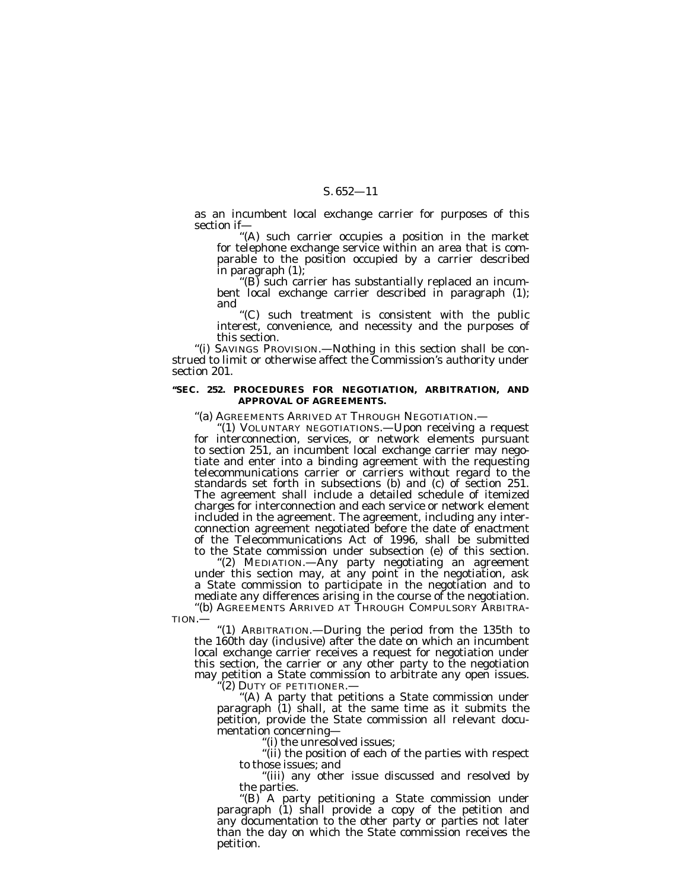as an incumbent local exchange carrier for purposes of this section if—

'(A) such carrier occupies a position in the market for telephone exchange service within an area that is comparable to the position occupied by a carrier described in paragraph (1);

''(B) such carrier has substantially replaced an incumbent local exchange carrier described in paragraph (1); and

 $(C)$  such treatment is consistent with the public interest, convenience, and necessity and the purposes of this section.

''(i) SAVINGS PROVISION.—Nothing in this section shall be construed to limit or otherwise affect the Commission's authority under section 201.

#### **''SEC. 252. PROCEDURES FOR NEGOTIATION, ARBITRATION, AND APPROVAL OF AGREEMENTS.**

''(a) AGREEMENTS ARRIVED AT THROUGH NEGOTIATION.—

''(1) VOLUNTARY NEGOTIATIONS.—Upon receiving a request for interconnection, services, or network elements pursuant to section 251, an incumbent local exchange carrier may negotiate and enter into a binding agreement with the requesting telecommunications carrier or carriers without regard to the standards set forth in subsections (b) and (c) of section 251. The agreement shall include a detailed schedule of itemized charges for interconnection and each service or network element included in the agreement. The agreement, including any interconnection agreement negotiated before the date of enactment of the Telecommunications Act of 1996, shall be submitted to the State commission under subsection (e) of this section.

''(2) MEDIATION.—Any party negotiating an agreement under this section may, at any point in the negotiation, ask a State commission to participate in the negotiation and to mediate any differences arising in the course of the negotiation.<br>"(b) AGREEMENTS ARRIVED AT THROUGH COMPULSORY ARBITRA-

TION.—<br>
"(1) ARBITRATION.—During the period from the 135th to the 160th day (inclusive) after the date on which an incumbent local exchange carrier receives a request for negotiation under this section, the carrier or any other party to the negotiation<br>may petition a State commission to arbitrate any open issues.

"(2) DUTY OF PETITIONER.—<br>"(A) A party that petitions a State commission under paragraph (1) shall, at the same time as it submits the petition, provide the State commission all relevant documentation concerning—

''(i) the unresolved issues;

"(ii) the position of each of the parties with respect to those issues; and

''(iii) any other issue discussed and resolved by the parties.

"(B) A party petitioning a State commission under paragraph (1) shall provide a copy of the petition and any documentation to the other party or parties not later than the day on which the State commission receives the petition.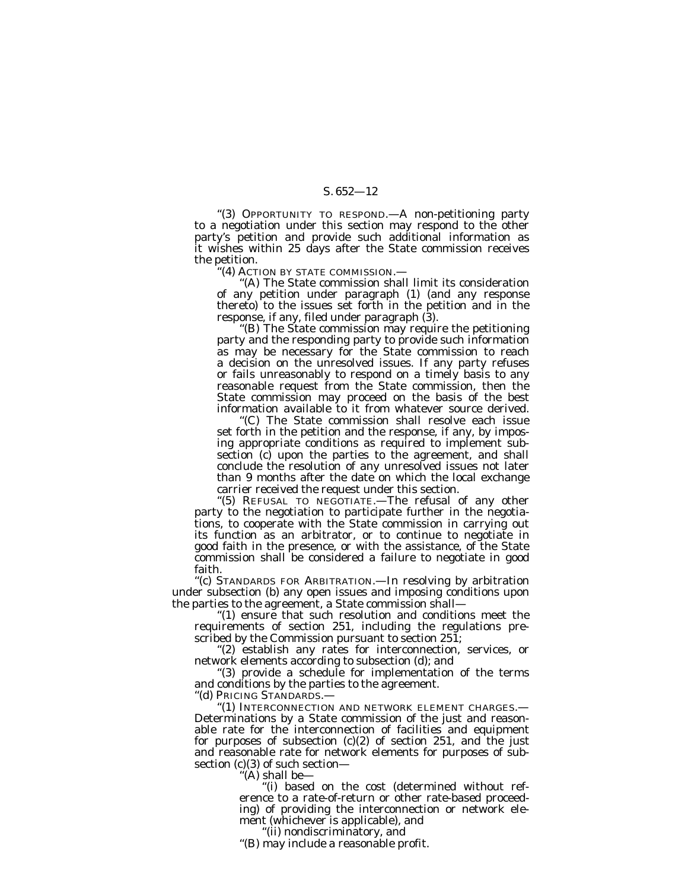''(3) OPPORTUNITY TO RESPOND.—A non-petitioning party to a negotiation under this section may respond to the other party's petition and provide such additional information as it wishes within 25 days after the State commission receives the petition.

''(4) ACTION BY STATE COMMISSION.—

'(A) The State commission shall limit its consideration of any petition under paragraph (1) (and any response thereto) to the issues set forth in the petition and in the response, if any, filed under paragraph (3).

''(B) The State commission may require the petitioning party and the responding party to provide such information as may be necessary for the State commission to reach a decision on the unresolved issues. If any party refuses or fails unreasonably to respond on a timely basis to any reasonable request from the State commission, then the State commission may proceed on the basis of the best information available to it from whatever source derived.

'(C) The State commission shall resolve each issue set forth in the petition and the response, if any, by imposing appropriate conditions as required to implement subsection (c) upon the parties to the agreement, and shall conclude the resolution of any unresolved issues not later than 9 months after the date on which the local exchange carrier received the request under this section.

''(5) REFUSAL TO NEGOTIATE.—The refusal of any other party to the negotiation to participate further in the negotiations, to cooperate with the State commission in carrying out its function as an arbitrator, or to continue to negotiate in good faith in the presence, or with the assistance, of the State commission shall be considered a failure to negotiate in good faith.

''(c) STANDARDS FOR ARBITRATION.—In resolving by arbitration under subsection (b) any open issues and imposing conditions upon the parties to the agreement, a State commission shall—

''(1) ensure that such resolution and conditions meet the requirements of section 251, including the regulations prescribed by the Commission pursuant to section 251;

''(2) establish any rates for interconnection, services, or network elements according to subsection (d); and

''(3) provide a schedule for implementation of the terms and conditions by the parties to the agreement.

''(d) PRICING STANDARDS.—

''(1) INTERCONNECTION AND NETWORK ELEMENT CHARGES.— Determinations by a State commission of the just and reasonable rate for the interconnection of facilities and equipment for purposes of subsection  $(c)(2)$  of section 251, and the just and reasonable rate for network elements for purposes of subsection (c)(3) of such section—

''(A) shall be—

(i) based on the cost (determined without reference to a rate-of-return or other rate-based proceeding) of providing the interconnection or network element (whichever is applicable), and

''(ii) nondiscriminatory, and

''(B) may include a reasonable profit.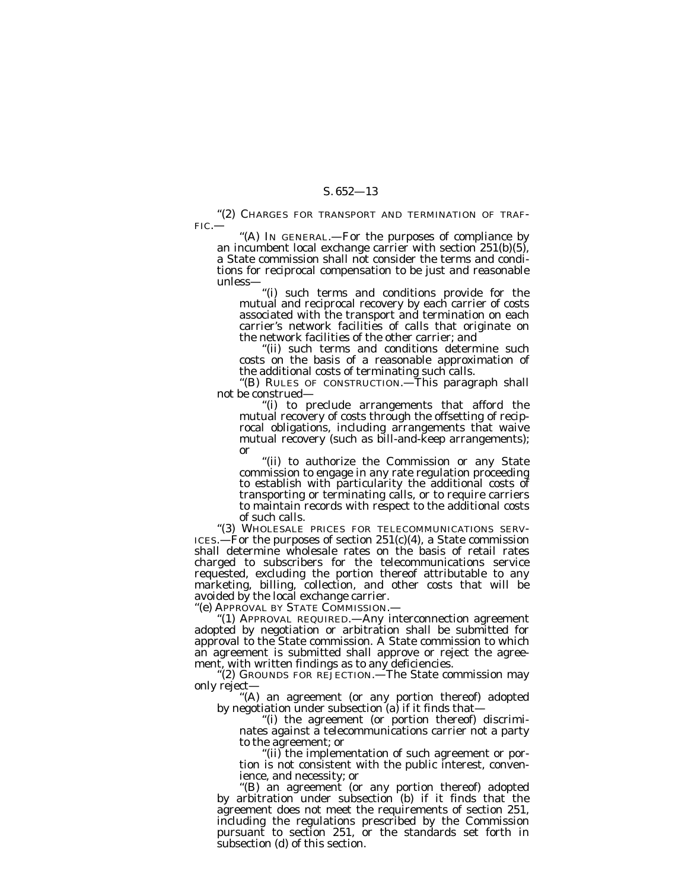"(2) CHARGES FOR TRANSPORT AND TERMINATION OF TRAF-FIC.—

"(A) IN GENERAL.—For the purposes of compliance by an incumbent local exchange carrier with section 251(b)(5), a State commission shall not consider the terms and conditions for reciprocal compensation to be just and reasonable unless—

''(i) such terms and conditions provide for the mutual and reciprocal recovery by each carrier of costs associated with the transport and termination on each carrier's network facilities of calls that originate on the network facilities of the other carrier; and

''(ii) such terms and conditions determine such costs on the basis of a reasonable approximation of the additional costs of terminating such calls.

''(B) RULES OF CONSTRUCTION.—This paragraph shall not be construed—

''(i) to preclude arrangements that afford the mutual recovery of costs through the offsetting of reciprocal obligations, including arrangements that waive mutual recovery (such as bill-and-keep arrangements); or

''(ii) to authorize the Commission or any State commission to engage in any rate regulation proceeding to establish with particularity the additional costs of transporting or terminating calls, or to require carriers to maintain records with respect to the additional costs

of such calls.<br>"(3) WHOLESALE PRICES FOR TELECOMMUNICATIONS SERV- $ICES.$ —For the purposes of section  $251(c)(4)$ , a State commission shall determine wholesale rates on the basis of retail rates charged to subscribers for the telecommunications service requested, excluding the portion thereof attributable to any marketing, billing, collection, and other costs that will be avoided by the local exchange carrier.

''(e) APPROVAL BY STATE COMMISSION.— ''(1) APPROVAL REQUIRED.—Any interconnection agreement adopted by negotiation or arbitration shall be submitted for approval to the State commission. A State commission to which an agreement is submitted shall approve or reject the agreement, with written findings as to any deficiencies. "(2) GROUNDS FOR REJECTION.—The State commission may

only reject—<br>
"(A) an agreement (or any portion thereof) adopted<br>
by negotiation under subsection (a) if it finds that—

''(i) the agreement (or portion thereof) discriminates against a telecommunications carrier not a party to the agreement; or

(ii) the implementation of such agreement or portion is not consistent with the public interest, convenience, and necessity; or

''(B) an agreement (or any portion thereof) adopted by arbitration under subsection (b) if it finds that the agreement does not meet the requirements of section 251, including the regulations prescribed by the Commission pursuant to section 251, or the standards set forth in subsection (d) of this section.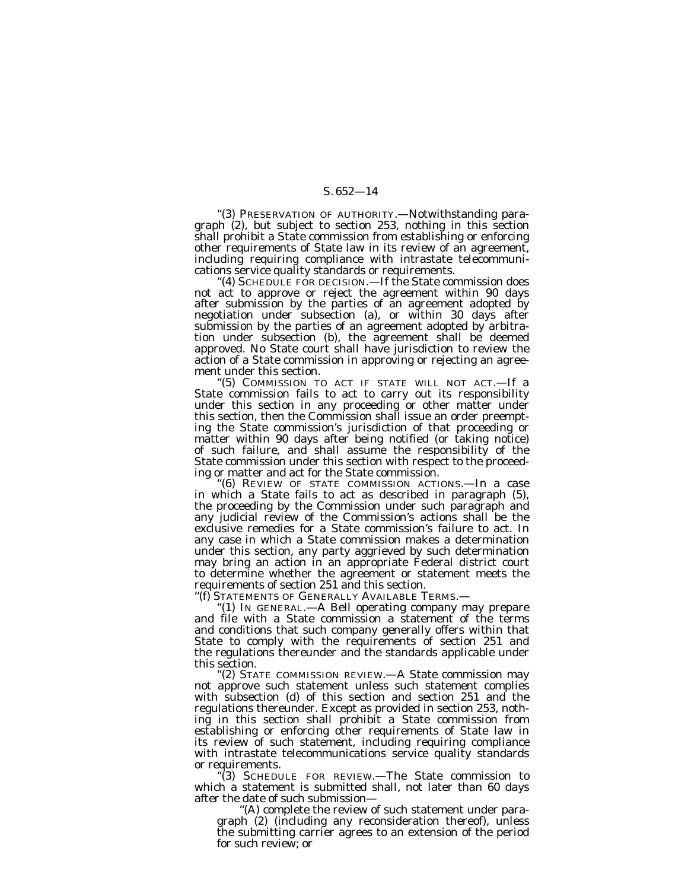''(3) PRESERVATION OF AUTHORITY.—Notwithstanding paragraph (2), but subject to section 253, nothing in this section shall prohibit a State commission from establishing or enforcing other requirements of State law in its review of an agreement, including requiring compliance with intrastate telecommunications service quality standards or requirements.

"(4) SCHEDULE FOR DECISION.—If the State commission does not act to approve or reject the agreement within 90 days after submission by the parties of an agreement adopted by negotiation under subsection (a), or within 30 days after submission by the parties of an agreement adopted by arbitration under subsection (b), the agreement shall be deemed approved. No State court shall have jurisdiction to review the action of a State commission in approving or rejecting an agreement under this section.

"(5) COMMISSION TO ACT IF STATE WILL NOT ACT.—If a State commission fails to act to carry out its responsibility under this section in any proceeding or other matter under this section, then the Commission shall issue an order preempting the State commission's jurisdiction of that proceeding or matter within 90 days after being notified (or taking notice) of such failure, and shall assume the responsibility of the State commission under this section with respect to the proceeding or matter and act for the State commission.

''(6) REVIEW OF STATE COMMISSION ACTIONS.—In a case in which a State fails to act as described in paragraph (5), the proceeding by the Commission under such paragraph and any judicial review of the Commission's actions shall be the exclusive remedies for a State commission's failure to act. In any case in which a State commission makes a determination under this section, any party aggrieved by such determination may bring an action in an appropriate Federal district court to determine whether the agreement or statement meets the requirements of section 251 and this section.

"(1) IN GENERAL $-$ A Bell operating company may prepare and file with a State commission a statement of the terms and conditions that such company generally offers within that State to comply with the requirements of section 251 and the regulations thereunder and the standards applicable under this section.

''(2) STATE COMMISSION REVIEW.—A State commission may not approve such statement unless such statement complies with subsection (d) of this section and section 251 and the regulations thereunder. Except as provided in section 253, nothing in this section shall prohibit a State commission from establishing or enforcing other requirements of State law in its review of such statement, including requiring compliance with intrastate telecommunications service quality standards or requirements.

''(3) SCHEDULE FOR REVIEW.—The State commission to which a statement is submitted shall, not later than 60 days after the date of such submission—

''(A) complete the review of such statement under paragraph (2) (including any reconsideration thereof), unless the submitting carrier agrees to an extension of the period for such review; or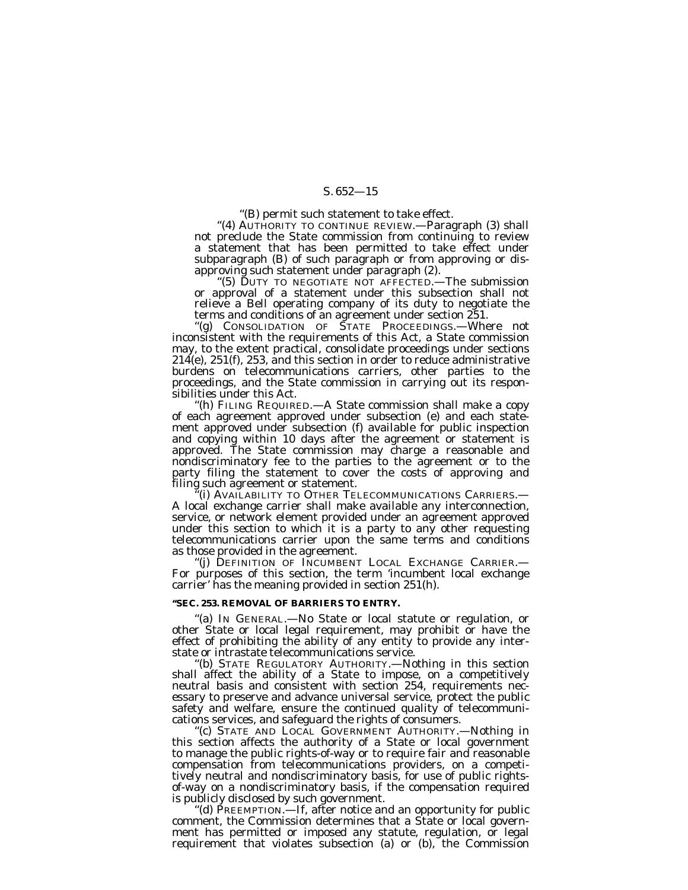''(B) permit such statement to take effect.

"(4) AUTHORITY TO CONTINUE REVIEW.—Paragraph (3) shall not preclude the State commission from continuing to review a statement that has been permitted to take effect under subparagraph (B) of such paragraph or from approving or disapproving such statement under paragraph (2).

''(5) DUTY TO NEGOTIATE NOT AFFECTED.—The submission or approval of a statement under this subsection shall not relieve a Bell operating company of its duty to negotiate the terms and conditions of an agreement under section 251.

''(g) CONSOLIDATION OF STATE PROCEEDINGS.—Where not inconsistent with the requirements of this Act, a State commission may, to the extent practical, consolidate proceedings under sections  $214(e)$ ,  $251(f)$ ,  $253$ , and this section in order to reduce administrative burdens on telecommunications carriers, other parties to the proceedings, and the State commission in carrying out its responsibilities under this Act.

''(h) FILING REQUIRED.—A State commission shall make a copy of each agreement approved under subsection (e) and each statement approved under subsection (f) available for public inspection and copying within 10 days after the agreement or statement is approved. The State commission may charge a reasonable and nondiscriminatory fee to the parties to the agreement or to the party filing the statement to cover the costs of approving and filing such agreement or statement.

(i) AVAILABILITY TO OTHER TELECOMMUNICATIONS CARRIERS.— A local exchange carrier shall make available any interconnection, service, or network element provided under an agreement approved under this section to which it is a party to any other requesting telecommunications carrier upon the same terms and conditions

as those provided in the agreement. ''(j) DEFINITION OF INCUMBENT LOCAL EXCHANGE CARRIER.— For purposes of this section, the term 'incumbent local exchange carrier' has the meaning provided in section 251(h).

#### **''SEC. 253. REMOVAL OF BARRIERS TO ENTRY.**

''(a) IN GENERAL.—No State or local statute or regulation, or other State or local legal requirement, may prohibit or have the effect of prohibiting the ability of any entity to provide any interstate or intrastate telecommunications service.

''(b) STATE REGULATORY AUTHORITY.—Nothing in this section shall affect the ability of a State to impose, on a competitively neutral basis and consistent with section 254, requirements necessary to preserve and advance universal service, protect the public safety and welfare, ensure the continued quality of telecommunications services, and safeguard the rights of consumers.

''(c) STATE AND LOCAL GOVERNMENT AUTHORITY.—Nothing in this section affects the authority of a State or local government to manage the public rights-of-way or to require fair and reasonable compensation from telecommunications providers, on a competitively neutral and nondiscriminatory basis, for use of public rightsof-way on a nondiscriminatory basis, if the compensation required is publicly disclosed by such government.

''(d) PREEMPTION.—If, after notice and an opportunity for public comment, the Commission determines that a State or local government has permitted or imposed any statute, regulation, or legal requirement that violates subsection (a) or (b), the Commission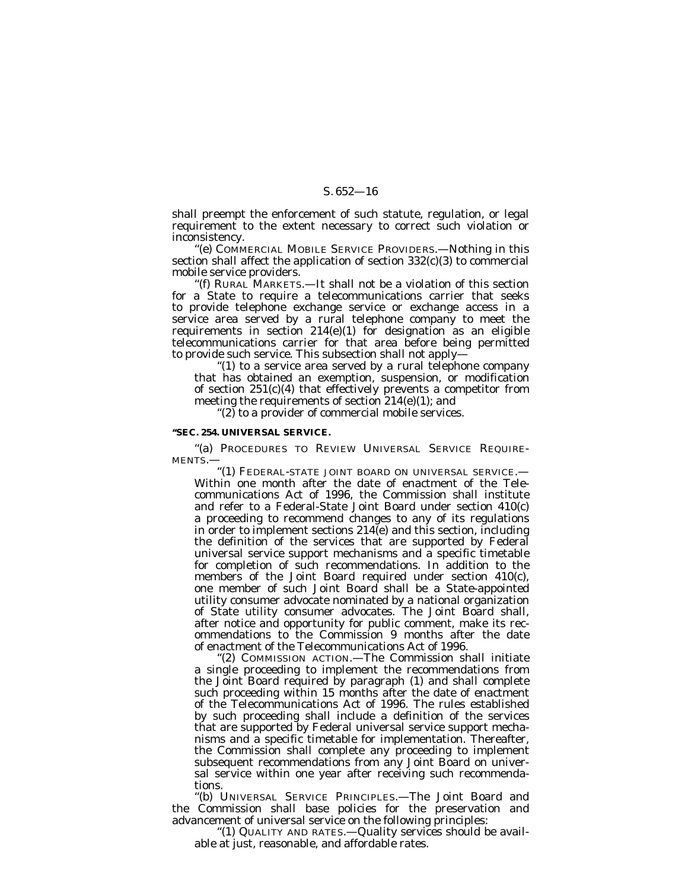shall preempt the enforcement of such statute, regulation, or legal requirement to the extent necessary to correct such violation or inconsistency.

''(e) COMMERCIAL MOBILE SERVICE PROVIDERS.—Nothing in this section shall affect the application of section  $332(c)(3)$  to commercial mobile service providers.

''(f) RURAL MARKETS.—It shall not be a violation of this section for a State to require a telecommunications carrier that seeks to provide telephone exchange service or exchange access in a service area served by a rural telephone company to meet the requirements in section  $214(e)(1)$  for designation as an eligible telecommunications carrier for that area before being permitted to provide such service. This subsection shall not apply—

"(1) to a service area served by a rural telephone company that has obtained an exemption, suspension, or modification of section 251(c)(4) that effectively prevents a competitor from meeting the requirements of section 214(e)(1); and

" $(2)$  to a provider of commercial mobile services.

#### **''SEC. 254. UNIVERSAL SERVICE.**

''(a) PROCEDURES TO REVIEW UNIVERSAL SERVICE REQUIRE-MENTS.—

''(1) FEDERAL-STATE JOINT BOARD ON UNIVERSAL SERVICE.— Within one month after the date of enactment of the Telecommunications Act of 1996, the Commission shall institute and refer to a Federal-State Joint Board under section 410(c) a proceeding to recommend changes to any of its regulations in order to implement sections  $214(e)$  and this section, including the definition of the services that are supported by Federal universal service support mechanisms and a specific timetable for completion of such recommendations. In addition to the members of the Joint Board required under section 410(c), one member of such Joint Board shall be a State-appointed utility consumer advocate nominated by a national organization of State utility consumer advocates. The Joint Board shall, after notice and opportunity for public comment, make its recommendations to the Commission 9 months after the date of enactment of the Telecommunications Act of 1996.

''(2) COMMISSION ACTION.—The Commission shall initiate a single proceeding to implement the recommendations from the Joint Board required by paragraph (1) and shall complete such proceeding within 15 months after the date of enactment of the Telecommunications Act of 1996. The rules established by such proceeding shall include a definition of the services that are supported by Federal universal service support mechanisms and a specific timetable for implementation. Thereafter, the Commission shall complete any proceeding to implement subsequent recommendations from any Joint Board on universal service within one year after receiving such recommendations.

''(b) UNIVERSAL SERVICE PRINCIPLES.—The Joint Board and the Commission shall base policies for the preservation and advancement of universal service on the following principles:

''(1) QUALITY AND RATES.—Quality services should be available at just, reasonable, and affordable rates.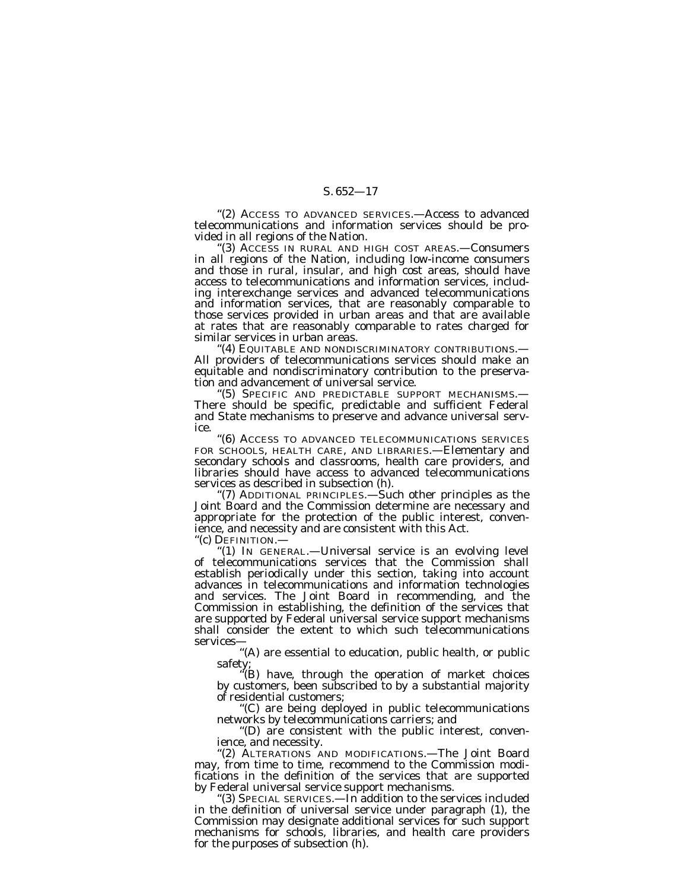''(2) ACCESS TO ADVANCED SERVICES.—Access to advanced telecommunications and information services should be provided in all regions of the Nation.

''(3) ACCESS IN RURAL AND HIGH COST AREAS.—Consumers in all regions of the Nation, including low-income consumers and those in rural, insular, and high cost areas, should have access to telecommunications and information services, including interexchange services and advanced telecommunications and information services, that are reasonably comparable to those services provided in urban areas and that are available at rates that are reasonably comparable to rates charged for similar services in urban areas.

'(4) EQUITABLE AND NONDISCRIMINATORY CONTRIBUTIONS.— All providers of telecommunications services should make an equitable and nondiscriminatory contribution to the preservation and advancement of universal service.

''(5) SPECIFIC AND PREDICTABLE SUPPORT MECHANISMS.— There should be specific, predictable and sufficient Federal and State mechanisms to preserve and advance universal service.

''(6) ACCESS TO ADVANCED TELECOMMUNICATIONS SERVICES FOR SCHOOLS, HEALTH CARE, AND LIBRARIES.—Elementary and secondary schools and classrooms, health care providers, and libraries should have access to advanced telecommunications services as described in subsection (h).

''(7) ADDITIONAL PRINCIPLES.—Such other principles as the Joint Board and the Commission determine are necessary and appropriate for the protection of the public interest, convenience, and necessity and are consistent with this Act.

''(c) DEFINITION.— ''(1) IN GENERAL.—Universal service is an evolving level of telecommunications services that the Commission shall establish periodically under this section, taking into account advances in telecommunications and information technologies and services. The Joint Board in recommending, and the Commission in establishing, the definition of the services that are supported by Federal universal service support mechanisms shall consider the extent to which such telecommunications services—

''(A) are essential to education, public health, or public safety; ''(B) have, through the operation of market choices

by customers, been subscribed to by a substantial majority of residential customers;

''(C) are being deployed in public telecommunications networks by telecommunications carriers; and

''(D) are consistent with the public interest, convenience, and necessity.

''(2) ALTERATIONS AND MODIFICATIONS.—The Joint Board may, from time to time, recommend to the Commission modifications in the definition of the services that are supported by Federal universal service support mechanisms.

(3) SPECIAL SERVICES.—In addition to the services included in the definition of universal service under paragraph (1), the Commission may designate additional services for such support mechanisms for schools, libraries, and health care providers for the purposes of subsection (h).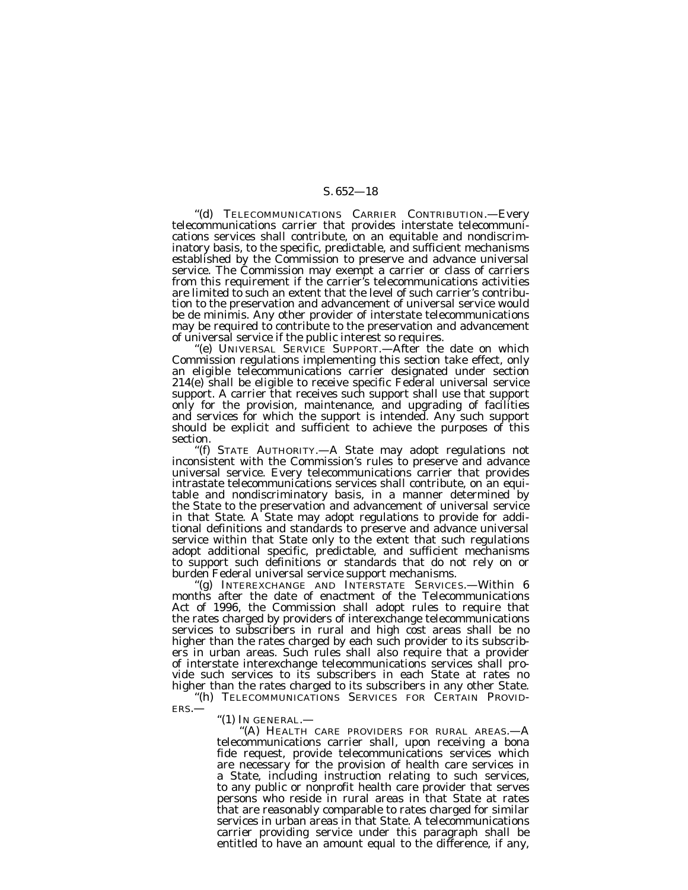''(d) TELECOMMUNICATIONS CARRIER CONTRIBUTION.—Every telecommunications carrier that provides interstate telecommunications services shall contribute, on an equitable and nondiscriminatory basis, to the specific, predictable, and sufficient mechanisms established by the Commission to preserve and advance universal service. The Commission may exempt a carrier or class of carriers from this requirement if the carrier's telecommunications activities are limited to such an extent that the level of such carrier's contribution to the preservation and advancement of universal service would be de minimis. Any other provider of interstate telecommunications may be required to contribute to the preservation and advancement of universal service if the public interest so requires.

''(e) UNIVERSAL SERVICE SUPPORT.—After the date on which Commission regulations implementing this section take effect, only an eligible telecommunications carrier designated under section 214(e) shall be eligible to receive specific Federal universal service support. A carrier that receives such support shall use that support only for the provision, maintenance, and upgrading of facilities and services for which the support is intended. Any such support should be explicit and sufficient to achieve the purposes of this section.

''(f) STATE AUTHORITY.—A State may adopt regulations not inconsistent with the Commission's rules to preserve and advance universal service. Every telecommunications carrier that provides intrastate telecommunications services shall contribute, on an equitable and nondiscriminatory basis, in a manner determined by the State to the preservation and advancement of universal service in that State. A State may adopt regulations to provide for additional definitions and standards to preserve and advance universal service within that State only to the extent that such regulations adopt additional specific, predictable, and sufficient mechanisms to support such definitions or standards that do not rely on or burden Federal universal service support mechanisms.

''(g) INTEREXCHANGE AND INTERSTATE SERVICES.—Within 6 months after the date of enactment of the Telecommunications Act of 1996, the Commission shall adopt rules to require that the rates charged by providers of interexchange telecommunications services to subscribers in rural and high cost areas shall be no higher than the rates charged by each such provider to its subscribers in urban areas. Such rules shall also require that a provider of interstate interexchange telecommunications services shall provide such services to its subscribers in each State at rates no higher than the rates charged to its subscribers in any other State.

 $h$ <sup>t</sup>(h) TELECOMMUNICATIONS SERVICES FOR CERTAIN PROVID-<br>ERS.—

''(1) IN GENERAL.—

''(A) HEALTH CARE PROVIDERS FOR RURAL AREAS.—A telecommunications carrier shall, upon receiving a bona fide request, provide telecommunications services which are necessary for the provision of health care services in a State, including instruction relating to such services, to any public or nonprofit health care provider that serves persons who reside in rural areas in that State at rates that are reasonably comparable to rates charged for similar services in urban areas in that State. A telecommunications carrier providing service under this paragraph shall be entitled to have an amount equal to the difference, if any,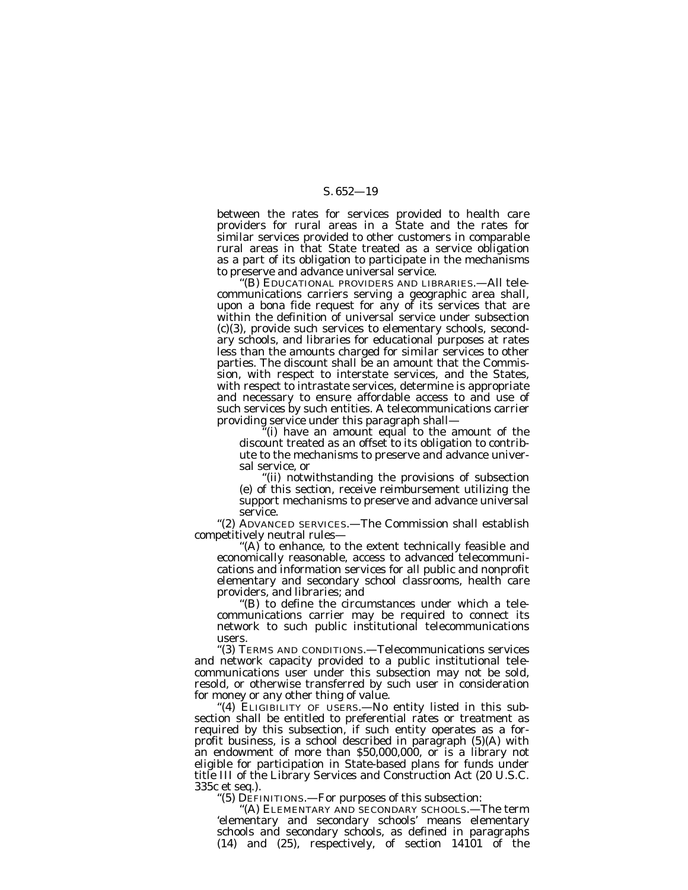between the rates for services provided to health care providers for rural areas in a State and the rates for similar services provided to other customers in comparable rural areas in that State treated as a service obligation as a part of its obligation to participate in the mechanisms to preserve and advance universal service.

''(B) EDUCATIONAL PROVIDERS AND LIBRARIES.—All telecommunications carriers serving a geographic area shall, upon a bona fide request for any of its services that are within the definition of universal service under subsection (c)(3), provide such services to elementary schools, secondary schools, and libraries for educational purposes at rates less than the amounts charged for similar services to other parties. The discount shall be an amount that the Commission, with respect to interstate services, and the States, with respect to intrastate services, determine is appropriate and necessary to ensure affordable access to and use of such services by such entities. A telecommunications carrier providing service under this paragraph shall—

''(i) have an amount equal to the amount of the discount treated as an offset to its obligation to contribute to the mechanisms to preserve and advance universal service, or

''(ii) notwithstanding the provisions of subsection (e) of this section, receive reimbursement utilizing the support mechanisms to preserve and advance universal service.

''(2) ADVANCED SERVICES.—The Commission shall establish competitively neutral rules—

"(A) to enhance, to the extent technically feasible and economically reasonable, access to advanced telecommunications and information services for all public and nonprofit elementary and secondary school classrooms, health care providers, and libraries; and

''(B) to define the circumstances under which a telecommunications carrier may be required to connect its network to such public institutional telecommunications users.

''(3) TERMS AND CONDITIONS.—Telecommunications services and network capacity provided to a public institutional telecommunications user under this subsection may not be sold, resold, or otherwise transferred by such user in consideration for money or any other thing of value.

"(4) ELIGIBILITY OF USERS.—No entity listed in this subsection shall be entitled to preferential rates or treatment as required by this subsection, if such entity operates as a forprofit business, is a school described in paragraph (5)(A) with an endowment of more than \$50,000,000, or is a library not eligible for participation in State-based plans for funds under title III of the Library Services and Construction Act (20 U.S.C. 335c et seq.).

''(5) DEFINITIONS.—For purposes of this subsection:

''(A) ELEMENTARY AND SECONDARY SCHOOLS.—The term 'elementary and secondary schools' means elementary schools and secondary schools, as defined in paragraphs (14) and (25), respectively, of section 14101 of the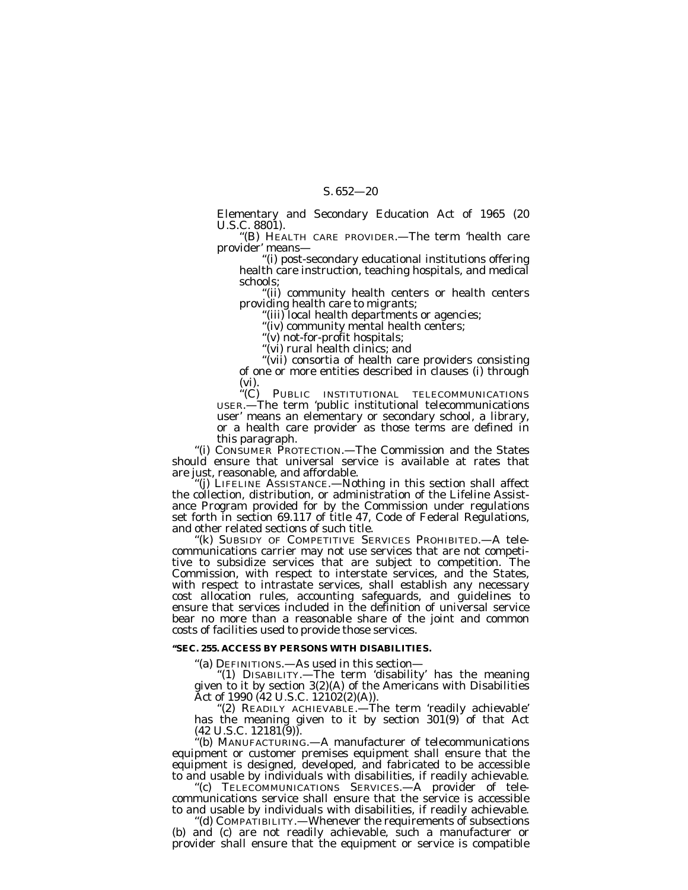Elementary and Secondary Education Act of 1965 (20 U.S.C. 8801).

''(B) HEALTH CARE PROVIDER.—The term 'health care provider' means—

''(i) post-secondary educational institutions offering health care instruction, teaching hospitals, and medical schools;

''(ii) community health centers or health centers providing health care to migrants;

''(iii) local health departments or agencies;

"(iv) community mental health centers;

''(v) not-for-profit hospitals;

''(vi) rural health clinics; and

"(vii) consortia of health care providers consisting of one or more entities described in clauses (i) through (vi).

''(C) PUBLIC INSTITUTIONAL TELECOMMUNICATIONS USER.—The term 'public institutional telecommunications user' means an elementary or secondary school, a library, or a health care provider as those terms are defined in this paragraph.

''(i) CONSUMER PROTECTION.—The Commission and the States should ensure that universal service is available at rates that are just, reasonable, and affordable.

(j) LIFELINE ASSISTANCE.—Nothing in this section shall affect the collection, distribution, or administration of the Lifeline Assistance Program provided for by the Commission under regulations set forth in section 69.117 of title 47, Code of Federal Regulations, and other related sections of such title.

'(k) SUBSIDY OF COMPETITIVE SERVICES PROHIBITED.—A telecommunications carrier may not use services that are not competitive to subsidize services that are subject to competition. The Commission, with respect to interstate services, and the States, with respect to intrastate services, shall establish any necessary cost allocation rules, accounting safeguards, and guidelines to ensure that services included in the definition of universal service bear no more than a reasonable share of the joint and common costs of facilities used to provide those services.

#### **''SEC. 255. ACCESS BY PERSONS WITH DISABILITIES.**

"(a) DEFINITIONS.—As used in this section—<br>"(1) DISABILITY.—The term 'disability' has the meaning given to it by section  $3(2)(A)$  of the Americans with Disabilities Act of 1990 (42 U.S.C. 12102(2)(A)).

''(2) READILY ACHIEVABLE.—The term 'readily achievable' has the meaning given to it by section  $301(9)$  of that Act (42 U.S.C. 12181(9)).

''(b) MANUFACTURING.—A manufacturer of telecommunications equipment or customer premises equipment shall ensure that the equipment is designed, developed, and fabricated to be accessible to and usable by individuals with disabilities, if readily achievable.

''(c) TELECOMMUNICATIONS SERVICES.—A provider of telecommunications service shall ensure that the service is accessible to and usable by individuals with disabilities, if readily achievable.

''(d) COMPATIBILITY.—Whenever the requirements of subsections (b) and (c) are not readily achievable, such a manufacturer or provider shall ensure that the equipment or service is compatible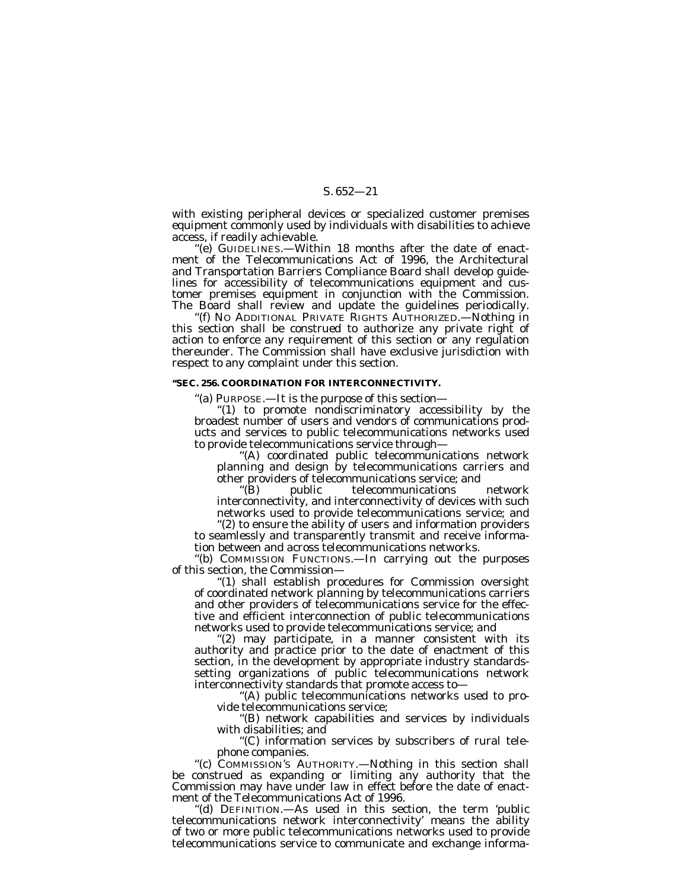with existing peripheral devices or specialized customer premises equipment commonly used by individuals with disabilities to achieve access, if readily achievable.

''(e) GUIDELINES.—Within 18 months after the date of enactment of the Telecommunications Act of 1996, the Architectural and Transportation Barriers Compliance Board shall develop guidelines for accessibility of telecommunications equipment and customer premises equipment in conjunction with the Commission. The Board shall review and update the guidelines periodically.

''(f) NO ADDITIONAL PRIVATE RIGHTS AUTHORIZED.—Nothing in this section shall be construed to authorize any private right of action to enforce any requirement of this section or any regulation thereunder. The Commission shall have exclusive jurisdiction with respect to any complaint under this section.

#### **''SEC. 256. COORDINATION FOR INTERCONNECTIVITY.**

''(a) PURPOSE.—It is the purpose of this section—

''(1) to promote nondiscriminatory accessibility by the broadest number of users and vendors of communications products and services to public telecommunications networks used to provide telecommunications service through—

''(A) coordinated public telecommunications network planning and design by telecommunications carriers and other providers of telecommunications service; and

telecommunications network interconnectivity, and interconnectivity of devices with such networks used to provide telecommunications service; and

"(2) to ensure the ability of users and information providers to seamlessly and transparently transmit and receive information between and across telecommunications networks.

''(b) COMMISSION FUNCTIONS.—In carrying out the purposes of this section, the Commission—

''(1) shall establish procedures for Commission oversight of coordinated network planning by telecommunications carriers and other providers of telecommunications service for the effective and efficient interconnection of public telecommunications networks used to provide telecommunications service; and

"(2) may participate, in a manner consistent with its authority and practice prior to the date of enactment of this section, in the development by appropriate industry standardssetting organizations of public telecommunications network interconnectivity standards that promote access to—

''(A) public telecommunications networks used to provide telecommunications service;

''(B) network capabilities and services by individuals with disabilities; and

'(C) information services by subscribers of rural telephone companies.

''(c) COMMISSION'S AUTHORITY.—Nothing in this section shall be construed as expanding or limiting any authority that the Commission may have under law in effect before the date of enactment of the Telecommunications Act of 1996.

''(d) DEFINITION.—As used in this section, the term 'public telecommunications network interconnectivity' means the ability of two or more public telecommunications networks used to provide telecommunications service to communicate and exchange informa-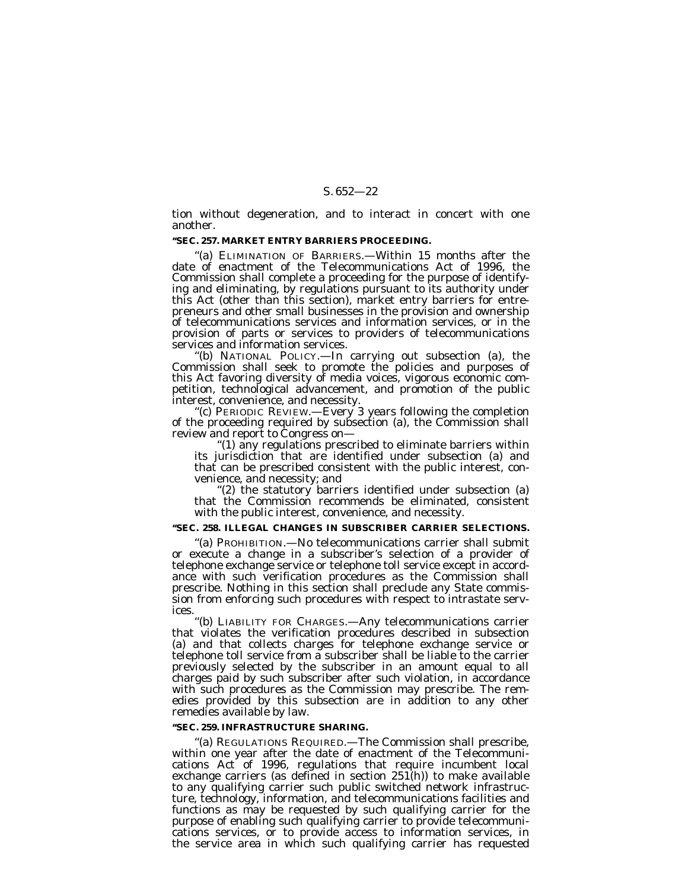tion without degeneration, and to interact in concert with one another.

#### **''SEC. 257. MARKET ENTRY BARRIERS PROCEEDING.**

''(a) ELIMINATION OF BARRIERS.—Within 15 months after the date of enactment of the Telecommunications Act of 1996, the Commission shall complete a proceeding for the purpose of identifying and eliminating, by regulations pursuant to its authority under this Act (other than this section), market entry barriers for entrepreneurs and other small businesses in the provision and ownership of telecommunications services and information services, or in the provision of parts or services to providers of telecommunications services and information services.

''(b) NATIONAL POLICY.—In carrying out subsection (a), the Commission shall seek to promote the policies and purposes of this Act favoring diversity of media voices, vigorous economic competition, technological advancement, and promotion of the public

 $f(c)$  PERIODIC REVIEW.—Every 3 years following the completion of the proceeding required by subsection (a), the Commission shall review and report to Congress on—

''(1) any regulations prescribed to eliminate barriers within its jurisdiction that are identified under subsection (a) and that can be prescribed consistent with the public interest, convenience, and necessity; and

"(2) the statutory barriers identified under subsection (a) that the Commission recommends be eliminated, consistent with the public interest, convenience, and necessity.

#### **''SEC. 258. ILLEGAL CHANGES IN SUBSCRIBER CARRIER SELECTIONS.**

''(a) PROHIBITION.—No telecommunications carrier shall submit or execute a change in a subscriber's selection of a provider of telephone exchange service or telephone toll service except in accordance with such verification procedures as the Commission shall prescribe. Nothing in this section shall preclude any State commission from enforcing such procedures with respect to intrastate services.

''(b) LIABILITY FOR CHARGES.—Any telecommunications carrier that violates the verification procedures described in subsection (a) and that collects charges for telephone exchange service or telephone toll service from a subscriber shall be liable to the carrier previously selected by the subscriber in an amount equal to all charges paid by such subscriber after such violation, in accordance with such procedures as the Commission may prescribe. The remedies provided by this subsection are in addition to any other remedies available by law.

#### **''SEC. 259. INFRASTRUCTURE SHARING.**

''(a) REGULATIONS REQUIRED.—The Commission shall prescribe, within one year after the date of enactment of the Telecommunications Act of 1996, regulations that require incumbent local exchange carriers (as defined in section 251(h)) to make available to any qualifying carrier such public switched network infrastructure, technology, information, and telecommunications facilities and functions as may be requested by such qualifying carrier for the purpose of enabling such qualifying carrier to provide telecommunications services, or to provide access to information services, in the service area in which such qualifying carrier has requested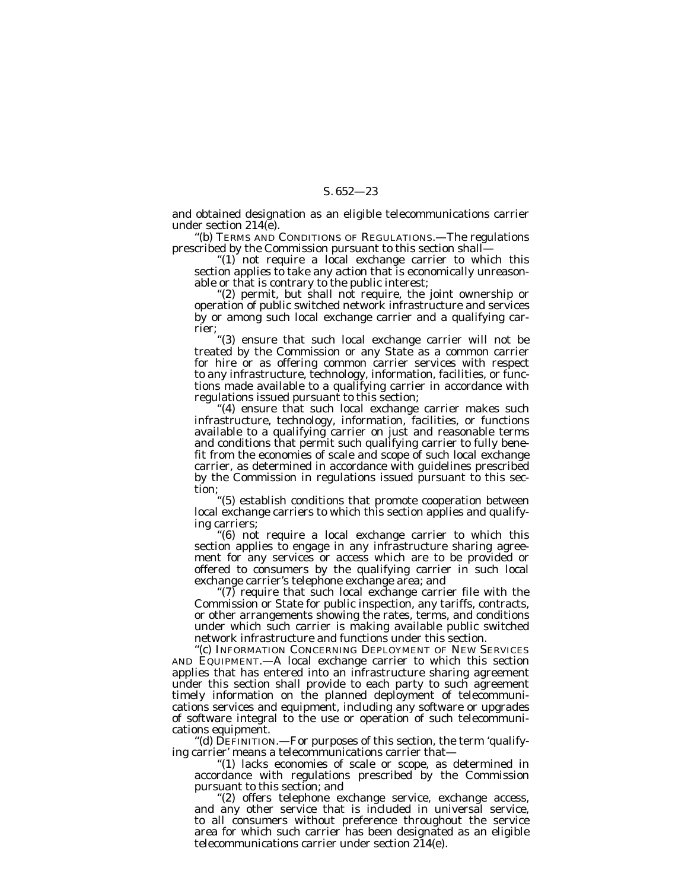and obtained designation as an eligible telecommunications carrier under section 214(e).

''(b) TERMS AND CONDITIONS OF REGULATIONS.—The regulations prescribed by the Commission pursuant to this section shall—

" $(1)$  not require a local exchange carrier to which this section applies to take any action that is economically unreasonable or that is contrary to the public interest;

"(2) permit, but shall not require, the joint ownership or operation of public switched network infrastructure and services by or among such local exchange carrier and a qualifying carrier;

''(3) ensure that such local exchange carrier will not be treated by the Commission or any State as a common carrier for hire or as offering common carrier services with respect to any infrastructure, technology, information, facilities, or functions made available to a qualifying carrier in accordance with regulations issued pursuant to this section;

 $(4)$  ensure that such local exchange carrier makes such infrastructure, technology, information, facilities, or functions available to a qualifying carrier on just and reasonable terms and conditions that permit such qualifying carrier to fully benefit from the economies of scale and scope of such local exchange carrier, as determined in accordance with guidelines prescribed by the Commission in regulations issued pursuant to this section;

''(5) establish conditions that promote cooperation between local exchange carriers to which this section applies and qualifying carriers;

''(6) not require a local exchange carrier to which this section applies to engage in any infrastructure sharing agreement for any services or access which are to be provided or offered to consumers by the qualifying carrier in such local exchange carrier's telephone exchange area; and

''(7) require that such local exchange carrier file with the Commission or State for public inspection, any tariffs, contracts, or other arrangements showing the rates, terms, and conditions under which such carrier is making available public switched network infrastructure and functions under this section.

''(c) INFORMATION CONCERNING DEPLOYMENT OF NEW SERVICES AND EQUIPMENT.—A local exchange carrier to which this section applies that has entered into an infrastructure sharing agreement under this section shall provide to each party to such agreement timely information on the planned deployment of telecommunications services and equipment, including any software or upgrades of software integral to the use or operation of such telecommunications equipment.

'(d) DEFINITION.—For purposes of this section, the term 'qualifying carrier' means a telecommunications carrier that—

''(1) lacks economies of scale or scope, as determined in accordance with regulations prescribed by the Commission pursuant to this section; and

''(2) offers telephone exchange service, exchange access, and any other service that is included in universal service, to all consumers without preference throughout the service area for which such carrier has been designated as an eligible telecommunications carrier under section 214(e).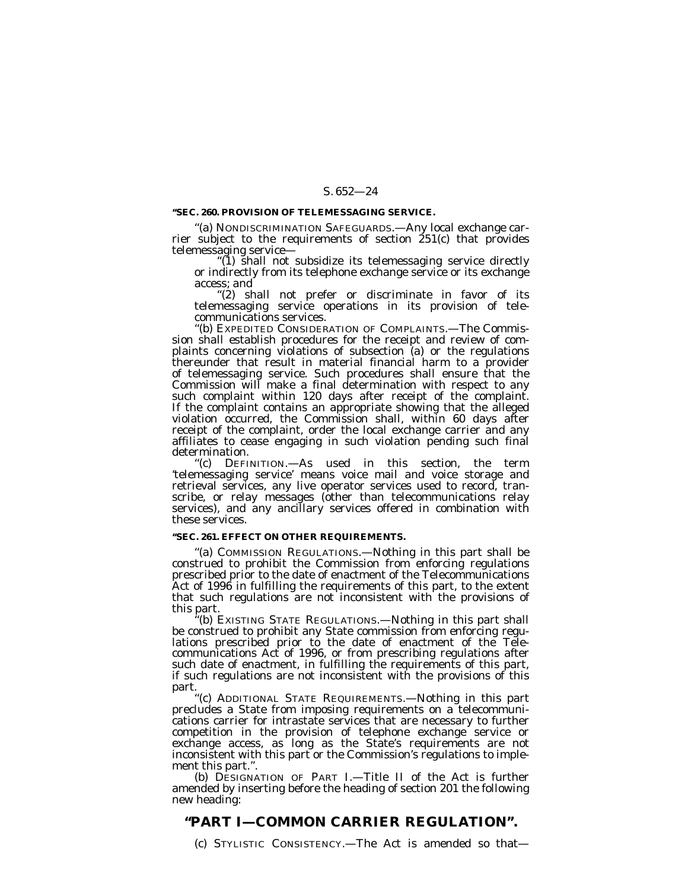#### **''SEC. 260. PROVISION OF TELEMESSAGING SERVICE.**

''(a) NONDISCRIMINATION SAFEGUARDS.—Any local exchange car- rier subject to the requirements of section 251(c) that provides

telemessaging service—<br>"(1) shall not subsidize its telemessaging service directly or indirectly from its telephone exchange service or its exchange access; and

''(2) shall not prefer or discriminate in favor of its telemessaging service operations in its provision of telecommunications services.

''(b) EXPEDITED CONSIDERATION OF COMPLAINTS.—The Commission shall establish procedures for the receipt and review of complaints concerning violations of subsection (a) or the regulations thereunder that result in material financial harm to a provider of telemessaging service. Such procedures shall ensure that the Commission will make a final determination with respect to any such complaint within 120 days after receipt of the complaint. If the complaint contains an appropriate showing that the alleged violation occurred, the Commission shall, within 60 days after receipt of the complaint, order the local exchange carrier and any affiliates to cease engaging in such violation pending such final determination.

''(c) DEFINITION.—As used in this section, the term 'telemessaging service' means voice mail and voice storage and retrieval services, any live operator services used to record, transcribe, or relay messages (other than telecommunications relay services), and any ancillary services offered in combination with these services.

#### **''SEC. 261. EFFECT ON OTHER REQUIREMENTS.**

''(a) COMMISSION REGULATIONS.—Nothing in this part shall be construed to prohibit the Commission from enforcing regulations prescribed prior to the date of enactment of the Telecommunications Act of 1996 in fulfilling the requirements of this part, to the extent that such regulations are not inconsistent with the provisions of this part.

(b) EXISTING STATE REGULATIONS.—Nothing in this part shall be construed to prohibit any State commission from enforcing regulations prescribed prior to the date of enactment of the Telecommunications Act of 1996, or from prescribing regulations after such date of enactment, in fulfilling the requirements of this part, if such regulations are not inconsistent with the provisions of this part.

''(c) ADDITIONAL STATE REQUIREMENTS.—Nothing in this part precludes a State from imposing requirements on a telecommunications carrier for intrastate services that are necessary to further competition in the provision of telephone exchange service or exchange access, as long as the State's requirements are not inconsistent with this part or the Commission's regulations to implement this part.''.

(b) DESIGNATION OF PART I.—Title II of the Act is further amended by inserting before the heading of section 201 the following new heading:

## **''PART I—COMMON CARRIER REGULATION''.**

(c) STYLISTIC CONSISTENCY.—The Act is amended so that—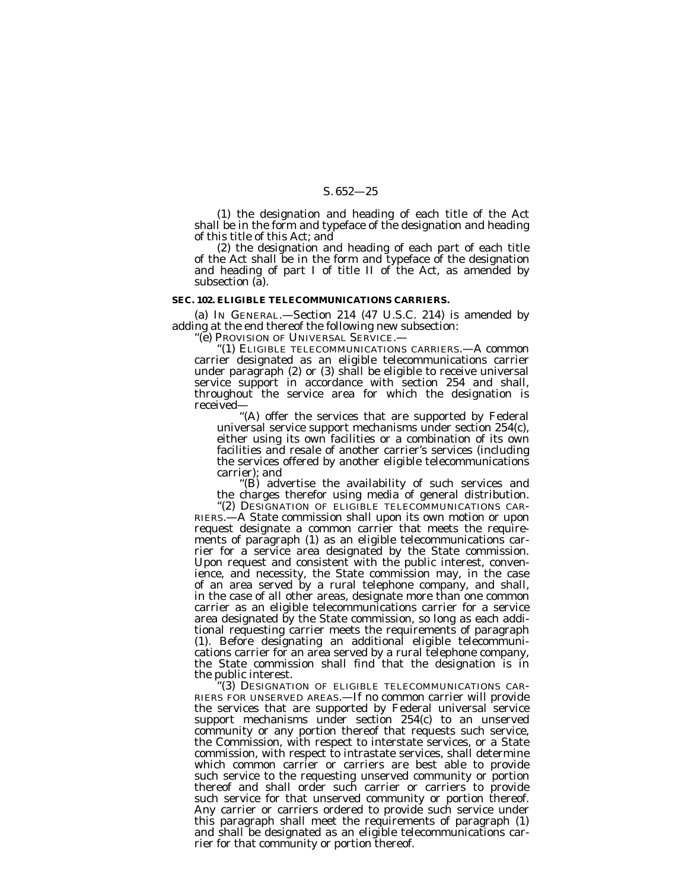(1) the designation and heading of each title of the Act shall be in the form and typeface of the designation and heading of this title of this Act; and

(2) the designation and heading of each part of each title of the Act shall be in the form and typeface of the designation and heading of part I of title II of the Act, as amended by subsection (a).

#### **SEC. 102. ELIGIBLE TELECOMMUNICATIONS CARRIERS.**

(a) IN GENERAL.—Section 214 (47 U.S.C. 214) is amended by adding at the end thereof the following new subsection:

''(e) PROVISION OF UNIVERSAL SERVICE.—

(1) ELIGIBLE TELECOMMUNICATIONS CARRIERS.—A common carrier designated as an eligible telecommunications carrier under paragraph (2) or (3) shall be eligible to receive universal service support in accordance with section 254 and shall, throughout the service area for which the designation is received—

"(A) offer the services that are supported by Federal universal service support mechanisms under section 254(c), either using its own facilities or a combination of its own facilities and resale of another carrier's services (including the services offered by another eligible telecommunications carrier); and

''(B) advertise the availability of such services and the charges therefor using media of general distribution.

"(2) DESIGNATION OF ELIGIBLE TELECOMMUNICATIONS CAR-RIERS.—A State commission shall upon its own motion or upon request designate a common carrier that meets the requirements of paragraph (1) as an eligible telecommunications carrier for a service area designated by the State commission. Upon request and consistent with the public interest, convenience, and necessity, the State commission may, in the case of an area served by a rural telephone company, and shall, in the case of all other areas, designate more than one common carrier as an eligible telecommunications carrier for a service area designated by the State commission, so long as each additional requesting carrier meets the requirements of paragraph (1). Before designating an additional eligible telecommunications carrier for an area served by a rural telephone company, the State commission shall find that the designation is in

the public interest.<br>"(3) DESIGNATION OF ELIGIBLE TELECOMMUNICATIONS CAR-RIERS FOR UNSERVED AREAS.—If no common carrier will provide the services that are supported by Federal universal service support mechanisms under section 254(c) to an unserved community or any portion thereof that requests such service, the Commission, with respect to interstate services, or a State commission, with respect to intrastate services, shall determine which common carrier or carriers are best able to provide such service to the requesting unserved community or portion thereof and shall order such carrier or carriers to provide such service for that unserved community or portion thereof. Any carrier or carriers ordered to provide such service under this paragraph shall meet the requirements of paragraph (1) and shall be designated as an eligible telecommunications carrier for that community or portion thereof.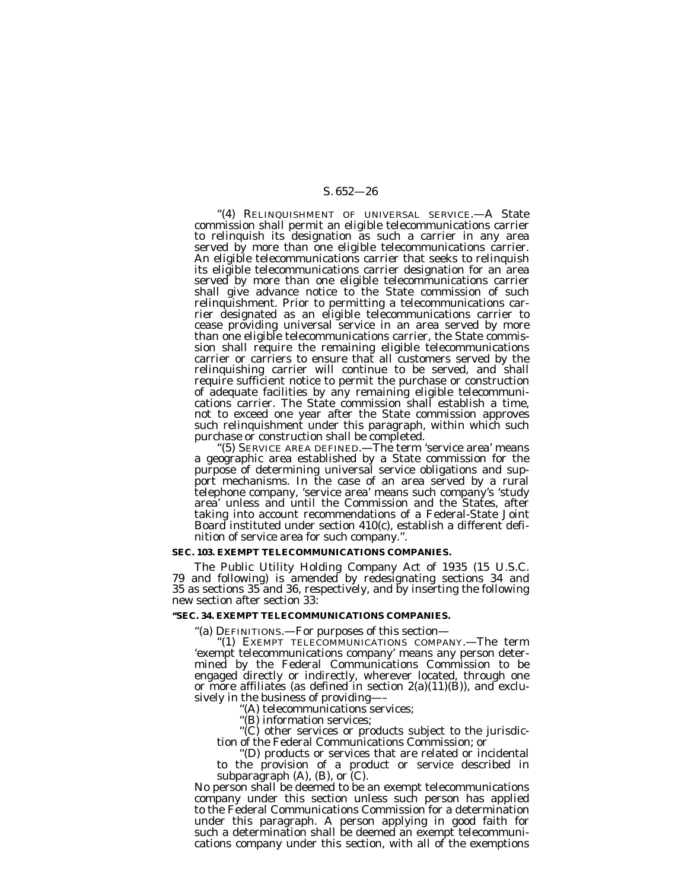"(4) RELINQUISHMENT OF UNIVERSAL SERVICE.—A State commission shall permit an eligible telecommunications carrier to relinquish its designation as such a carrier in any area served by more than one eligible telecommunications carrier. An eligible telecommunications carrier that seeks to relinquish its eligible telecommunications carrier designation for an area served by more than one eligible telecommunications carrier shall give advance notice to the State commission of such relinquishment. Prior to permitting a telecommunications carrier designated as an eligible telecommunications carrier to cease providing universal service in an area served by more than one eligible telecommunications carrier, the State commission shall require the remaining eligible telecommunications carrier or carriers to ensure that all customers served by the relinquishing carrier will continue to be served, and shall require sufficient notice to permit the purchase or construction of adequate facilities by any remaining eligible telecommunications carrier. The State commission shall establish a time, not to exceed one year after the State commission approves such relinquishment under this paragraph, within which such purchase or construction shall be completed.

"(5) SERVICE AREA DEFINED.—The term 'service area' means a geographic area established by a State commission for the purpose of determining universal service obligations and support mechanisms. In the case of an area served by a rural telephone company, 'service area' means such company's 'study area' unless and until the Commission and the States, after taking into account recommendations of a Federal-State Joint Board instituted under section 410(c), establish a different definition of service area for such company.''.

#### **SEC. 103. EXEMPT TELECOMMUNICATIONS COMPANIES.**

The Public Utility Holding Company Act of 1935 (15 U.S.C. 79 and following) is amended by redesignating sections 34 and 35 as sections 35 and 36, respectively, and by inserting the following new section after section 33:

#### **''SEC. 34. EXEMPT TELECOMMUNICATIONS COMPANIES.**

''(a) DEFINITIONS.—For purposes of this section— ''(1) EXEMPT TELECOMMUNICATIONS COMPANY.—The term 'exempt telecommunications company' means any person determined by the Federal Communications Commission to be engaged directly or indirectly, wherever located, through one or more affiliates (as defined in section  $2(a)(11)(B)$ ), and exclusively in the business of providing—– ''(A) telecommunications services;

''(B) information services;

''(C) other services or products subject to the jurisdic- tion of the Federal Communications Commission; or

''(D) products or services that are related or incidental to the provision of a product or service described in subparagraph  $(A)$ ,  $(B)$ , or  $\tilde{}(C)$ .

No person shall be deemed to be an exempt telecommunications company under this section unless such person has applied to the Federal Communications Commission for a determination under this paragraph. A person applying in good faith for such a determination shall be deemed an exempt telecommunications company under this section, with all of the exemptions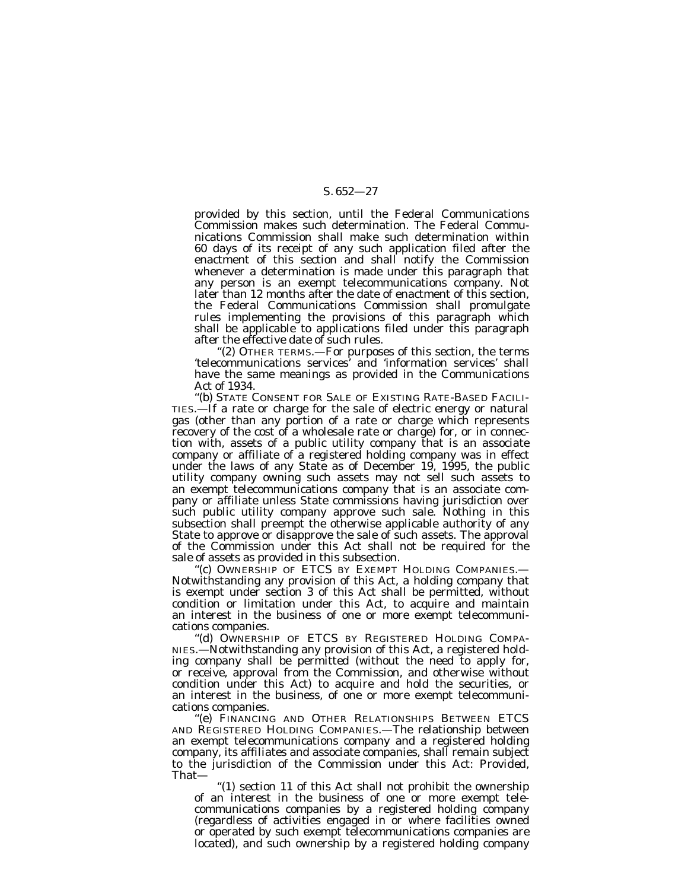provided by this section, until the Federal Communications Commission makes such determination. The Federal Communications Commission shall make such determination within 60 days of its receipt of any such application filed after the enactment of this section and shall notify the Commission whenever a determination is made under this paragraph that any person is an exempt telecommunications company. Not later than 12 months after the date of enactment of this section, the Federal Communications Commission shall promulgate rules implementing the provisions of this paragraph which shall be applicable to applications filed under this paragraph after the effective date of such rules.

''(2) OTHER TERMS.—For purposes of this section, the terms 'telecommunications services' and 'information services' shall have the same meanings as provided in the Communications Act of 1934.

''(b) STATE CONSENT FOR SALE OF EXISTING RATE-BASED FACILI-TIES.—If a rate or charge for the sale of electric energy or natural gas (other than any portion of a rate or charge which represents recovery of the cost of a wholesale rate or charge) for, or in connection with, assets of a public utility company that is an associate company or affiliate of a registered holding company was in effect under the laws of any State as of December 19, 1995, the public utility company owning such assets may not sell such assets to an exempt telecommunications company that is an associate company or affiliate unless State commissions having jurisdiction over such public utility company approve such sale. Nothing in this subsection shall preempt the otherwise applicable authority of any State to approve or disapprove the sale of such assets. The approval of the Commission under this Act shall not be required for the sale of assets as provided in this subsection.

'(c) OWNERSHIP OF ETCS BY EXEMPT HOLDING COMPANIES.-Notwithstanding any provision of this Act, a holding company that is exempt under section 3 of this Act shall be permitted, without condition or limitation under this Act, to acquire and maintain an interest in the business of one or more exempt telecommunications companies.

''(d) OWNERSHIP OF ETCS BY REGISTERED HOLDING COMPA-NIES.—Notwithstanding any provision of this Act, a registered holding company shall be permitted (without the need to apply for, or receive, approval from the Commission, and otherwise without condition under this Act) to acquire and hold the securities, or an interest in the business, of one or more exempt telecommunications companies.

''(e) FINANCING AND OTHER RELATIONSHIPS BETWEEN ETCS AND REGISTERED HOLDING COMPANIES.—The relationship between an exempt telecommunications company and a registered holding company, its affiliates and associate companies, shall remain subject to the jurisdiction of the Commission under this Act: *Provided,* That—

''(1) section 11 of this Act shall not prohibit the ownership of an interest in the business of one or more exempt telecommunications companies by a registered holding company (regardless of activities engaged in or where facilities owned or operated by such exempt telecommunications companies are located), and such ownership by a registered holding company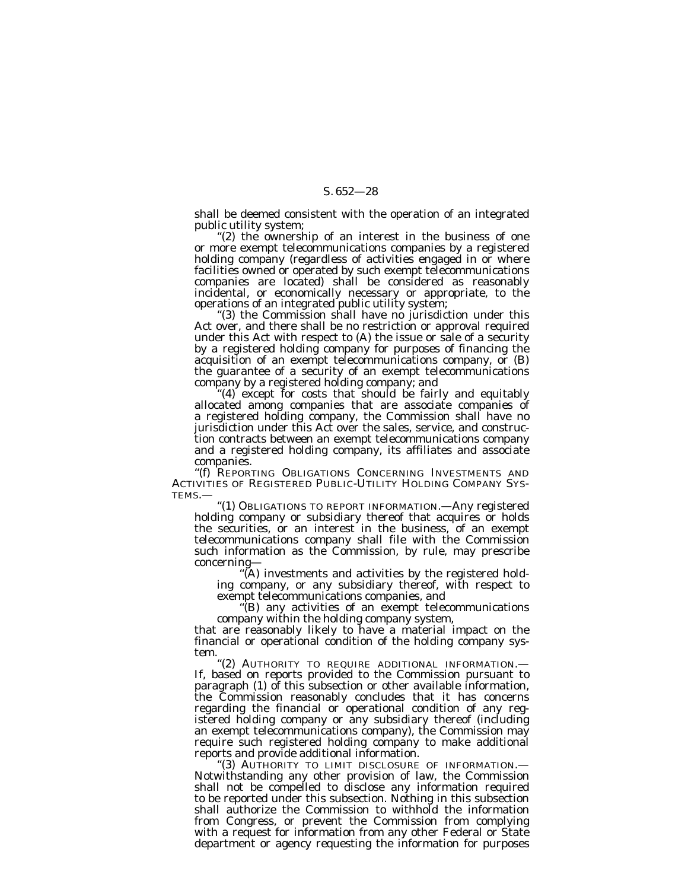shall be deemed consistent with the operation of an integrated public utility system;

"(2) the ownership of an interest in the business of one or more exempt telecommunications companies by a registered holding company (regardless of activities engaged in or where facilities owned or operated by such exempt telecommunications companies are located) shall be considered as reasonably incidental, or economically necessary or appropriate, to the operations of an integrated public utility system;

''(3) the Commission shall have no jurisdiction under this Act over, and there shall be no restriction or approval required under this Act with respect to (A) the issue or sale of a security by a registered holding company for purposes of financing the acquisition of an exempt telecommunications company, or (B) the guarantee of a security of an exempt telecommunications company by a registered holding company; and

'(4) except for costs that should be fairly and equitably allocated among companies that are associate companies of a registered holding company, the Commission shall have no jurisdiction under this Act over the sales, service, and construction contracts between an exempt telecommunications company and a registered holding company, its affiliates and associate companies.

''(f) REPORTING OBLIGATIONS CONCERNING INVESTMENTS AND ACTIVITIES OF REGISTERED PUBLIC-UTILITY HOLDING COMPANY SYS-TEMS.—

''(1) OBLIGATIONS TO REPORT INFORMATION.—Any registered holding company or subsidiary thereof that acquires or holds the securities, or an interest in the business, of an exempt telecommunications company shall file with the Commission such information as the Commission, by rule, may prescribe concerning—''(A) investments and activities by the registered hold-

ing company, or any subsidiary thereof, with respect to exempt telecommunications companies, and

''(B) any activities of an exempt telecommunications company within the holding company system,

that are reasonably likely to have a material impact on the financial or operational condition of the holding company system.

''(2) AUTHORITY TO REQUIRE ADDITIONAL INFORMATION.— If, based on reports provided to the Commission pursuant to paragraph (1) of this subsection or other available information, the Commission reasonably concludes that it has concerns regarding the financial or operational condition of any registered holding company or any subsidiary thereof (including an exempt telecommunications company), the Commission may require such registered holding company to make additional reports and provide additional information.

(3) AUTHORITY TO LIMIT DISCLOSURE OF INFORMATION.-Notwithstanding any other provision of law, the Commission shall not be compelled to disclose any information required to be reported under this subsection. Nothing in this subsection shall authorize the Commission to withhold the information from Congress, or prevent the Commission from complying with a request for information from any other Federal or State department or agency requesting the information for purposes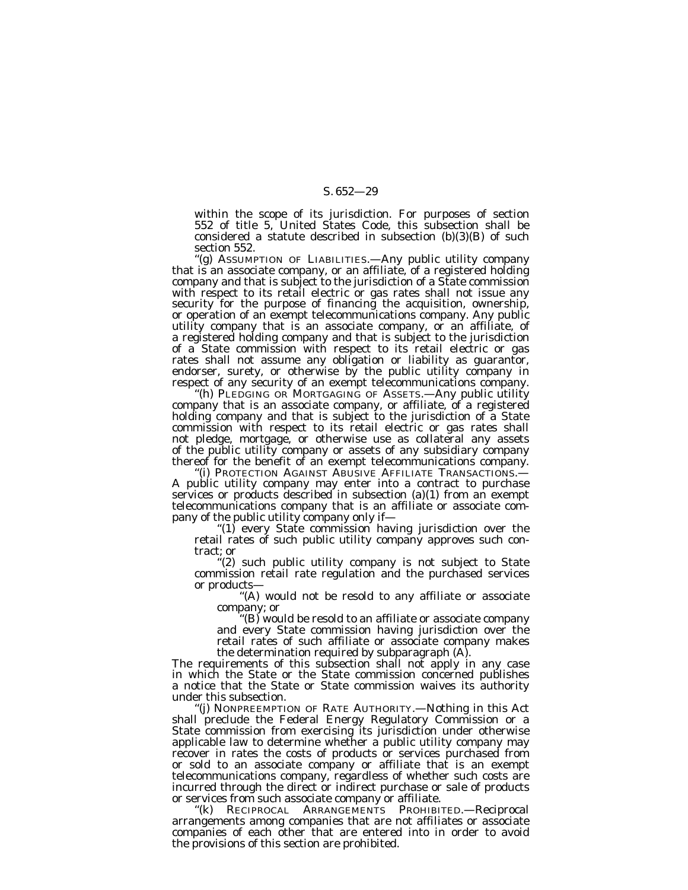within the scope of its jurisdiction. For purposes of section 552 of title 5, United States Code, this subsection shall be considered a statute described in subsection (b)(3)(B) of such section 552.

'(g) ASSUMPTION OF LIABILITIES. Any public utility company that is an associate company, or an affiliate, of a registered holding company and that is subject to the jurisdiction of a State commission with respect to its retail electric or gas rates shall not issue any security for the purpose of financing the acquisition, ownership, or operation of an exempt telecommunications company. Any public utility company that is an associate company, or an affiliate, of a registered holding company and that is subject to the jurisdiction of a State commission with respect to its retail electric or gas rates shall not assume any obligation or liability as guarantor, endorser, surety, or otherwise by the public utility company in respect of any security of an exempt telecommunications company.

''(h) PLEDGING OR MORTGAGING OF ASSETS.—Any public utility company that is an associate company, or affiliate, of a registered holding company and that is subject to the jurisdiction of a State commission with respect to its retail electric or gas rates shall not pledge, mortgage, or otherwise use as collateral any assets of the public utility company or assets of any subsidiary company thereof for the benefit of an exempt telecommunications company.

''(i) PROTECTION AGAINST ABUSIVE AFFILIATE TRANSACTIONS.— A public utility company may enter into a contract to purchase services or products described in subsection (a)(1) from an exempt telecommunications company that is an affiliate or associate com-

" $(1)$  every State commission having jurisdiction over the retail rates of such public utility company approves such contract; or

(2) such public utility company is not subject to State commission retail rate regulation and the purchased services or products—

''(A) would not be resold to any affiliate or associate

company; or ''(B) would be resold to an affiliate or associate company and every State commission having jurisdiction over the retail rates of such affiliate or associate company makes the determination required by subparagraph (A).

The requirements of this subsection shall not apply in any case in which the State or the State commission concerned publishes a notice that the State or State commission waives its authority under this subsection.

''(j) NONPREEMPTION OF RATE AUTHORITY.—Nothing in this Act shall preclude the Federal Energy Regulatory Commission or a State commission from exercising its jurisdiction under otherwise applicable law to determine whether a public utility company may recover in rates the costs of products or services purchased from or sold to an associate company or affiliate that is an exempt telecommunications company, regardless of whether such costs are incurred through the direct or indirect purchase or sale of products or services from such associate company or affiliate.

''(k) RECIPROCAL ARRANGEMENTS PROHIBITED.—Reciprocal arrangements among companies that are not affiliates or associate companies of each other that are entered into in order to avoid the provisions of this section are prohibited.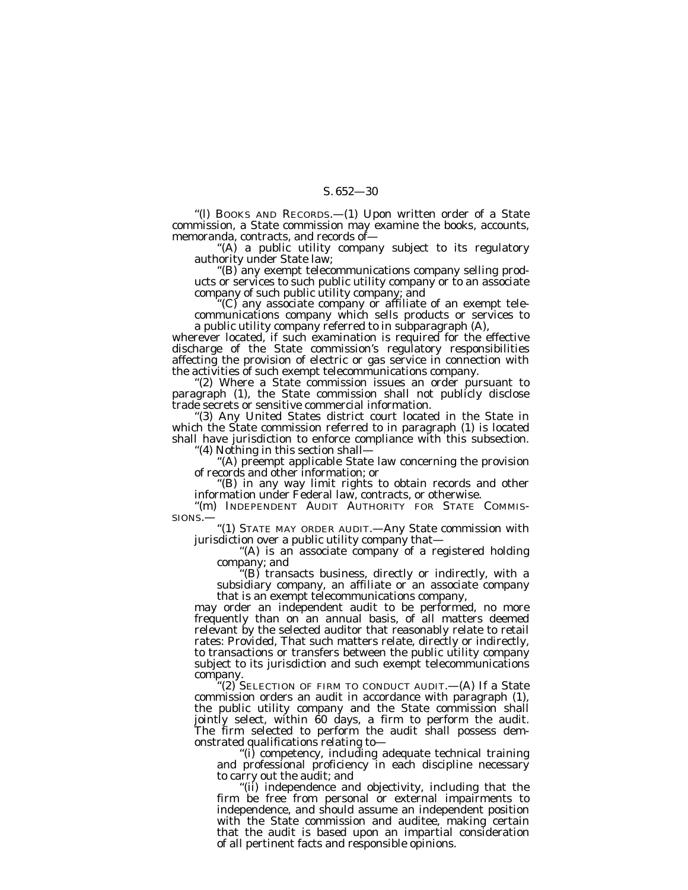''(l) BOOKS AND RECORDS.—(1) Upon written order of a State commission, a State commission may examine the books, accounts, memoranda, contracts, and records of—

''(A) a public utility company subject to its regulatory authority under State law;

"(B) any exempt telecommunications company selling products or services to such public utility company or to an associate company of such public utility company; and

 $\mathcal{C}(\mathcal{C})$  any associate company or affiliate of an exempt telecommunications company which sells products or services to a public utility company referred to in subparagraph (A),

wherever located, if such examination is required for the effective discharge of the State commission's regulatory responsibilities affecting the provision of electric or gas service in connection with the activities of such exempt telecommunications company.

"(2) Where a State commission issues an order pursuant to paragraph (1), the State commission shall not publicly disclose trade secrets or sensitive commercial information.

''(3) Any United States district court located in the State in which the State commission referred to in paragraph (1) is located shall have jurisdiction to enforce compliance with this subsection.

''(4) Nothing in this section shall—

''(A) preempt applicable State law concerning the provision of records and other information; or

''(B) in any way limit rights to obtain records and other information under Federal law, contracts, or otherwise.

"(m) INDEPENDENT AUDIT AUTHORITY FOR STATE COMMIS-

SIONS.—<br>
"(1) STATE MAY ORDER AUDIT.—Any State commission with<br>
jurisdiction over a public utility company that—

"(A) is an associate company of a registered holding company; and

(B) transacts business, directly or indirectly, with a subsidiary company, an affiliate or an associate company that is an exempt telecommunications company,

may order an independent audit to be performed, no more frequently than on an annual basis, of all matters deemed relevant by the selected auditor that reasonably relate to retail rates: *Provided*, That such matters relate, directly or indirectly, to transactions or transfers between the public utility company subject to its jurisdiction and such exempt telecommunications company. ''(2) SELECTION OF FIRM TO CONDUCT AUDIT.—(A) If a State

commission orders an audit in accordance with paragraph (1), the public utility company and the State commission shall jointly select, within 60 days, a firm to perform the audit. The firm selected to perform the audit shall possess demonstrated qualifications relating to—

''(i) competency, including adequate technical training and professional proficiency in each discipline necessary to carry out the audit; and

"(ii) independence and objectivity, including that the firm be free from personal or external impairments to independence, and should assume an independent position with the State commission and auditee, making certain that the audit is based upon an impartial consideration of all pertinent facts and responsible opinions.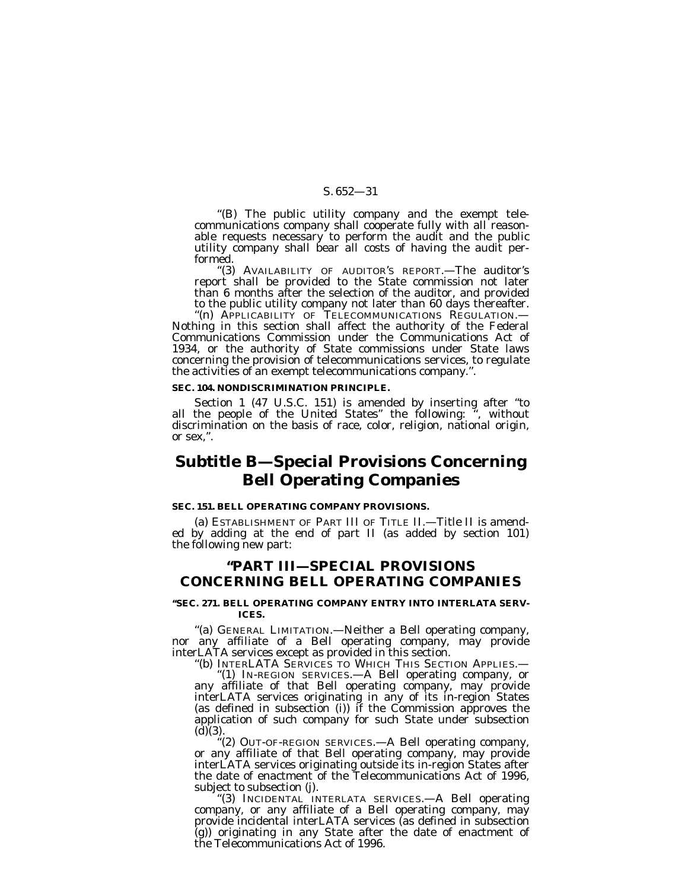''(B) The public utility company and the exempt telecommunications company shall cooperate fully with all reasonable requests necessary to perform the audit and the public utility company shall bear all costs of having the audit performed.

''(3) AVAILABILITY OF AUDITOR'S REPORT.—The auditor's report shall be provided to the State commission not later than 6 months after the selection of the auditor, and provided to the public utility company not later than 60 days thereafter.

''(n) APPLICABILITY OF TELECOMMUNICATIONS REGULATION.— Nothing in this section shall affect the authority of the Federal Communications Commission under the Communications Act of 1934, or the authority of State commissions under State laws concerning the provision of telecommunications services, to regulate the activities of an exempt telecommunications company.".

#### **SEC. 104. NONDISCRIMINATION PRINCIPLE.**

Section 1 (47 U.S.C. 151) is amended by inserting after ''to all the people of the United States'' the following: '', without discrimination on the basis of race, color, religion, national origin, or sex,''.

## **Subtitle B—Special Provisions Concerning Bell Operating Companies**

#### **SEC. 151. BELL OPERATING COMPANY PROVISIONS.**

(a) ESTABLISHMENT OF PART III OF TITLE II.—Title II is amended by adding at the end of part II (as added by section 101) the following new part:

## **''PART III—SPECIAL PROVISIONS CONCERNING BELL OPERATING COMPANIES**

#### **''SEC. 271. BELL OPERATING COMPANY ENTRY INTO INTERLATA SERV-ICES.**

''(a) GENERAL LIMITATION.—Neither a Bell operating company, nor any affiliate of a Bell operating company, may provide interLATA services except as provided in this section.

''(b) INTERLATA SERVICES TO WHICH THIS SECTION APPLIES.— ''(1) IN-REGION SERVICES.—A Bell operating company, or any affiliate of that Bell operating company, may provide interLATA services originating in any of its in-region States (as defined in subsection (i)) if the Commission approves the application of such company for such State under subsection  $(d)(3)$ .

''(2) OUT-OF-REGION SERVICES.—A Bell operating company, or any affiliate of that Bell operating company, may provide interLATA services originating outside its in-region States after the date of enactment of the Telecommunications Act of 1996, subject to subsection (j).

'(3) INCIDENTAL INTERLATA SERVICES.—A Bell operating company, or any affiliate of a Bell operating company, may provide incidental interLATA services (as defined in subsection (g)) originating in any State after the date of enactment of the Telecommunications Act of 1996.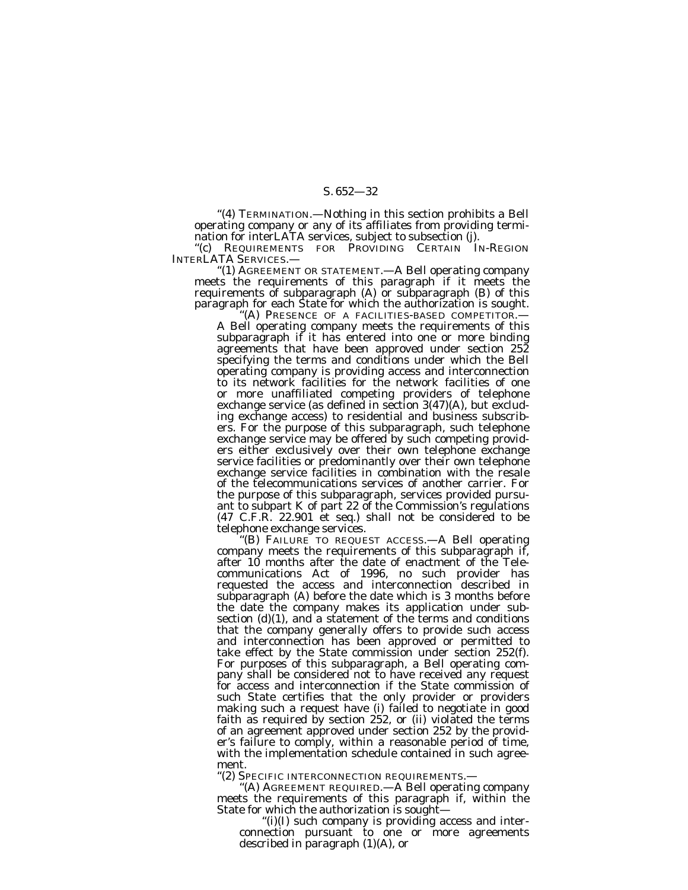''(4) TERMINATION.—Nothing in this section prohibits a Bell operating company or any of its affiliates from providing termination for interLATA services, subject to subsection (j).

"(c) REQUIREMENTS FOR PROVIDING CERTAIN IN-REGION INTERLATA SERVICES.—

''(1) AGREEMENT OR STATEMENT.—A Bell operating company meets the requirements of this paragraph if it meets the requirements of subparagraph (A) or subparagraph (B) of this paragraph for each State for which the authorization is sought.

'(A) Presence of a facilities-based competitor.— A Bell operating company meets the requirements of this subparagraph if it has entered into one or more binding agreements that have been approved under section 252 specifying the terms and conditions under which the Bell operating company is providing access and interconnection to its network facilities for the network facilities of one or more unaffiliated competing providers of telephone exchange service (as defined in section 3(47)(A), but excluding exchange access) to residential and business subscribers. For the purpose of this subparagraph, such telephone exchange service may be offered by such competing providers either exclusively over their own telephone exchange service facilities or predominantly over their own telephone exchange service facilities in combination with the resale of the telecommunications services of another carrier. For the purpose of this subparagraph, services provided pursuant to subpart K of part 22 of the Commission's regulations (47 C.F.R. 22.901 et seq.) shall not be considered to be

telephone exchange services. ''(B) FAILURE TO REQUEST ACCESS.—A Bell operating company meets the requirements of this subparagraph if, after 10 months after the date of enactment of the Telecommunications Act of 1996, no such provider has requested the access and interconnection described in subparagraph (A) before the date which is 3 months before the date the company makes its application under subsection (d)(1), and a statement of the terms and conditions that the company generally offers to provide such access and interconnection has been approved or permitted to take effect by the State commission under section 252(f). For purposes of this subparagraph, a Bell operating company shall be considered not to have received any request for access and interconnection if the State commission of such State certifies that the only provider or providers making such a request have (i) failed to negotiate in good faith as required by section 252, or (ii) violated the terms of an agreement approved under section 252 by the provider's failure to comply, within a reasonable period of time, with the implementation schedule contained in such agreement.

''(2) SPECIFIC INTERCONNECTION REQUIREMENTS.—

''(A) AGREEMENT REQUIRED.—A Bell operating company meets the requirements of this paragraph if, within the State for which the authorization is sought—

 $''(i)(I)$  such company is providing access and interconnection pursuant to one or more agreements described in paragraph (1)(A), or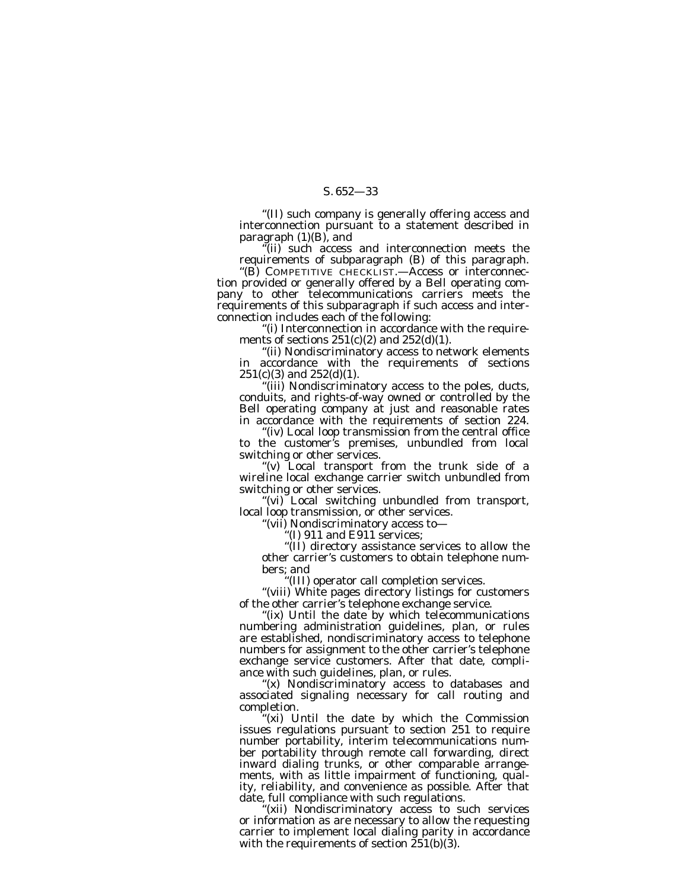''(II) such company is generally offering access and interconnection pursuant to a statement described in paragraph (1)(B), and

''(ii) such access and interconnection meets the requirements of subparagraph (B) of this paragraph.

''(B) COMPETITIVE CHECKLIST.—Access or interconnection provided or generally offered by a Bell operating company to other telecommunications carriers meets the requirements of this subparagraph if such access and interconnection includes each of the following:

''(i) Interconnection in accordance with the requirements of sections  $251(c)(2)$  and  $252(d)(1)$ .

''(ii) Nondiscriminatory access to network elements in accordance with the requirements of sections  $251(c)(3)$  and  $252(d)(1)$ .

(iii) Nondiscriminatory access to the poles, ducts, conduits, and rights-of-way owned or controlled by the Bell operating company at just and reasonable rates in accordance with the requirements of section 224.

''(iv) Local loop transmission from the central office to the customer's premises, unbundled from local switching or other services.

''(v) Local transport from the trunk side of a wireline local exchange carrier switch unbundled from switching or other services.

''(vi) Local switching unbundled from transport, local loop transmission, or other services.

''(vii) Nondiscriminatory access to—

''(I) 911 and E911 services;

''(II) directory assistance services to allow the other carrier's customers to obtain telephone numbers; and

''(III) operator call completion services.

''(viii) White pages directory listings for customers of the other carrier's telephone exchange service.

"(ix) Until the date by which telecommunications numbering administration guidelines, plan, or rules are established, nondiscriminatory access to telephone numbers for assignment to the other carrier's telephone exchange service customers. After that date, compliance with such guidelines, plan, or rules.

"(x) Nondiscriminatory access to databases and associated signaling necessary for call routing and completion.

'(xi) Until the date by which the Commission issues regulations pursuant to section 251 to require number portability, interim telecommunications number portability through remote call forwarding, direct inward dialing trunks, or other comparable arrangements, with as little impairment of functioning, quality, reliability, and convenience as possible. After that date, full compliance with such regulations.

"(xii) Nondiscriminatory access to such services or information as are necessary to allow the requesting carrier to implement local dialing parity in accordance with the requirements of section  $\tilde{2}51(b)(3)$ .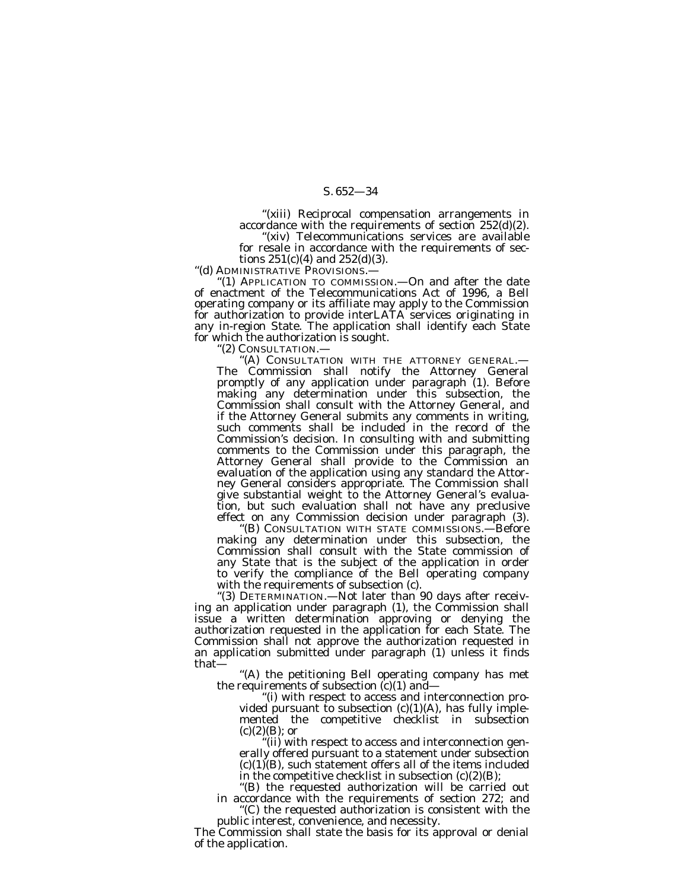''(xiii) Reciprocal compensation arrangements in accordance with the requirements of section 252(d)(2).

'(xiv) Telecommunications services are available for resale in accordance with the requirements of sections 251(c)(4) and 252(d)(3).

''(d) ADMINISTRATIVE PROVISIONS.—

"(1) APPLICATION TO COMMISSION.—On and after the date of enactment of the Telecommunications Act of 1996, a Bell operating company or its affiliate may apply to the Commission for authorization to provide interLATA services originating in any in-region State. The application shall identify each State for which the authorization is sought.

''(2) CONSULTATION.—

(A) CONSULTATION WITH THE ATTORNEY GENERAL.-The Commission shall notify the Attorney General promptly of any application under paragraph (1). Before making any determination under this subsection, the Commission shall consult with the Attorney General, and if the Attorney General submits any comments in writing, such comments shall be included in the record of the Commission's decision. In consulting with and submitting comments to the Commission under this paragraph, the Attorney General shall provide to the Commission an evaluation of the application using any standard the Attorney General considers appropriate. The Commission shall give substantial weight to the Attorney General's evaluation, but such evaluation shall not have any preclusive

effect on any Commission decision under paragraph (3). ''(B) CONSULTATION WITH STATE COMMISSIONS.—Before making any determination under this subsection, the Commission shall consult with the State commission of any State that is the subject of the application in order to verify the compliance of the Bell operating company with the requirements of subsection (c).

''(3) DETERMINATION.—Not later than 90 days after receiv- ing an application under paragraph (1), the Commission shall issue a written determination approving or denying the authorization requested in the application for each State. The Commission shall not approve the authorization requested in an application submitted under paragraph (1) unless it finds that—

"(A) the petitioning Bell operating company has met the requirements of subsection  $(c)(1)$  and—

''(i) with respect to access and interconnection provided pursuant to subsection  $(c)(1)(A)$ , has fully implemented the competitive checklist in subsection  $(c)(2)(B);$  or

(ii) with respect to access and interconnection generally offered pursuant to a statement under subsection  $(c)(1)(B)$ , such statement offers all of the items included in the competitive checklist in subsection  $(c)(2)(B)$ ;

''(B) the requested authorization will be carried out in accordance with the requirements of section 272; and

'(C) the requested authorization is consistent with the public interest, convenience, and necessity.

The Commission shall state the basis for its approval or denial of the application.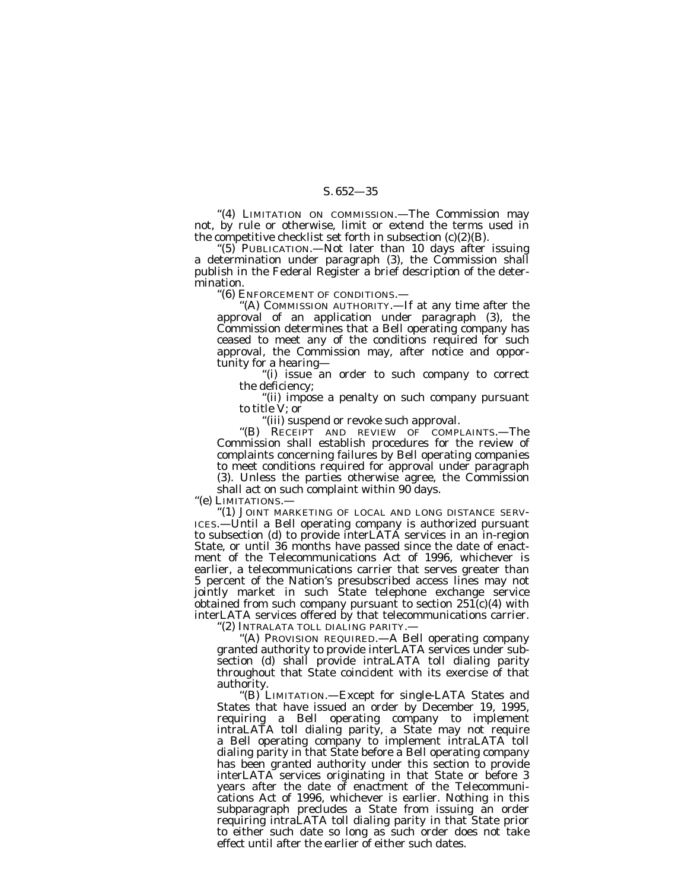"(4) LIMITATION ON COMMISSION.—The Commission may not, by rule or otherwise, limit or extend the terms used in the competitive checklist set forth in subsection (c)(2)(B).

'(5) PUBLICATION.—Not later than 10 days after issuing a determination under paragraph (3), the Commission shall publish in the Federal Register a brief description of the determination.

''(6) ENFORCEMENT OF CONDITIONS.—

''(A) COMMISSION AUTHORITY.—If at any time after the approval of an application under paragraph (3), the Commission determines that a Bell operating company has ceased to meet any of the conditions required for such approval, the Commission may, after notice and opportunity for a hearing—

'(i) issue an order to such company to correct the deficiency;

''(ii) impose a penalty on such company pursuant to title V; or

(iii) suspend or revoke such approval.

''(B) RECEIPT AND REVIEW OF COMPLAINTS.—The Commission shall establish procedures for the review of complaints concerning failures by Bell operating companies to meet conditions required for approval under paragraph (3). Unless the parties otherwise agree, the Commission shall act on such complaint within 90 days.

''(e) LIMITATIONS.—

''(1) JOINT MARKETING OF LOCAL AND LONG DISTANCE SERV-ICES.—Until a Bell operating company is authorized pursuant to subsection (d) to provide interLATA services in an in-region State, or until 36 months have passed since the date of enactment of the Telecommunications Act of 1996, whichever is earlier, a telecommunications carrier that serves greater than 5 percent of the Nation's presubscribed access lines may not jointly market in such State telephone exchange service obtained from such company pursuant to section  $25I(c)(4)$  with interLATA services offered by that telecommunications carrier.

''(2) INTRALATA TOLL DIALING PARITY.—

''(A) PROVISION REQUIRED.—A Bell operating company granted authority to provide interLATA services under subsection (d) shall provide intraLATA toll dialing parity throughout that State coincident with its exercise of that authority.

''(B) LIMITATION.—Except for single-LATA States and States that have issued an order by December 19, 1995, requiring a Bell operating company to implement intraLATA toll dialing parity, a State may not require a Bell operating company to implement intraLATA toll dialing parity in that State before a Bell operating company has been granted authority under this section to provide interLATA services originating in that State or before 3 years after the date of enactment of the Telecommunications Act of 1996, whichever is earlier. Nothing in this subparagraph precludes a State from issuing an order requiring intraLATA toll dialing parity in that State prior to either such date so long as such order does not take effect until after the earlier of either such dates.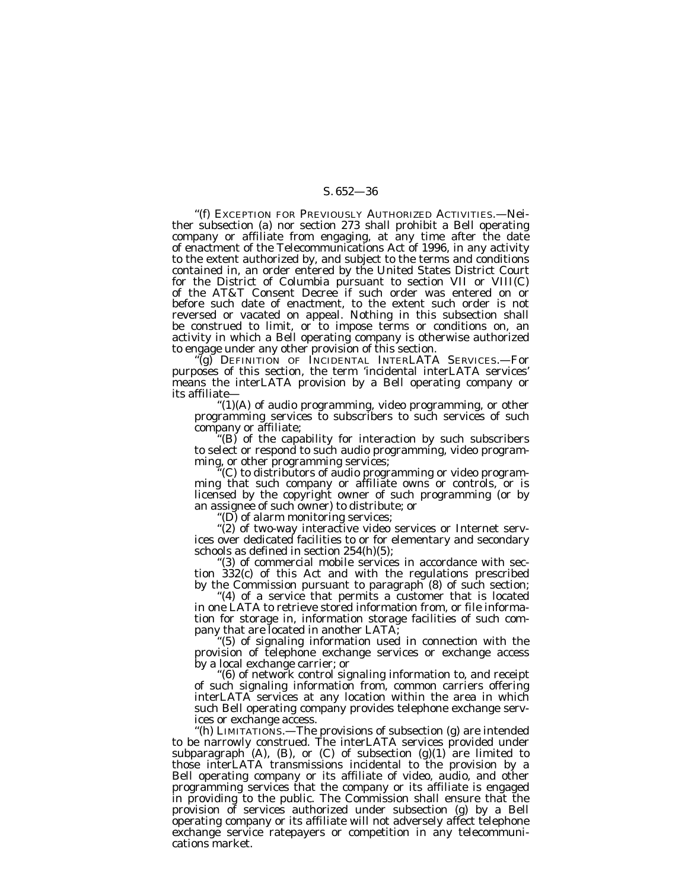''(f) EXCEPTION FOR PREVIOUSLY AUTHORIZED ACTIVITIES.—Neither subsection (a) nor section 273 shall prohibit a Bell operating company or affiliate from engaging, at any time after the date of enactment of the Telecommunications Act of 1996, in any activity to the extent authorized by, and subject to the terms and conditions contained in, an order entered by the United States District Court for the District of Columbia pursuant to section VII or VIII(C) of the AT&T Consent Decree if such order was entered on or before such date of enactment, to the extent such order is not reversed or vacated on appeal. Nothing in this subsection shall be construed to limit, or to impose terms or conditions on, an activity in which a Bell operating company is otherwise authorized to engage under any other provision of this section.

''(g) DEFINITION OF INCIDENTAL INTERLATA SERVICES.—For purposes of this section, the term 'incidental interLATA services' means the interLATA provision by a Bell operating company or its affiliate—

''(1)(A) of audio programming, video programming, or other programming services to subscribers to such services of such company or affiliate;

 $f(B)$  of the capability for interaction by such subscribers to select or respond to such audio programming, video programming, or other programming services;

 $\mathcal{C}(C)$  to distributors of audio programming or video programming that such company or affiliate owns or controls, or is licensed by the copyright owner of such programming (or by an assignee of such owner) to distribute; or

''(D) of alarm monitoring services;

"(2) of two-way interactive video services or Internet services over dedicated facilities to or for elementary and secondary schools as defined in section 254(h)(5);

'(3) of commercial mobile services in accordance with section 332(c) of this Act and with the regulations prescribed by the Commission pursuant to paragraph (8) of such section; ''(4) of a service that permits a customer that is located

in one LATA to retrieve stored information from, or file information for storage in, information storage facilities of such com-

 $p(5)$  of signaling information used in connection with the provision of telephone exchange services or exchange access by a local exchange carrier; or ''(6) of network control signaling information to, and receipt

of such signaling information from, common carriers offering interLATA services at any location within the area in which such Bell operating company provides telephone exchange services or exchange access.

''(h) LIMITATIONS.—The provisions of subsection (g) are intended to be narrowly construed. The interLATA services provided under subparagraph  $(A)$ ,  $(B)$ , or  $(C)$  of subsection  $(g)(1)$  are limited to those interLATA transmissions incidental to the provision by a Bell operating company or its affiliate of video, audio, and other programming services that the company or its affiliate is engaged in providing to the public. The Commission shall ensure that the provision of services authorized under subsection (g) by a Bell operating company or its affiliate will not adversely affect telephone exchange service ratepayers or competition in any telecommunications market.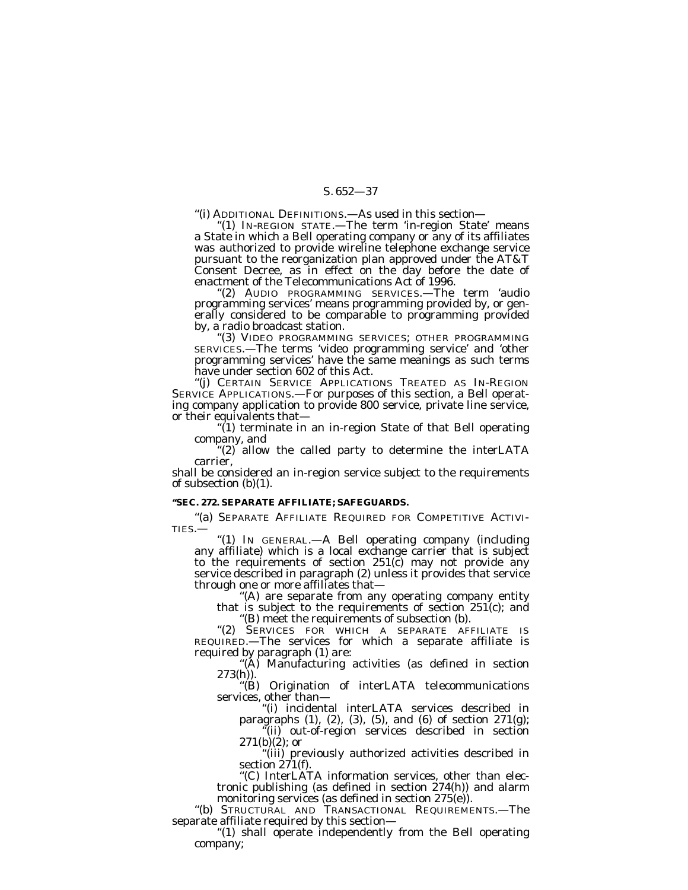''(i) ADDITIONAL DEFINITIONS.—As used in this section—

''(1) IN-REGION STATE.—The term 'in-region State' means a State in which a Bell operating company or any of its affiliates was authorized to provide wireline telephone exchange service pursuant to the reorganization plan approved under the AT&T Consent Decree, as in effect on the day before the date of enactment of the Telecommunications Act of 1996.

''(2) AUDIO PROGRAMMING SERVICES.—The term 'audio programming services' means programming provided by, or generally considered to be comparable to programming provided by, a radio broadcast station.

'(3) VIDEO PROGRAMMING SERVICES; OTHER PROGRAMMING SERVICES.—The terms 'video programming service' and 'other programming services' have the same meanings as such terms have under section 602 of this Act.

''(j) CERTAIN SERVICE APPLICATIONS TREATED AS IN-REGION SERVICE APPLICATIONS.—For purposes of this section, a Bell operating company application to provide 800 service, private line service, or their equivalents that—

''(1) terminate in an in-region State of that Bell operating company, and

 $'(2)$  allow the called party to determine the interLATA carrier,

shall be considered an in-region service subject to the requirements of subsection (b)(1).

### **''SEC. 272. SEPARATE AFFILIATE; SAFEGUARDS.**

''(a) SEPARATE AFFILIATE REQUIRED FOR COMPETITIVE ACTIVI- TIES.— ''(1) IN GENERAL.—A Bell operating company (including any affiliate) which is a local exchange carrier that is subject

to the requirements of section  $251(\tilde{c})$  may not provide any service described in paragraph (2) unless it provides that service through one or more affiliates that—

"(A) are separate from any operating company entity that is subject to the requirements of section 251(c); and "(B) meet the requirements of subsection (b).

''(2) SERVICES FOR WHICH A SEPARATE AFFILIATE IS REQUIRED.—The services for which a separate affiliate is

"(A) Manufacturing activities (as defined in section  $273(h)$ ).

''(B) Origination of interLATA telecommunications services, other than—

''(i) incidental interLATA services described in paragraphs (1), (2), (3), (5), and (6) of section 271(g); ''(ii) out-of-region services described in section

 $271(b)(2)$ ; or ''(iii) previously authorized activities described in

section 271(f).

''(C) InterLATA information services, other than electronic publishing (as defined in section 274(h)) and alarm monitoring services (as defined in section 275(e)).

''(b) STRUCTURAL AND TRANSACTIONAL REQUIREMENTS.—The separate affiliate required by this section—

''(1) shall operate independently from the Bell operating company;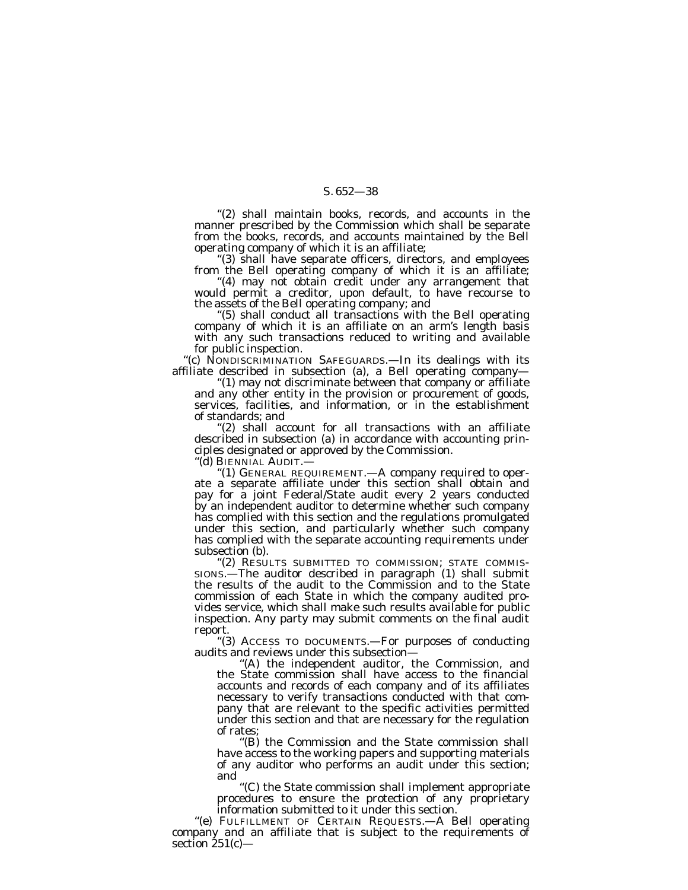"(2) shall maintain books, records, and accounts in the manner prescribed by the Commission which shall be separate from the books, records, and accounts maintained by the Bell operating company of which it is an affiliate;

"(3) shall have separate officers, directors, and employees from the Bell operating company of which it is an affiliate;

''(4) may not obtain credit under any arrangement that would permit a creditor, upon default, to have recourse to the assets of the Bell operating company; and

''(5) shall conduct all transactions with the Bell operating company of which it is an affiliate on an arm's length basis with any such transactions reduced to writing and available for public inspection.

''(c) NONDISCRIMINATION SAFEGUARDS.—In its dealings with its affiliate described in subsection (a), a Bell operating company—

''(1) may not discriminate between that company or affiliate and any other entity in the provision or procurement of goods, services, facilities, and information, or in the establishment of standards; and

"(2) shall account for all transactions with an affiliate described in subsection (a) in accordance with accounting principles designated or approved by the Commission.

''(d) BIENNIAL AUDIT.—

''(1) GENERAL REQUIREMENT.—A company required to operate a separate affiliate under this section shall obtain and pay for a joint Federal/State audit every 2 years conducted by an independent auditor to determine whether such company has complied with this section and the regulations promulgated under this section, and particularly whether such company has complied with the separate accounting requirements under subsection (b).

''(2) RESULTS SUBMITTED TO COMMISSION; STATE COMMIS- SIONS.—The auditor described in paragraph (1) shall submit the results of the audit to the Commission and to the State commission of each State in which the company audited provides service, which shall make such results available for public inspection. Any party may submit comments on the final audit report.

''(3) ACCESS TO DOCUMENTS.—For purposes of conducting audits and reviews under this subsection—

'(A) the independent auditor, the Commission, and the State commission shall have access to the financial accounts and records of each company and of its affiliates necessary to verify transactions conducted with that company that are relevant to the specific activities permitted under this section and that are necessary for the regulation of rates;

''(B) the Commission and the State commission shall have access to the working papers and supporting materials of any auditor who performs an audit under this section; and

''(C) the State commission shall implement appropriate procedures to ensure the protection of any proprietary information submitted to it under this section.

''(e) FULFILLMENT OF CERTAIN REQUESTS.—A Bell operating company and an affiliate that is subject to the requirements of section  $251(c)$ —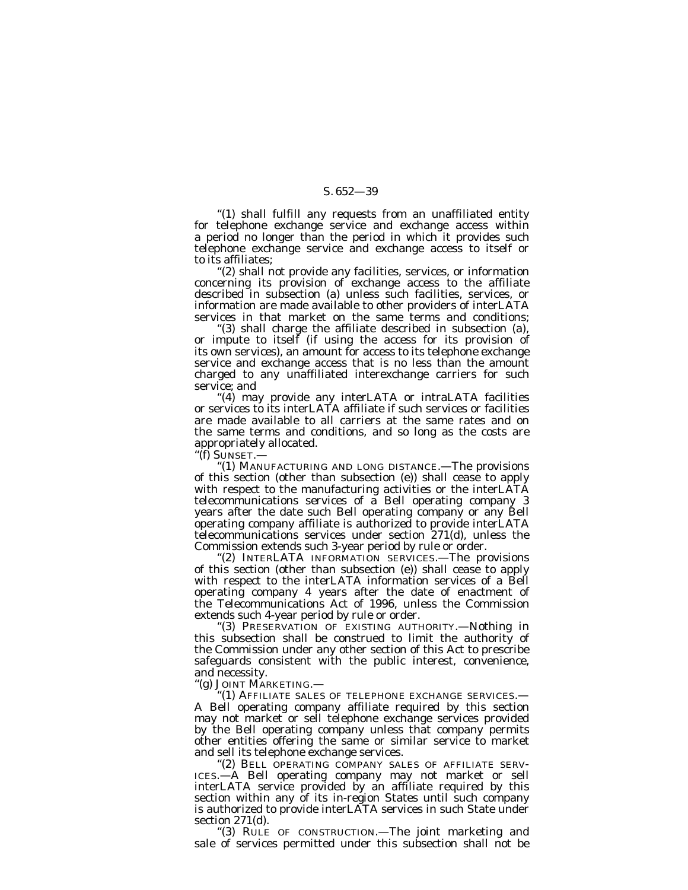''(1) shall fulfill any requests from an unaffiliated entity for telephone exchange service and exchange access within a period no longer than the period in which it provides such telephone exchange service and exchange access to itself or to its affiliates;

"(2) shall not provide any facilities, services, or information concerning its provision of exchange access to the affiliate described in subsection (a) unless such facilities, services, or information are made available to other providers of interLATA services in that market on the same terms and conditions;

''(3) shall charge the affiliate described in subsection (a), or impute to itself (if using the access for its provision of its own services), an amount for access to its telephone exchange service and exchange access that is no less than the amount charged to any unaffiliated interexchange carriers for such service; and

"(4) may provide any interLATA or intraLATA facilities or services to its interLATA affiliate if such services or facilities are made available to all carriers at the same rates and on the same terms and conditions, and so long as the costs are appropriately allocated.

''(f) SUNSET.—

''(1) MANUFACTURING AND LONG DISTANCE.—The provisions of this section (other than subsection (e)) shall cease to apply with respect to the manufacturing activities or the interLATA telecommunications services of a Bell operating company 3 years after the date such Bell operating company or any Bell operating company affiliate is authorized to provide interLATA telecommunications services under section 271(d), unless the Commission extends such 3-year period by rule or order.

''(2) INTERLATA INFORMATION SERVICES.—The provisions of this section (other than subsection (e)) shall cease to apply with respect to the interLATA information services of a Bell operating company 4 years after the date of enactment of the Telecommunications Act of 1996, unless the Commission extends such 4-year period by rule or order.

''(3) PRESERVATION OF EXISTING AUTHORITY.—Nothing in this subsection shall be construed to limit the authority of the Commission under any other section of this Act to prescribe safeguards consistent with the public interest, convenience, and necessity.

''(g) JOINT MARKETING.—

''(1) AFFILIATE SALES OF TELEPHONE EXCHANGE SERVICES.— A Bell operating company affiliate required by this section may not market or sell telephone exchange services provided by the Bell operating company unless that company permits other entities offering the same or similar service to market and sell its telephone exchange services.

(2) BELL OPERATING COMPANY SALES OF AFFILIATE SERV-ICES.—A Bell operating company may not market or sell interLATA service provided by an affiliate required by this section within any of its in-region States until such company is authorized to provide interLATA services in such State under section 271(d).

''(3) RULE OF CONSTRUCTION.—The joint marketing and sale of services permitted under this subsection shall not be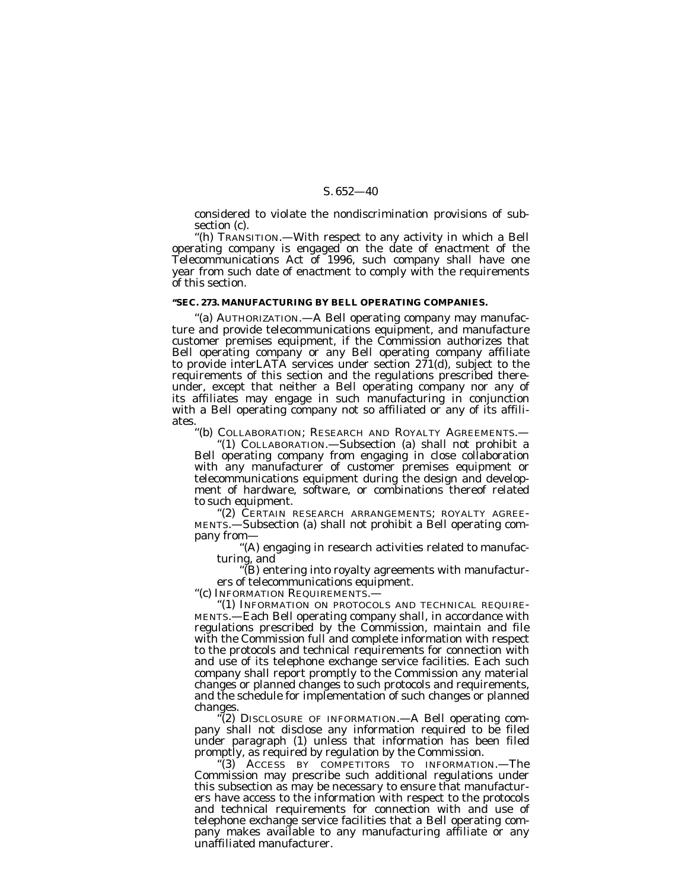considered to violate the nondiscrimination provisions of subsection (c).

''(h) TRANSITION.—With respect to any activity in which a Bell operating company is engaged on the date of enactment of the Telecommunications Act of 1996, such company shall have one year from such date of enactment to comply with the requirements of this section.

#### **''SEC. 273. MANUFACTURING BY BELL OPERATING COMPANIES.**

''(a) AUTHORIZATION.—A Bell operating company may manufacture and provide telecommunications equipment, and manufacture customer premises equipment, if the Commission authorizes that Bell operating company or any Bell operating company affiliate to provide interLATA services under section 271(d), subject to the requirements of this section and the regulations prescribed thereunder, except that neither a Bell operating company nor any of its affiliates may engage in such manufacturing in conjunction with a Bell operating company not so affiliated or any of its affiliates.

''(b) COLLABORATION; RESEARCH AND ROYALTY AGREEMENTS.—

''(1) COLLABORATION.—Subsection (a) shall not prohibit a Bell operating company from engaging in close collaboration with any manufacturer of customer premises equipment or telecommunications equipment during the design and development of hardware, software, or combinations thereof related to such equipment.

''(2) CERTAIN RESEARCH ARRANGEMENTS; ROYALTY AGREE-MENTS.—Subsection (a) shall not prohibit a Bell operating company from—

''(A) engaging in research activities related to manufacturing, and

''(B) entering into royalty agreements with manufacturers of telecommunications equipment.

''(c) INFORMATION REQUIREMENTS.—

''(1) INFORMATION ON PROTOCOLS AND TECHNICAL REQUIRE-MENTS.—Each Bell operating company shall, in accordance with regulations prescribed by the Commission, maintain and file with the Commission full and complete information with respect to the protocols and technical requirements for connection with and use of its telephone exchange service facilities. Each such company shall report promptly to the Commission any material changes or planned changes to such protocols and requirements, and the schedule for implementation of such changes or planned changes.

 $\tilde{C}(2)$  DISCLOSURE OF INFORMATION.—A Bell operating company shall not disclose any information required to be filed under paragraph (1) unless that information has been filed promptly, as required by regulation by the Commission.

''(3) ACCESS BY COMPETITORS TO INFORMATION.—The Commission may prescribe such additional regulations under this subsection as may be necessary to ensure that manufacturers have access to the information with respect to the protocols and technical requirements for connection with and use of telephone exchange service facilities that a Bell operating company makes available to any manufacturing affiliate or any unaffiliated manufacturer.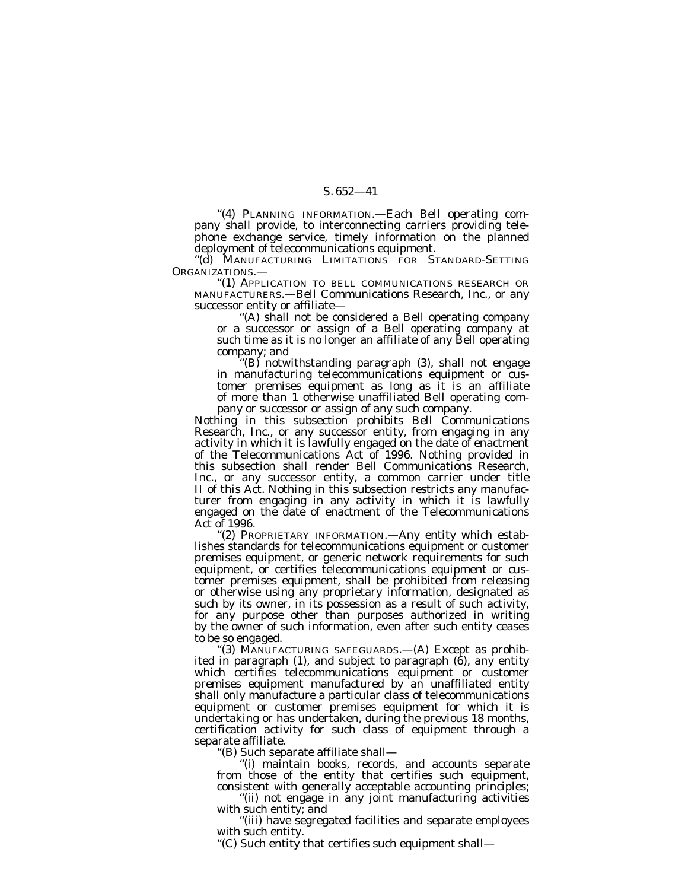''(4) PLANNING INFORMATION.—Each Bell operating company shall provide, to interconnecting carriers providing telephone exchange service, timely information on the planned deployment of telecommunications equipment.

''(d) MANUFACTURING LIMITATIONS FOR STANDARD-SETTING ORGANIZATIONS.—

''(1) APPLICATION TO BELL COMMUNICATIONS RESEARCH OR MANUFACTURERS.—Bell Communications Research, Inc., or any successor entity or affiliate—

''(A) shall not be considered a Bell operating company or a successor or assign of a Bell operating company at such time as it is no longer an affiliate of any Bell operating company; and

'(B) notwithstanding paragraph (3), shall not engage in manufacturing telecommunications equipment or customer premises equipment as long as it is an affiliate of more than 1 otherwise unaffiliated Bell operating company or successor or assign of any such company.

Nothing in this subsection prohibits Bell Communications Research, Inc., or any successor entity, from engaging in any activity in which it is lawfully engaged on the date of enactment of the Telecommunications Act of 1996. Nothing provided in this subsection shall render Bell Communications Research, Inc., or any successor entity, a common carrier under title II of this Act. Nothing in this subsection restricts any manufacturer from engaging in any activity in which it is lawfully engaged on the date of enactment of the Telecommunications Act of 1996.

"(2) PROPRIETARY INFORMATION.—Any entity which establishes standards for telecommunications equipment or customer premises equipment, or generic network requirements for such equipment, or certifies telecommunications equipment or customer premises equipment, shall be prohibited from releasing or otherwise using any proprietary information, designated as such by its owner, in its possession as a result of such activity, for any purpose other than purposes authorized in writing by the owner of such information, even after such entity ceases to be so engaged.

''(3) MANUFACTURING SAFEGUARDS.—(A) Except as prohibited in paragraph  $(1)$ , and subject to paragraph  $(6)$ , any entity which certifies telecommunications equipment or customer premises equipment manufactured by an unaffiliated entity shall only manufacture a particular class of telecommunications equipment or customer premises equipment for which it is undertaking or has undertaken, during the previous 18 months, certification activity for such class of equipment through a separate affiliate.

''(B) Such separate affiliate shall—

(i) maintain books, records, and accounts separate from those of the entity that certifies such equipment, consistent with generally acceptable accounting principles;

"(ii) not engage in any joint manufacturing activities with such entity; and

''(iii) have segregated facilities and separate employees with such entity.

''(C) Such entity that certifies such equipment shall—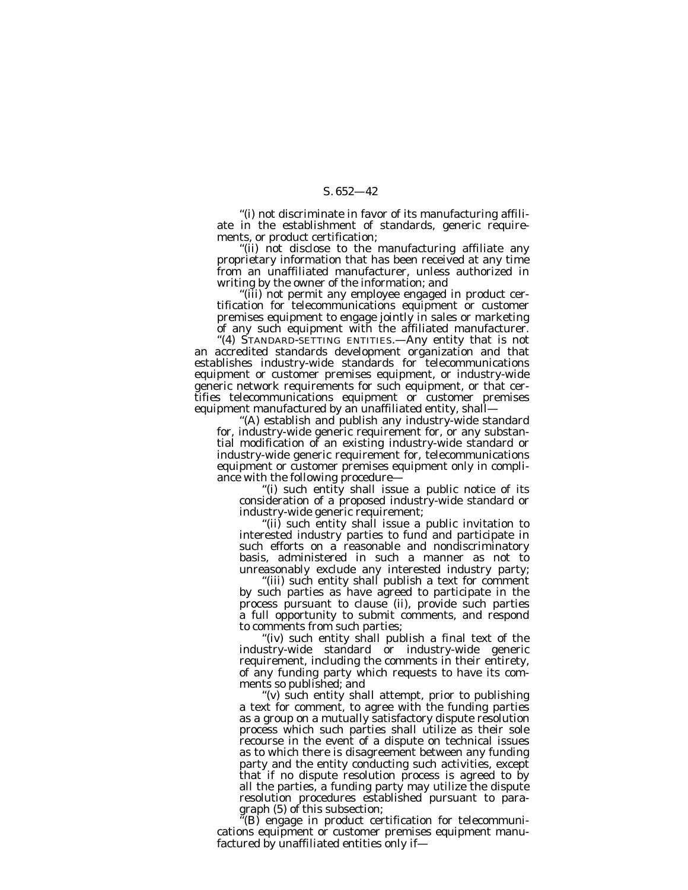''(i) not discriminate in favor of its manufacturing affiliate in the establishment of standards, generic requirements, or product certification;

"(ii) not disclose to the manufacturing affiliate any proprietary information that has been received at any time from an unaffiliated manufacturer, unless authorized in writing by the owner of the information; and

''(iii) not permit any employee engaged in product certification for telecommunications equipment or customer premises equipment to engage jointly in sales or marketing of any such equipment with the affiliated manufacturer.

''(4) STANDARD-SETTING ENTITIES.—Any entity that is not an accredited standards development organization and that establishes industry-wide standards for telecommunications equipment or customer premises equipment, or industry-wide generic network requirements for such equipment, or that certifies telecommunications equipment or customer premises equipment manufactured by an unaffiliated entity, shall—

''(A) establish and publish any industry-wide standard for, industry-wide generic requirement for, or any substantial modification of an existing industry-wide standard or industry-wide generic requirement for, telecommunications equipment or customer premises equipment only in compliance with the following procedure—

''(i) such entity shall issue a public notice of its consideration of a proposed industry-wide standard or industry-wide generic requirement;

''(ii) such entity shall issue a public invitation to interested industry parties to fund and participate in such efforts on a reasonable and nondiscriminatory basis, administered in such a manner as not to unreasonably exclude any interested industry party;

"(iii) such entity shall publish a text for comment by such parties as have agreed to participate in the process pursuant to clause (ii), provide such parties a full opportunity to submit comments, and respond to comments from such parties;

"(iv) such entity shall publish a final text of the industry-wide standard or industry-wide generic requirement, including the comments in their entirety, of any funding party which requests to have its comments so published; and

''(v) such entity shall attempt, prior to publishing a text for comment, to agree with the funding parties as a group on a mutually satisfactory dispute resolution process which such parties shall utilize as their sole recourse in the event of a dispute on technical issues as to which there is disagreement between any funding party and the entity conducting such activities, except that if no dispute resolution process is agreed to by all the parties, a funding party may utilize the dispute resolution procedures established pursuant to paragraph (5) of this subsection;

 $f(B)$  engage in product certification for telecommunications equipment or customer premises equipment manufactured by unaffiliated entities only if-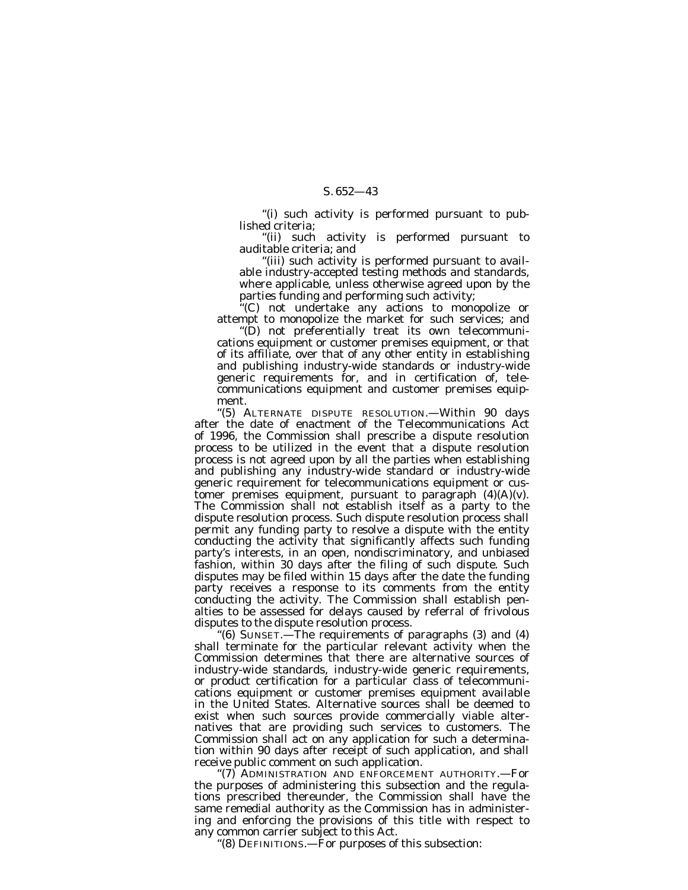''(i) such activity is performed pursuant to published criteria;

''(ii) such activity is performed pursuant to auditable criteria; and

''(iii) such activity is performed pursuant to available industry-accepted testing methods and standards, where applicable, unless otherwise agreed upon by the parties funding and performing such activity;

''(C) not undertake any actions to monopolize or attempt to monopolize the market for such services; and

''(D) not preferentially treat its own telecommunications equipment or customer premises equipment, or that of its affiliate, over that of any other entity in establishing and publishing industry-wide standards or industry-wide generic requirements for, and in certification of, telecommunications equipment and customer premises equipment.

''(5) ALTERNATE DISPUTE RESOLUTION.—Within 90 days after the date of enactment of the Telecommunications Act of 1996, the Commission shall prescribe a dispute resolution process to be utilized in the event that a dispute resolution process is not agreed upon by all the parties when establishing and publishing any industry-wide standard or industry-wide generic requirement for telecommunications equipment or customer premises equipment, pursuant to paragraph (4)(A)(v). The Commission shall not establish itself as a party to the dispute resolution process. Such dispute resolution process shall permit any funding party to resolve a dispute with the entity conducting the activity that significantly affects such funding party's interests, in an open, nondiscriminatory, and unbiased fashion, within 30 days after the filing of such dispute. Such disputes may be filed within 15 days after the date the funding party receives a response to its comments from the entity conducting the activity. The Commission shall establish penalties to be assessed for delays caused by referral of frivolous disputes to the dispute resolution process.

''(6) SUNSET.—The requirements of paragraphs (3) and (4) shall terminate for the particular relevant activity when the Commission determines that there are alternative sources of industry-wide standards, industry-wide generic requirements, or product certification for a particular class of telecommunications equipment or customer premises equipment available in the United States. Alternative sources shall be deemed to exist when such sources provide commercially viable alternatives that are providing such services to customers. The Commission shall act on any application for such a determination within 90 days after receipt of such application, and shall receive public comment on such application.

''(7) ADMINISTRATION AND ENFORCEMENT AUTHORITY.—For the purposes of administering this subsection and the regulations prescribed thereunder, the Commission shall have the same remedial authority as the Commission has in administering and enforcing the provisions of this title with respect to any common carrier subject to this Act.

''(8) DEFINITIONS.—For purposes of this subsection: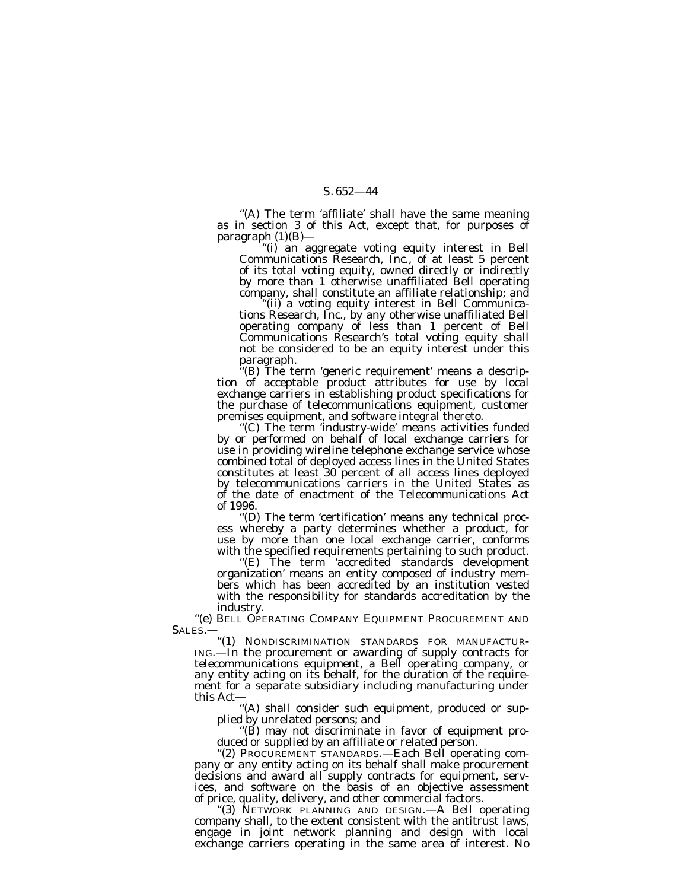''(A) The term 'affiliate' shall have the same meaning as in section 3 of this Act, except that, for purposes of paragraph  $(1)(B)$ —

''(i) an aggregate voting equity interest in Bell Communications Research, Inc., of at least 5 percent of its total voting equity, owned directly or indirectly by more than 1 otherwise unaffiliated Bell operating company, shall constitute an affiliate relationship; and

'(ii) a voting equity interest in Bell Communications Research, Inc., by any otherwise unaffiliated Bell operating company of less than 1 percent of Bell Communications Research's total voting equity shall not be considered to be an equity interest under this paragraph.

'(B) The term 'generic requirement' means a description of acceptable product attributes for use by local exchange carriers in establishing product specifications for the purchase of telecommunications equipment, customer premises equipment, and software integral thereto.

''(C) The term 'industry-wide' means activities funded by or performed on behalf of local exchange carriers for use in providing wireline telephone exchange service whose combined total of deployed access lines in the United States constitutes at least 30 percent of all access lines deployed by telecommunications carriers in the United States as of the date of enactment of the Telecommunications Act of 1996.

''(D) The term 'certification' means any technical process whereby a party determines whether a product, for use by more than one local exchange carrier, conforms with the specified requirements pertaining to such product. ''(E) The term 'accredited standards development

organization' means an entity composed of industry members which has been accredited by an institution vested with the responsibility for standards accreditation by the

industry.<br>
"(e) BELL OPERATING COMPANY EQUIPMENT PROCUREMENT AND SALES.—

SALES.—''(1) NONDISCRIMINATION STANDARDS FOR MANUFACTUR- ING.—In the procurement or awarding of supply contracts for telecommunications equipment, a Bell operating company, or any entity acting on its behalf, for the duration of the requirement for a separate subsidiary including manufacturing under this Act—

"(A) shall consider such equipment, produced or supplied by unrelated persons; and

''(B) may not discriminate in favor of equipment produced or supplied by an affiliate or related person.

''(2) PROCUREMENT STANDARDS.—Each Bell operating company or any entity acting on its behalf shall make procurement decisions and award all supply contracts for equipment, services, and software on the basis of an objective assessment of price, quality, delivery, and other commercial factors.

''(3) NETWORK PLANNING AND DESIGN.—A Bell operating company shall, to the extent consistent with the antitrust laws, engage in joint network planning and design with local exchange carriers operating in the same area of interest. No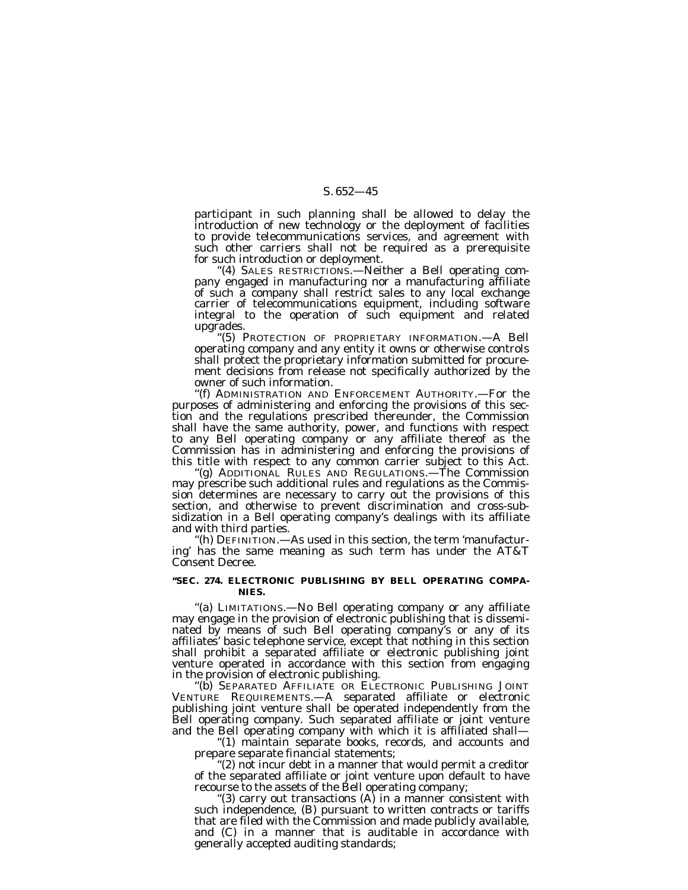participant in such planning shall be allowed to delay the introduction of new technology or the deployment of facilities to provide telecommunications services, and agreement with such other carriers shall not be required as a prerequisite for such introduction or deployment.

"(4) SALES RESTRICTIONS.—Neither a Bell operating company engaged in manufacturing nor a manufacturing affiliate of such a company shall restrict sales to any local exchange carrier of telecommunications equipment, including software integral to the operation of such equipment and related upgrades.

'(5) PROTECTION OF PROPRIETARY INFORMATION.—A Bell operating company and any entity it owns or otherwise controls shall protect the proprietary information submitted for procurement decisions from release not specifically authorized by the owner of such information.

''(f) ADMINISTRATION AND ENFORCEMENT AUTHORITY.—For the purposes of administering and enforcing the provisions of this section and the regulations prescribed thereunder, the Commission shall have the same authority, power, and functions with respect to any Bell operating company or any affiliate thereof as the Commission has in administering and enforcing the provisions of this title with respect to any common carrier subject to this Act.

'(g) ADDITIONAL RULES AND REGULATIONS.—The Commission may prescribe such additional rules and regulations as the Commission determines are necessary to carry out the provisions of this section, and otherwise to prevent discrimination and cross-subsidization in a Bell operating company's dealings with its affiliate and with third parties.

'(h) DEFINITION.—As used in this section, the term 'manufacturing' has the same meaning as such term has under the AT&T Consent Decree.

### **''SEC. 274. ELECTRONIC PUBLISHING BY BELL OPERATING COMPA-NIES.**

''(a) LIMITATIONS.—No Bell operating company or any affiliate may engage in the provision of electronic publishing that is disseminated by means of such Bell operating company's or any of its affiliates' basic telephone service, except that nothing in this section shall prohibit a separated affiliate or electronic publishing joint venture operated in accordance with this section from engaging in the provision of electronic publishing.<br>"(b) SEPARATED AFFILIATE OR ELECTRONIC PUBLISHING JOINT

VENTURE REQUIREMENTS.—A separated affiliate or electronic publishing joint venture shall be operated independently from the Bell operating company. Such separated affiliate or joint venture and the Bell operating company with which it is affiliated shall—

''(1) maintain separate books, records, and accounts and prepare separate financial statements;

''(2) not incur debt in a manner that would permit a creditor of the separated affiliate or joint venture upon default to have recourse to the assets of the Bell operating company;

"(3) carry out transactions  $(A)$  in a manner consistent with such independence, (B) pursuant to written contracts or tariffs that are filed with the Commission and made publicly available, and (C) in a manner that is auditable in accordance with generally accepted auditing standards;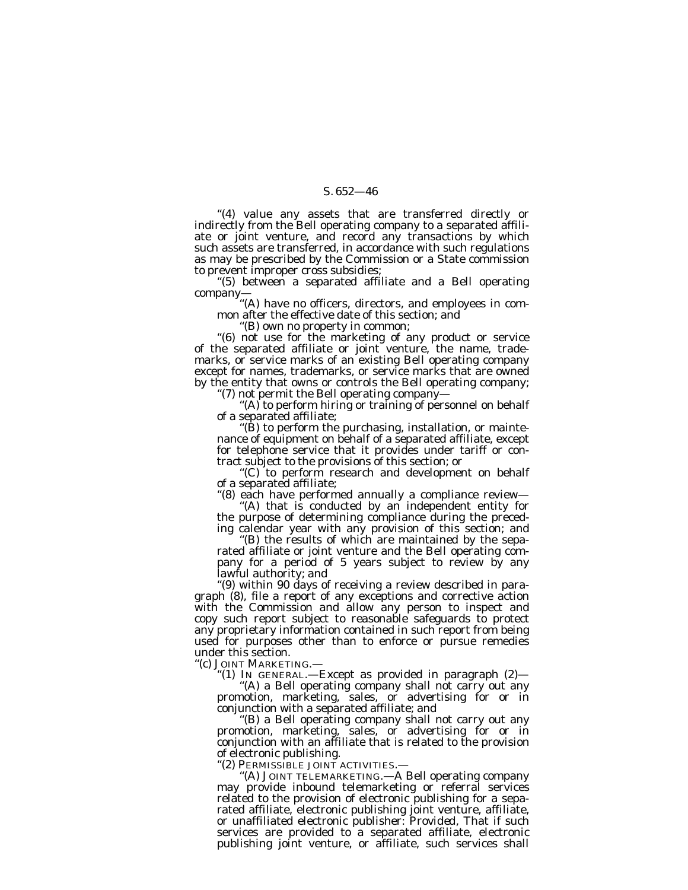''(4) value any assets that are transferred directly or indirectly from the Bell operating company to a separated affiliate or joint venture, and record any transactions by which such assets are transferred, in accordance with such regulations as may be prescribed by the Commission or a State commission to prevent improper cross subsidies;

''(5) between a separated affiliate and a Bell operating company—

''(A) have no officers, directors, and employees in common after the effective date of this section; and

''(B) own no property in common;

''(6) not use for the marketing of any product or service of the separated affiliate or joint venture, the name, trademarks, or service marks of an existing Bell operating company except for names, trademarks, or service marks that are owned by the entity that owns or controls the Bell operating company; "(7) not permit the Bell operating company-

''(A) to perform hiring or training of personnel on behalf

of a separated affiliate;

''(B) to perform the purchasing, installation, or maintenance of equipment on behalf of a separated affiliate, except for telephone service that it provides under tariff or contract subject to the provisions of this section; or

'(C) to perform research and development on behalf of a separated affiliate;

''(8) each have performed annually a compliance review— ''(A) that is conducted by an independent entity for

the purpose of determining compliance during the preceding calendar year with any provision of this section; and ''(B) the results of which are maintained by the sepa-

rated affiliate or joint venture and the Bell operating company for a period of 5 years subject to review by any lawful authority; and

''(9) within 90 days of receiving a review described in para- graph (8), file a report of any exceptions and corrective action with the Commission and allow any person to inspect and copy such report subject to reasonable safeguards to protect any proprietary information contained in such report from being used for purposes other than to enforce or pursue remedies under this section.

''(c) JOINT MARKETING.— ''(1) IN GENERAL.—Except as provided in paragraph (2)— ''(A) a Bell operating company shall not carry out any

promotion, marketing, sales, or advertising for or in conjunction with a separated affiliate; and

''(B) a Bell operating company shall not carry out any promotion, marketing, sales, or advertising for or in conjunction with an affiliate that is related to the provision of electronic publishing.

''(2) PERMISSIBLE JOINT ACTIVITIES.—

''(A) JOINT TELEMARKETING.—A Bell operating company may provide inbound telemarketing or referral services related to the provision of electronic publishing for a separated affiliate, electronic publishing joint venture, affiliate, or unaffiliated electronic publisher: *Provided,* That if such services are provided to a separated affiliate, electronic publishing joint venture, or affiliate, such services shall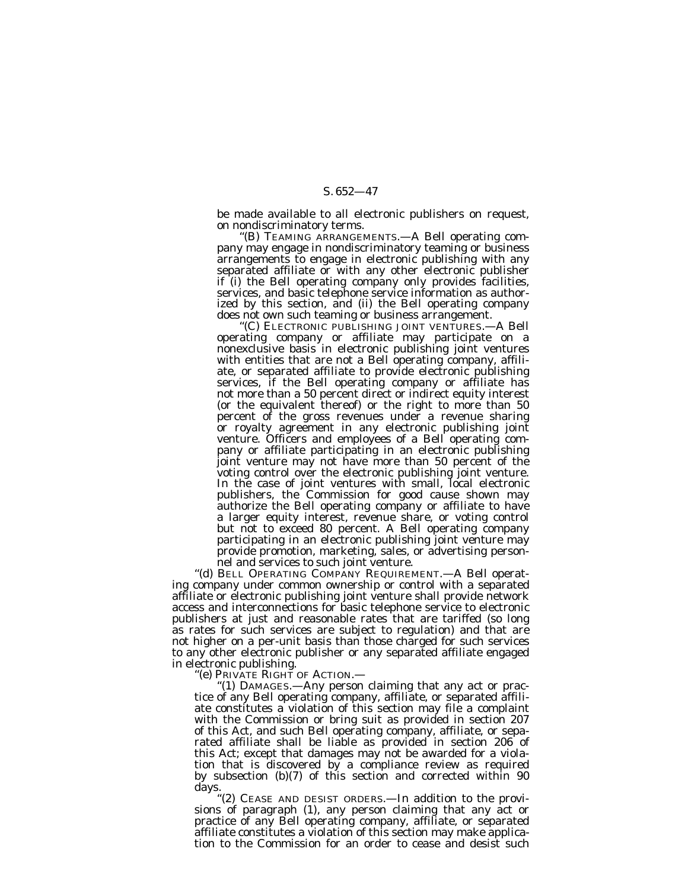be made available to all electronic publishers on request, on nondiscriminatory terms.

''(B) TEAMING ARRANGEMENTS.—A Bell operating company may engage in nondiscriminatory teaming or business arrangements to engage in electronic publishing with any separated affiliate or with any other electronic publisher if (i) the Bell operating company only provides facilities, services, and basic telephone service information as authorized by this section, and (ii) the Bell operating company does not own such teaming or business arrangement.

'(C) ELECTRONIC PUBLISHING JOINT VENTURES.—A Bell operating company or affiliate may participate on a nonexclusive basis in electronic publishing joint ventures with entities that are not a Bell operating company, affiliate, or separated affiliate to provide electronic publishing services, if the Bell operating company or affiliate has not more than a 50 percent direct or indirect equity interest (or the equivalent thereof) or the right to more than 50 percent of the gross revenues under a revenue sharing or royalty agreement in any electronic publishing joint venture. Officers and employees of a Bell operating company or affiliate participating in an electronic publishing joint venture may not have more than 50 percent of the voting control over the electronic publishing joint venture. In the case of joint ventures with small, local electronic publishers, the Commission for good cause shown may authorize the Bell operating company or affiliate to have a larger equity interest, revenue share, or voting control but not to exceed 80 percent. A Bell operating company participating in an electronic publishing joint venture may provide promotion, marketing, sales, or advertising person-

"(d) BELL OPERATING COMPANY REQUIREMENT. - A Bell operating company under common ownership or control with a separated affiliate or electronic publishing joint venture shall provide network access and interconnections for basic telephone service to electronic publishers at just and reasonable rates that are tariffed (so long as rates for such services are subject to regulation) and that are not higher on a per-unit basis than those charged for such services to any other electronic publisher or any separated affiliate engaged

in electronic publishing.<br>''(e) PRIVATE RIGHT OF ACTION.—<br>''(1) DAMAGES.—Any person claiming that any act or practice of any Bell operating company, affiliate, or separated affiliate constitutes a violation of this section may file a complaint with the Commission or bring suit as provided in section 207 of this Act, and such Bell operating company, affiliate, or separated affiliate shall be liable as provided in section 206 of this Act; except that damages may not be awarded for a violation that is discovered by a compliance review as required by subsection (b)(7) of this section and corrected within 90 days

"(2) CEASE AND DESIST ORDERS.—In addition to the provisions of paragraph (1), any person claiming that any act or practice of any Bell operating company, affiliate, or separated affiliate constitutes a violation of this section may make application to the Commission for an order to cease and desist such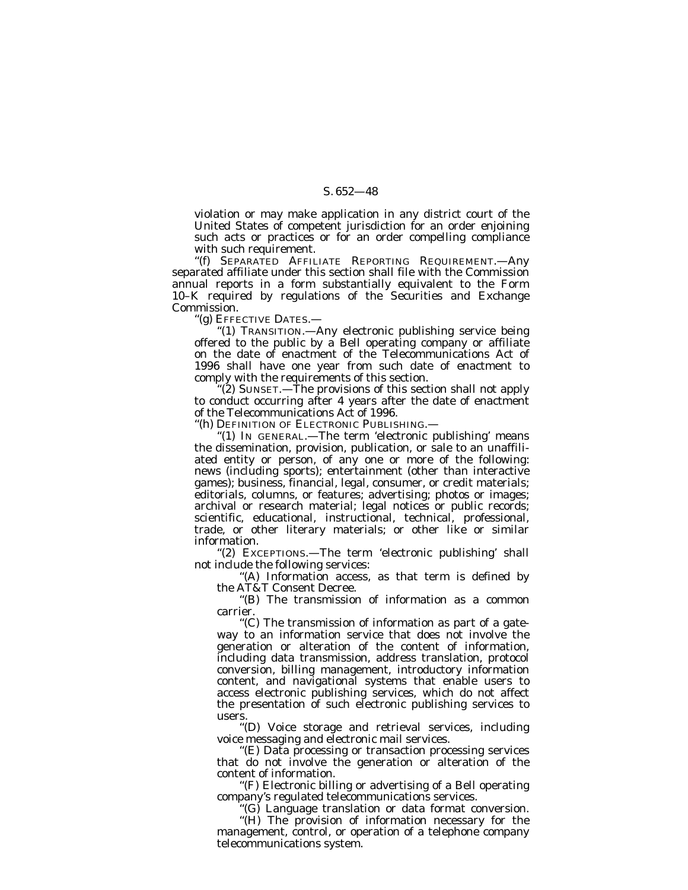violation or may make application in any district court of the United States of competent jurisdiction for an order enjoining such acts or practices or for an order compelling compliance with such requirement.

''(f) SEPARATED AFFILIATE REPORTING REQUIREMENT.—Any separated affiliate under this section shall file with the Commission annual reports in a form substantially equivalent to the Form 10–K required by regulations of the Securities and Exchange Commission.

''(g) EFFECTIVE DATES.—

''(1) TRANSITION.—Any electronic publishing service being offered to the public by a Bell operating company or affiliate on the date of enactment of the Telecommunications Act of 1996 shall have one year from such date of enactment to comply with the requirements of this section.

''(2) SUNSET.—The provisions of this section shall not apply to conduct occurring after 4 years after the date of enactment of the Telecommunications Act of 1996.

''(h) DEFINITION OF ELECTRONIC PUBLISHING.—

''(1) IN GENERAL.—The term 'electronic publishing' means the dissemination, provision, publication, or sale to an unaffiliated entity or person, of any one or more of the following: news (including sports); entertainment (other than interactive games); business, financial, legal, consumer, or credit materials; editorials, columns, or features; advertising; photos or images; archival or research material; legal notices or public records; scientific, educational, instructional, technical, professional, trade, or other literary materials; or other like or similar information.

"(2) EXCEPTIONS.—The term 'electronic publishing' shall not include the following services:

"(A) Information access, as that term is defined by the AT&T Consent Decree.

''(B) The transmission of information as a common carrier.

''(C) The transmission of information as part of a gateway to an information service that does not involve the generation or alteration of the content of information, including data transmission, address translation, protocol conversion, billing management, introductory information content, and navigational systems that enable users to access electronic publishing services, which do not affect the presentation of such electronic publishing services to users.

''(D) Voice storage and retrieval services, including voice messaging and electronic mail services.

''(E) Data processing or transaction processing services that do not involve the generation or alteration of the content of information.

''(F) Electronic billing or advertising of a Bell operating company's regulated telecommunications services.

''(G) Language translation or data format conversion.

"(H) The provision of information necessary for the management, control, or operation of a telephone company telecommunications system.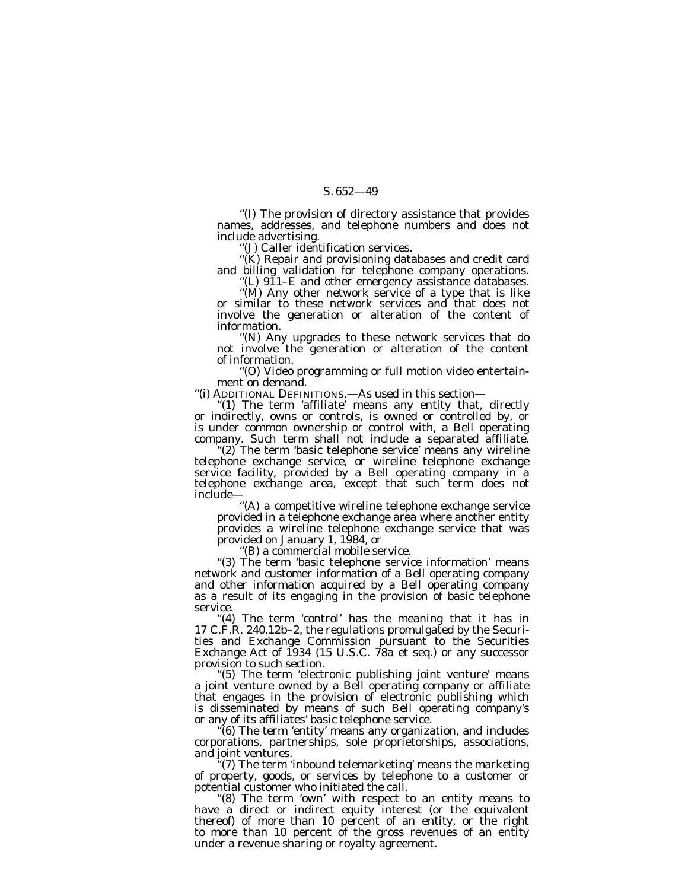''(I) The provision of directory assistance that provides names, addresses, and telephone numbers and does not include advertising.

''(J) Caller identification services.

"(K) Repair and provisioning databases and credit card and billing validation for telephone company operations.

''(L) 911–E and other emergency assistance databases.

"(M) Any other network service of a type that is like or similar to these network services and that does not involve the generation or alteration of the content of information.

''(N) Any upgrades to these network services that do not involve the generation or alteration of the content of information.

''(O) Video programming or full motion video entertainment on demand.

''(i) ADDITIONAL DEFINITIONS.—As used in this section—

''(1) The term 'affiliate' means any entity that, directly or indirectly, owns or controls, is owned or controlled by, or is under common ownership or control with, a Bell operating company. Such term shall not include a separated affiliate.

'(2) The term 'basic telephone service' means any wireline telephone exchange service, or wireline telephone exchange service facility, provided by a Bell operating company in a telephone exchange area, except that such term does not include—

''(A) a competitive wireline telephone exchange service provided in a telephone exchange area where another entity provides a wireline telephone exchange service that was provided on January 1, 1984, or<br>"(B) a commercial mobile service.

''(3) The term 'basic telephone service information' means network and customer information of a Bell operating company and other information acquired by a Bell operating company as a result of its engaging in the provision of basic telephone service.

"(4) The term 'control' has the meaning that it has in 17 C.F.R. 240.12b–2, the regulations promulgated by the Securities and Exchange Commission pursuant to the Securities Exchange Act of 1934 (15 U.S.C. 78a et seq.) or any successor provision to such section.

"(5) The term 'electronic publishing joint venture' means a joint venture owned by a Bell operating company or affiliate that engages in the provision of electronic publishing which is disseminated by means of such Bell operating company's or any of its affiliates' basic telephone service.

''(6) The term 'entity' means any organization, and includes corporations, partnerships, sole proprietorships, associations, and joint ventures.

(7) The term 'inbound telemarketing' means the marketing of property, goods, or services by telephone to a customer or potential customer who initiated the call.

"(8) The term 'own' with respect to an entity means to have a direct or indirect equity interest (or the equivalent thereof) of more than 10 percent of an entity, or the right to more than 10 percent of the gross revenues of an entity under a revenue sharing or royalty agreement.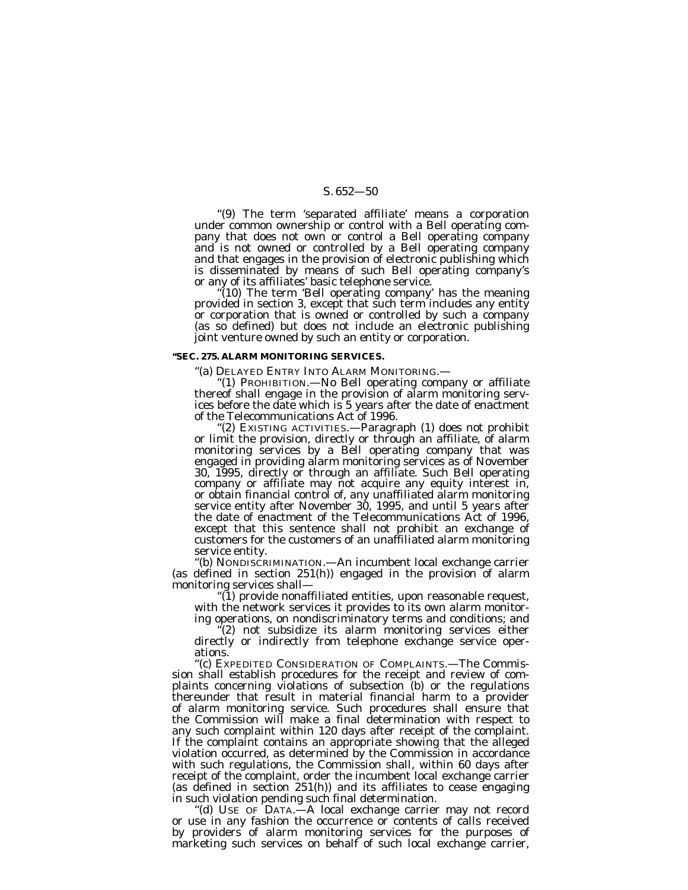''(9) The term 'separated affiliate' means a corporation under common ownership or control with a Bell operating company that does not own or control a Bell operating company and is not owned or controlled by a Bell operating company and that engages in the provision of electronic publishing which is disseminated by means of such Bell operating company's or any of its affiliates' basic telephone service.

''(10) The term 'Bell operating company' has the meaning provided in section 3, except that such term includes any entity or corporation that is owned or controlled by such a company (as so defined) but does not include an electronic publishing joint venture owned by such an entity or corporation.

#### **''SEC. 275. ALARM MONITORING SERVICES.**

''(a) DELAYED ENTRY INTO ALARM MONITORING.—

''(1) PROHIBITION.—No Bell operating company or affiliate thereof shall engage in the provision of alarm monitoring services before the date which is 5 years after the date of enactment of the Telecommunications Act of 1996.

''(2) EXISTING ACTIVITIES.—Paragraph (1) does not prohibit or limit the provision, directly or through an affiliate, of alarm monitoring services by a Bell operating company that was engaged in providing alarm monitoring services as of November 30, 1995, directly or through an affiliate. Such Bell operating company or affiliate may not acquire any equity interest in, or obtain financial control of, any unaffiliated alarm monitoring service entity after November 30, 1995, and until 5 years after the date of enactment of the Telecommunications Act of 1996, except that this sentence shall not prohibit an exchange of customers for the customers of an unaffiliated alarm monitoring

service entity.<br>"(b) NONDISCRIMINATION.—An incumbent local exchange carrier (as defined in section 251(h)) engaged in the provision of alarm monitoring services shall—

"(1) provide nonaffiliated entities, upon reasonable request, with the network services it provides to its own alarm monitoring operations, on nondiscriminatory terms and conditions; and

iangleright) contributions, on the subsidizer its alarm imonitoring services either directly or indirectly from telephone exchange service operations.

(c) EXPEDITED CONSIDERATION OF COMPLAINTS.—The Commission shall establish procedures for the receipt and review of complaints concerning violations of subsection (b) or the regulations thereunder that result in material financial harm to a provider of alarm monitoring service. Such procedures shall ensure that the Commission will make a final determination with respect to any such complaint within 120 days after receipt of the complaint. If the complaint contains an appropriate showing that the alleged violation occurred, as determined by the Commission in accordance with such regulations, the Commission shall, within 60 days after receipt of the complaint, order the incumbent local exchange carrier (as defined in section  $251(h)$ ) and its affiliates to cease engaging in such violation pending such final determination.

''(d) USE OF DATA.—A local exchange carrier may not record or use in any fashion the occurrence or contents of calls received by providers of alarm monitoring services for the purposes of marketing such services on behalf of such local exchange carrier,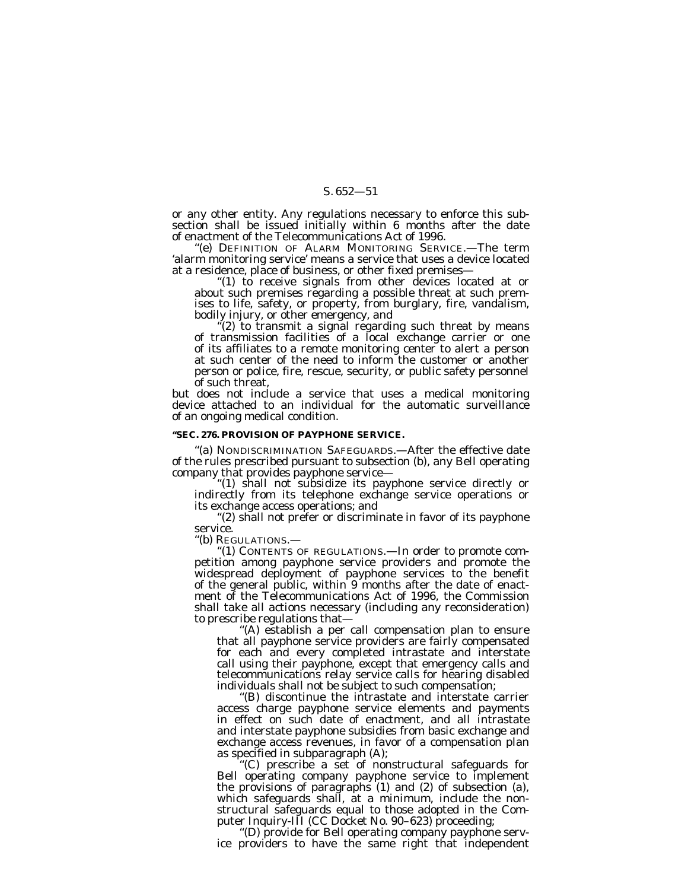or any other entity. Any regulations necessary to enforce this subsection shall be issued initially within 6 months after the date of enactment of the Telecommunications Act of 1996.

''(e) DEFINITION OF ALARM MONITORING SERVICE.—The term 'alarm monitoring service' means a service that uses a device located at a residence, place of business, or other fixed premises—

''(1) to receive signals from other devices located at or about such premises regarding a possible threat at such premises to life, safety, or property, from burglary, fire, vandalism, bodily injury, or other emergency, and

''(2) to transmit a signal regarding such threat by means of transmission facilities of a local exchange carrier or one of its affiliates to a remote monitoring center to alert a person at such center of the need to inform the customer or another person or police, fire, rescue, security, or public safety personnel of such threat,

but does not include a service that uses a medical monitoring device attached to an individual for the automatic surveillance of an ongoing medical condition.

#### **''SEC. 276. PROVISION OF PAYPHONE SERVICE.**

''(a) NONDISCRIMINATION SAFEGUARDS.—After the effective date of the rules prescribed pursuant to subsection (b), any Bell operating company that provides payphone service—

''(1) shall not subsidize its payphone service directly or indirectly from its telephone exchange service operations or its exchange access operations; and

''(2) shall not prefer or discriminate in favor of its payphone service.

''(b) REGULATIONS.— ''(1) CONTENTS OF REGULATIONS.—In order to promote competition among payphone service providers and promote the widespread deployment of payphone services to the benefit of the general public, within 9 months after the date of enactment of the Telecommunications Act of 1996, the Commission shall take all actions necessary (including any reconsideration) to prescribe regulations that— ''(A) establish a per call compensation plan to ensure

that all payphone service providers are fairly compensated for each and every completed intrastate and interstate call using their payphone, except that emergency calls and telecommunications relay service calls for hearing disabled

"(B) discontinue the intrastate and interstate carrier access charge payphone service elements and payments in effect on such date of enactment, and all intrastate and interstate payphone subsidies from basic exchange and exchange access revenues, in favor of a compensation plan as specified in subparagraph (A);

''(C) prescribe a set of nonstructural safeguards for Bell operating company payphone service to implement the provisions of paragraphs (1) and (2) of subsection (a), which safeguards shall, at a minimum, include the nonstructural safeguards equal to those adopted in the Computer Inquiry-III (CC Docket No. 90–623) proceeding;

''(D) provide for Bell operating company payphone service providers to have the same right that independent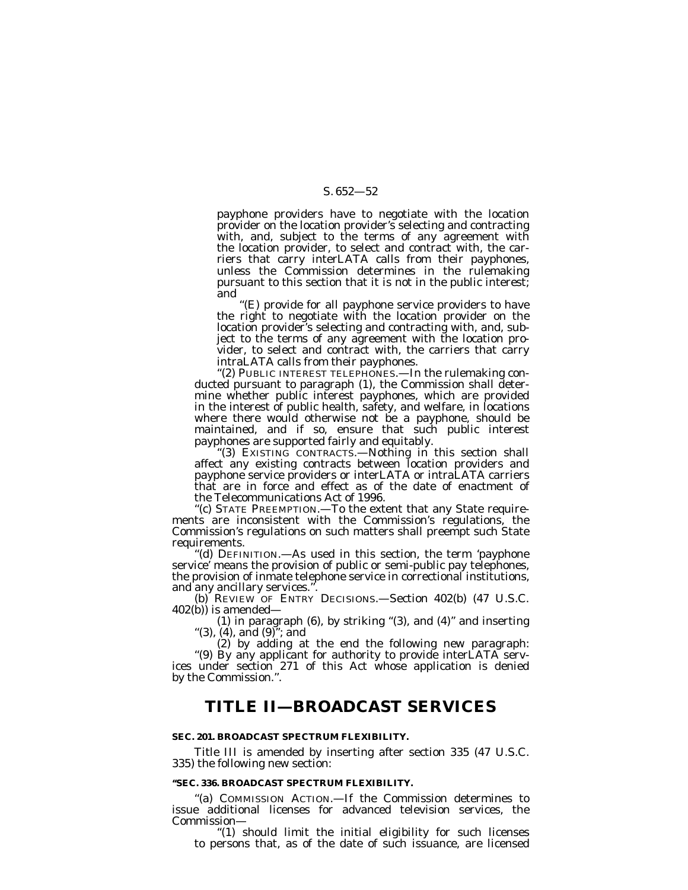payphone providers have to negotiate with the location provider on the location provider's selecting and contracting with, and, subject to the terms of any agreement with the location provider, to select and contract with, the carriers that carry interLATA calls from their payphones, unless the Commission determines in the rulemaking pursuant to this section that it is not in the public interest; and

''(E) provide for all payphone service providers to have the right to negotiate with the location provider on the location provider's selecting and contracting with, and, subject to the terms of any agreement with the location provider, to select and contract with, the carriers that carry intraLATA calls from their payphones.

''(2) PUBLIC INTEREST TELEPHONES.—In the rulemaking conducted pursuant to paragraph (1), the Commission shall determine whether public interest payphones, which are provided in the interest of public health, safety, and welfare, in locations where there would otherwise not be a payphone, should be maintained, and if so, ensure that such public interest payphones are supported fairly and equitably.

''(3) EXISTING CONTRACTS.—Nothing in this section shall affect any existing contracts between location providers and payphone service providers or interLATA or intraLATA carriers that are in force and effect as of the date of enactment of the Telecommunications Act of 1996.

''(c) STATE PREEMPTION.—To the extent that any State requirements are inconsistent with the Commission's regulations, the Commission's regulations on such matters shall preempt such State requirements.

''(d) DEFINITION.—As used in this section, the term 'payphone service' means the provision of public or semi-public pay telephones, the provision of inmate telephone service in correctional institutions, and any ancillary services.".

(b) REVIEW OF ENTRY DECISIONS.—Section 402(b) (47 U.S.C. 402(b)) is amended—

(1) in paragraph (6), by striking "(3), and (4)" and inserting "(3), (4), and (9)"; and<br>(2) by adding at the end the following new paragraph:

"(9) By any applicant for authority to provide interLATA services under section 271 of this Act whose application is denied by the Commission.''.

# **TITLE II—BROADCAST SERVICES**

# **SEC. 201. BROADCAST SPECTRUM FLEXIBILITY.**

Title III is amended by inserting after section 335 (47 U.S.C. 335) the following new section:

#### **''SEC. 336. BROADCAST SPECTRUM FLEXIBILITY.**

''(a) COMMISSION ACTION.—If the Commission determines to issue additional licenses for advanced television services, the Commission—

''(1) should limit the initial eligibility for such licenses to persons that, as of the date of such issuance, are licensed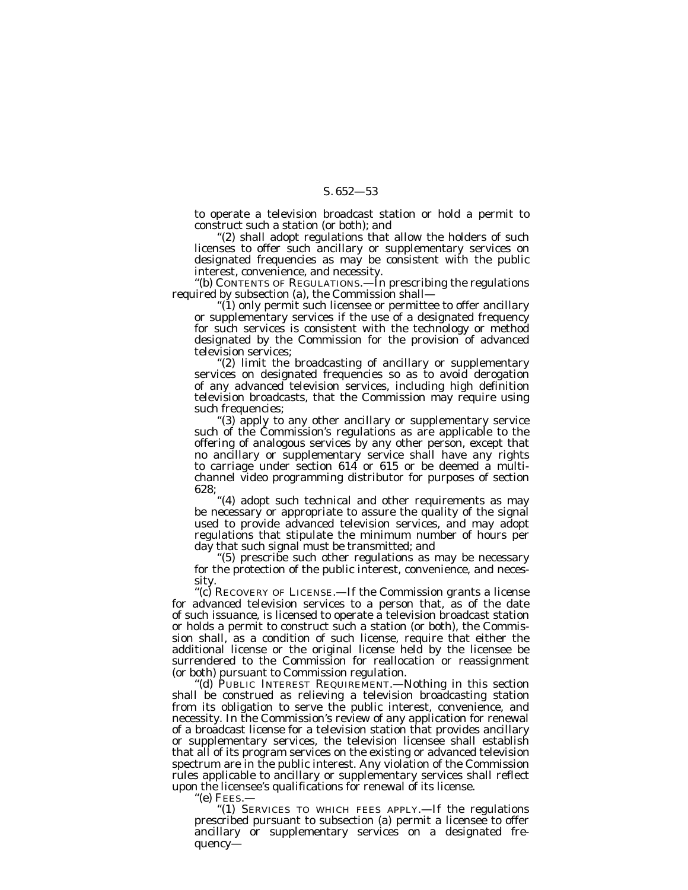to operate a television broadcast station or hold a permit to construct such a station (or both); and

"(2) shall adopt regulations that allow the holders of such licenses to offer such ancillary or supplementary services on designated frequencies as may be consistent with the public interest, convenience, and necessity.

"(b) CONTENTS OF REGULATIONS.—In prescribing the regulations required by subsection (a), the Commission shall—

''(1) only permit such licensee or permittee to offer ancillary or supplementary services if the use of a designated frequency for such services is consistent with the technology or method designated by the Commission for the provision of advanced television services;

''(2) limit the broadcasting of ancillary or supplementary services on designated frequencies so as to avoid derogation of any advanced television services, including high definition television broadcasts, that the Commission may require using such frequencies;

''(3) apply to any other ancillary or supplementary service such of the Commission's regulations as are applicable to the offering of analogous services by any other person, except that no ancillary or supplementary service shall have any rights to carriage under section  $614$  or  $615$  or be deemed a multichannel video programming distributor for purposes of section 628;

''(4) adopt such technical and other requirements as may be necessary or appropriate to assure the quality of the signal used to provide advanced television services, and may adopt regulations that stipulate the minimum number of hours per day that such signal must be transmitted; and

''(5) prescribe such other regulations as may be necessary for the protection of the public interest, convenience, and necessity.

"(c) RECOVERY OF LICENSE.—If the Commission grants a license for advanced television services to a person that, as of the date of such issuance, is licensed to operate a television broadcast station or holds a permit to construct such a station (or both), the Commission shall, as a condition of such license, require that either the additional license or the original license held by the licensee be surrendered to the Commission for reallocation or reassignment (or both) pursuant to Commission regulation.

'(d) PUBLIC INTEREST REQUIREMENT.—Nothing in this section shall be construed as relieving a television broadcasting station from its obligation to serve the public interest, convenience, and necessity. In the Commission's review of any application for renewal of a broadcast license for a television station that provides ancillary or supplementary services, the television licensee shall establish that all of its program services on the existing or advanced television spectrum are in the public interest. Any violation of the Commission rules applicable to ancillary or supplementary services shall reflect upon the licensee's qualifications for renewal of its license.

''(e) FEES.—

''(1) SERVICES TO WHICH FEES APPLY.—If the regulations prescribed pursuant to subsection (a) permit a licensee to offer ancillary or supplementary services on a designated frequency—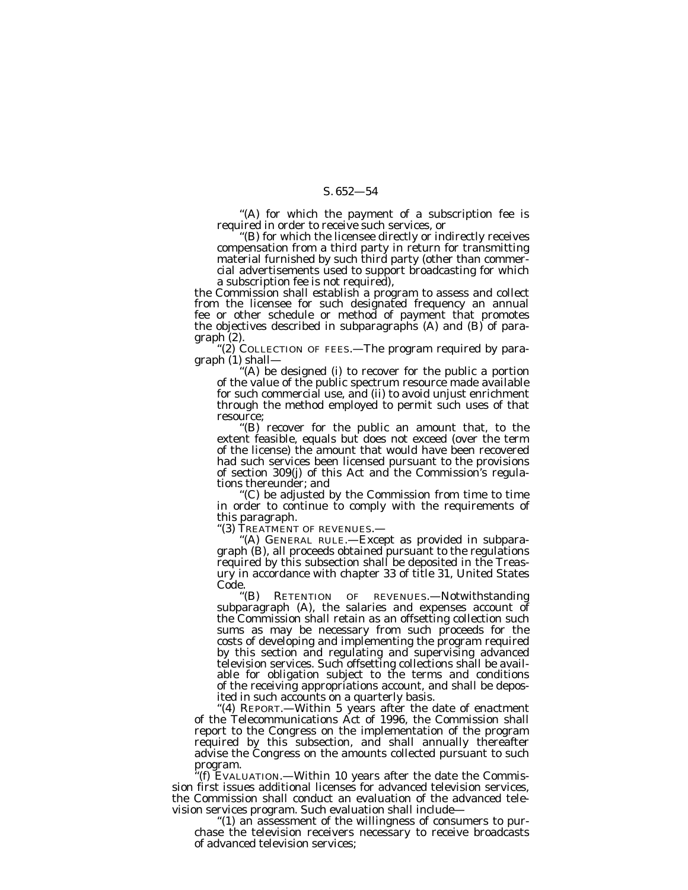"(A) for which the payment of a subscription fee is required in order to receive such services, or

'(B) for which the licensee directly or indirectly receives compensation from a third party in return for transmitting material furnished by such third party (other than commercial advertisements used to support broadcasting for which a subscription fee is not required),

the Commission shall establish a program to assess and collect from the licensee for such designated frequency an annual fee or other schedule or method of payment that promotes the objectives described in subparagraphs  $(A)$  and  $(B)$  of paragraph (2).

"(2) COLLECTION OF FEES.—The program required by paragraph (1) shall—

 $f(A)$  be designed (i) to recover for the public a portion of the value of the public spectrum resource made available for such commercial use, and (ii) to avoid unjust enrichment through the method employed to permit such uses of that resource;

''(B) recover for the public an amount that, to the extent feasible, equals but does not exceed (over the term of the license) the amount that would have been recovered had such services been licensed pursuant to the provisions of section 309(j) of this Act and the Commission's regulations thereunder; and

''(C) be adjusted by the Commission from time to time in order to continue to comply with the requirements of

this paragraph.<br>"(3) TREATMENT OF REVENUES.—

 $(A)$  GENERAL RULE.—Except as provided in subparagraph (B), all proceeds obtained pursuant to the regulations required by this subsection shall be deposited in the Treasury in accordance with chapter 33 of title 31, United States  $Code.  
"(B)$ 

''(B) RETENTION OF REVENUES.—Notwithstanding subparagraph (A), the salaries and expenses account of the Commission shall retain as an offsetting collection such sums as may be necessary from such proceeds for the costs of developing and implementing the program required by this section and regulating and supervising advanced television services. Such offsetting collections shall be available for obligation subject to the terms and conditions of the receiving appropriations account, and shall be deposited in such accounts on a quarterly basis.

''(4) REPORT.—Within 5 years after the date of enactment of the Telecommunications Act of 1996, the Commission shall report to the Congress on the implementation of the program required by this subsection, and shall annually thereafter advise the Congress on the amounts collected pursuant to such  $\mathop{\text{program}}\limits_{\alpha \in \mathbb{C}}$ 

 $f(f)$  EVALUATION.—Within 10 years after the date the Commission first issues additional licenses for advanced television services, the Commission shall conduct an evaluation of the advanced television services program. Such evaluation shall include—

''(1) an assessment of the willingness of consumers to purchase the television receivers necessary to receive broadcasts of advanced television services;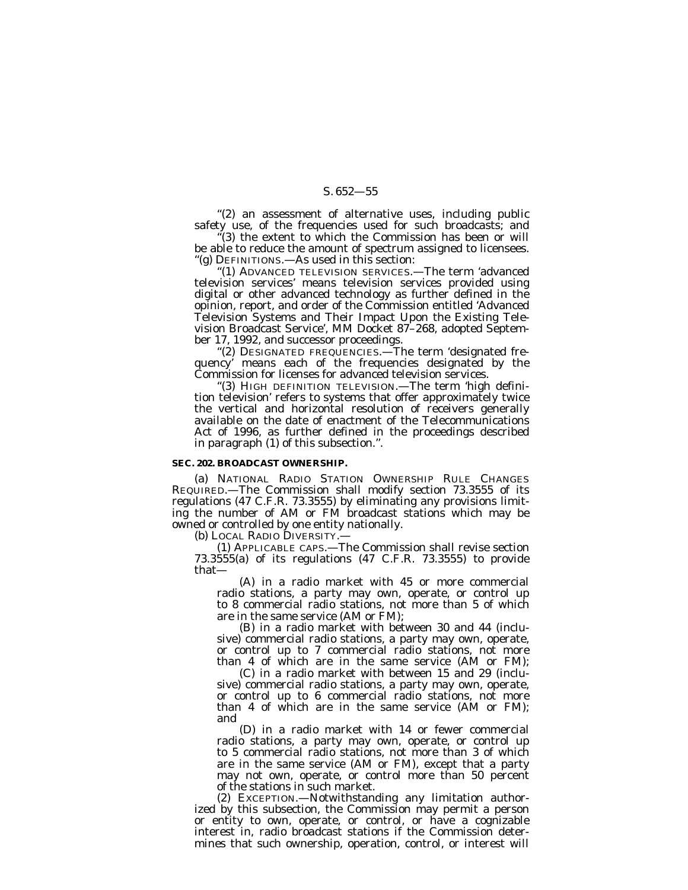"(2) an assessment of alternative uses, including public safety use, of the frequencies used for such broadcasts; and

''(3) the extent to which the Commission has been or will be able to reduce the amount of spectrum assigned to licensees. ''(g) DEFINITIONS.—As used in this section:

''(1) ADVANCED TELEVISION SERVICES.—The term 'advanced television services' means television services provided using digital or other advanced technology as further defined in the opinion, report, and order of the Commission entitled 'Advanced Television Systems and Their Impact Upon the Existing Television Broadcast Service', MM Docket 87–268, adopted September 17, 1992, and successor proceedings.

"(2) DESIGNATED FREQUENCIES.—The term 'designated frequency' means each of the frequencies designated by the Commission for licenses for advanced television services.

''(3) HIGH DEFINITION TELEVISION.—The term 'high definition television' refers to systems that offer approximately twice the vertical and horizontal resolution of receivers generally available on the date of enactment of the Telecommunications Act of 1996, as further defined in the proceedings described in paragraph (1) of this subsection.''.

### **SEC. 202. BROADCAST OWNERSHIP.**

(a) NATIONAL RADIO STATION OWNERSHIP RULE CHANGES REQUIRED.—The Commission shall modify section 73.3555 of its regulations (47 C.F.R. 73.3555) by eliminating any provisions limiting the number of AM or FM broadcast stations which may be owned or controlled by one entity nationally.

(b) LOCAL RADIO DIVERSITY.—

(1) APPLICABLE CAPS.—The Commission shall revise section 73.3555(a) of its regulations (47 C.F.R. 73.3555) to provide that—

(A) in a radio market with 45 or more commercial radio stations, a party may own, operate, or control up to 8 commercial radio stations, not more than 5 of which are in the same service (AM or FM);

(B) in a radio market with between 30 and 44 (inclusive) commercial radio stations, a party may own, operate, or control up to 7 commercial radio stations, not more than 4 of which are in the same service (AM or FM);

(C) in a radio market with between 15 and 29 (inclusive) commercial radio stations, a party may own, operate, or control up to 6 commercial radio stations, not more than 4 of which are in the same service (AM or FM); and

(D) in a radio market with 14 or fewer commercial radio stations, a party may own, operate, or control up to 5 commercial radio stations, not more than 3 of which are in the same service (AM or FM), except that a party may not own, operate, or control more than 50 percent of the stations in such market.

(2) EXCEPTION.—Notwithstanding any limitation authorized by this subsection, the Commission may permit a person or entity to own, operate, or control, or have a cognizable interest in, radio broadcast stations if the Commission determines that such ownership, operation, control, or interest will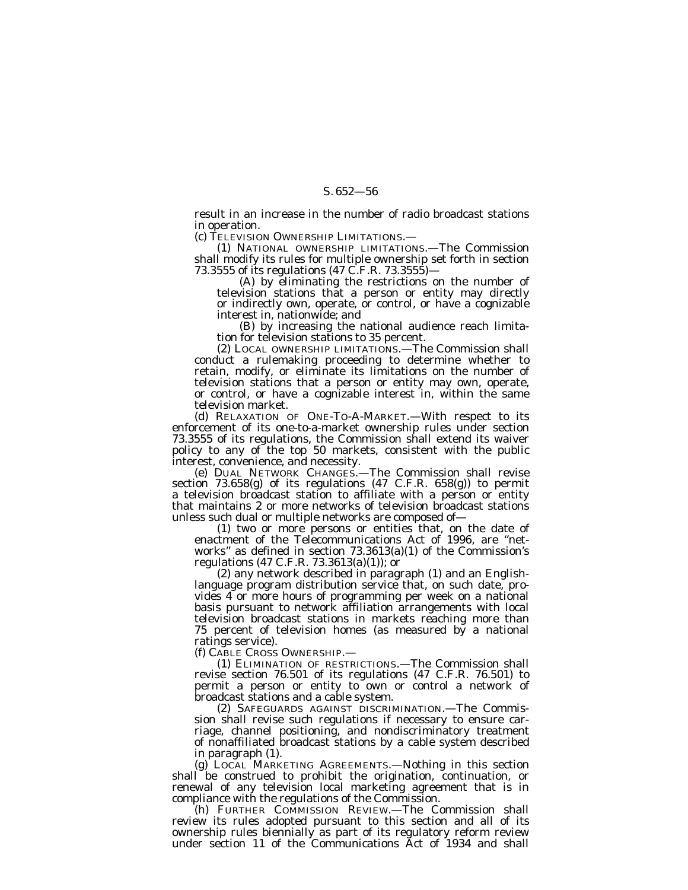result in an increase in the number of radio broadcast stations in operation.

(c) TELEVISION OWNERSHIP LIMITATIONS.—

(1) NATIONAL OWNERSHIP LIMITATIONS.—The Commission shall modify its rules for multiple ownership set forth in section 73.3555 of its regulations (47 C.F.R. 73.3555)—

(A) by eliminating the restrictions on the number of television stations that a person or entity may directly or indirectly own, operate, or control, or have a cognizable interest in, nationwide; and

(B) by increasing the national audience reach limitation for television stations to 35 percent.

(2) LOCAL OWNERSHIP LIMITATIONS.—The Commission shall conduct a rulemaking proceeding to determine whether to retain, modify, or eliminate its limitations on the number of television stations that a person or entity may own, operate, or control, or have a cognizable interest in, within the same television market.

(d) RELAXATION OF ONE-TO-A-MARKET.—With respect to its enforcement of its one-to-a-market ownership rules under section 73.3555 of its regulations, the Commission shall extend its waiver policy to any of the top 50 markets, consistent with the public interest, convenience, and necessity.

(e) DUAL NETWORK CHANGES.—The Commission shall revise section 73.658(g) of its regulations (47 C.F.R. 658(g)) to permit a television broadcast station to affiliate with a person or entity that maintains 2 or more networks of television broadcast stations unless such dual or multiple networks are composed of—

(1) two or more persons or entities that, on the date of enactment of the Telecommunications Act of 1996, are ''networks" as defined in section  $73.3613(a)(1)$  of the Commission's regulations  $(47 \text{ C.F.R. } 73.3613(a)(1))$ ; or

 $r(2)$  any network described in paragraph  $(1)$  and an Englishlanguage program distribution service that, on such date, provides 4 or more hours of programming per week on a national basis pursuant to network affiliation arrangements with local television broadcast stations in markets reaching more than 75 percent of television homes (as measured by a national ratings service).<br>(f) CABLE CROSS OWNERSHIP.

(1) ELIMINATION OF RESTRICTIONS.—The Commission shall revise section 76.501 of its regulations (47 C.F.R. 76.501) to permit a person or entity to own or control a network of broadcast stations and a cable system.

(2) SAFEGUARDS AGAINST DISCRIMINATION.—The Commission shall revise such regulations if necessary to ensure carriage, channel positioning, and nondiscriminatory treatment of nonaffiliated broadcast stations by a cable system described in paragraph (1).

(g) LOCAL MARKETING AGREEMENTS.—Nothing in this section shall be construed to prohibit the origination, continuation, or renewal of any television local marketing agreement that is in compliance with the regulations of the Commission.

(h) FURTHER COMMISSION REVIEW.—The Commission shall review its rules adopted pursuant to this section and all of its ownership rules biennially as part of its regulatory reform review under section 11 of the Communications Act of 1934 and shall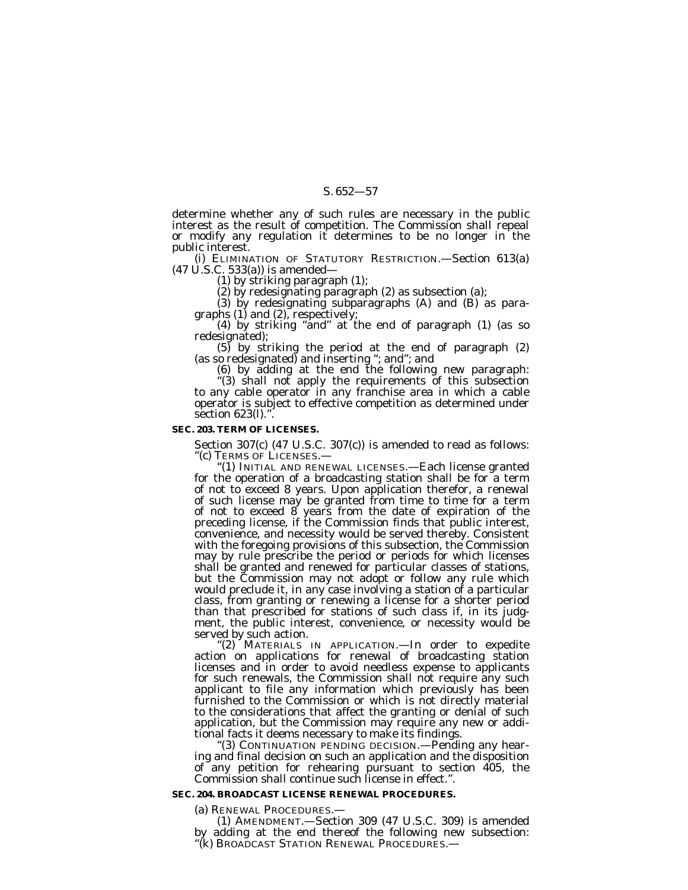determine whether any of such rules are necessary in the public interest as the result of competition. The Commission shall repeal or modify any regulation it determines to be no longer in the

public interest. (i) ELIMINATION OF STATUTORY RESTRICTION.—Section 613(a) (47 U.S.C. 533(a)) is amended—

(1) by striking paragraph (1);

(2) by redesignating paragraph (2) as subsection (a);<br>(3) by redesignating subparagraphs (A) and (B) as para-

graphs (1) and (2), respectively;<br>
(4) by striking "and" at the end of paragraph (1) (as so<br>
redesignated);<br>
(5) by striking the period at the end of paragraph (2)<br>
(as so redesignated) and inserting "; and"; and<br>
(6) by

to any cable operator in any franchise area in which a cable operator is subject to effective competition as determined under section 623(l).''.

#### **SEC. 203. TERM OF LICENSES.**

Section 307(c) (47 U.S.C. 307(c)) is amended to read as follows: "(c) TERMS OF LICENSES.—

"(1) INITIAL AND RENEWAL LICENSES.—Each license granted for the operation of a broadcasting station shall be for a term of not to exceed 8 years. Upon application therefor, a renewal of such license may be granted from time to time for a term of not to exceed 8 years from the date of expiration of the preceding license, if the Commission finds that public interest, convenience, and necessity would be served thereby. Consistent with the foregoing provisions of this subsection, the Commission may by rule prescribe the period or periods for which licenses shall be granted and renewed for particular classes of stations, but the Commission may not adopt or follow any rule which would preclude it, in any case involving a station of a particular class, from granting or renewing a license for a shorter period than that prescribed for stations of such class if, in its judgment, the public interest, convenience, or necessity would be served by such action.<br>"(2) MATERIALS IN APPLICATION.—In order to expedite

action on applications for renewal of broadcasting station licenses and in order to avoid needless expense to applicants for such renewals, the Commission shall not require any such applicant to file any information which previously has been furnished to the Commission or which is not directly material to the considerations that affect the granting or denial of such application, but the Commission may require any new or additional facts it deems necessary to make its findings.

''(3) CONTINUATION PENDING DECISION.—Pending any hearing and final decision on such an application and the disposition of any petition for rehearing pursuant to section 405, the Commission shall continue such license in effect.''.

#### **SEC. 204. BROADCAST LICENSE RENEWAL PROCEDURES.**

(a) RENEWAL PROCEDURES.—

(1) AMENDMENT.—Section 309 (47 U.S.C. 309) is amended by adding at the end thereof the following new subsection: ''(k) BROADCAST STATION RENEWAL PROCEDURES.—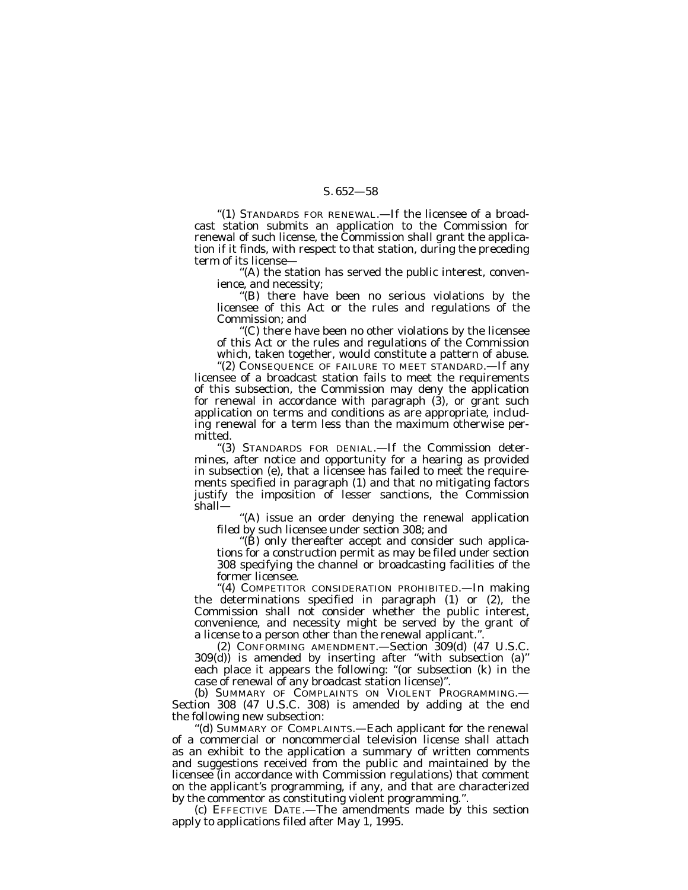''(1) STANDARDS FOR RENEWAL.—If the licensee of a broadcast station submits an application to the Commission for renewal of such license, the Commission shall grant the application if it finds, with respect to that station, during the preceding term of its license—

''(A) the station has served the public interest, convenience, and necessity;

''(B) there have been no serious violations by the licensee of this Act or the rules and regulations of the Commission; and

''(C) there have been no other violations by the licensee of this Act or the rules and regulations of the Commission which, taken together, would constitute a pattern of abuse.

''(2) CONSEQUENCE OF FAILURE TO MEET STANDARD.—If any licensee of a broadcast station fails to meet the requirements of this subsection, the Commission may deny the application for renewal in accordance with paragraph (3), or grant such application on terms and conditions as are appropriate, including renewal for a term less than the maximum otherwise permitted.

'(3) STANDARDS FOR DENIAL.—If the Commission determines, after notice and opportunity for a hearing as provided in subsection (e), that a licensee has failed to meet the requirements specified in paragraph (1) and that no mitigating factors justify the imposition of lesser sanctions, the Commission shall—

"(A) issue an order denying the renewal application filed by such licensee under section 308; and

''(B) only thereafter accept and consider such applications for a construction permit as may be filed under section 308 specifying the channel or broadcasting facilities of the former licensee.

''(4) COMPETITOR CONSIDERATION PROHIBITED.—In making the determinations specified in paragraph (1) or (2), the Commission shall not consider whether the public interest, convenience, and necessity might be served by the grant of a license to a person other than the renewal applicant.''.

(2) CONFORMING AMENDMENT.—Section 309(d) (47 U.S.C. 309(d)) is amended by inserting after ''with subsection (a)'' each place it appears the following: ''(or subsection (k) in the case of renewal of any broadcast station license)''.

(b) SUMMARY OF COMPLAINTS ON VIOLENT PROGRAMMING.— Section 308 (47 U.S.C. 308) is amended by adding at the end the following new subsection:

''(d) SUMMARY OF COMPLAINTS.—Each applicant for the renewal of a commercial or noncommercial television license shall attach as an exhibit to the application a summary of written comments and suggestions received from the public and maintained by the licensee (in accordance with Commission regulations) that comment on the applicant's programming, if any, and that are characterized by the commentor as constituting violent programming.''.

(c) EFFECTIVE DATE.—The amendments made by this section apply to applications filed after May 1, 1995.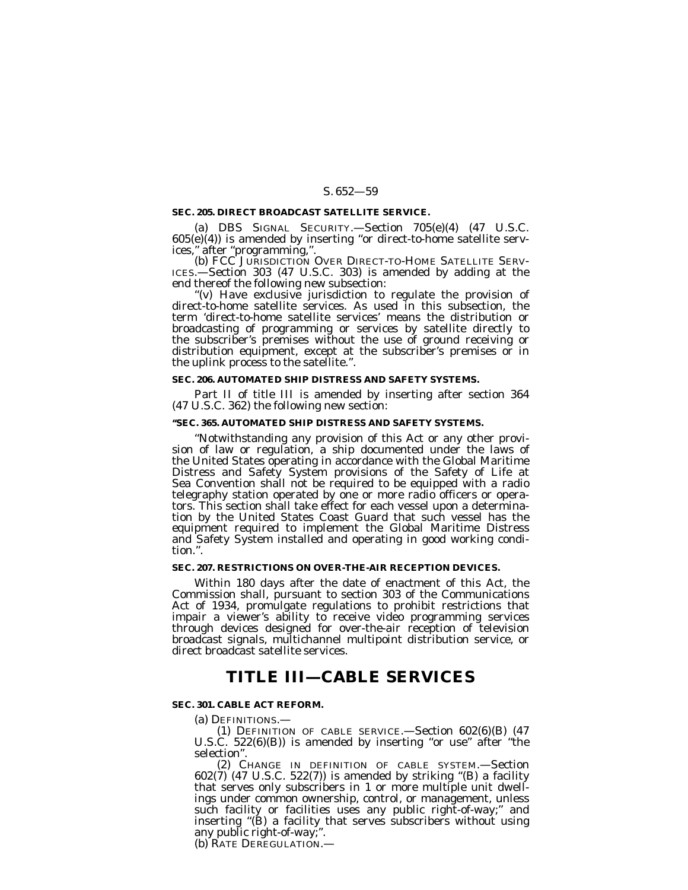#### **SEC. 205. DIRECT BROADCAST SATELLITE SERVICE.**

(a) DBS SIGNAL SECURITY.—Section  $705(e)(4)$  (47 U.S.C.)  $605(e)(4)$ ) is amended by inserting "or direct-to-home satellite serv-

ices,'' after ''programming,''. (b) FCC JURISDICTION OVER DIRECT-TO-HOME SATELLITE SERV- ICES.—Section 303 (47 U.S.C. 303) is amended by adding at the end thereof the following new subsection:<br>"(v) Have exclusive jurisdiction to regulate the provision of

direct-to-home satellite services. As used in this subsection, the term 'direct-to-home satellite services' means the distribution or broadcasting of programming or services by satellite directly to the subscriber's premises without the use of ground receiving or distribution equipment, except at the subscriber's premises or in the uplink process to the satellite.''.

#### **SEC. 206. AUTOMATED SHIP DISTRESS AND SAFETY SYSTEMS.**

Part II of title III is amended by inserting after section 364 (47 U.S.C. 362) the following new section:

#### **''SEC. 365. AUTOMATED SHIP DISTRESS AND SAFETY SYSTEMS.**

''Notwithstanding any provision of this Act or any other provision of law or regulation, a ship documented under the laws of the United States operating in accordance with the Global Maritime Distress and Safety System provisions of the Safety of Life at Sea Convention shall not be required to be equipped with a radio telegraphy station operated by one or more radio officers or operators. This section shall take effect for each vessel upon a determination by the United States Coast Guard that such vessel has the equipment required to implement the Global Maritime Distress and Safety System installed and operating in good working condition.''.

# **SEC. 207. RESTRICTIONS ON OVER-THE-AIR RECEPTION DEVICES.**

Within 180 days after the date of enactment of this Act, the Commission shall, pursuant to section 303 of the Communications Act of 1934, promulgate regulations to prohibit restrictions that impair a viewer's ability to receive video programming services through devices designed for over-the-air reception of television broadcast signals, multichannel multipoint distribution service, or direct broadcast satellite services.

# **TITLE III—CABLE SERVICES**

#### **SEC. 301. CABLE ACT REFORM.**

(a) DEFINITIONS.—

(1) DEFINITION OF CABLE SERVICE.—Section 602(6)(B) (47 U.S.C.  $522(6)(B)$  is amended by inserting "or use" after "the selection''.

(2) CHANGE IN DEFINITION OF CABLE SYSTEM.—Section 602(7) (47 U.S.C. 522(7)) is amended by striking ''(B) a facility that serves only subscribers in 1 or more multiple unit dwellings under common ownership, control, or management, unless such facility or facilities uses any public right-of-way;" and inserting ''(B) a facility that serves subscribers without using any public right-of-way;''.

(b) RATE DEREGULATION.—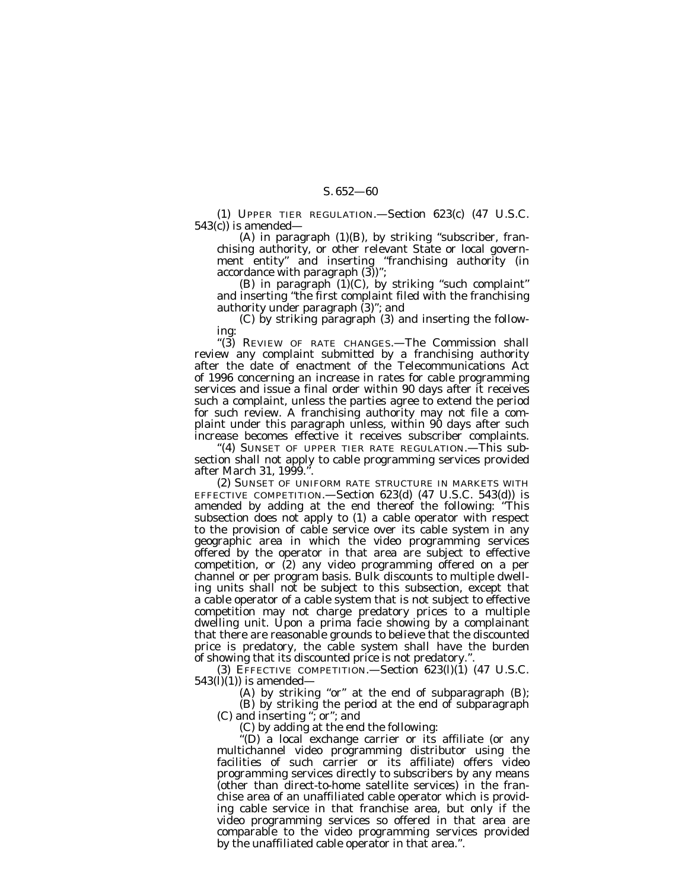(1) UPPER TIER REGULATION.—Section 623(c) (47 U.S.C. 543(c)) is amended—

(A) in paragraph (1)(B), by striking ''subscriber, franchising authority, or other relevant State or local government entity'' and inserting ''franchising authority (in accordance with paragraph (3))'';

(B) in paragraph  $(1)(C)$ , by striking "such complaint" and inserting ''the first complaint filed with the franchising authority under paragraph (3)''; and

(C) by striking paragraph (3) and inserting the following:

''(3) REVIEW OF RATE CHANGES.—The Commission shall review any complaint submitted by a franchising authority after the date of enactment of the Telecommunications Act of 1996 concerning an increase in rates for cable programming services and issue a final order within 90 days after it receives such a complaint, unless the parties agree to extend the period for such review. A franchising authority may not file a complaint under this paragraph unless, within 90 days after such increase becomes effective it receives subscriber complaints.

"(4) SUNSET OF UPPER TIER RATE REGULATION.—This subsection shall not apply to cable programming services provided after March 31, 1999.''.

(2) SUNSET OF UNIFORM RATE STRUCTURE IN MARKETS WITH EFFECTIVE COMPETITION.—Section 623(d) (47 U.S.C. 543(d)) is amended by adding at the end thereof the following: ''This subsection does not apply to (1) a cable operator with respect to the provision of cable service over its cable system in any geographic area in which the video programming services offered by the operator in that area are subject to effective competition, or (2) any video programming offered on a per channel or per program basis. Bulk discounts to multiple dwelling units shall not be subject to this subsection, except that a cable operator of a cable system that is not subject to effective competition may not charge predatory prices to a multiple dwelling unit. Upon a prima facie showing by a complainant that there are reasonable grounds to believe that the discounted price is predatory, the cable system shall have the burden of showing that its discounted price is not predatory.'

(3) EFFECTIVE COMPETITION.—Section 623(l)(1) (47 U.S.C.  $543(l)(1)$ ) is amended—

> (A) by striking "or" at the end of subparagraph  $(B)$ ; (B) by striking the period at the end of subparagraph

(C) and inserting ''; or''; and

(C) by adding at the end the following:

''(D) a local exchange carrier or its affiliate (or any multichannel video programming distributor using the facilities of such carrier or its affiliate) offers video programming services directly to subscribers by any means (other than direct-to-home satellite services) in the franchise area of an unaffiliated cable operator which is providing cable service in that franchise area, but only if the video programming services so offered in that area are comparable to the video programming services provided by the unaffiliated cable operator in that area.''.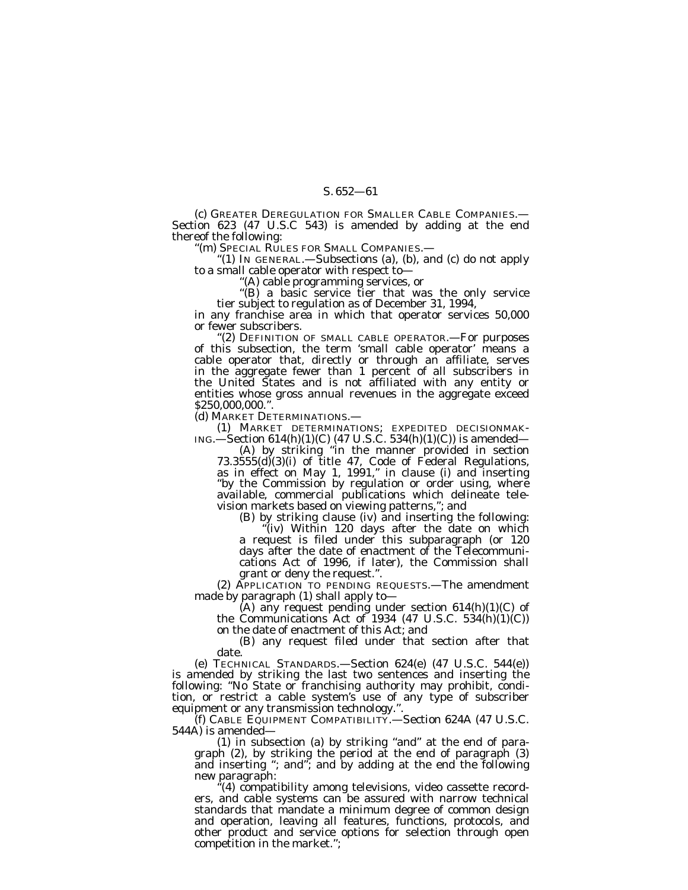(c) GREATER DEREGULATION FOR SMALLER CABLE COMPANIES.— Section 623 (47 U.S.C 543) is amended by adding at the end thereof the following:

''(m) SPECIAL RULES FOR SMALL COMPANIES.—

''(1) IN GENERAL.—Subsections (a), (b), and (c) do not apply to a small cable operator with respect to—

''(A) cable programming services, or

"(B) a basic service tier that was the only service tier subject to regulation as of December 31, 1994,

in any franchise area in which that operator services 50,000 or fewer subscribers.

(2) DEFINITION OF SMALL CABLE OPERATOR.—For purposes of this subsection, the term 'small cable operator' means a cable operator that, directly or through an affiliate, serves in the aggregate fewer than 1 percent of all subscribers in the United States and is not affiliated with any entity or entities whose gross annual revenues in the aggregate exceed \$250,000,000.''.

(d) MARKET DETERMINATIONS.—

(1) MARKET DETERMINATIONS; EXPEDITED DECISIONMAK-ING.—Section 614(h)(1)(C) (47 U.S.C. 534(h)(1)(C)) is amended—

(A) by striking ''in the manner provided in section 73.3555(d)(3)(i) of title 47, Code of Federal Regulations, as in effect on May 1, 1991,'' in clause (i) and inserting ''by the Commission by regulation or order using, where available, commercial publications which delineate tele-

vision markets based on viewing patterns,"; and<br>(B) by striking clause (iv) and inserting the following:

"(iv) Within 120 days after the date on which a request is filed under this subparagraph (or 120 days after the date of enactment of the Telecommunications Act of 1996, if later), the Commission shall

(2) APPLICATION TO PENDING REQUESTS.—The amendment made by paragraph (1) shall apply to—

(A) any request pending under section  $614(h)(1)(C)$  of the Communications Act of 1934 (47 U.S.C. 534(h)(1)(C)) on the date of enactment of this Act; and

(B) any request filed under that section after that

date.

(e) TECHNICAL STANDARDS.—Section 624(e) (47 U.S.C. 544(e)) is amended by striking the last two sentences and inserting the following: ''No State or franchising authority may prohibit, condition, or restrict a cable system's use of any type of subscriber equipment or any transmission technology.''.

(f) CABLE EQUIPMENT COMPATIBILITY.—Section 624A (47 U.S.C. 544A) is amended—

(1) in subsection (a) by striking ''and'' at the end of paragraph (2), by striking the period at the end of paragraph (3) and inserting ''; and''; and by adding at the end the following new paragraph:

 $(4)$  compatibility among televisions, video cassette recorders, and cable systems can be assured with narrow technical standards that mandate a minimum degree of common design and operation, leaving all features, functions, protocols, and other product and service options for selection through open competition in the market.'';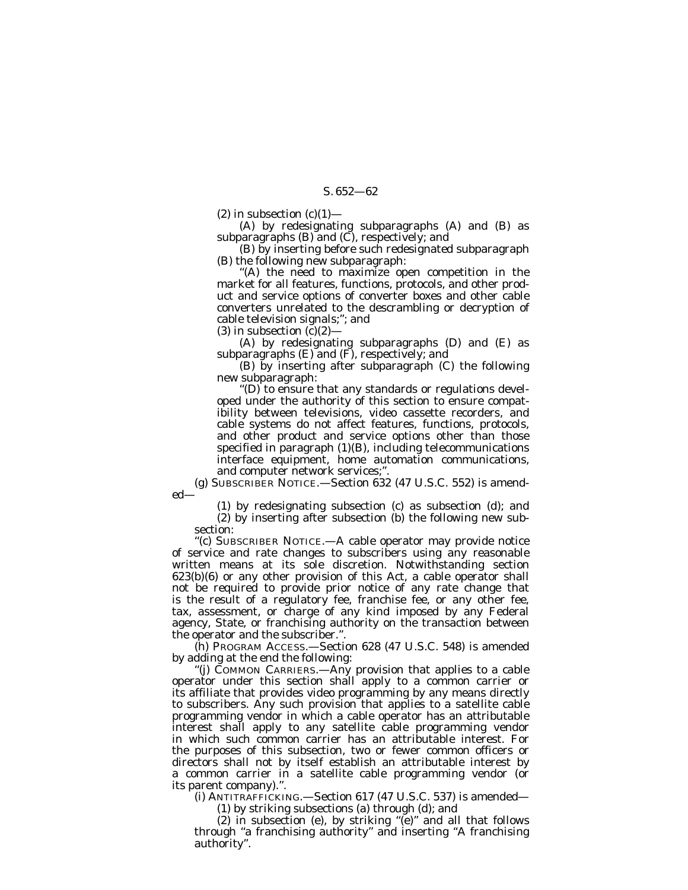(2) in subsection  $(c)(1)$ —

(A) by redesignating subparagraphs (A) and (B) as subparagraphs (B) and (C), respectively; and

(B) by inserting before such redesignated subparagraph (B) the following new subparagraph:

''(A) the need to maximize open competition in the market for all features, functions, protocols, and other product and service options of converter boxes and other cable converters unrelated to the descrambling or decryption of cable television signals;''; and

(3) in subsection  $(c)(2)$ –

(A) by redesignating subparagraphs (D) and (E) as subparagraphs (E) and (F), respectively; and

(B) by inserting after subparagraph (C) the following new subparagraph:

"(D) to ensure that any standards or regulations developed under the authority of this section to ensure compatibility between televisions, video cassette recorders, and cable systems do not affect features, functions, protocols, and other product and service options other than those specified in paragraph (1)(B), including telecommunications interface equipment, home automation communications, and computer network services;''.

(g) SUBSCRIBER NOTICE.—Section 632 (47 U.S.C. 552) is amended—

(1) by redesignating subsection (c) as subsection (d); and (2) by inserting after subsection (b) the following new subsection:

''(c) SUBSCRIBER NOTICE.—A cable operator may provide notice of service and rate changes to subscribers using any reasonable written means at its sole discretion. Notwithstanding section 623(b)(6) or any other provision of this Act, a cable operator shall not be required to provide prior notice of any rate change that is the result of a regulatory fee, franchise fee, or any other fee, tax, assessment, or charge of any kind imposed by any Federal agency, State, or franchising authority on the transaction between the operator and the subscriber.''.

(h) PROGRAM ACCESS.—Section 628 (47 U.S.C. 548) is amended by adding at the end the following:

''(j) COMMON CARRIERS.—Any provision that applies to a cable operator under this section shall apply to a common carrier or its affiliate that provides video programming by any means directly to subscribers. Any such provision that applies to a satellite cable programming vendor in which a cable operator has an attributable interest shall apply to any satellite cable programming vendor in which such common carrier has an attributable interest. For the purposes of this subsection, two or fewer common officers or directors shall not by itself establish an attributable interest by a common carrier in a satellite cable programming vendor (or its parent company).''.

(i) ANTITRAFFICKING.—Section 617 (47 U.S.C. 537) is amended—

(1) by striking subsections (a) through (d); and

(2) in subsection (e), by striking ''(e)'' and all that follows through ''a franchising authority'' and inserting ''A franchising authority''.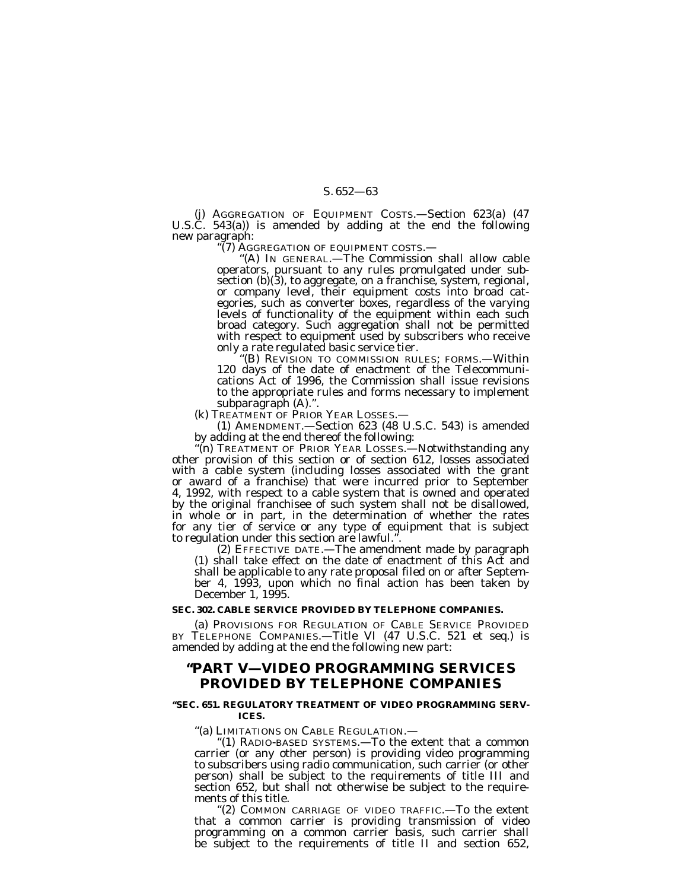(j) AGGREGATION OF EQUIPMENT COSTS.—Section 623(a) (47 U.S.C. 543(a)) is amended by adding at the end the following new paragraph:<br>
"(7) AGGREGATION OF EQUIPMENT COSTS.—<br>
"(A) IN GENERAL.—The Commission shall allow cable

operators, pursuant to any rules promulgated under subsection (b)(3), to aggregate, on a franchise, system, regional, or company level, their equipment costs into broad categories, such as converter boxes, regardless of the varying levels of functionality of the equipment within each such broad category. Such aggregation shall not be permitted with respect to equipment used by subscribers who receive only a rate regulated basic service tier.

'(B) REVISION TO COMMISSION RULES; FORMS.—Within 120 days of the date of enactment of the Telecommunications Act of 1996, the Commission shall issue revisions to the appropriate rules and forms necessary to implement subparagraph (A).".<br>(k) TREATMENT OF PRIOR YEAR LOSSES.-

(1)  $AMENDMENT. - Section 623 (48 U.S.C. 543)$  is amended by adding at the end thereof the following:

''(n) TREATMENT OF PRIOR YEAR LOSSES.—Notwithstanding any other provision of this section or of section 612, losses associated with a cable system (including losses associated with the grant or award of a franchise) that were incurred prior to September 4, 1992, with respect to a cable system that is owned and operated by the original franchisee of such system shall not be disallowed, in whole or in part, in the determination of whether the rates for any tier of service or any type of equipment that is subject

to regulation under this section are lawful.".<br>(2) EFFECTIVE DATE.—The amendment made by paragraph (1) shall take effect on the date of enactment of this Act and shall be applicable to any rate proposal filed on or after September 4, 1993, upon which no final action has been taken by December 1, 1995.

#### **SEC. 302. CABLE SERVICE PROVIDED BY TELEPHONE COMPANIES.**

(a) PROVISIONS FOR REGULATION OF CABLE SERVICE PROVIDED BY TELEPHONE COMPANIES.—Title VI (47 U.S.C. 521 et seq.) is amended by adding at the end the following new part:

# **''PART V—VIDEO PROGRAMMING SERVICES PROVIDED BY TELEPHONE COMPANIES**

### **''SEC. 651. REGULATORY TREATMENT OF VIDEO PROGRAMMING SERV-ICES.**

''(a) LIMITATIONS ON CABLE REGULATION.— ''(1) RADIO-BASED SYSTEMS.—To the extent that a common carrier (or any other person) is providing video programming to subscribers using radio communication, such carrier (or other person) shall be subject to the requirements of title III and section 652, but shall not otherwise be subject to the requirements of this title.

''(2) COMMON CARRIAGE OF VIDEO TRAFFIC.—To the extent that a common carrier is providing transmission of video programming on a common carrier basis, such carrier shall be subject to the requirements of title II and section 652,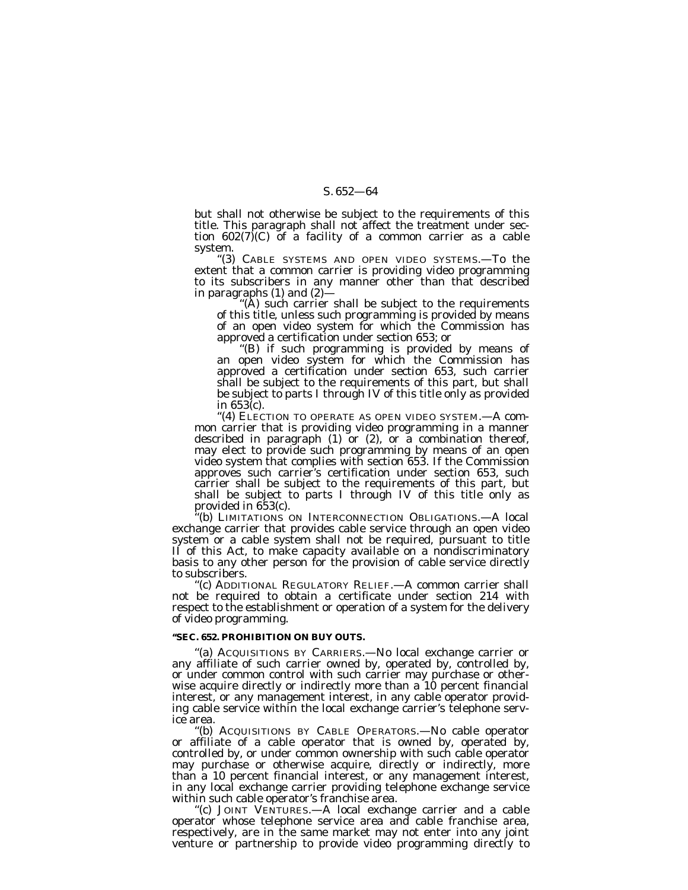but shall not otherwise be subject to the requirements of this title. This paragraph shall not affect the treatment under section  $602(7)(C)$  of a facility of a common carrier as a cable system.

''(3) CABLE SYSTEMS AND OPEN VIDEO SYSTEMS.—To the extent that a common carrier is providing video programming to its subscribers in any manner other than that described in paragraphs (1) and (2)—

''(A) such carrier shall be subject to the requirements of this title, unless such programming is provided by means of an open video system for which the Commission has approved a certification under section 653; or

''(B) if such programming is provided by means of an open video system for which the Commission has approved a certification under section 653, such carrier shall be subject to the requirements of this part, but shall be subject to parts I through IV of this title only as provided in 653(c).

''(4) ELECTION TO OPERATE AS OPEN VIDEO SYSTEM.—A common carrier that is providing video programming in a manner described in paragraph (1) or (2), or a combination thereof, may elect to provide such programming by means of an open video system that complies with section 653. If the Commission approves such carrier's certification under section 653, such carrier shall be subject to the requirements of this part, but shall be subject to parts I through IV of this title only as provided in 653(c).

''(b) LIMITATIONS ON INTERCONNECTION OBLIGATIONS.—A local exchange carrier that provides cable service through an open video system or a cable system shall not be required, pursuant to title II of this Act, to make capacity available on a nondiscriminatory basis to any other person for the provision of cable service directly to subscribers.

''(c) ADDITIONAL REGULATORY RELIEF.—A common carrier shall not be required to obtain a certificate under section 214 with respect to the establishment or operation of a system for the delivery of video programming.

### **''SEC. 652. PROHIBITION ON BUY OUTS.**

''(a) ACQUISITIONS BY CARRIERS.—No local exchange carrier or any affiliate of such carrier owned by, operated by, controlled by, or under common control with such carrier may purchase or otherwise acquire directly or indirectly more than a 10 percent financial interest, or any management interest, in any cable operator providing cable service within the local exchange carrier's telephone service area.

''(b) ACQUISITIONS BY CABLE OPERATORS.—No cable operator or affiliate of a cable operator that is owned by, operated by, controlled by, or under common ownership with such cable operator may purchase or otherwise acquire, directly or indirectly, more than a 10 percent financial interest, or any management interest, in any local exchange carrier providing telephone exchange service within such cable operator's franchise area.

''(c) JOINT VENTURES.—A local exchange carrier and a cable operator whose telephone service area and cable franchise area, respectively, are in the same market may not enter into any joint venture or partnership to provide video programming directly to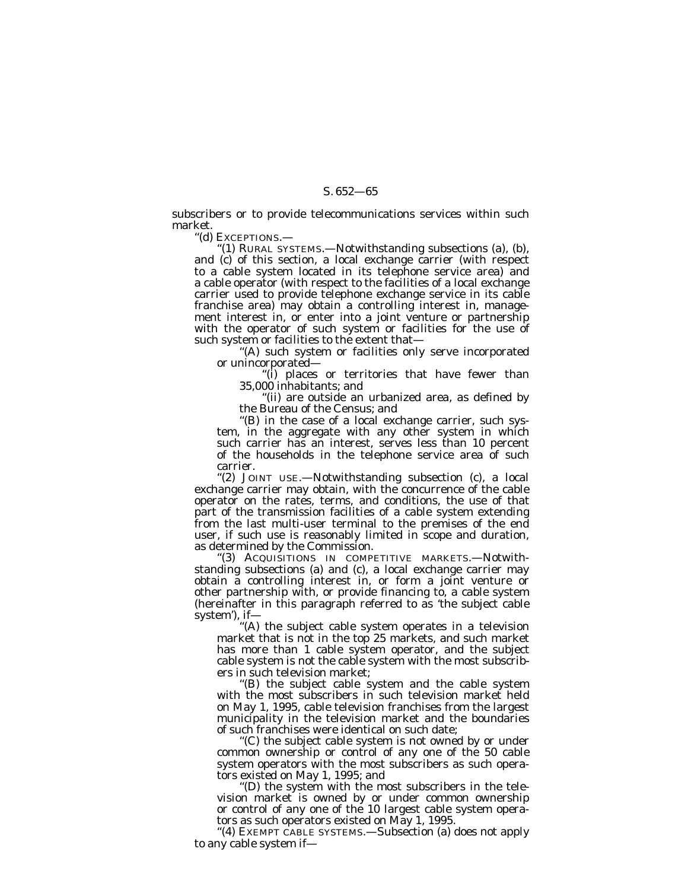subscribers or to provide telecommunications services within such market.

''(d) EXCEPTIONS.—

''(1) RURAL SYSTEMS.—Notwithstanding subsections (a), (b), and (c) of this section, a local exchange carrier (with respect to a cable system located in its telephone service area) and a cable operator (with respect to the facilities of a local exchange carrier used to provide telephone exchange service in its cable franchise area) may obtain a controlling interest in, management interest in, or enter into a joint venture or partnership with the operator of such system or facilities for the use of such system or facilities to the extent that—

''(A) such system or facilities only serve incorporated or unincorporated—

''(i) places or territories that have fewer than 35,000 inhabitants; and

'(ii) are outside an urbanized area, as defined by the Bureau of the Census; and

''(B) in the case of a local exchange carrier, such system, in the aggregate with any other system in which such carrier has an interest, serves less than 10 percent of the households in the telephone service area of such carrier.

''(2) JOINT USE.—Notwithstanding subsection (c), a local exchange carrier may obtain, with the concurrence of the cable operator on the rates, terms, and conditions, the use of that part of the transmission facilities of a cable system extending from the last multi-user terminal to the premises of the end user, if such use is reasonably limited in scope and duration, as determined by the Commission.

''(3) ACQUISITIONS IN COMPETITIVE MARKETS.—Notwithstanding subsections (a) and (c), a local exchange carrier may obtain a controlling interest in, or form a joint venture or other partnership with, or provide financing to, a cable system (hereinafter in this paragraph referred to as 'the subject cable system'), if—

'(A) the subject cable system operates in a television market that is not in the top 25 markets, and such market has more than 1 cable system operator, and the subject cable system is not the cable system with the most subscribers in such television market;

'(B) the subject cable system and the cable system with the most subscribers in such television market held on May 1, 1995, cable television franchises from the largest municipality in the television market and the boundaries of such franchises were identical on such date;

'(C) the subject cable system is not owned by or under common ownership or control of any one of the 50 cable system operators with the most subscribers as such operators existed on May 1, 1995; and

''(D) the system with the most subscribers in the television market is owned by or under common ownership or control of any one of the 10 largest cable system operators as such operators existed on May 1, 1995.

''(4) EXEMPT CABLE SYSTEMS.—Subsection (a) does not apply to any cable system if—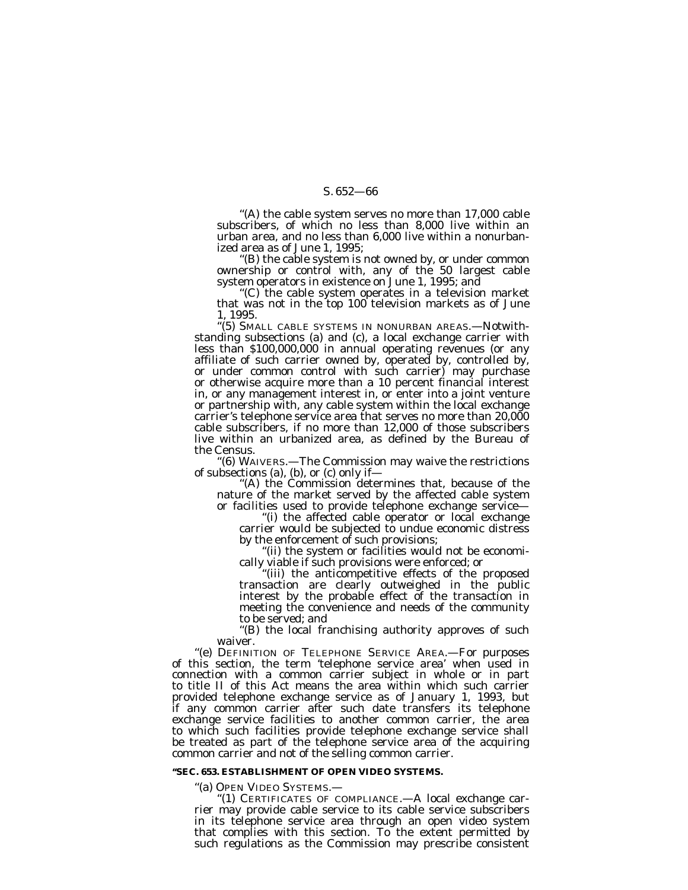''(A) the cable system serves no more than 17,000 cable subscribers, of which no less than 8,000 live within an urban area, and no less than 6,000 live within a nonurbanized area as of June 1, 1995;

''(B) the cable system is not owned by, or under common ownership or control with, any of the 50 largest cable system operators in existence on June 1, 1995; and

''(C) the cable system operates in a television market that was not in the top 100 television markets as of June 1, 1995.

''(5) SMALL CABLE SYSTEMS IN NONURBAN AREAS.—Notwithstanding subsections (a) and (c), a local exchange carrier with less than \$100,000,000 in annual operating revenues (or any affiliate of such carrier owned by, operated by, controlled by, or under common control with such carrier) may purchase or otherwise acquire more than a 10 percent financial interest in, or any management interest in, or enter into a joint venture or partnership with, any cable system within the local exchange carrier's telephone service area that serves no more than 20,000 cable subscribers, if no more than 12,000 of those subscribers live within an urbanized area, as defined by the Bureau of the Census.

'(6) WAIVERS.—The Commission may waive the restrictions of subsections (a), (b), or (c) only if—

''(A) the Commission determines that, because of the nature of the market served by the affected cable system or facilities used to provide telephone exchange service—

''(i) the affected cable operator or local exchange carrier would be subjected to undue economic distress by the enforcement of such provisions;

"(ii) the system or facilities would not be economi-<br>cally viable if such provisions were enforced; or

"(iii) the anticompetitive effects of the proposed transaction are clearly outweighed in the public interest by the probable effect of the transaction in meeting the convenience and needs of the community to be served; and

''(B) the local franchising authority approves of such waiver.

''(e) DEFINITION OF TELEPHONE SERVICE AREA.—For purposes of this section, the term 'telephone service area' when used in connection with a common carrier subject in whole or in part to title II of this Act means the area within which such carrier provided telephone exchange service as of January 1, 1993, but if any common carrier after such date transfers its telephone exchange service facilities to another common carrier, the area to which such facilities provide telephone exchange service shall be treated as part of the telephone service area of the acquiring common carrier and not of the selling common carrier.

### **''SEC. 653. ESTABLISHMENT OF OPEN VIDEO SYSTEMS.**

''(a) OPEN VIDEO SYSTEMS.—

''(1) CERTIFICATES OF COMPLIANCE.—A local exchange carrier may provide cable service to its cable service subscribers in its telephone service area through an open video system that complies with this section. To the extent permitted by such regulations as the Commission may prescribe consistent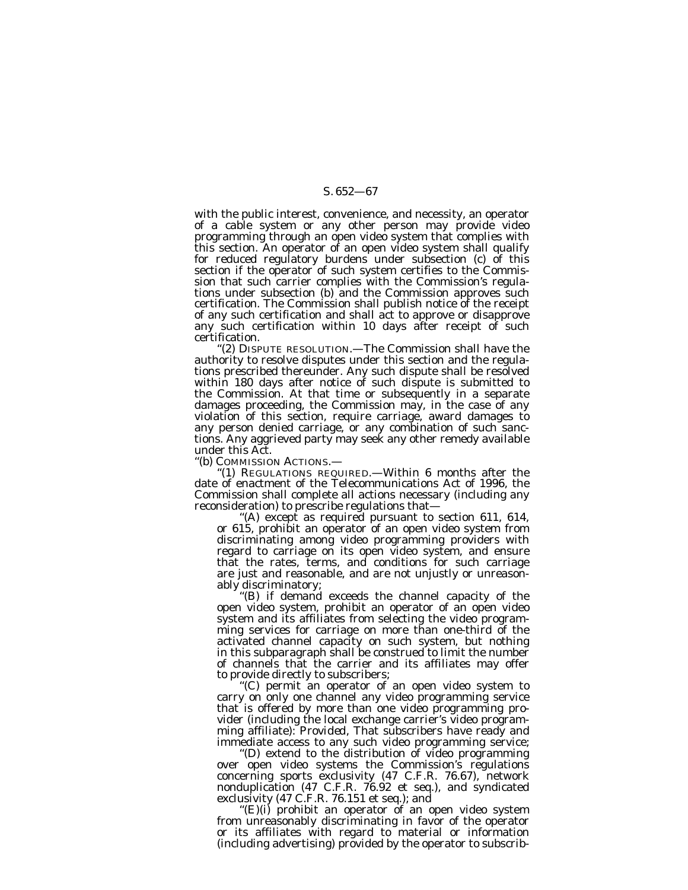with the public interest, convenience, and necessity, an operator of a cable system or any other person may provide video programming through an open video system that complies with this section. An operator of an open video system shall qualify for reduced regulatory burdens under subsection (c) of this section if the operator of such system certifies to the Commission that such carrier complies with the Commission's regulations under subsection (b) and the Commission approves such certification. The Commission shall publish notice of the receipt of any such certification and shall act to approve or disapprove any such certification within 10 days after receipt of such certification.

(2) DISPUTE RESOLUTION.—The Commission shall have the authority to resolve disputes under this section and the regulations prescribed thereunder. Any such dispute shall be resolved within 180 days after notice of such dispute is submitted to the Commission. At that time or subsequently in a separate damages proceeding, the Commission may, in the case of any violation of this section, require carriage, award damages to any person denied carriage, or any combination of such sanctions. Any aggrieved party may seek any other remedy available under this Act.

''(b) COMMISSION ACTIONS.—

''(1) REGULATIONS REQUIRED.—Within 6 months after the date of enactment of the Telecommunications Act of 1996, the Commission shall complete all actions necessary (including any reconsideration) to prescribe regulations that—

''(A) except as required pursuant to section 611, 614, or 615, prohibit an operator of an open video system from discriminating among video programming providers with regard to carriage on its open video system, and ensure that the rates, terms, and conditions for such carriage are just and reasonable, and are not unjustly or unreasonably discriminatory;<br>"(B) if demand exceeds the channel capacity of the

open video system, prohibit an operator of an open video system and its affiliates from selecting the video programming services for carriage on more than one-third of the activated channel capacity on such system, but nothing in this subparagraph shall be construed to limit the number of channels that the carrier and its affiliates may offer to provide directly to subscribers;<br>"(C) permit an operator of an open video system to

carry on only one channel any video programming service that is offered by more than one video programming provider (including the local exchange carrier's video programming affiliate): *Provided,* That subscribers have ready and immediate access to any such video programming service;

''(D) extend to the distribution of video programming over open video systems the Commission's regulations concerning sports exclusivity (47 C.F.R. 76.67), network nonduplication (47 C.F.R. 76.92 et seq.), and syndicated exclusivity (47 C.F.R. 76.151 et seq.); and

" $(E)(i)$  prohibit an operator of an open video system from unreasonably discriminating in favor of the operator or its affiliates with regard to material or information (including advertising) provided by the operator to subscrib-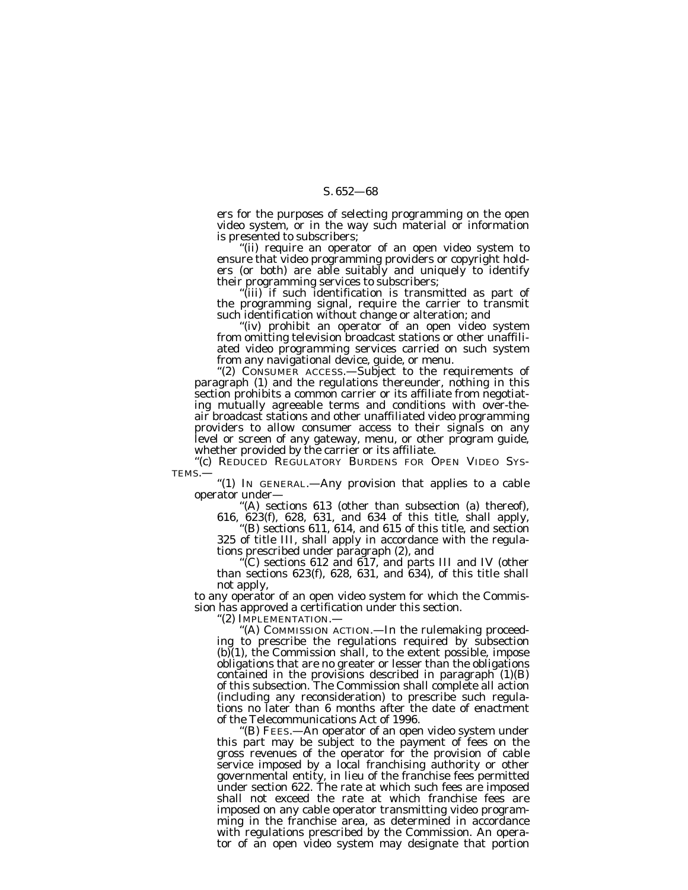ers for the purposes of selecting programming on the open video system, or in the way such material or information is presented to subscribers;

''(ii) require an operator of an open video system to ensure that video programming providers or copyright holders (or both) are able suitably and uniquely to identify their programming services to subscribers;

''(iii) if such identification is transmitted as part of the programming signal, require the carrier to transmit such identification without change or alteration; and

"(iv) prohibit an operator of an open video system from omitting television broadcast stations or other unaffiliated video programming services carried on such system from any navigational device, guide, or menu.

"(2) CONSUMER ACCESS.—Subject to the requirements of paragraph (1) and the regulations thereunder, nothing in this section prohibits a common carrier or its affiliate from negotiating mutually agreeable terms and conditions with over-theair broadcast stations and other unaffiliated video programming providers to allow consumer access to their signals on any level or screen of any gateway, menu, or other program guide, whether provided by the carrier or its affiliate.

''(c) REDUCED REGULATORY BURDENS FOR OPEN VIDEO SYS-TEMS.—

''(1) IN GENERAL.—Any provision that applies to a cable operator under—

"(A) sections 613 (other than subsection (a) thereof),

616,  $\frac{623(f)}{628}$ , 631, and 634 of this title, shall apply, "(B) sections 611, 614, and 615 of this title, and section 325 of title III, shall apply in accordance with the regula-

tions prescribed under paragraph (2), and<br>"(C) sections 612 and 617, and parts III and IV (other than sections 623(f), 628, 631, and 634), of this title shall not apply,

to any operator of an open video system for which the Commission has approved a certification under this section.

''(2) IMPLEMENTATION.— ''(A) COMMISSION ACTION.—In the rulemaking proceeding to prescribe the regulations required by subsection (b)(1), the Commission shall, to the extent possible, impose obligations that are no greater or lesser than the obligations contained in the provisions described in paragraph (1)(B) of this subsection. The Commission shall complete all action (including any reconsideration) to prescribe such regulations no later than 6 months after the date of enactment of the Telecommunications Act of 1996.

'(B) FEES.—An operator of an open video system under this part may be subject to the payment of fees on the gross revenues of the operator for the provision of cable service imposed by a local franchising authority or other governmental entity, in lieu of the franchise fees permitted under section 622. The rate at which such fees are imposed shall not exceed the rate at which franchise fees are imposed on any cable operator transmitting video programming in the franchise area, as determined in accordance with regulations prescribed by the Commission. An operator of an open video system may designate that portion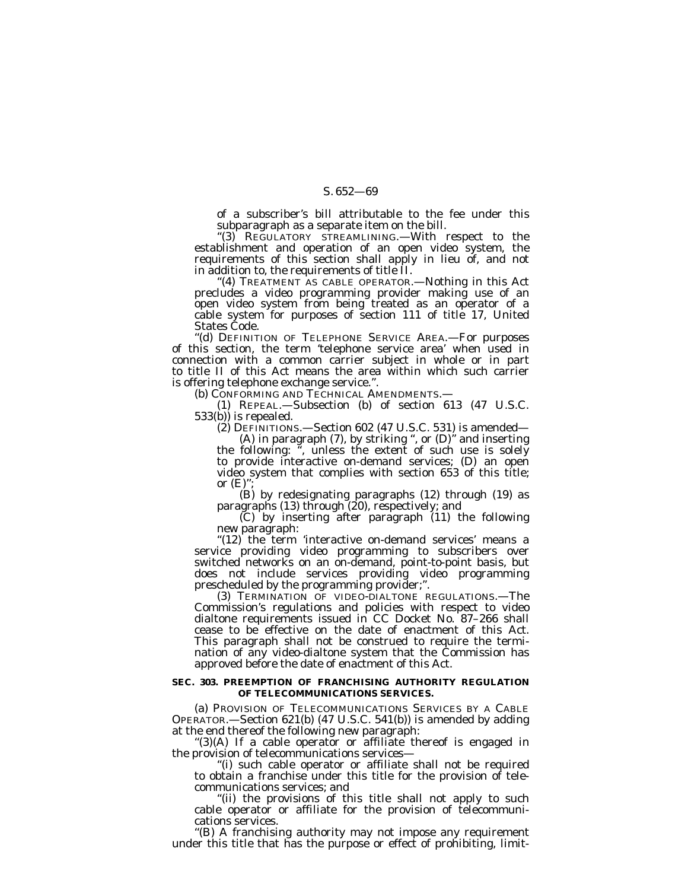of a subscriber's bill attributable to the fee under this subparagraph as a separate item on the bill.

''(3) REGULATORY STREAMLINING.—With respect to the establishment and operation of an open video system, the requirements of this section shall apply in lieu of, and not in addition to, the requirements of title II.

''(4) TREATMENT AS CABLE OPERATOR.—Nothing in this Act precludes a video programming provider making use of an open video system from being treated as an operator of a cable system for purposes of section 111 of title 17, United States Code.

''(d) DEFINITION OF TELEPHONE SERVICE AREA.—For purposes of this section, the term 'telephone service area' when used in connection with a common carrier subject in whole or in part to title II of this Act means the area within which such carrier is offering telephone exchange service.''.

(b) CONFORMING AND TECHNICAL AMENDMENTS.—

(1) REPEAL.—Subsection (b) of section 613 (47 U.S.C. 533(b)) is repealed.

(2) DEFINITIONS.—Section 602 (47 U.S.C. 531) is amended—

(A) in paragraph (7), by striking ", or (D)" and inserting the following: ", unless the extent of such use is solely to provide interactive on-demand services; (D) an open video system that complies with section 653 of this title; or  $(E)$ "

(B) by redesignating paragraphs (12) through (19) as paragraphs (13) through (20), respectively; and

(C) by inserting after paragraph (11) the following new paragraph:

"(12) the term 'interactive on-demand services' means a service providing video programming to subscribers over switched networks on an on-demand, point-to-point basis, but does not include services providing video programming<br>prescheduled by the programming provider;".

(3) TERMINATION OF VIDEO-DIALTONE REGULATIONS.—The Commission's regulations and policies with respect to video dialtone requirements issued in CC Docket No. 87–266 shall cease to be effective on the date of enactment of this Act. This paragraph shall not be construed to require the termination of any video-dialtone system that the Commission has approved before the date of enactment of this Act.

### **SEC. 303. PREEMPTION OF FRANCHISING AUTHORITY REGULATION OF TELECOMMUNICATIONS SERVICES.**

(a) PROVISION OF TELECOMMUNICATIONS SERVICES BY A CABLE OPERATOR.—Section 621(b) (47 U.S.C. 541(b)) is amended by adding at the end thereof the following new paragraph:

 $'(3)(A)$  If a cable operator or affiliate thereof is engaged in the provision of telecommunications services—

''(i) such cable operator or affiliate shall not be required to obtain a franchise under this title for the provision of telecommunications services; and

''(ii) the provisions of this title shall not apply to such cable operator or affiliate for the provision of telecommunications services.

''(B) A franchising authority may not impose any requirement under this title that has the purpose or effect of prohibiting, limit-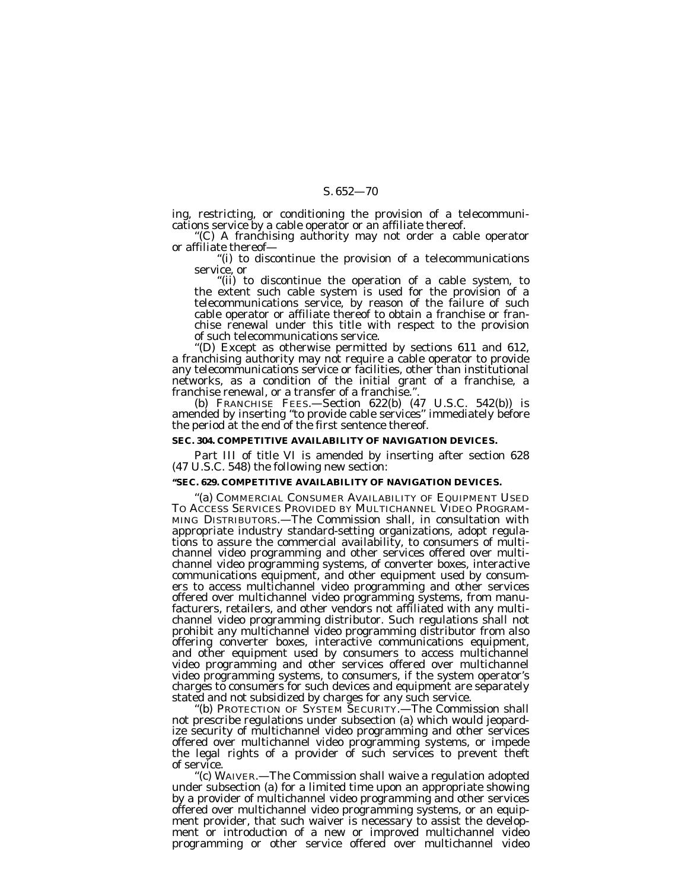ing, restricting, or conditioning the provision of a telecommuni-

"(C) A franchising authority may not order a cable operator or affiliate thereof—

''(i) to discontinue the provision of a telecommunications

service, or<br>"(ii) to discontinue the operation of a cable system, to the extent such cable system is used for the provision of a telecommunications service, by reason of the failure of such cable operator or affiliate thereof to obtain a franchise or franchise renewal under this title with respect to the provision of such telecommunications service.<br>"(D) Except as otherwise permitted by sections 611 and 612,

a franchising authority may not require a cable operator to provide any telecommunications service or facilities, other than institutional networks, as a condition of the initial grant of a franchise, a franchise renewal, or a transfer of a franchise.''.

(b) FRANCHISE FEES.—Section 622(b) (47 U.S.C. 542(b)) is amended by inserting ''to provide cable services'' immediately before the period at the end of the first sentence thereof.

#### **SEC. 304. COMPETITIVE AVAILABILITY OF NAVIGATION DEVICES.**

Part III of title VI is amended by inserting after section 628 (47 U.S.C. 548) the following new section:

### **''SEC. 629. COMPETITIVE AVAILABILITY OF NAVIGATION DEVICES.**

''(a) COMMERCIAL CONSUMER AVAILABILITY OF EQUIPMENT USED TO ACCESS SERVICES PROVIDED BY MULTICHANNEL VIDEO PROGRAM- MING DISTRIBUTORS.—The Commission shall, in consultation with appropriate industry standard-setting organizations, adopt regulations to assure the commercial availability, to consumers of multichannel video programming and other services offered over multichannel video programming systems, of converter boxes, interactive communications equipment, and other equipment used by consumers to access multichannel video programming and other services offered over multichannel video programming systems, from manufacturers, retailers, and other vendors not affiliated with any multichannel video programming distributor. Such regulations shall not prohibit any multichannel video programming distributor from also offering converter boxes, interactive communications equipment, and other equipment used by consumers to access multichannel video programming and other services offered over multichannel video programming systems, to consumers, if the system operator's charges to consumers for such devices and equipment are separately stated and not subsidized by charges for any such service. ''(b) PROTECTION OF SYSTEM SECURITY.—The Commission shall

not prescribe regulations under subsection (a) which would jeopardize security of multichannel video programming and other services offered over multichannel video programming systems, or impede the legal rights of a provider of such services to prevent theft of service.

''(c) WAIVER.—The Commission shall waive a regulation adopted under subsection (a) for a limited time upon an appropriate showing by a provider of multichannel video programming and other services offered over multichannel video programming systems, or an equipment provider, that such waiver is necessary to assist the development or introduction of a new or improved multichannel video programming or other service offered over multichannel video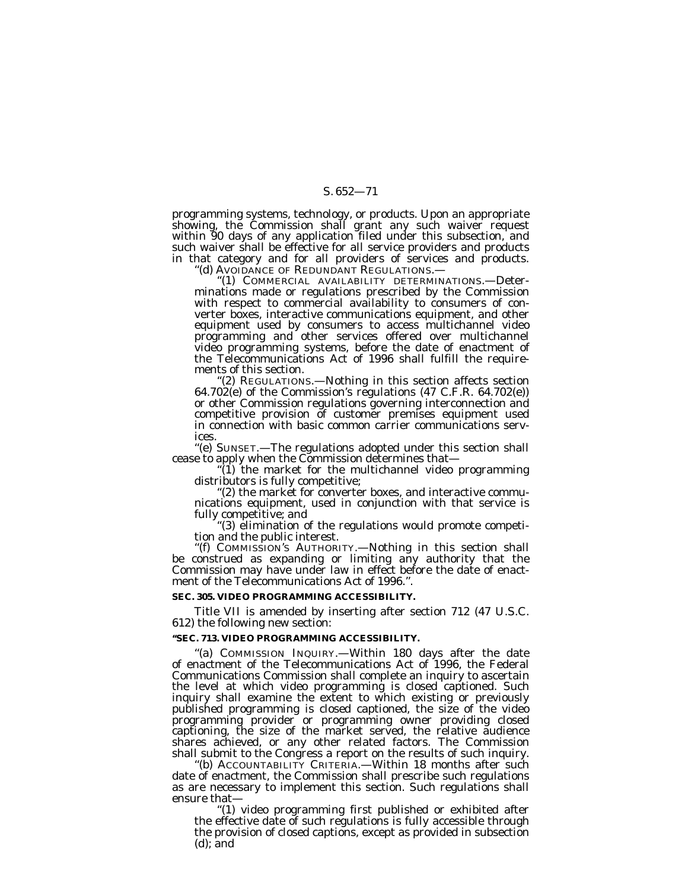programming systems, technology, or products. Upon an appropriate showing, the Commission shall grant any such waiver request within 90 days of any application filed under this subsection, and such waiver shall be effective for all service providers and products in that category and for all providers of services and products.<br>
"(d) AVOIDANCE OF REDUNDANT REGULATIONS.—<br>
"(1) COMMERCIAL AVAILABILITY DETERMINATIONS.—Deter-

minations made or regulations prescribed by the Commission with respect to commercial availability to consumers of converter boxes, interactive communications equipment, and other equipment used by consumers to access multichannel video programming and other services offered over multichannel video programming systems, before the date of enactment of the Telecommunications Act of 1996 shall fulfill the requirements of this section.<br>
"(2) REGULATIONS.—Nothing in this section affects section

 $64.702(e)$  of the Commission's regulations (47 C.F.R. 64.702 $(e)$ ) or other Commission regulations governing interconnection and competitive provision of customer premises equipment used in connection with basic common carrier communications services.<br>"(e) SUNSET.—The regulations adopted under this section shall

cease to apply when the Commission determines that—<br>"(1) the market for the multichannel video programming<br>distributors is fully competitive;<br>"(2) the market for converter boxes, and interactive commu-

nications equipment, used in conjunction with that service is

"(3) elimination of the regulations would promote competition and the public interest.<br>"(f) COMMISSION'S AUTHORITY.—Nothing in this section shall

be construed as expanding or limiting any authority that the Commission may have under law in effect before the date of enactment of the Telecommunications Act of 1996.''.

#### **SEC. 305. VIDEO PROGRAMMING ACCESSIBILITY.**

Title VII is amended by inserting after section 712 (47 U.S.C. 612) the following new section:

### **''SEC. 713. VIDEO PROGRAMMING ACCESSIBILITY.**

''(a) COMMISSION INQUIRY.—Within 180 days after the date of enactment of the Telecommunications Act of 1996, the Federal Communications Commission shall complete an inquiry to ascertain the level at which video programming is closed captioned. Such inquiry shall examine the extent to which existing or previously published programming is closed captioned, the size of the video programming provider or programming owner providing closed captioning, the size of the market served, the relative audience shares achieved, or any other related factors. The Commission shall submit to the Congress a report on the results of such inquiry.

''(b) ACCOUNTABILITY CRITERIA.—Within 18 months after such date of enactment, the Commission shall prescribe such regulations as are necessary to implement this section. Such regulations shall ensure that—

''(1) video programming first published or exhibited after the effective date of such regulations is fully accessible through the provision of closed captions, except as provided in subsection (d); and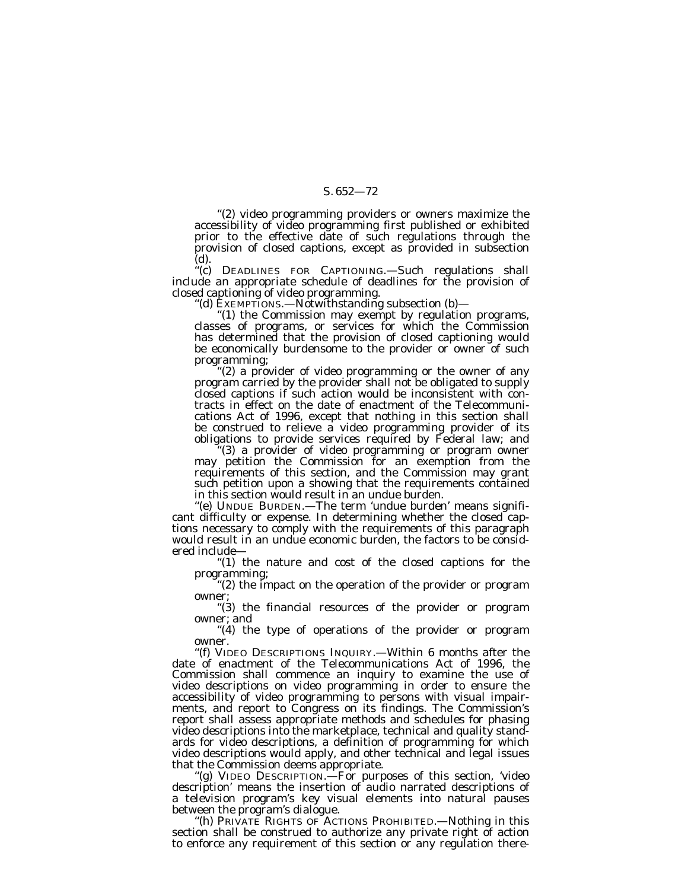''(2) video programming providers or owners maximize the accessibility of video programming first published or exhibited prior to the effective date of such regulations through the provision of closed captions, except as provided in subsection (d).

''(c) DEADLINES FOR CAPTIONING.—Such regulations shall include an appropriate schedule of deadlines for the provision of closed captioning of video programming.

''(d) EXEMPTIONS.—Notwithstanding subsection (b)—

''(1) the Commission may exempt by regulation programs, classes of programs, or services for which the Commission has determined that the provision of closed captioning would be economically burdensome to the provider or owner of such programming;

 $f(2)$  a provider of video programming or the owner of any program carried by the provider shall not be obligated to supply closed captions if such action would be inconsistent with contracts in effect on the date of enactment of the Telecommunications Act of 1996, except that nothing in this section shall be construed to relieve a video programming provider of its obligations to provide services required by Federal law; and

''(3) a provider of video programming or program owner may petition the Commission for an exemption from the requirements of this section, and the Commission may grant such petition upon a showing that the requirements contained in this section would result in an undue burden.

''(e) UNDUE BURDEN.—The term 'undue burden' means significant difficulty or expense. In determining whether the closed captions necessary to comply with the requirements of this paragraph would result in an undue economic burden, the factors to be considered include—

"(1) the nature and cost of the closed captions for the

programming;<br>"(2) the impact on the operation of the provider or program owner;

''(3) the financial resources of the provider or program owner; and

''(4) the type of operations of the provider or program owner.

''(f) VIDEO DESCRIPTIONS INQUIRY.—Within 6 months after the date of enactment of the Telecommunications Act of 1996, the Commission shall commence an inquiry to examine the use of video descriptions on video programming in order to ensure the accessibility of video programming to persons with visual impairments, and report to Congress on its findings. The Commission's report shall assess appropriate methods and schedules for phasing video descriptions into the marketplace, technical and quality standards for video descriptions, a definition of programming for which video descriptions would apply, and other technical and legal issues that the Commission deems appropriate.

''(g) VIDEO DESCRIPTION.—For purposes of this section, 'video description' means the insertion of audio narrated descriptions of a television program's key visual elements into natural pauses between the program's dialogue.

''(h) PRIVATE RIGHTS OF ACTIONS PROHIBITED.—Nothing in this section shall be construed to authorize any private right of action to enforce any requirement of this section or any regulation there-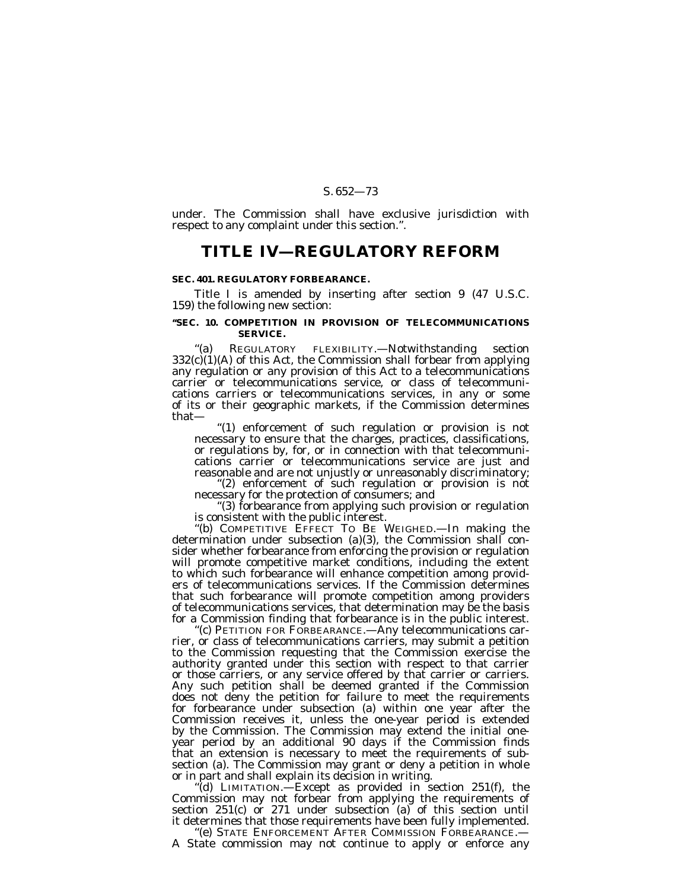under. The Commission shall have exclusive jurisdiction with respect to any complaint under this section.''.

# **TITLE IV—REGULATORY REFORM**

#### **SEC. 401. REGULATORY FORBEARANCE.**

Title I is amended by inserting after section 9 (47 U.S.C. 159) the following new section:

### **''SEC. 10. COMPETITION IN PROVISION OF TELECOMMUNICATIONS SERVICE.**

''(a) REGULATORY FLEXIBILITY.—Notwithstanding section  $332(c)(1)(A)$  of this Act, the Commission shall forbear from applying any regulation or any provision of this Act to a telecommunications carrier or telecommunications service, or class of telecommunications carriers or telecommunications services, in any or some of its or their geographic markets, if the Commission determines that—

''(1) enforcement of such regulation or provision is not necessary to ensure that the charges, practices, classifications, or regulations by, for, or in connection with that telecommunications carrier or telecommunications service are just and reasonable and are not unjustly or unreasonably discriminatory;

"(2) enforcement of such regulation or provision is not necessary for the protection of consumers; and

''(3) forbearance from applying such provision or regulation

is consistent with the public interest.<br>"(b) COMPETITIVE EFFECT TO BE WEIGHED.—In making the  $d$ etermination under subsection (a)(3), the Commission shall consider whether forbearance from enforcing the provision or regulation will promote competitive market conditions, including the extent to which such forbearance will enhance competition among providers of telecommunications services. If the Commission determines that such forbearance will promote competition among providers of telecommunications services, that determination may be the basis

for a Commission finding that forbearance is in the public interest. ''(c) PETITION FOR FORBEARANCE.—Any telecommunications carrier, or class of telecommunications carriers, may submit a petition to the Commission requesting that the Commission exercise the authority granted under this section with respect to that carrier or those carriers, or any service offered by that carrier or carriers. Any such petition shall be deemed granted if the Commission does not deny the petition for failure to meet the requirements for forbearance under subsection (a) within one year after the Commission receives it, unless the one-year period is extended by the Commission. The Commission may extend the initial oneyear period by an additional 90 days if the Commission finds that an extension is necessary to meet the requirements of subsection (a). The Commission may grant or deny a petition in whole or in part and shall explain its decision in writing.

''(d) LIMITATION.—Except as provided in section 251(f), the Commission may not forbear from applying the requirements of section  $251(c)$  or  $271$  under subsection (a) of this section until it determines that those requirements have been fully implemented.

''(e) STATE ENFORCEMENT AFTER COMMISSION FORBEARANCE.— A State commission may not continue to apply or enforce any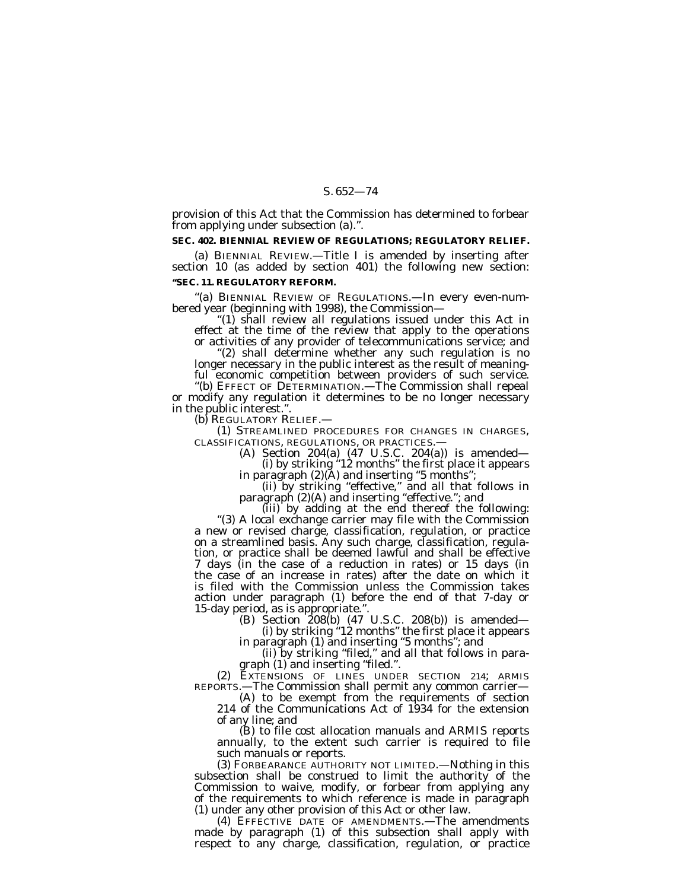provision of this Act that the Commission has determined to forbear from applying under subsection (a).''.

# **SEC. 402. BIENNIAL REVIEW OF REGULATIONS; REGULATORY RELIEF.**

(a) BIENNIAL REVIEW.—Title I is amended by inserting after section 10 (as added by section 401) the following new section: **''SEC. 11. REGULATORY REFORM.**

"(a) BIENNIAL REVIEW OF REGULATIONS.—In every even-num-<br>bered year (beginning with 1998), the Commission—<br>"(1) shall review all regulations issued under this Act in<br>effect at the time of the review that apply to the operat

"(2) shall determine whether any such regulation is no longer necessary in the public interest as the result of meaningful economic competition between providers of such service.

''(b) EFFECT OF DETERMINATION.—The Commission shall repeal or modify any regulation it determines to be no longer necessary in the public interest.".

(b) REGULATORY RELIEF.—<br>
(1) STREAMLINED PROCEDURES FOR CHANGES IN CHARGES,<br>
CLASSIFICATIONS, REGULATIONS, OR PRACTICES.—<br>
(A) Section 204(a) (47 U.S.C. 204(a)) is amended—<br>
(i) by striking "12 months" the first place it a

in paragraph  $(2)(A)$  and inserting "5 months";<br>
(ii) by striking "effective," and all that follows in<br>
paragraph  $(2)(A)$  and inserting "effective."; and<br>
(iii) by adding at the end thereof the following:<br>
"(3) A local exc on a streamlined basis. Any such charge, classification, regulation, or practice shall be deemed lawful and shall be effective 7 days (in the case of a reduction in rates) or 15 days (in the case of an increase in rates) after the date on which it is filed with the Commission unless the Commission takes action under paragraph (1) before the end of that 7-day or 15-day period, as is appropriate.''. (B) Section 208(b) (47 U.S.C. 208(b)) is amended—

(i) by striking "12 months" the first place it appears<br>in paragraph (1) and inserting "5 months"; and<br>(ii) by striking "filed," and all that follows in para-<br>graph (1) and inserting "filed.".<br>(2) EXTENSIONS OF LINES UNDER

REPORTS.—The Commission shall permit any common carrier—

(A) to be exempt from the requirements of section 214 of the Communications Act of 1934 for the extension

of any line; and (B) to file cost allocation manuals and ARMIS reports annually, to the extent such carrier is required to file such manuals or reports.

(3) FORBEARANCE AUTHORITY NOT LIMITED.—Nothing in this subsection shall be construed to limit the authority of the Commission to waive, modify, or forbear from applying any of the requirements to which reference is made in paragraph (1) under any other provision of this Act or other law.

(4) EFFECTIVE DATE OF AMENDMENTS.—The amendments made by paragraph (1) of this subsection shall apply with respect to any charge, classification, regulation, or practice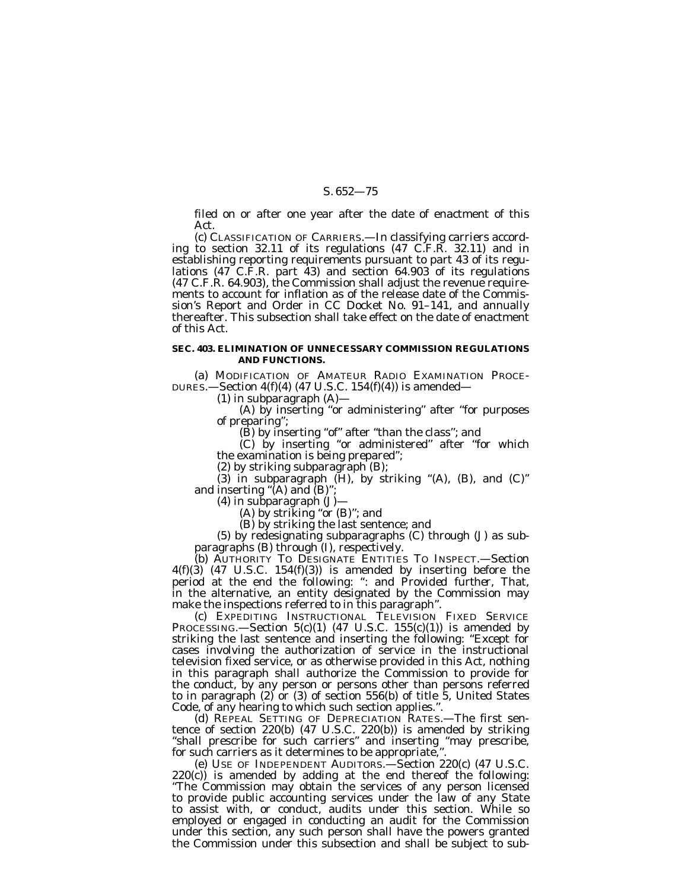filed on or after one year after the date of enactment of this Act.

(c) CLASSIFICATION OF CARRIERS.—In classifying carriers according to section 32.11 of its regulations (47 C.F.R. 32.11) and in establishing reporting requirements pursuant to part 43 of its regulations  $(47 \text{ C}.\dot{F}.\dot{R}$ . part 43) and section 64.903 of its regulations (47 C.F.R. 64.903), the Commission shall adjust the revenue requirements to account for inflation as of the release date of the Commission's Report and Order in CC Docket No. 91–141, and annually thereafter. This subsection shall take effect on the date of enactment of this Act.

#### **SEC. 403. ELIMINATION OF UNNECESSARY COMMISSION REGULATIONS AND FUNCTIONS.**

(a) MODIFICATION OF AMATEUR RADIO EXAMINATION PROCE-DURES.—Section  $4(f)(4)$  (47 U.S.C. 154 $(f)(4)$ ) is amended—

(1) in subparagraph (A)—

(A) by inserting ''or administering'' after ''for purposes of preparing'';

(B) by inserting "of" after "than the class"; and

(C) by inserting ''or administered'' after ''for which the examination is being prepared'';

(2) by striking subparagraph (B);

(3) in subparagraph  $(H)$ , by striking " $(A)$ ,  $(B)$ , and  $(C)$ " and inserting " $(A)$  and  $(B)$ "

(4) in subparagraph (J)—

 $(A)$  by striking "or  $(B)$ "; and

(B) by striking the last sentence; and

(5) by redesignating subparagraphs (C) through (J) as subparagraphs (B) through (I), respectively.

(b) AUTHORITY TO DESIGNATE ENTITIES TO INSPECT.—Section  $4(f)(3)$  (47 U.S.C. 154 $(f)(3)$ ) is amended by inserting before the period at the end the following: ": and *Provided further*, That, in the alternative, an entity designated by the Commission may make the inspections referred to in this paragraph''.

(c) EXPEDITING INSTRUCTIONAL TELEVISION FIXED SERVICE PROCESSING.—Section 5(c)(1) (47 U.S.C. 155(c)(1)) is amended by striking the last sentence and inserting the following: ''Except for cases involving the authorization of service in the instructional television fixed service, or as otherwise provided in this Act, nothing in this paragraph shall authorize the Commission to provide for the conduct, by any person or persons other than persons referred to in paragraph (2) or (3) of section 556(b) of title 5, United States Code, of any hearing to which such section applies.''.

(d) REPEAL SETTING OF DEPRECIATION RATES.—The first sentence of section 220(b) (47 U.S.C. 220(b)) is amended by striking "shall prescribe for such carriers" and inserting "may prescribe, for such carriers as it determines to be appropriate,''.

(e) USE OF INDEPENDENT AUDITORS.—Section 220(c) (47 U.S.C. 220(c)) is amended by adding at the end thereof the following: ''The Commission may obtain the services of any person licensed to provide public accounting services under the law of any State to assist with, or conduct, audits under this section. While so employed or engaged in conducting an audit for the Commission under this section, any such person shall have the powers granted the Commission under this subsection and shall be subject to sub-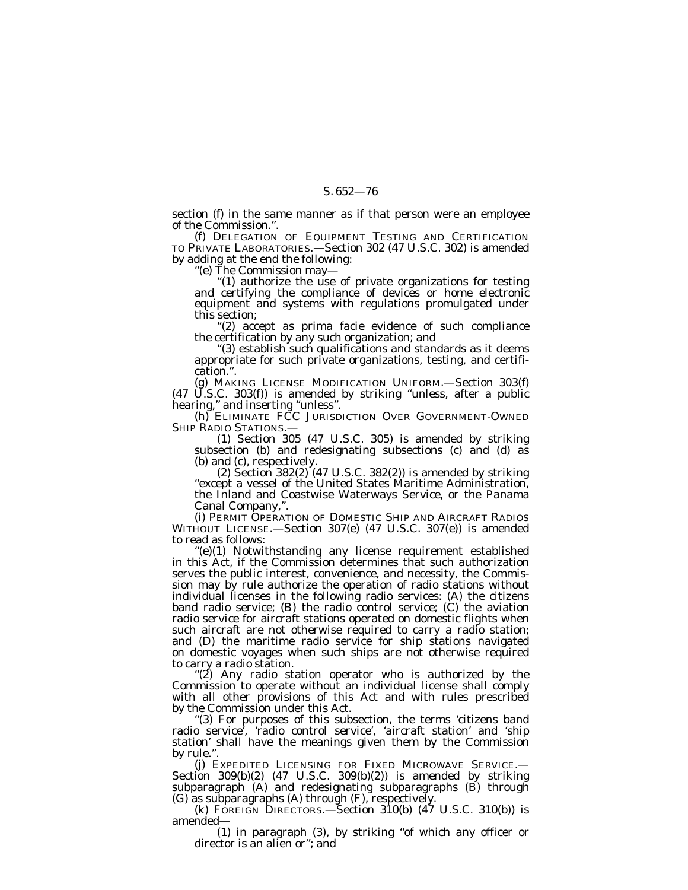section (f) in the same manner as if that person were an employee of the Commission.''.

(f) DELEGATION OF EQUIPMENT TESTING AND CERTIFICATION TO PRIVATE LABORATORIES.—Section 302 (47 U.S.C. 302) is amended by adding at the end the following:

''(e) The Commission may—

''(1) authorize the use of private organizations for testing and certifying the compliance of devices or home electronic equipment and systems with regulations promulgated under this section;

''(2) accept as prima facie evidence of such compliance the certification by any such organization; and

''(3) establish such qualifications and standards as it deems appropriate for such private organizations, testing, and certification.''.

(g) MAKING LICENSE MODIFICATION UNIFORM.—Section 303(f)  $(47 \text{ U.S.C. } 303(f))$  is amended by striking "unless, after a public hearing," and inserting "unless".

(h) ELIMINATE FCC JURISDICTION OVER GOVERNMENT-OWNED SHIP RADIO STATIONS.—

(1) Section 305 (47 U.S.C. 305) is amended by striking subsection (b) and redesignating subsections (c) and (d) as (b) and (c), respectively.

(2) Section  $382(2)$  (47 U.S.C.  $382(2)$ ) is amended by striking "except a vessel of the United States Maritime Administration, the Inland and Coastwise Waterways Service, or the Panama Canal Company,''.

(i) PERMIT OPERATION OF DOMESTIC SHIP AND AIRCRAFT RADIOS WITHOUT LICENSE.—Section 307(e) (47 U.S.C. 307(e)) is amended to read as follows:

 $(e)(1)$  Notwithstanding any license requirement established in this Act, if the Commission determines that such authorization serves the public interest, convenience, and necessity, the Commission may by rule authorize the operation of radio stations without individual licenses in the following radio services: (A) the citizens band radio service; (B) the radio control service; (C) the aviation radio service for aircraft stations operated on domestic flights when such aircraft are not otherwise required to carry a radio station; and (D) the maritime radio service for ship stations navigated on domestic voyages when such ships are not otherwise required to carry a radio station.

" $(2)$  Any radio station operator who is authorized by the Commission to operate without an individual license shall comply with all other provisions of this Act and with rules prescribed by the Commission under this Act.

"(3) For purposes of this subsection, the terms 'citizens band radio service<sup>?</sup>, 'radio control service', 'aircraft station' and 'ship station' shall have the meanings given them by the Commission by rule."

(j) EXPEDITED LICENSING FOR FIXED MICROWAVE SERVICE.— Section 309(b)(2) (47 U.S.C. 309(b)(2)) is amended by striking subparagraph (A) and redesignating subparagraphs (B) through (G) as subparagraphs (A) through (F), respectively.

(k) FOREIGN DIRECTORS.—Section  $310(b)$  (47 U.S.C. 310(b)) is amended—

(1) in paragraph (3), by striking ''of which any officer or director is an alien or''; and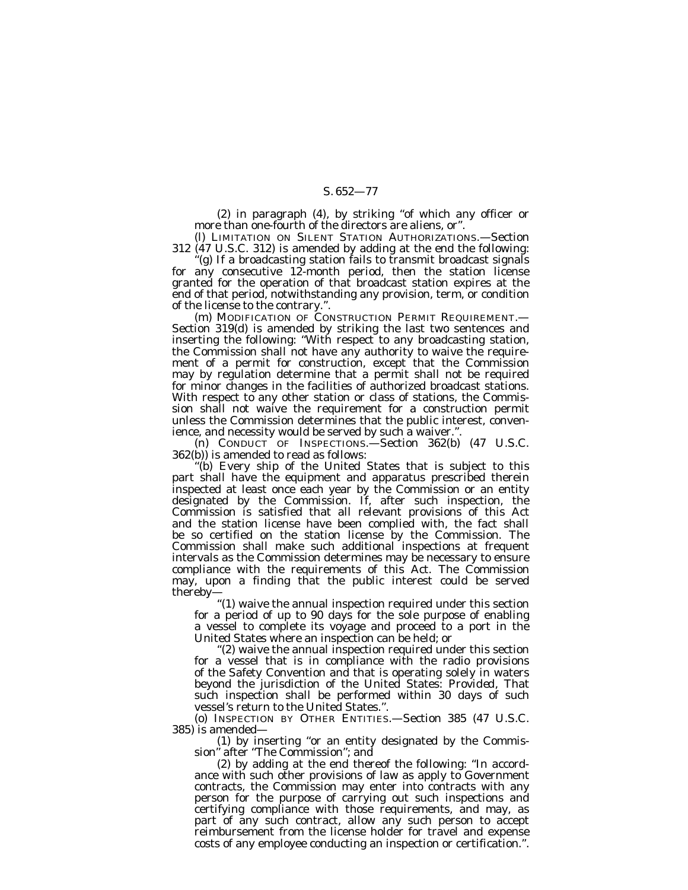(2) in paragraph (4), by striking ''of which any officer or more than one-fourth of the directors are aliens, or''.

(l) LIMITATION ON SILENT STATION AUTHORIZATIONS.—Section 312 (47 U.S.C. 312) is amended by adding at the end the following:

'(g) If a broadcasting station fails to transmit broadcast signals for any consecutive 12-month period, then the station license granted for the operation of that broadcast station expires at the end of that period, notwithstanding any provision, term, or condition of the license to the contrary.''.

(m) MODIFICATION OF CONSTRUCTION PERMIT REQUIREMENT. Section 319(d) is amended by striking the last two sentences and inserting the following: ''With respect to any broadcasting station, the Commission shall not have any authority to waive the requirement of a permit for construction, except that the Commission may by regulation determine that a permit shall not be required for minor changes in the facilities of authorized broadcast stations. With respect to any other station or class of stations, the Commission shall not waive the requirement for a construction permit unless the Commission determines that the public interest, convenience, and necessity would be served by such a waiver.''.

(n) CONDUCT OF INSPECTIONS.—Section 362(b) (47 U.S.C. 362(b)) is amended to read as follows:

''(b) Every ship of the United States that is subject to this part shall have the equipment and apparatus prescribed therein inspected at least once each year by the Commission or an entity designated by the Commission. If, after such inspection, the Commission is satisfied that all relevant provisions of this Act and the station license have been complied with, the fact shall be so certified on the station license by the Commission. The Commission shall make such additional inspections at frequent intervals as the Commission determines may be necessary to ensure compliance with the requirements of this Act. The Commission may, upon a finding that the public interest could be served thereby—

''(1) waive the annual inspection required under this section for a period of up to 90 days for the sole purpose of enabling a vessel to complete its voyage and proceed to a port in the United States where an inspection can be held; or

"(2) waive the annual inspection required under this section for a vessel that is in compliance with the radio provisions of the Safety Convention and that is operating solely in waters beyond the jurisdiction of the United States: *Provided,* That such inspection shall be performed within 30 days of such vessel's return to the United States.''.

(o) INSPECTION BY OTHER ENTITIES.—Section 385 (47 U.S.C. 385) is amended—

(1) by inserting ''or an entity designated by the Commission'' after ''The Commission''; and

(2) by adding at the end thereof the following: ''In accordance with such other provisions of law as apply to Government contracts, the Commission may enter into contracts with any person for the purpose of carrying out such inspections and certifying compliance with those requirements, and may, as part of any such contract, allow any such person to accept reimbursement from the license holder for travel and expense costs of any employee conducting an inspection or certification.''.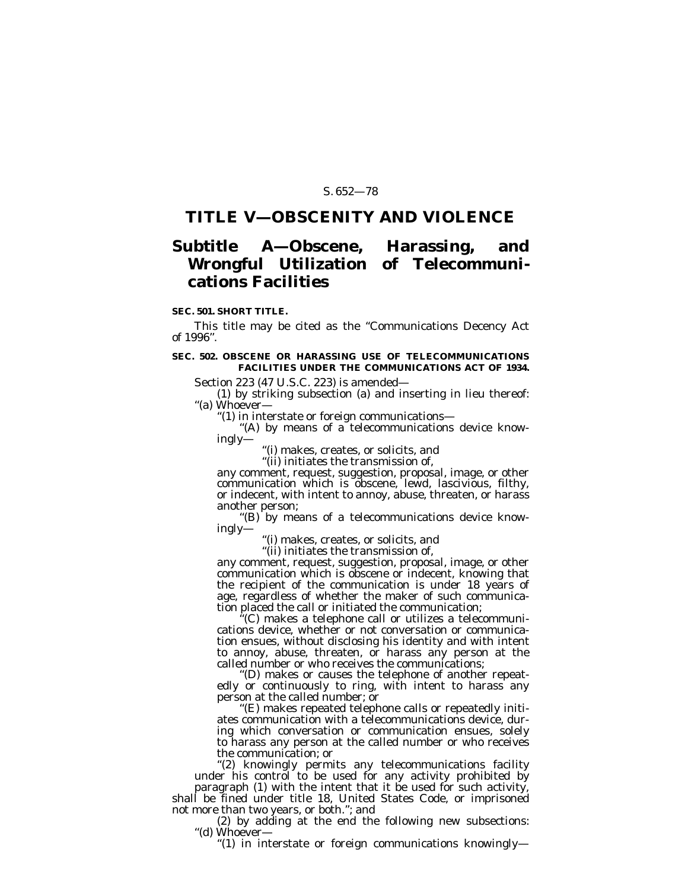# **TITLE V—OBSCENITY AND VIOLENCE**

# **Subtitle A—Obscene, Harassing, and Wrongful Utilization of Telecommunications Facilities**

### **SEC. 501. SHORT TITLE.**

This title may be cited as the ''Communications Decency Act of 1996''.

## **SEC. 502. OBSCENE OR HARASSING USE OF TELECOMMUNICATIONS FACILITIES UNDER THE COMMUNICATIONS ACT OF 1934.**

Section 223 (47 U.S.C. 223) is amended—

(1) by striking subsection (a) and inserting in lieu thereof: ''(a) Whoever—

''(1) in interstate or foreign communications—

"(A) by means of a telecommunications device knowingly—

''(i) makes, creates, or solicits, and

''(ii) initiates the transmission of,

any comment, request, suggestion, proposal, image, or other communication which is obscene, lewd, lascivious, filthy, or indecent, with intent to annoy, abuse, threaten, or harass another person;

"(B) by means of a telecommunications device knowingly— ''(i) makes, creates, or solicits, and

''(ii) initiates the transmission of,

any comment, request, suggestion, proposal, image, or other communication which is obscene or indecent, knowing that the recipient of the communication is under 18 years of age, regardless of whether the maker of such communication placed the call or initiated the communication;

'(C) makes a telephone call or utilizes a telecommunications device, whether or not conversation or communication ensues, without disclosing his identity and with intent to annoy, abuse, threaten, or harass any person at the called number or who receives the communications;

''(D) makes or causes the telephone of another repeatedly or continuously to ring, with intent to harass any person at the called number; or

''(E) makes repeated telephone calls or repeatedly initiates communication with a telecommunications device, during which conversation or communication ensues, solely to harass any person at the called number or who receives the communication; or

''(2) knowingly permits any telecommunications facility under his control to be used for any activity prohibited by paragraph (1) with the intent that it be used for such activity, shall be fined under title 18, United States Code, or imprisoned not more than two years, or both.''; and

(2) by adding at the end the following new subsections: ''(d) Whoever—

''(1) in interstate or foreign communications knowingly—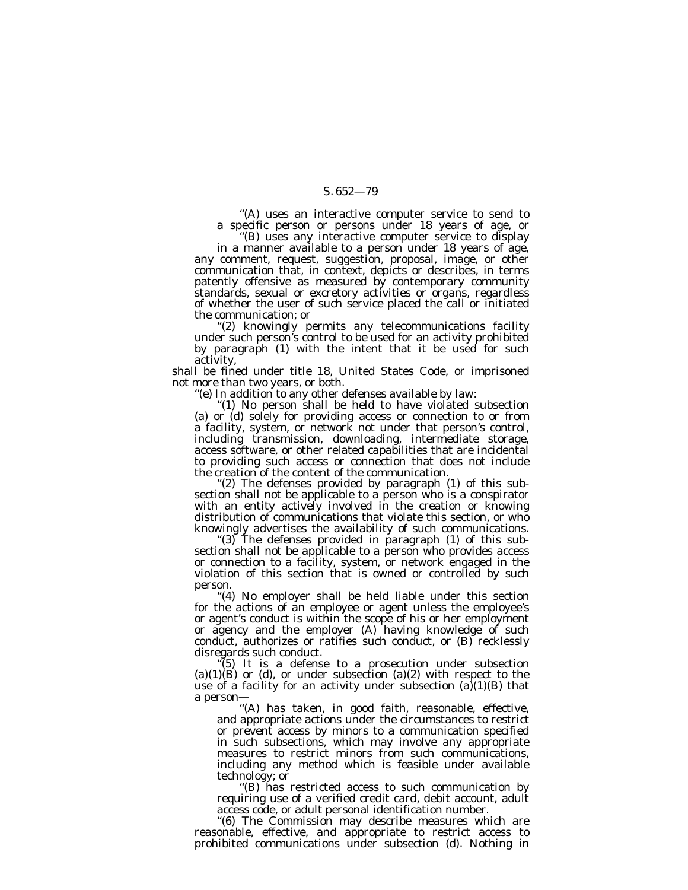''(A) uses an interactive computer service to send to a specific person or persons under 18 years of age, or

''(B) uses any interactive computer service to display in a manner available to a person under 18 years of age, any comment, request, suggestion, proposal, image, or other communication that, in context, depicts or describes, in terms patently offensive as measured by contemporary community standards, sexual or excretory activities or organs, regardless of whether the user of such service placed the call or initiated the communication; or

''(2) knowingly permits any telecommunications facility under such person's control to be used for an activity prohibited by paragraph (1) with the intent that it be used for such activity,

shall be fined under title 18, United States Code, or imprisoned not more than two years, or both.

''(e) In addition to any other defenses available by law:

''(1) No person shall be held to have violated subsection (a) or (d) solely for providing access or connection to or from a facility, system, or network not under that person's control, including transmission, downloading, intermediate storage, access software, or other related capabilities that are incidental to providing such access or connection that does not include the creation of the content of the communication.

"(2) The defenses provided by paragraph (1) of this subsection shall not be applicable to a person who is a conspirator with an entity actively involved in the creation or knowing distribution of communications that violate this section, or who knowingly advertises the availability of such communications. ''(3) The defenses provided in paragraph (1) of this sub-

section shall not be applicable to a person who provides access or connection to a facility, system, or network engaged in the violation of this section that is owned or controlled by such person.

''(4) No employer shall be held liable under this section for the actions of an employee or agent unless the employee's or agent's conduct is within the scope of his or her employment or agency and the employer (A) having knowledge of such conduct, authorizes or ratifies such conduct, or (B) recklessly disregards such conduct.

 $\overline{a}(5)$  It is a defense to a prosecution under subsection  $(a)(1)(B)$  or (d), or under subsection  $(a)(2)$  with respect to the use of a facility for an activity under subsection  $(a)(1)(B)$  that a person—

''(A) has taken, in good faith, reasonable, effective, and appropriate actions under the circumstances to restrict or prevent access by minors to a communication specified in such subsections, which may involve any appropriate measures to restrict minors from such communications, including any method which is feasible under available technology; or

''(B) has restricted access to such communication by requiring use of a verified credit card, debit account, adult access code, or adult personal identification number.

''(6) The Commission may describe measures which are reasonable, effective, and appropriate to restrict access to prohibited communications under subsection (d). Nothing in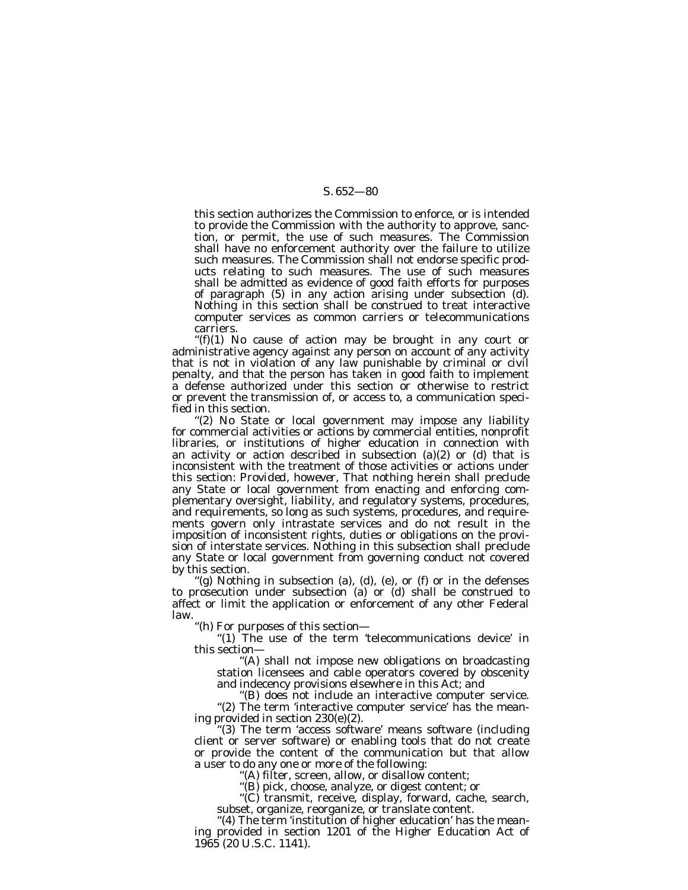this section authorizes the Commission to enforce, or is intended to provide the Commission with the authority to approve, sanction, or permit, the use of such measures. The Commission shall have no enforcement authority over the failure to utilize such measures. The Commission shall not endorse specific products relating to such measures. The use of such measures shall be admitted as evidence of good faith efforts for purposes of paragraph (5) in any action arising under subsection (d). Nothing in this section shall be construed to treat interactive computer services as common carriers or telecommunications carriers.

" $(f)(1)$  No cause of action may be brought in any court or administrative agency against any person on account of any activity that is not in violation of any law punishable by criminal or civil penalty, and that the person has taken in good faith to implement a defense authorized under this section or otherwise to restrict or prevent the transmission of, or access to, a communication specified in this section.

(2) No State or local government may impose any liability for commercial activities or actions by commercial entities, nonprofit libraries, or institutions of higher education in connection with an activity or action described in subsection (a)(2) or (d) that is inconsistent with the treatment of those activities or actions under this section: *Provided, however*, That nothing herein shall preclude any State or local government from enacting and enforcing complementary oversight, liability, and regulatory systems, procedures, and requirements, so long as such systems, procedures, and requirements govern only intrastate services and do not result in the imposition of inconsistent rights, duties or obligations on the provision of interstate services. Nothing in this subsection shall preclude any State or local government from governing conduct not covered by this section.

"(g) Nothing in subsection (a), (d), (e), or (f) or in the defenses to prosecution under subsection (a) or (d) shall be construed to affect or limit the application or enforcement of any other Federal law.

''(h) For purposes of this section—

"(1) The use of the term 'telecommunications device' in this section—

''(A) shall not impose new obligations on broadcasting station licensees and cable operators covered by obscenity and indecency provisions elsewhere in this Act; and

''(B) does not include an interactive computer service. "(2) The term 'interactive computer service' has the meaning provided in section 230(e)(2).

'(3) The term 'access software' means software (including client or server software) or enabling tools that do not create or provide the content of the communication but that allow a user to do any one or more of the following:

'(A) filter, screen, allow, or disallow content;

''(B) pick, choose, analyze, or digest content; or

''(C) transmit, receive, display, forward, cache, search, subset, organize, reorganize, or translate content.

"(4) The term 'institution of higher education' has the meaning provided in section 1201 of the Higher Education Act of 1965 (20 U.S.C. 1141).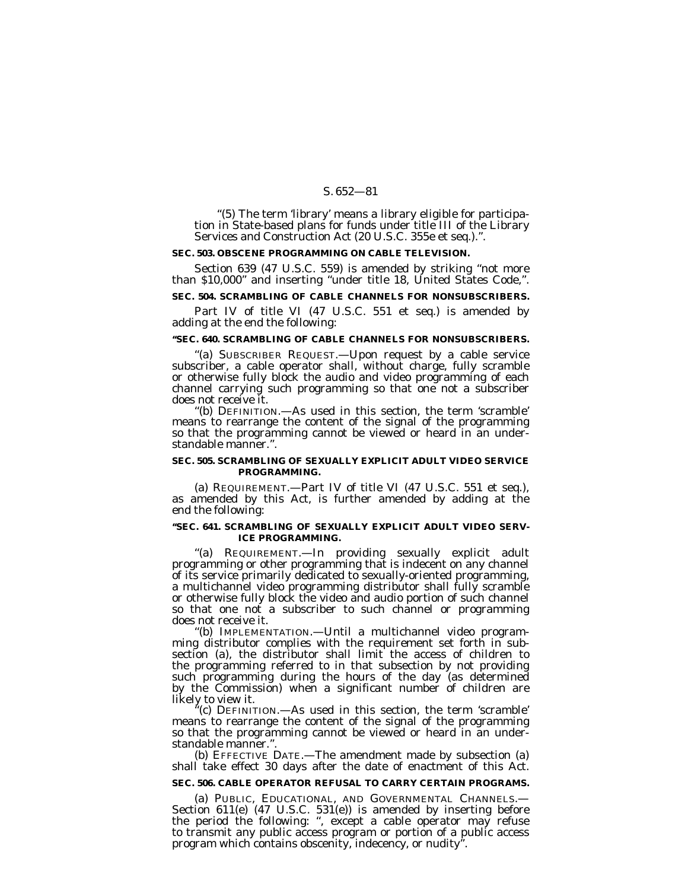''(5) The term 'library' means a library eligible for participation in State-based plans for funds under title III of the Library Services and Construction Act (20 U.S.C. 355e et seq.).''.

### **SEC. 503. OBSCENE PROGRAMMING ON CABLE TELEVISION.**

Section 639 (47 U.S.C. 559) is amended by striking ''not more than \$10,000'' and inserting ''under title 18, United States Code,''.

### **SEC. 504. SCRAMBLING OF CABLE CHANNELS FOR NONSUBSCRIBERS.**

Part IV of title VI (47 U.S.C. 551 et seq.) is amended by adding at the end the following:

# **''SEC. 640. SCRAMBLING OF CABLE CHANNELS FOR NONSUBSCRIBERS.**

''(a) SUBSCRIBER REQUEST.—Upon request by a cable service subscriber, a cable operator shall, without charge, fully scramble or otherwise fully block the audio and video programming of each channel carrying such programming so that one not a subscriber does not receive it.

'(b) DEFINITION.—As used in this section, the term 'scramble' means to rearrange the content of the signal of the programming so that the programming cannot be viewed or heard in an understandable manner.''.

## **SEC. 505. SCRAMBLING OF SEXUALLY EXPLICIT ADULT VIDEO SERVICE PROGRAMMING.**

(a) REQUIREMENT.—Part IV of title VI (47 U.S.C. 551 et seq.), as amended by this Act, is further amended by adding at the end the following:

#### **''SEC. 641. SCRAMBLING OF SEXUALLY EXPLICIT ADULT VIDEO SERV-ICE PROGRAMMING.**

''(a) REQUIREMENT.—In providing sexually explicit adult programming or other programming that is indecent on any channel of its service primarily dedicated to sexually-oriented programming, a multichannel video programming distributor shall fully scramble or otherwise fully block the video and audio portion of such channel so that one not a subscriber to such channel or programming does not receive it.

''(b) IMPLEMENTATION.—Until a multichannel video programming distributor complies with the requirement set forth in subsection (a), the distributor shall limit the access of children to the programming referred to in that subsection by not providing such programming during the hours of the day (as determined by the Commission) when a significant number of children are likely to view it.<br>"(c) DEFINITION.—As used in this section, the term 'scramble'

means to rearrange the content of the signal of the programming so that the programming cannot be viewed or heard in an understandable manner.''.

(b) EFFECTIVE DATE.—The amendment made by subsection (a) shall take effect 30 days after the date of enactment of this Act.

### **SEC. 506. CABLE OPERATOR REFUSAL TO CARRY CERTAIN PROGRAMS.**

(a) PUBLIC, EDUCATIONAL, AND GOVERNMENTAL CHANNELS.— Section 611(e) (47 U.S.C. 531(e)) is amended by inserting before the period the following: '', except a cable operator may refuse to transmit any public access program or portion of a public access program which contains obscenity, indecency, or nudity''.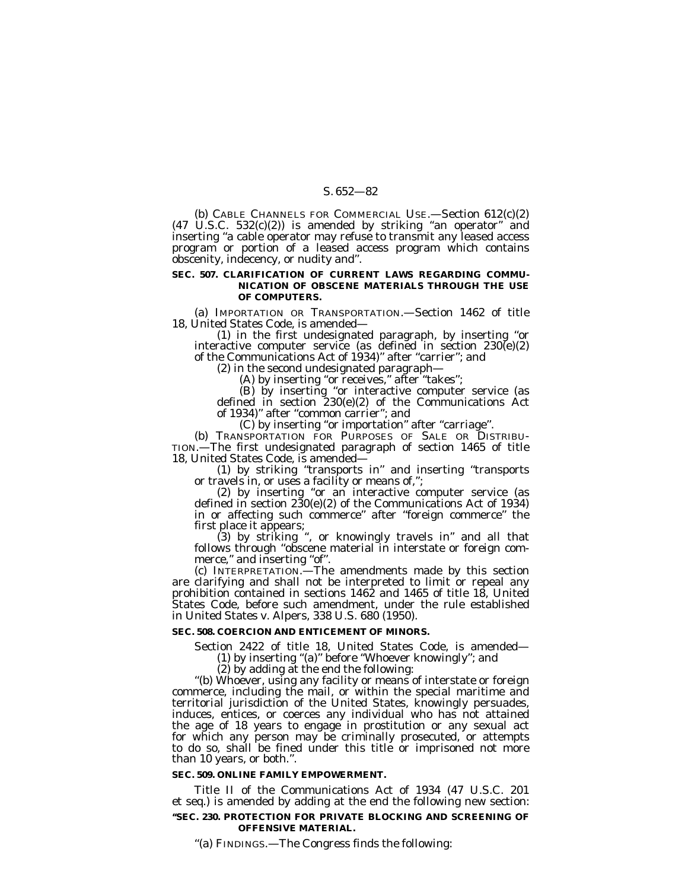(b) CABLE CHANNELS FOR COMMERCIAL USE.—Section 612(c)(2)  $(47 \text{ U.S.C. } 532(c)(2))$  is amended by striking "an operator" and inserting ''a cable operator may refuse to transmit any leased access program or portion of a leased access program which contains obscenity, indecency, or nudity and''.

#### **SEC. 507. CLARIFICATION OF CURRENT LAWS REGARDING COMMU-NICATION OF OBSCENE MATERIALS THROUGH THE USE OF COMPUTERS.**

(a) IMPORTATION OR TRANSPORTATION.—Section 1462 of title 18, United States Code, is amended—

(1) in the first undesignated paragraph, by inserting ''or interactive computer service (as defined in section  $230(e)(2)$ of the Communications Act of 1934)'' after ''carrier''; and

(2) in the second undesignated paragraph—

(A) by inserting "or receives," after "takes";

(B) by inserting ''or interactive computer service (as defined in section 230(e)(2) of the Communications Act of 1934)'' after ''common carrier''; and

(C) by inserting ''or importation'' after ''carriage''.

(b) TRANSPORTATION FOR PURPOSES OF SALE OR DISTRIBU-TION.—The first undesignated paragraph of section 1465 of title 18, United States Code, is amended—

(1) by striking ''transports in'' and inserting ''transports or travels in, or uses a facility or means of,'';

(2) by inserting ''or an interactive computer service (as defined in section 230(e)(2) of the Communications Act of 1934) in or affecting such commerce'' after ''foreign commerce'' the first place it appears;

(3) by striking '', or knowingly travels in'' and all that follows through ''obscene material in interstate or foreign commerce," and inserting "of".

(c) INTERPRETATION.—The amendments made by this section are clarifying and shall not be interpreted to limit or repeal any prohibition contained in sections 1462 and 1465 of title 18, United States Code, before such amendment, under the rule established in United States v. Alpers, 338 U.S. 680 (1950).

#### **SEC. 508. COERCION AND ENTICEMENT OF MINORS.**

Section 2422 of title 18, United States Code, is amended— (1) by inserting ''(a)'' before ''Whoever knowingly''; and

"(b) Whoever, using any facility or means of interstate or foreign commerce, including the mail, or within the special maritime and territorial jurisdiction of the United States, knowingly persuades, induces, entices, or coerces any individual who has not attained the age of 18 years to engage in prostitution or any sexual act for which any person may be criminally prosecuted, or attempts to do so, shall be fined under this title or imprisoned not more than 10 years, or both.''.

### **SEC. 509. ONLINE FAMILY EMPOWERMENT.**

Title II of the Communications Act of 1934 (47 U.S.C. 201 et seq.) is amended by adding at the end the following new section: **''SEC. 230. PROTECTION FOR PRIVATE BLOCKING AND SCREENING OF OFFENSIVE MATERIAL.**

''(a) FINDINGS.—The Congress finds the following: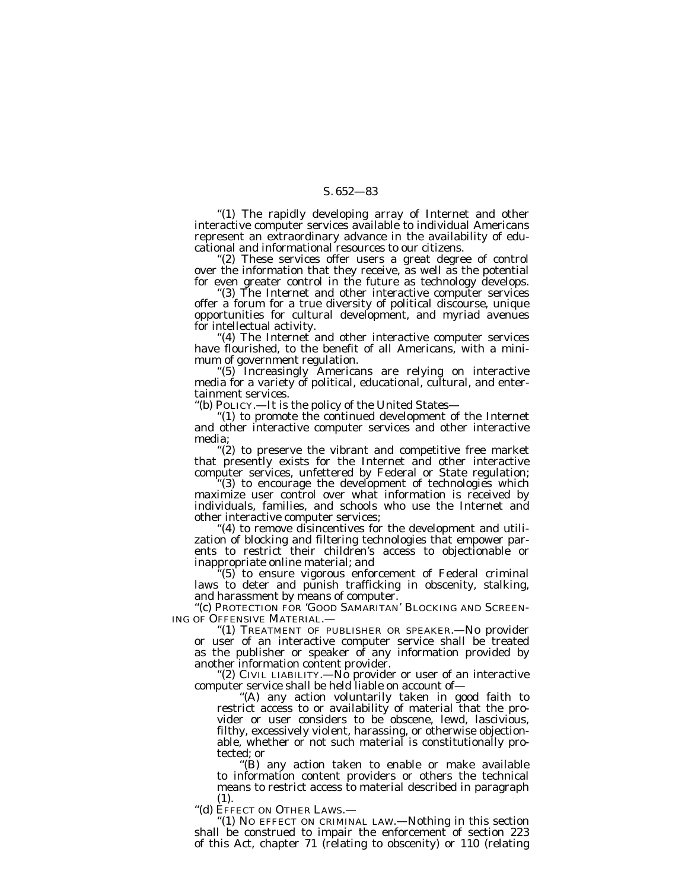"(1) The rapidly developing array of Internet and other interactive computer services available to individual Americans represent an extraordinary advance in the availability of educational and informational resources to our citizens.

"(2) These services offer users a great degree of control over the information that they receive, as well as the potential for even greater control in the future as technology develops.

''(3) The Internet and other interactive computer services offer a forum for a true diversity of political discourse, unique opportunities for cultural development, and myriad avenues for intellectual activity.

(4) The Internet and other interactive computer services have flourished, to the benefit of all Americans, with a minimum of government regulation.

''(5) Increasingly Americans are relying on interactive media for a variety of political, educational, cultural, and entertainment services.

''(b) POLICY.—It is the policy of the United States—

''(1) to promote the continued development of the Internet and other interactive computer services and other interactive media;

" $(2)$  to preserve the vibrant and competitive free market that presently exists for the Internet and other interactive computer services, unfettered by Federal or State regulation;

''(3) to encourage the development of technologies which maximize user control over what information is received by individuals, families, and schools who use the Internet and other interactive computer services;

''(4) to remove disincentives for the development and utilization of blocking and filtering technologies that empower parents to restrict their children's access to objectionable or inappropriate online material; and

 $(5)$  to ensure vigorous enforcement of Federal criminal laws to deter and punish trafficking in obscenity, stalking, and harassment by means of computer.

''(c) PROTECTION FOR 'GOOD SAMARITAN' BLOCKING AND SCREEN-

ING OF OFFENSIVE MATERIAL.— ''(1) TREATMENT OF PUBLISHER OR SPEAKER.—No provider or user of an interactive computer service shall be treated as the publisher or speaker of any information provided by another information content provider.

''(2) CIVIL LIABILITY.—No provider or user of an interactive computer service shall be held liable on account of—

''(A) any action voluntarily taken in good faith to restrict access to or availability of material that the provider or user considers to be obscene, lewd, lascivious, filthy, excessively violent, harassing, or otherwise objectionable, whether or not such material is constitutionally protected; or

(B) any action taken to enable or make available to information content providers or others the technical means to restrict access to material described in paragraph (1).

''(d) EFFECT ON OTHER LAWS.—

''(1) NO EFFECT ON CRIMINAL LAW.—Nothing in this section shall be construed to impair the enforcement of section 223 of this Act, chapter 71 (relating to obscenity) or 110 (relating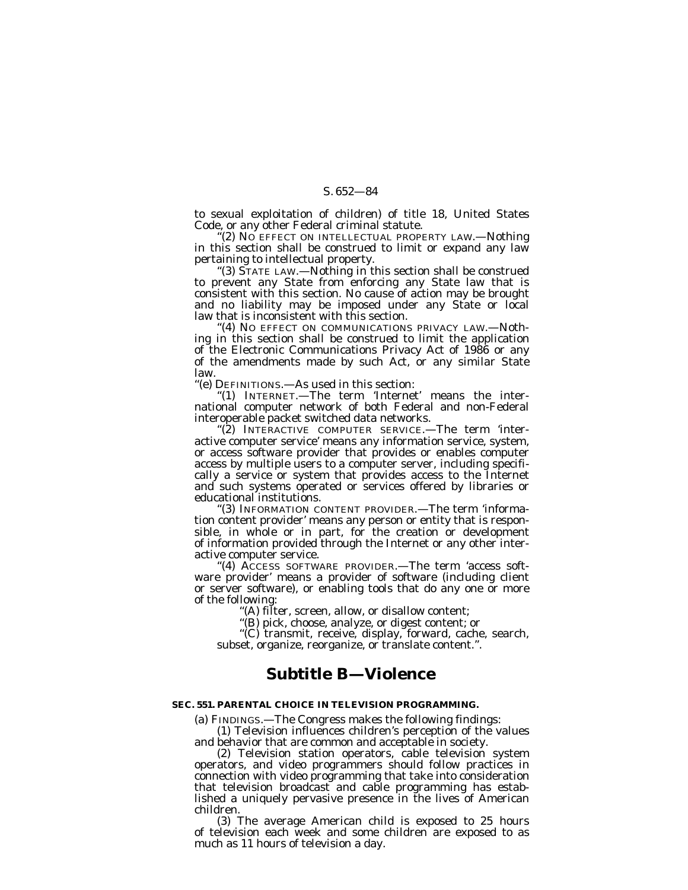to sexual exploitation of children) of title 18, United States Code, or any other Federal criminal statute.

(2) NO EFFECT ON INTELLECTUAL PROPERTY LAW.—Nothing in this section shall be construed to limit or expand any law pertaining to intellectual property.

''(3) STATE LAW.—Nothing in this section shall be construed to prevent any State from enforcing any State law that is consistent with this section. No cause of action may be brought and no liability may be imposed under any State or local law that is inconsistent with this section.

"(4) NO EFFECT ON COMMUNICATIONS PRIVACY LAW.—Nothing in this section shall be construed to limit the application of the Electronic Communications Privacy Act of 1986 or any of the amendments made by such Act, or any similar State law.

''(e) DEFINITIONS.—As used in this section:

''(1) INTERNET.—The term 'Internet' means the international computer network of both Federal and non-Federal interoperable packet switched data networks.

''(2) INTERACTIVE COMPUTER SERVICE.—The term 'interactive computer service' means any information service, system, or access software provider that provides or enables computer access by multiple users to a computer server, including specifically a service or system that provides access to the Internet and such systems operated or services offered by libraries or educational institutions.

''(3) INFORMATION CONTENT PROVIDER.—The term 'information content provider' means any person or entity that is responsible, in whole or in part, for the creation or development of information provided through the Internet or any other interactive computer service.

"(4) ACCESS SOFTWARE PROVIDER.—The term 'access software provider' means a provider of software (including client or server software), or enabling tools that do any one or more of the following:

'(A) filter, screen, allow, or disallow content;

''(B) pick, choose, analyze, or digest content; or

''(C) transmit, receive, display, forward, cache, search, subset, organize, reorganize, or translate content.''.

# **Subtitle B—Violence**

# **SEC. 551. PARENTAL CHOICE IN TELEVISION PROGRAMMING.**

(a) FINDINGS.—The Congress makes the following findings:<br>
(1) Television influences children's perception of the values<br>
and behavior that are common and acceptable in society.

(2) Television station operators, cable television system operators, and video programmers should follow practices in connection with video programming that take into consideration that television broadcast and cable programming has established a uniquely pervasive presence in the lives of American children.

(3) The average American child is exposed to 25 hours of television each week and some children are exposed to as much as 11 hours of television a day.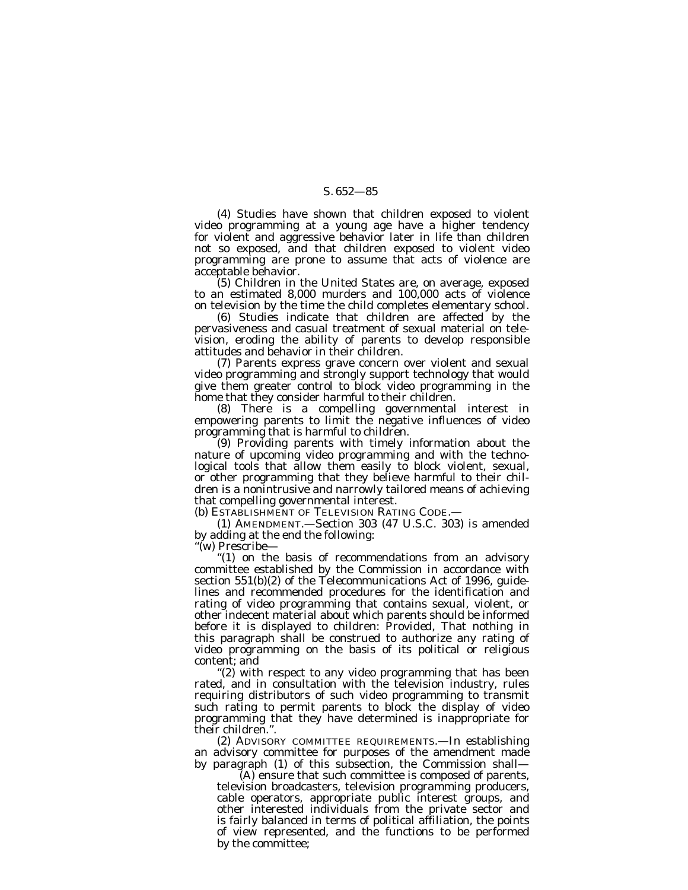(4) Studies have shown that children exposed to violent video programming at a young age have a higher tendency for violent and aggressive behavior later in life than children not so exposed, and that children exposed to violent video programming are prone to assume that acts of violence are acceptable behavior.

(5) Children in the United States are, on average, exposed to an estimated 8,000 murders and 100,000 acts of violence on television by the time the child completes elementary school.

(6) Studies indicate that children are affected by the pervasiveness and casual treatment of sexual material on television, eroding the ability of parents to develop responsible attitudes and behavior in their children.

(7) Parents express grave concern over violent and sexual video programming and strongly support technology that would give them greater control to block video programming in the home that they consider harmful to their children.

(8) There is a compelling governmental interest in empowering parents to limit the negative influences of video programming that is harmful to children.

(9) Providing parents with timely information about the nature of upcoming video programming and with the technological tools that allow them easily to block violent, sexual, or other programming that they believe harmful to their children is a nonintrusive and narrowly tailored means of achieving that compelling governmental interest.

(b) ESTABLISHMENT OF TELEVISION RATING CODE.—

(1) AMENDMENT.—Section 303 (47 U.S.C. 303) is amended by adding at the end the following:

''(w) Prescribe—

''(1) on the basis of recommendations from an advisory committee established by the Commission in accordance with section 551(b)(2) of the Telecommunications Act of 1996, guidelines and recommended procedures for the identification and rating of video programming that contains sexual, violent, or other indecent material about which parents should be informed before it is displayed to children: *Provided,* That nothing in this paragraph shall be construed to authorize any rating of video programming on the basis of its political or religious content; and

"(2) with respect to any video programming that has been rated, and in consultation with the television industry, rules requiring distributors of such video programming to transmit such rating to permit parents to block the display of video programming that they have determined is inappropriate for their children.''.

(2) ADVISORY COMMITTEE REQUIREMENTS.—In establishing an advisory committee for purposes of the amendment made by paragraph (1) of this subsection, the Commission shall—

(A) ensure that such committee is composed of parents, television broadcasters, television programming producers, cable operators, appropriate public interest groups, and other interested individuals from the private sector and is fairly balanced in terms of political affiliation, the points of view represented, and the functions to be performed by the committee;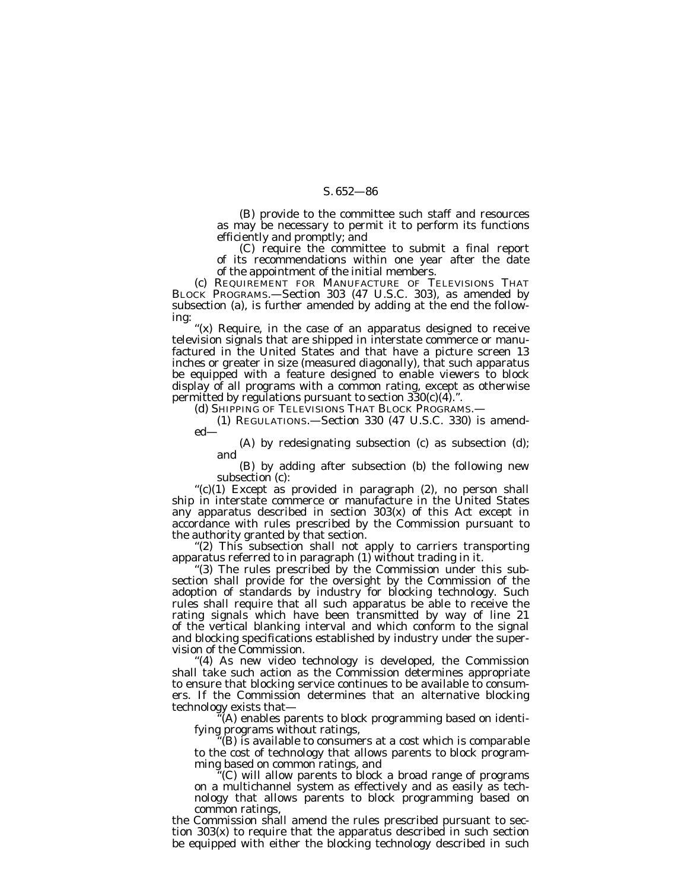(B) provide to the committee such staff and resources as may be necessary to permit it to perform its functions efficiently and promptly; and

(C) require the committee to submit a final report of its recommendations within one year after the date of the appointment of the initial members.

(c) REQUIREMENT FOR MANUFACTURE OF TELEVISIONS THAT BLOCK PROGRAMS.—Section 303 (47 U.S.C. 303), as amended by subsection (a), is further amended by adding at the end the following:

"(x) Require, in the case of an apparatus designed to receive television signals that are shipped in interstate commerce or manufactured in the United States and that have a picture screen 13 inches or greater in size (measured diagonally), that such apparatus be equipped with a feature designed to enable viewers to block display of all programs with a common rating, except as otherwise permitted by regulations pursuant to section 330(c)(4).''.

(d) SHIPPING OF TELEVISIONS THAT BLOCK PROGRAMS.—

(1) REGULATIONS.—Section 330 (47 U.S.C. 330) is amended—

(A) by redesignating subsection (c) as subsection (d); and

(B) by adding after subsection (b) the following new subsection (c):

 $'(c)(1)$  Except as provided in paragraph  $(2)$ , no person shall ship in interstate commerce or manufacture in the United States any apparatus described in section  $303(x)$  of this Act except in accordance with rules prescribed by the Commission pursuant to the authority granted by that section.

"(2) This subsection shall not apply to carriers transporting apparatus referred to in paragraph (1) without trading in it.

''(3) The rules prescribed by the Commission under this subsection shall provide for the oversight by the Commission of the adoption of standards by industry for blocking technology. Such rules shall require that all such apparatus be able to receive the rating signals which have been transmitted by way of line 21 of the vertical blanking interval and which conform to the signal and blocking specifications established by industry under the supervision of the Commission.

''(4) As new video technology is developed, the Commission shall take such action as the Commission determines appropriate to ensure that blocking service continues to be available to consumers. If the Commission determines that an alternative blocking technology exists that—

 $\tilde{f}(A)$  enables parents to block programming based on identifying programs without ratings,

(B) is available to consumers at a cost which is comparable to the cost of technology that allows parents to block programming based on common ratings, and

(C) will allow parents to block a broad range of programs on a multichannel system as effectively and as easily as technology that allows parents to block programming based on common ratings,

the Commission shall amend the rules prescribed pursuant to section 303(x) to require that the apparatus described in such section be equipped with either the blocking technology described in such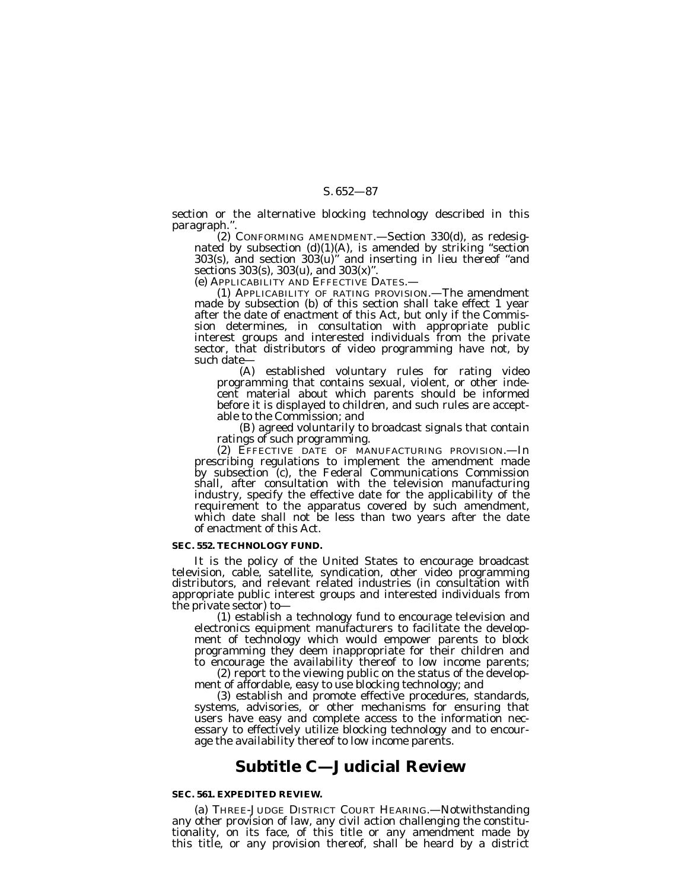section or the alternative blocking technology described in this paragraph.''.

(2) CONFORMING AMENDMENT.—Section 330(d), as redesignated by subsection (d)(1)(A), is amended by striking ''section 303(s), and section 303(u)'' and inserting in lieu thereof ''and sections 303(s), 303(u), and 303(x)''.

(e) APPLICABILITY AND EFFECTIVE DATES.—

(1) APPLICABILITY OF RATING PROVISION.—The amendment made by subsection (b) of this section shall take effect 1 year after the date of enactment of this Act, but only if the Commission determines, in consultation with appropriate public interest groups and interested individuals from the private sector, that distributors of video programming have not, by such date—

(A) established voluntary rules for rating video programming that contains sexual, violent, or other indecent material about which parents should be informed before it is displayed to children, and such rules are acceptable to the Commission; and

(B) agreed voluntarily to broadcast signals that contain ratings of such programming.

(2) EFFECTIVE DATE OF MANUFACTURING PROVISION.—In prescribing regulations to implement the amendment made by subsection (c), the Federal Communications Commission shall, after consultation with the television manufacturing industry, specify the effective date for the applicability of the requirement to the apparatus covered by such amendment, which date shall not be less than two years after the date of enactment of this Act.

#### **SEC. 552. TECHNOLOGY FUND.**

It is the policy of the United States to encourage broadcast television, cable, satellite, syndication, other video programming distributors, and relevant related industries (in consultation with appropriate public interest groups and interested individuals from the private sector) to—

(1) establish a technology fund to encourage television and electronics equipment manufacturers to facilitate the development of technology which would empower parents to block programming they deem inappropriate for their children and to encourage the availability thereof to low income parents;

(2) report to the viewing public on the status of the development of affordable, easy to use blocking technology; and

(3) establish and promote effective procedures, standards, systems, advisories, or other mechanisms for ensuring that users have easy and complete access to the information necessary to effectively utilize blocking technology and to encourage the availability thereof to low income parents.

# **Subtitle C—Judicial Review**

#### **SEC. 561. EXPEDITED REVIEW.**

(a) THREE-JUDGE DISTRICT COURT HEARING.—Notwithstanding any other provision of law, any civil action challenging the constitutionality, on its face, of this title or any amendment made by this title, or any provision thereof, shall be heard by a district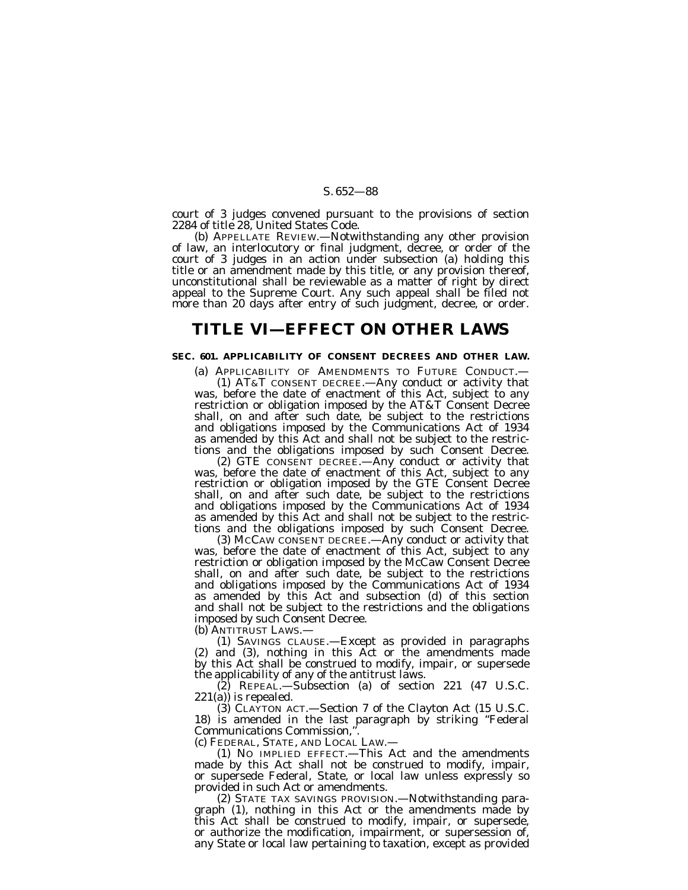court of 3 judges convened pursuant to the provisions of section 2284 of title 28, United States Code.

(b) APPELLATE REVIEW.—Notwithstanding any other provision of law, an interlocutory or final judgment, decree, or order of the court of 3 judges in an action under subsection (a) holding this title or an amendment made by this title, or any provision thereof, unconstitutional shall be reviewable as a matter of right by direct appeal to the Supreme Court. Any such appeal shall be filed not more than 20 days after entry of such judgment, decree, or order.

# **TITLE VI—EFFECT ON OTHER LAWS**

# **SEC. 601. APPLICABILITY OF CONSENT DECREES AND OTHER LAW.**

(a) APPLICABILITY OF AMENDMENTS TO FUTURE CONDUCT.—

(1) AT&T CONSENT DECREE.—Any conduct or activity that was, before the date of enactment of this Act, subject to any restriction or obligation imposed by the AT&T Consent Decree shall, on and after such date, be subject to the restrictions and obligations imposed by the Communications Act of 1934 as amended by this Act and shall not be subject to the restrictions and the obligations imposed by such Consent Decree.

(2) GTE CONSENT DECREE.—Any conduct or activity that was, before the date of enactment of this Act, subject to any restriction or obligation imposed by the GTE Consent Decree shall, on and after such date, be subject to the restrictions and obligations imposed by the Communications Act of 1934 as amended by this Act and shall not be subject to the restrictions and the obligations imposed by such Consent Decree. (3) MCCAW CONSENT DECREE.—Any conduct or activity that

was, before the date of enactment of this Act, subject to any restriction or obligation imposed by the McCaw Consent Decree shall, on and after such date, be subject to the restrictions and obligations imposed by the Communications Act of 1934 as amended by this Act and subsection (d) of this section and shall not be subject to the restrictions and the obligations imposed by such Consent Decree.

(b) ANTITRUST LAWS.— (1) SAVINGS CLAUSE.—Except as provided in paragraphs (2) and (3), nothing in this Act or the amendments made by this Act shall be construed to modify, impair, or supersede the applicability of any of the antitrust laws. (2) REPEAL.—Subsection (a) of section 221 (47 U.S.C.

221(a)) is repealed.

(3) CLAYTON ACT.—Section 7 of the Clayton Act (15 U.S.C. 18) is amended in the last paragraph by striking ''Federal Communications Commission,''.

(c) FEDERAL, STATE, AND LOCAL LAW.—

(1) NO IMPLIED EFFECT.—This Act and the amendments made by this Act shall not be construed to modify, impair, or supersede Federal, State, or local law unless expressly so provided in such Act or amendments.

(2) STATE TAX SAVINGS PROVISION.—Notwithstanding paragraph (1), nothing in this Act or the amendments made by this Act shall be construed to modify, impair, or supersede, or authorize the modification, impairment, or supersession of, any State or local law pertaining to taxation, except as provided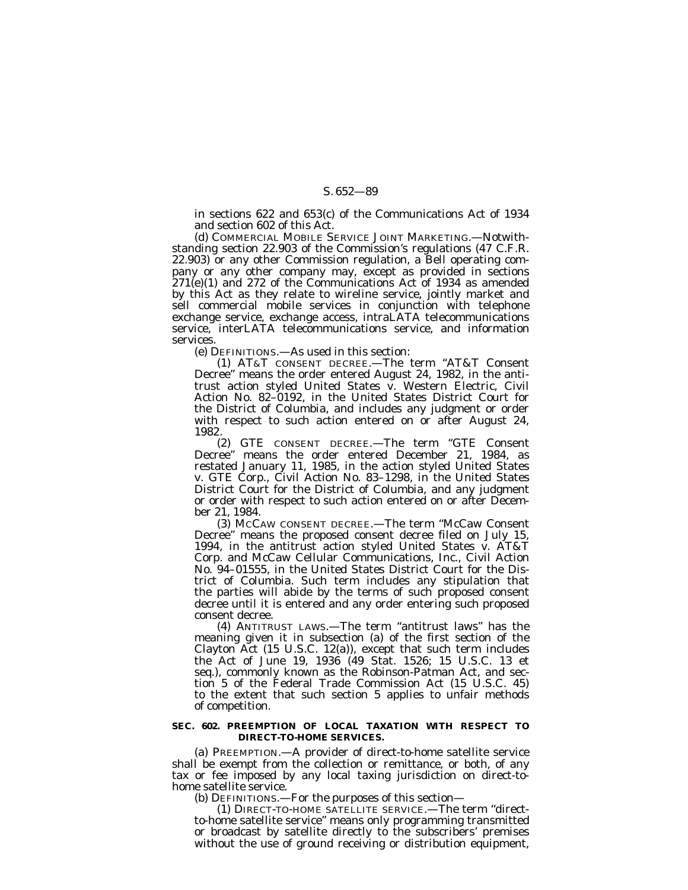in sections 622 and 653(c) of the Communications Act of 1934 and section 602 of this Act.

(d) COMMERCIAL MOBILE SERVICE JOINT MARKETING.—Notwithstanding section 22.903 of the Commission's regulations (47 C.F.R. 22.903) or any other Commission regulation, a Bell operating company or any other company may, except as provided in sections 271(e)(1) and 272 of the Communications Act of 1934 as amended by this Act as they relate to wireline service, jointly market and sell commercial mobile services in conjunction with telephone exchange service, exchange access, intraLATA telecommunications service, interLATA telecommunications service, and information services.

(e) DEFINITIONS.—As used in this section:

(1) AT&T CONSENT DECREE.—The term ''AT&T Consent Decree'' means the order entered August 24, 1982, in the antitrust action styled United States v. Western Electric, Civil Action No. 82–0192, in the United States District Court for the District of Columbia, and includes any judgment or order with respect to such action entered on or after August 24, 1982.

(2) GTE CONSENT DECREE.—The term ''GTE Consent Decree'' means the order entered December 21, 1984, as restated January 11, 1985, in the action styled United States v. GTE Corp., Civil Action No. 83–1298, in the United States District Court for the District of Columbia, and any judgment or order with respect to such action entered on or after December 21, 1984.

(3) MCCAW CONSENT DECREE.—The term ''McCaw Consent Decree'' means the proposed consent decree filed on July 15, 1994, in the antitrust action styled United States v. AT&T Corp. and McCaw Cellular Communications, Inc., Civil Action No. 94–01555, in the United States District Court for the District of Columbia. Such term includes any stipulation that the parties will abide by the terms of such proposed consent decree until it is entered and any order entering such proposed consent decree.

(4) ANTITRUST LAWS.—The term ''antitrust laws'' has the meaning given it in subsection (a) of the first section of the Clayton Act (15 U.S.C. 12(a)), except that such term includes the Act of June 19, 1936 (49 Stat. 1526; 15 U.S.C. 13 et seq.), commonly known as the Robinson-Patman Act, and section 5 of the Federal Trade Commission Act (15 U.S.C. 45) to the extent that such section 5 applies to unfair methods of competition.

### **SEC. 602. PREEMPTION OF LOCAL TAXATION WITH RESPECT TO DIRECT-TO-HOME SERVICES.**

(a) PREEMPTION.—A provider of direct-to-home satellite service shall be exempt from the collection or remittance, or both, of any tax or fee imposed by any local taxing jurisdiction on direct-tohome satellite service.

(b) DEFINITIONS.—For the purposes of this section—

(1) DIRECT-TO-HOME SATELLITE SERVICE.—The term ''directto-home satellite service'' means only programming transmitted or broadcast by satellite directly to the subscribers' premises without the use of ground receiving or distribution equipment,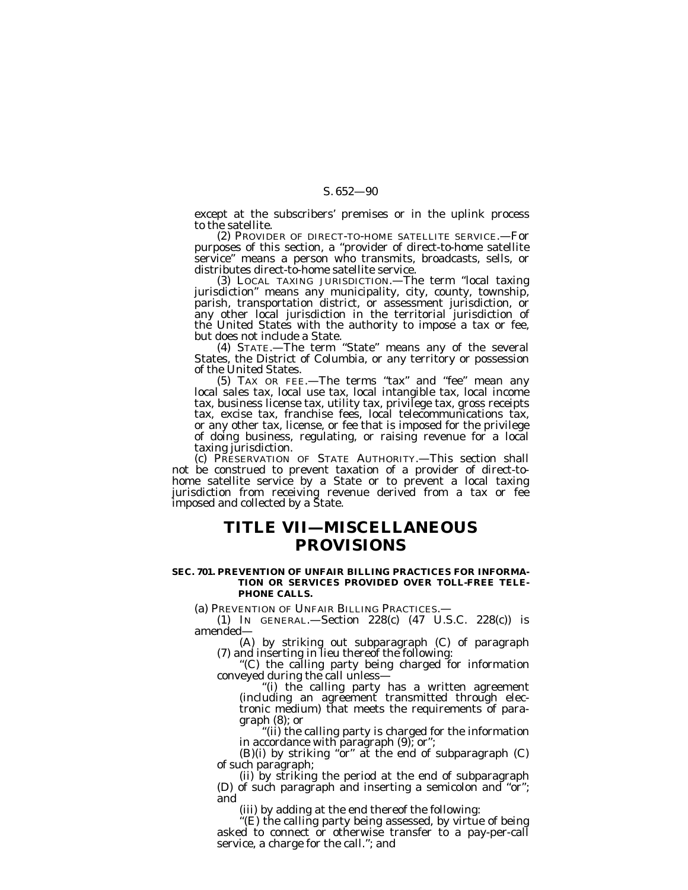except at the subscribers' premises or in the uplink process to the satellite.

(2) PROVIDER OF DIRECT-TO-HOME SATELLITE SERVICE.—For purposes of this section, a ''provider of direct-to-home satellite service'' means a person who transmits, broadcasts, sells, or distributes direct-to-home satellite service.

(3) LOCAL TAXING JURISDICTION.—The term ''local taxing jurisdiction'' means any municipality, city, county, township, parish, transportation district, or assessment jurisdiction, or any other local jurisdiction in the territorial jurisdiction of the United States with the authority to impose a tax or fee, but does not include a State.<br>
(4) STATE.—The term "State" means any of the several

States, the District of Columbia, or any territory or possession

of the United States.<br>
(5) TAX OR FEE.—The terms "tax" and "fee" mean any local sales tax, local use tax, local intangible tax, local income tax, business license tax, utility tax, privilege tax, gross receipts tax, excise tax, franchise fees, local telecommunications tax, or any other tax, license, or fee that is imposed for the privilege of doing business, regulating, or raising revenue for a local taxing jurisdiction.

(c) PRESERVATION OF STATE AUTHORITY.—This section shall not be construed to prevent taxation of a provider of direct-tohome satellite service by a State or to prevent a local taxing jurisdiction from receiving revenue derived from a tax or fee imposed and collected by a State.

# **TITLE VII—MISCELLANEOUS PROVISIONS**

#### **SEC. 701. PREVENTION OF UNFAIR BILLING PRACTICES FOR INFORMA-TION OR SERVICES PROVIDED OVER TOLL-FREE TELE-PHONE CALLS.**

(a) PREVENTION OF UNFAIR BILLING PRACTICES.— (1) IN GENERAL.—Section 228(c) (47 U.S.C. 228(c)) is

amended—<br>(A) by striking out subparagraph (C) of paragraph

(7) and inserting in lieu thereof the following:<br>"(C) the calling party being charged for information<br>conveyed during the call unless—<br>"(i) the calling party has a written agreement<br>(including an agreement transmitted thr tronic medium) that meets the requirements of paragraph (8); or

 $\overline{\phantom{a}}$ "(ii) the calling party is charged for the information in accordance with paragraph (9); or";

(B)(i) by striking ''or'' at the end of subparagraph (C) of such paragraph;

(ii) by striking the period at the end of subparagraph (D) of such paragraph and inserting a semicolon and ''or''; and

(iii) by adding at the end thereof the following:

''(E) the calling party being assessed, by virtue of being asked to connect or otherwise transfer to a pay-per-call service, a charge for the call.''; and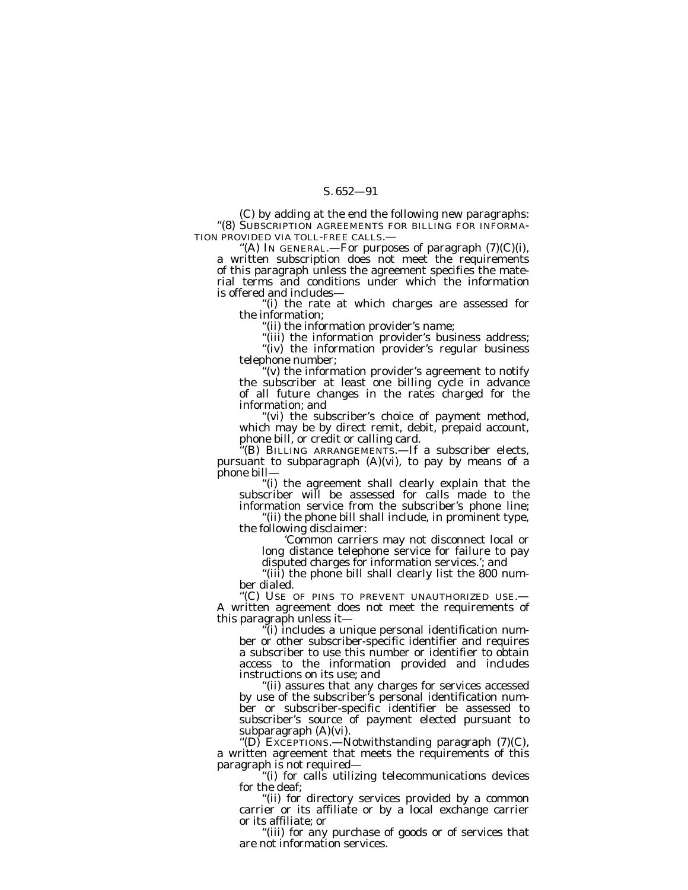(C) by adding at the end the following new paragraphs: ''(8) SUBSCRIPTION AGREEMENTS FOR BILLING FOR INFORMA-TION PROVIDED VIA TOLL-FREE CALLS.—

"(A) IN GENERAL.—For purposes of paragraph  $(7)(C)(i)$ , a written subscription does not meet the requirements of this paragraph unless the agreement specifies the material terms and conditions under which the information is offered and includes—

''(i) the rate at which charges are assessed for the information;

''(ii) the information provider's name;

"(iii) the information provider's business address; "(iv) the information provider's regular business telephone number;

 $(y)$  the information provider's agreement to notify the subscriber at least one billing cycle in advance of all future changes in the rates charged for the information; and

"(vi) the subscriber's choice of payment method, which may be by direct remit, debit, prepaid account, phone bill, or credit or calling card.

"(B) BILLING ARRANGEMENTS.—If a subscriber elects, pursuant to subparagraph (A)(vi), to pay by means of a phone bill—

''(i) the agreement shall clearly explain that the subscriber will be assessed for calls made to the information service from the subscriber's phone line;

''(ii) the phone bill shall include, in prominent type, the following disclaimer:

'Common carriers may not disconnect local or long distance telephone service for failure to pay disputed charges for information services.'; and

"(iii) the phone bill shall clearly list the 800 num-

ber dialed.<br>"(C) USE OF PINS TO PREVENT UNAUTHORIZED USE.— A written agreement does not meet the requirements of

this paragraph unless it—<br>"(i) includes a unique personal identification number or other subscriber-specific identifier and requires a subscriber to use this number or identifier to obtain access to the information provided and includes instructions on its use; and

''(ii) assures that any charges for services accessed by use of the subscriber's personal identification number or subscriber-specific identifier be assessed to subscriber's source of payment elected pursuant to subparagraph (A)(vi).

''(D) EXCEPTIONS.—Notwithstanding paragraph (7)(C), a written agreement that meets the requirements of this paragraph is not required—

''(i) for calls utilizing telecommunications devices for the deaf;

''(ii) for directory services provided by a common carrier or its affiliate or by a local exchange carrier or its affiliate; or

''(iii) for any purchase of goods or of services that are not information services.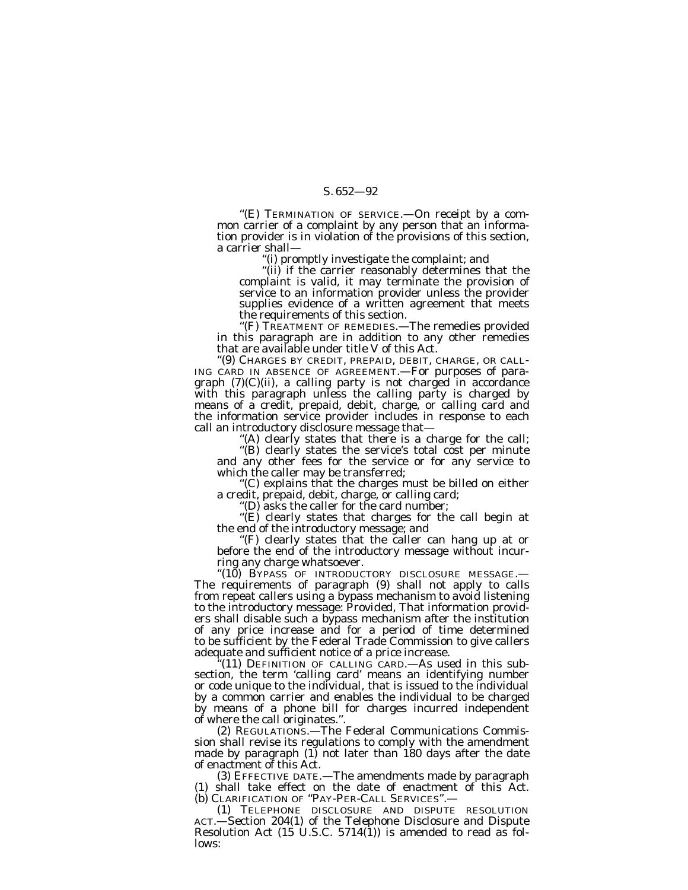''(E) TERMINATION OF SERVICE.—On receipt by a common carrier of a complaint by any person that an information provider is in violation of the provisions of this section, a carrier shall—

(i) promptly investigate the complaint; and

"(ii) if the carrier reasonably determines that the complaint is valid, it may terminate the provision of service to an information provider unless the provider supplies evidence of a written agreement that meets the requirements of this section.

"(F) TREATMENT OF REMEDIES.—The remedies provided in this paragraph are in addition to any other remedies that are available under title V of this Act.

''(9) CHARGES BY CREDIT, PREPAID, DEBIT, CHARGE, OR CALL-ING CARD IN ABSENCE OF AGREEMENT.—For purposes of paragraph (7)(C)(ii), a calling party is not charged in accordance with this paragraph unless the calling party is charged by means of a credit, prepaid, debit, charge, or calling card and the information service provider includes in response to each call an introductory disclosure message that—

"(A) clearly states that there is a charge for the call;

''(B) clearly states the service's total cost per minute and any other fees for the service or for any service to which the caller may be transferred;

''(C) explains that the charges must be billed on either a credit, prepaid, debit, charge, or calling card;

''(D) asks the caller for the card number;

"(E) clearly states that charges for the call begin at the end of the introductory message; and

"(F) clearly states that the caller can hang up at or before the end of the introductory message without incur-

ring any charge whatsoever.<br>"(10) BYPASS OF INTRODUCTORY DISCLOSURE MESSAGE. The requirements of paragraph (9) shall not apply to calls from repeat callers using a bypass mechanism to avoid listening to the introductory message: *Provided,* That information providers shall disable such a bypass mechanism after the institution of any price increase and for a period of time determined to be sufficient by the Federal Trade Commission to give callers adequate and sufficient notice of a price increase.

(11) DEFINITION OF CALLING CARD.—As used in this subsection, the term 'calling card' means an identifying number or code unique to the individual, that is issued to the individual by a common carrier and enables the individual to be charged by means of a phone bill for charges incurred independent of where the call originates.''.

(2) REGULATIONS.—The Federal Communications Commission shall revise its regulations to comply with the amendment made by paragraph (1) not later than 180 days after the date of enactment of this Act.

(3) EFFECTIVE DATE.—The amendments made by paragraph (1) shall take effect on the date of enactment of this Act. (b) CLARIFICATION OF ''PAY-PER-CALL SERVICES''.—

(1) TELEPHONE DISCLOSURE AND DISPUTE RESOLUTION ACT.—Section 204(1) of the Telephone Disclosure and Dispute Resolution Act  $(15 \text{ U.S.C. } 5714(1))$  is amended to read as follows: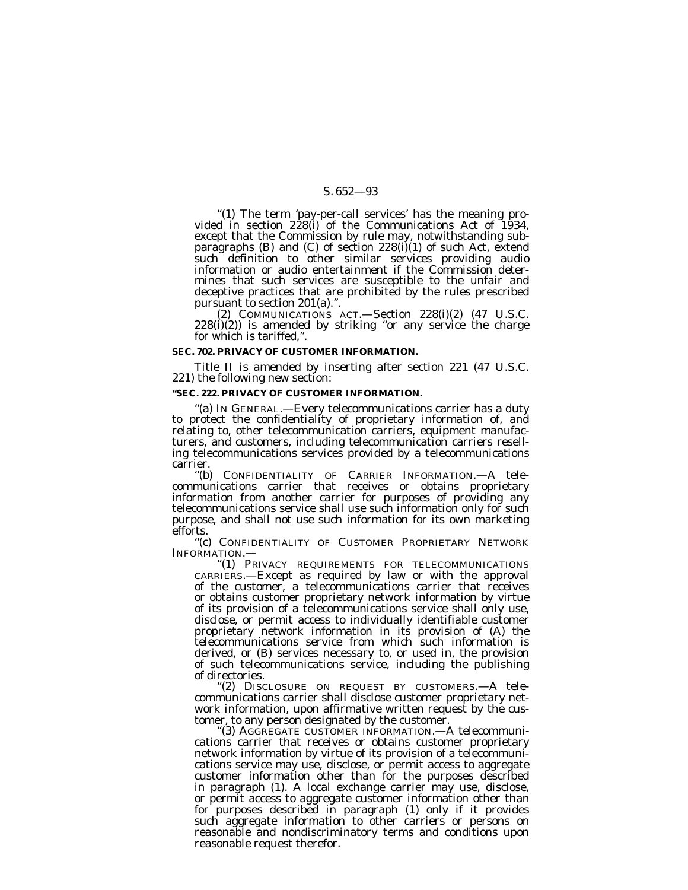''(1) The term 'pay-per-call services' has the meaning pro- vided in section 228(i) of the Communications Act of 1934, except that the Commission by rule may, notwithstanding subparagraphs (B) and (C) of section 228(i)(1) of such Act, extend such definition to other similar services providing audio information or audio entertainment if the Commission determines that such services are susceptible to the unfair and deceptive practices that are prohibited by the rules prescribed pursuant to section 201(a).".

(2) COMMUNICATIONS ACT.—Section  $228(i)(2)$  (47 U.S.C.)  $228(i)(2)$  is amended by striking "or any service the charge for which is tariffed,''.

#### **SEC. 702. PRIVACY OF CUSTOMER INFORMATION.**

Title II is amended by inserting after section 221 (47 U.S.C. 221) the following new section:

### **''SEC. 222. PRIVACY OF CUSTOMER INFORMATION.**

''(a) IN GENERAL.—Every telecommunications carrier has a duty to protect the confidentiality of proprietary information of, and relating to, other telecommunication carriers, equipment manufacturers, and customers, including telecommunication carriers reselling telecommunications services provided by a telecommunications carrier.

''(b) CONFIDENTIALITY OF CARRIER INFORMATION.—A telecommunications carrier that receives or obtains proprietary information from another carrier for purposes of providing any telecommunications service shall use such information only for such purpose, and shall not use such information for its own marketing efforts.

''(c) CONFIDENTIALITY OF CUSTOMER PROPRIETARY NETWORK

INFORMATION.—<br>
"(1) PRIVACY REQUIREMENTS FOR TELECOMMUNICATIONS<br>
CARRIERS.—Except as required by law or with the approval of the customer, a telecommunications carrier that receives or obtains customer proprietary network information by virtue of its provision of a telecommunications service shall only use, disclose, or permit access to individually identifiable customer proprietary network information in its provision of (A) the telecommunications service from which such information is derived, or (B) services necessary to, or used in, the provision of such telecommunications service, including the publishing of directories.

"(2) DISCLOSURE ON REQUEST BY CUSTOMERS.—A telecommunications carrier shall disclose customer proprietary network information, upon affirmative written request by the customer, to any person designated by the customer.<br>''(3) AGGREGATE CUSTOMER INFORMATION.—A telecommuni-

cations carrier that receives or obtains customer proprietary network information by virtue of its provision of a telecommunications service may use, disclose, or permit access to aggregate customer information other than for the purposes described in paragraph (1). A local exchange carrier may use, disclose, or permit access to aggregate customer information other than for purposes described in paragraph (1) only if it provides such aggregate information to other carriers or persons on reasonable and nondiscriminatory terms and conditions upon reasonable request therefor.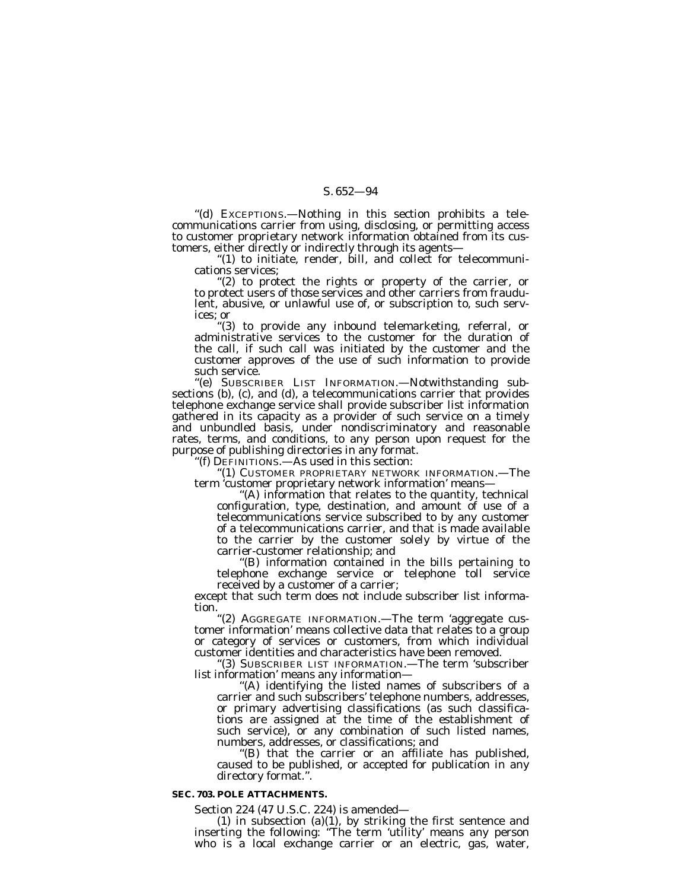''(d) EXCEPTIONS.—Nothing in this section prohibits a telecommunications carrier from using, disclosing, or permitting access to customer proprietary network information obtained from its customers, either directly or indirectly through its agents—

"(1) to initiate, render, bill, and collect for telecommunications services;

''(2) to protect the rights or property of the carrier, or to protect users of those services and other carriers from fraudulent, abusive, or unlawful use of, or subscription to, such services; or

'(3) to provide any inbound telemarketing, referral, or administrative services to the customer for the duration of the call, if such call was initiated by the customer and the customer approves of the use of such information to provide such service.

''(e) SUBSCRIBER LIST INFORMATION.—Notwithstanding subsections (b), (c), and (d), a telecommunications carrier that provides telephone exchange service shall provide subscriber list information gathered in its capacity as a provider of such service on a timely and unbundled basis, under nondiscriminatory and reasonable rates, terms, and conditions, to any person upon request for the purpose of publishing directories in any format.

'(f) DEFINITIONS.—As used in this section:

''(1) CUSTOMER PROPRIETARY NETWORK INFORMATION.—The term 'customer proprietary network information' means—

''(A) information that relates to the quantity, technical configuration, type, destination, and amount of use of a telecommunications service subscribed to by any customer of a telecommunications carrier, and that is made available to the carrier by the customer solely by virtue of the carrier-customer relationship; and

''(B) information contained in the bills pertaining to telephone exchange service or telephone toll service received by a customer of a carrier;

except that such term does not include subscriber list information.

"(2) AGGREGATE INFORMATION.—The term 'aggregate customer information' means collective data that relates to a group or category of services or customers, from which individual customer identities and characteristics have been removed.

''(3) SUBSCRIBER LIST INFORMATION.—The term 'subscriber list information' means any information—<br>"(A) identifying the listed names of subscribers of a

carrier and such subscribers' telephone numbers, addresses, or primary advertising classifications (as such classifications are assigned at the time of the establishment of such service), or any combination of such listed names, numbers, addresses, or classifications; and

"(B) that the carrier or an affiliate has published, caused to be published, or accepted for publication in any directory format.''.

#### **SEC. 703. POLE ATTACHMENTS.**

Section 224 (47 U.S.C. 224) is amended—

(1) in subsection (a)(1), by striking the first sentence and inserting the following: ''The term 'utility' means any person who is a local exchange carrier or an electric, gas, water,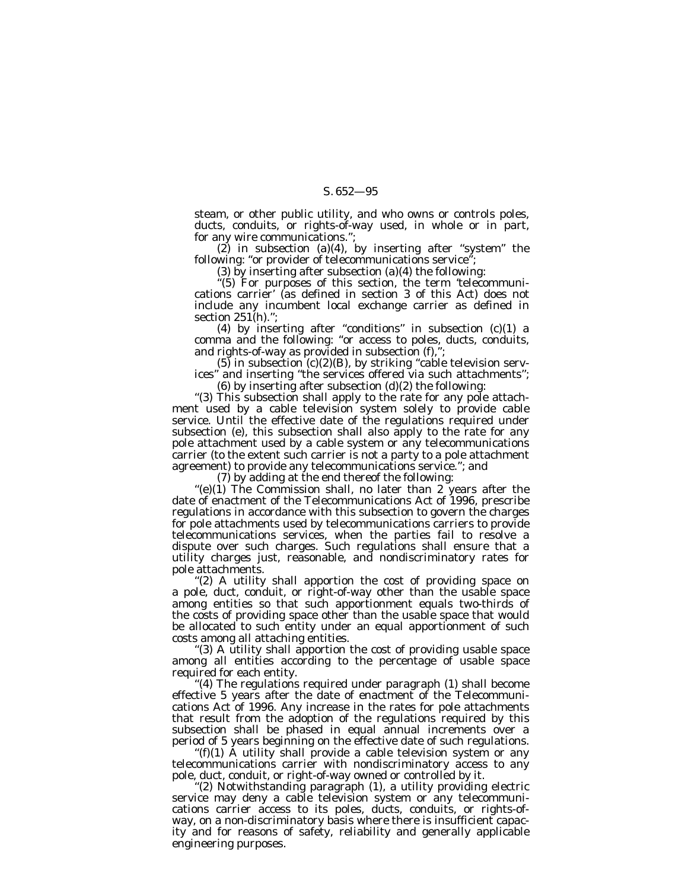steam, or other public utility, and who owns or controls poles, ducts, conduits, or rights-of-way used, in whole or in part, for any wire communications.'';

 $(2)$  in subsection  $(a)(4)$ , by inserting after "system" the following: "or provider of telecommunications service";

(3)  $\overline{b}$ y inserting after subsection (a)(4) the following:

''(5) For purposes of this section, the term 'telecommunications carrier' (as defined in section 3 of this Act) does not include any incumbent local exchange carrier as defined in section 251(h).'';

(4) by inserting after ''conditions'' in subsection (c)(1) a comma and the following: ''or access to poles, ducts, conduits, and rights-of-way as provided in subsection  $(f)$ ,

 $(5)$  in subsection  $(c)(2)(B)$ , by striking "cable television services'' and inserting ''the services offered via such attachments''; (6) by inserting after subsection  $(d)(2)$  the following:

"(3) This subsection shall apply to the rate for any pole attachment used by a cable television system solely to provide cable service. Until the effective date of the regulations required under subsection (e), this subsection shall also apply to the rate for any pole attachment used by a cable system or any telecommunications carrier (to the extent such carrier is not a party to a pole attachment agreement) to provide any telecommunications service.''; and

(7) by adding at the end thereof the following:

"(e)(1) The Commission shall, no later than 2 years after the date of enactment of the Telecommunications Act of 1996, prescribe regulations in accordance with this subsection to govern the charges for pole attachments used by telecommunications carriers to provide telecommunications services, when the parties fail to resolve a dispute over such charges. Such regulations shall ensure that a utility charges just, reasonable, and nondiscriminatory rates for pole attachments.

"(2) A utility shall apportion the cost of providing space on a pole, duct, conduit, or right-of-way other than the usable space among entities so that such apportionment equals two-thirds of the costs of providing space other than the usable space that would be allocated to such entity under an equal apportionment of such costs among all attaching entities.

"(3) A utility shall apportion the cost of providing usable space among all entities according to the percentage of usable space required for each entity.

"(4) The regulations required under paragraph (1) shall become effective 5 years after the date of enactment of the Telecommunications Act of 1996. Any increase in the rates for pole attachments that result from the adoption of the regulations required by this subsection shall be phased in equal annual increments over a period of 5 years beginning on the effective date of such regulations.

 $(f)(1)$  A utility shall provide a cable television system or any telecommunications carrier with nondiscriminatory access to any pole, duct, conduit, or right-of-way owned or controlled by it.

(2) Notwithstanding paragraph (1), a utility providing electric service may deny a cable television system or any telecommunications carrier access to its poles, ducts, conduits, or rights-ofway, on a non-discriminatory basis where there is insufficient capacity and for reasons of safety, reliability and generally applicable engineering purposes.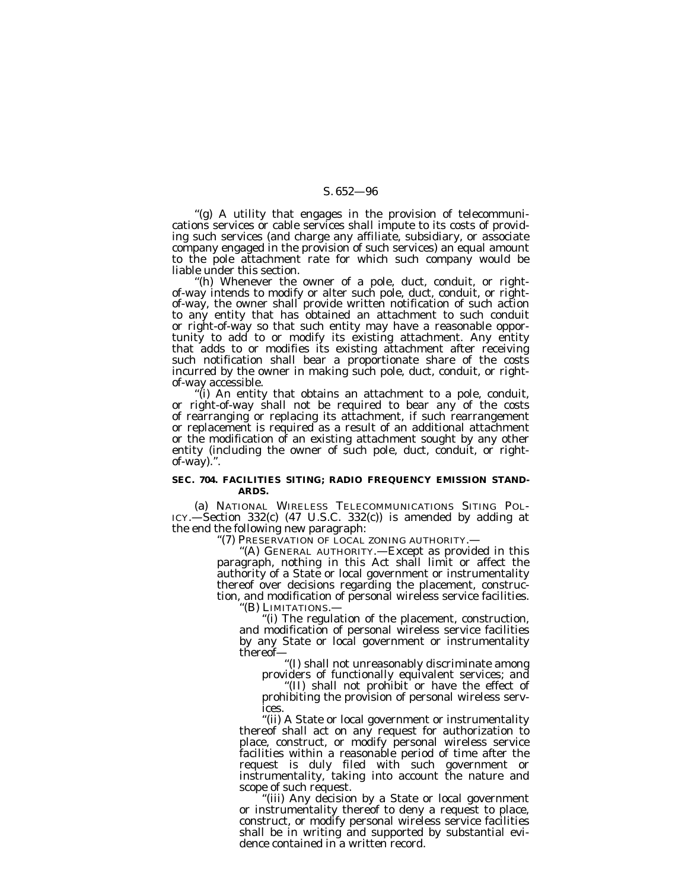''(g) A utility that engages in the provision of telecommunications services or cable services shall impute to its costs of providing such services (and charge any affiliate, subsidiary, or associate company engaged in the provision of such services) an equal amount to the pole attachment rate for which such company would be liable under this section.

''(h) Whenever the owner of a pole, duct, conduit, or rightof-way intends to modify or alter such pole, duct, conduit, or rightof-way, the owner shall provide written notification of such action to any entity that has obtained an attachment to such conduit or right-of-way so that such entity may have a reasonable opportunity to add to or modify its existing attachment. Any entity that adds to or modifies its existing attachment after receiving such notification shall bear a proportionate share of the costs incurred by the owner in making such pole, duct, conduit, or rightof-way accessible.

''(i) An entity that obtains an attachment to a pole, conduit, or right-of-way shall not be required to bear any of the costs of rearranging or replacing its attachment, if such rearrangement or replacement is required as a result of an additional attachment or the modification of an existing attachment sought by any other entity (including the owner of such pole, duct, conduit, or rightof-way).''.

#### **SEC. 704. FACILITIES SITING; RADIO FREQUENCY EMISSION STAND-ARDS.**

(a) NATIONAL WIRELESS TELECOMMUNICATIONS SITING POL-ICY.—Section 332(c)  $(47 \text{ U.S.C. } 332(c))$  is amended by adding at the end the following new paragraph:

the end the following new paragraph: ''(7) PRESERVATION OF LOCAL ZONING AUTHORITY.— ''(A) GENERAL AUTHORITY.—Except as provided in this paragraph, nothing in this Act shall limit or affect the authority of a State or local government or instrumentality thereof over decisions regarding the placement, construction, and modification of personal wireless service facilities.

''(B) LIMITATIONS.— ''(i) The regulation of the placement, construction, and modification of personal wireless service facilities by any State or local government or instrumentality thereof—

''(I) shall not unreasonably discriminate among

"(II) shall not prohibit or have the effect of prohibiting the provision of personal wireless services.

''(ii) A State or local government or instrumentality thereof shall act on any request for authorization to place, construct, or modify personal wireless service facilities within a reasonable period of time after the request is duly filed with such government or instrumentality, taking into account the nature and scope of such request.

''(iii) Any decision by a State or local government or instrumentality thereof to deny a request to place, construct, or modify personal wireless service facilities shall be in writing and supported by substantial evidence contained in a written record.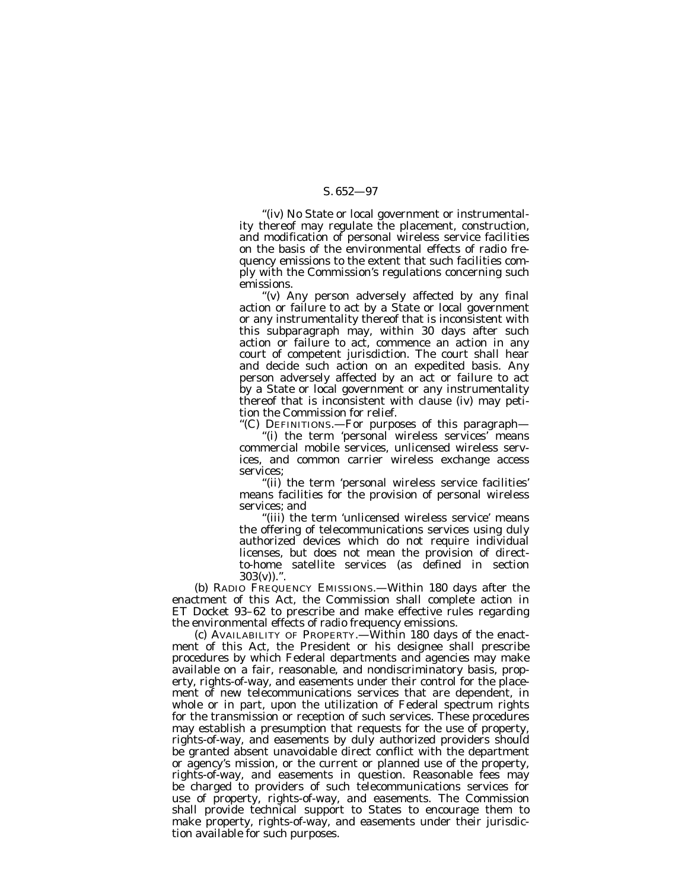''(iv) No State or local government or instrumentality thereof may regulate the placement, construction, and modification of personal wireless service facilities on the basis of the environmental effects of radio frequency emissions to the extent that such facilities comply with the Commission's regulations concerning such emissions.

''(v) Any person adversely affected by any final action or failure to act by a State or local government or any instrumentality thereof that is inconsistent with this subparagraph may, within 30 days after such action or failure to act, commence an action in any court of competent jurisdiction. The court shall hear and decide such action on an expedited basis. Any person adversely affected by an act or failure to act by a State or local government or any instrumentality thereof that is inconsistent with clause (iv) may petition the Commission for relief.

''(C) DEFINITIONS.—For purposes of this paragraph—

''(i) the term 'personal wireless services' means commercial mobile services, unlicensed wireless services, and common carrier wireless exchange access services;

''(ii) the term 'personal wireless service facilities' means facilities for the provision of personal wireless services; and

''(iii) the term 'unlicensed wireless service' means the offering of telecommunications services using duly authorized devices which do not require individual licenses, but does not mean the provision of directto-home satellite services (as defined in section  $303(v)$ .".

(b) RADIO FREQUENCY EMISSIONS.—Within 180 days after the enactment of this Act, the Commission shall complete action in ET Docket 93–62 to prescribe and make effective rules regarding the environmental effects of radio frequency emissions.

(c) AVAILABILITY OF PROPERTY.—Within 180 days of the enactment of this Act, the President or his designee shall prescribe procedures by which Federal departments and agencies may make available on a fair, reasonable, and nondiscriminatory basis, property, rights-of-way, and easements under their control for the placement of new telecommunications services that are dependent, in whole or in part, upon the utilization of Federal spectrum rights for the transmission or reception of such services. These procedures may establish a presumption that requests for the use of property, rights-of-way, and easements by duly authorized providers should be granted absent unavoidable direct conflict with the department or agency's mission, or the current or planned use of the property, rights-of-way, and easements in question. Reasonable fees may be charged to providers of such telecommunications services for use of property, rights-of-way, and easements. The Commission shall provide technical support to States to encourage them to make property, rights-of-way, and easements under their jurisdiction available for such purposes.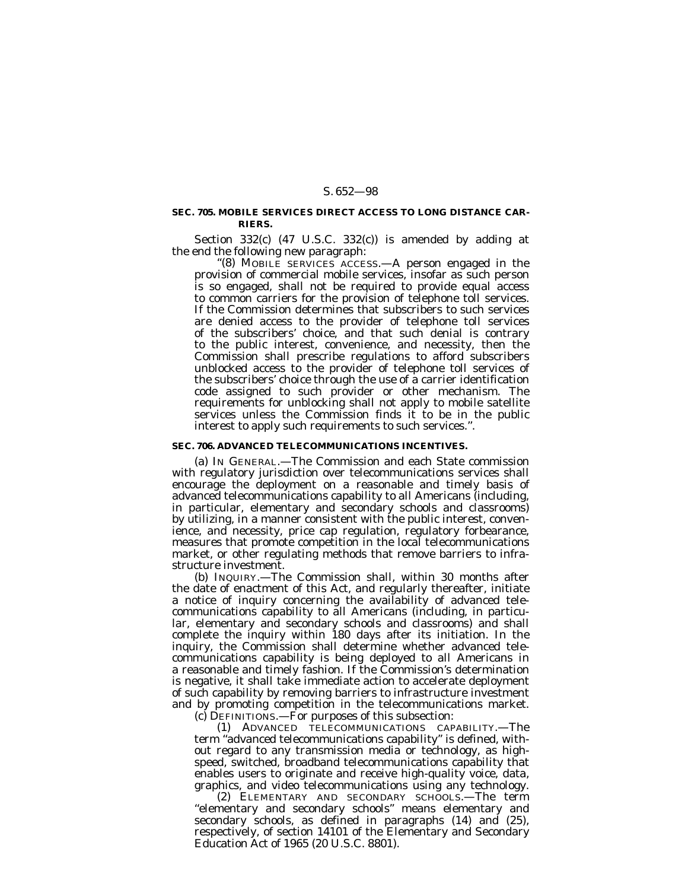### **SEC. 705. MOBILE SERVICES DIRECT ACCESS TO LONG DISTANCE CAR-RIERS.**

Section 332(c) (47 U.S.C. 332(c)) is amended by adding at the end the following new paragraph:

''(8) MOBILE SERVICES ACCESS.—A person engaged in the provision of commercial mobile services, insofar as such person is so engaged, shall not be required to provide equal access to common carriers for the provision of telephone toll services. If the Commission determines that subscribers to such services are denied access to the provider of telephone toll services of the subscribers' choice, and that such denial is contrary to the public interest, convenience, and necessity, then the Commission shall prescribe regulations to afford subscribers unblocked access to the provider of telephone toll services of the subscribers' choice through the use of a carrier identification code assigned to such provider or other mechanism. The requirements for unblocking shall not apply to mobile satellite services unless the Commission finds it to be in the public interest to apply such requirements to such services.''.

#### **SEC. 706. ADVANCED TELECOMMUNICATIONS INCENTIVES.**

(a) IN GENERAL.—The Commission and each State commission with regulatory jurisdiction over telecommunications services shall encourage the deployment on a reasonable and timely basis of advanced telecommunications capability to all Americans (including, in particular, elementary and secondary schools and classrooms) by utilizing, in a manner consistent with the public interest, convenience, and necessity, price cap regulation, regulatory forbearance, measures that promote competition in the local telecommunications market, or other regulating methods that remove barriers to infrastructure investment.

(b) INQUIRY.—The Commission shall, within 30 months after the date of enactment of this Act, and regularly thereafter, initiate a notice of inquiry concerning the availability of advanced telecommunications capability to all Americans (including, in particular, elementary and secondary schools and classrooms) and shall complete the inquiry within 180 days after its initiation. In the inquiry, the Commission shall determine whether advanced telecommunications capability is being deployed to all Americans in a reasonable and timely fashion. If the Commission's determination is negative, it shall take immediate action to accelerate deployment of such capability by removing barriers to infrastructure investment and by promoting competition in the telecommunications market.  $(c)$  DEFINITIONS.—For purposes of this subsection:

(1) ADVANCED TELECOMMUNICATIONS CAPABILITY.—The term ''advanced telecommunications capability'' is defined, without regard to any transmission media or technology, as highspeed, switched, broadband telecommunications capability that enables users to originate and receive high-quality voice, data, graphics, and video telecommunications using any technology.

(2) ELEMENTARY AND SECONDARY SCHOOLS.—The term "elementary and secondary schools" means elementary and secondary schools, as defined in paragraphs (14) and (25), respectively, of section 14101 of the Elementary and Secondary Education Act of 1965 (20 U.S.C. 8801).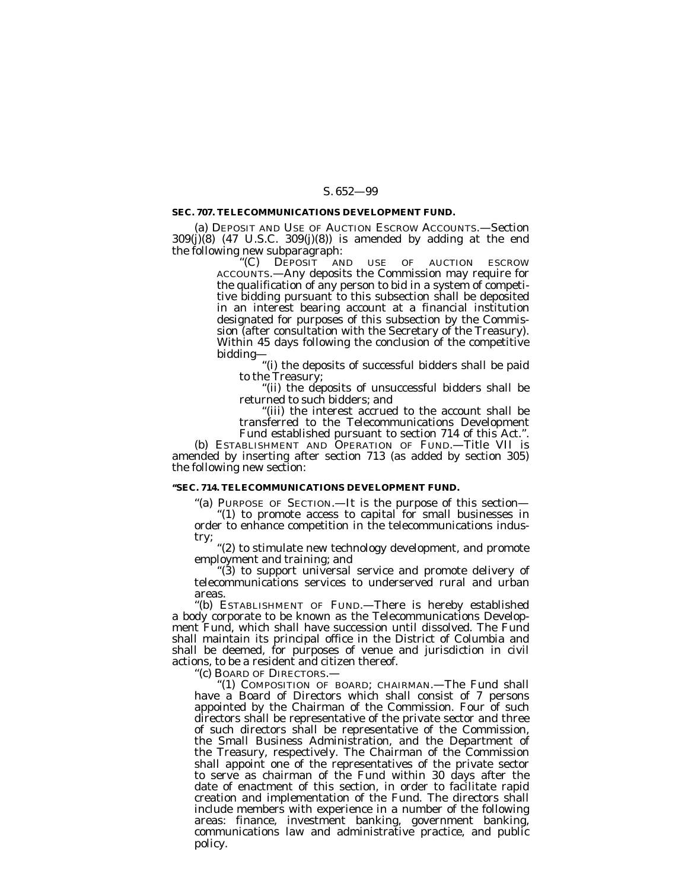#### **SEC. 707. TELECOMMUNICATIONS DEVELOPMENT FUND.**

(a) DEPOSIT AND USE OF AUCTION ESCROW ACCOUNTS.—Section 309(j)(8) (47 U.S.C. 309(j)(8)) is amended by adding at the end the following new subparagraph:

> '(C) DEPOSIT AND USE OF AUCTION ESCROW ACCOUNTS.—Any deposits the Commission may require for the qualification of any person to bid in a system of competitive bidding pursuant to this subsection shall be deposited in an interest bearing account at a financial institution designated for purposes of this subsection by the Commission (after consultation with the Secretary of the Treasury). Within 45 days following the conclusion of the competitive bidding—

''(i) the deposits of successful bidders shall be paid to the Treasury;

''(ii) the deposits of unsuccessful bidders shall be returned to such bidders; and

''(iii) the interest accrued to the account shall be transferred to the Telecommunications Development Fund established pursuant to section 714 of this Act.''.

(b) ESTABLISHMENT AND OPERATION OF FUND.—Title VII is amended by inserting after section 713 (as added by section 305) the following new section:

### **''SEC. 714. TELECOMMUNICATIONS DEVELOPMENT FUND.**

''(a) PURPOSE OF SECTION.—It is the purpose of this section—

"(1) to promote access to capital for small businesses in order to enhance competition in the telecommunications industry;

''(2) to stimulate new technology development, and promote employment and training; and

''(3) to support universal service and promote delivery of telecommunications services to underserved rural and urban areas.

''(b) ESTABLISHMENT OF FUND.—There is hereby established a body corporate to be known as the Telecommunications Development Fund, which shall have succession until dissolved. The Fund shall maintain its principal office in the District of Columbia and shall be deemed, for purposes of venue and jurisdiction in civil actions, to be a resident and citizen thereof.

''(c) BOARD OF DIRECTORS.—

''(1) COMPOSITION OF BOARD; CHAIRMAN.—The Fund shall have a Board of Directors which shall consist of 7 persons appointed by the Chairman of the Commission. Four of such directors shall be representative of the private sector and three of such directors shall be representative of the Commission, the Small Business Administration, and the Department of the Treasury, respectively. The Chairman of the Commission shall appoint one of the representatives of the private sector to serve as chairman of the Fund within 30 days after the date of enactment of this section, in order to facilitate rapid creation and implementation of the Fund. The directors shall include members with experience in a number of the following areas: finance, investment banking, government banking, communications law and administrative practice, and public policy.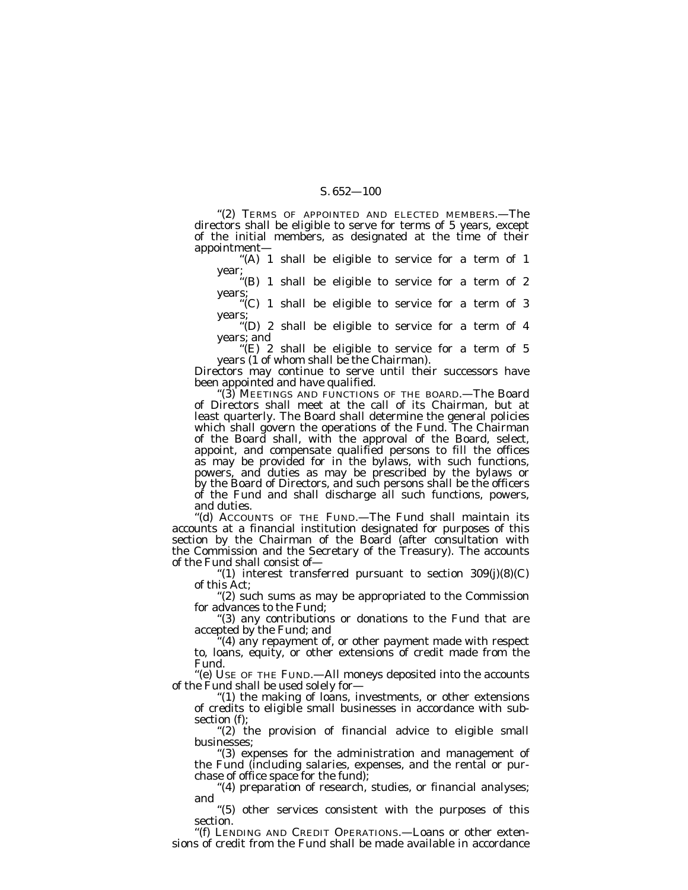"(2) TERMS OF APPOINTED AND ELECTED MEMBERS.—The directors shall be eligible to serve for terms of 5 years, except of the initial members, as designated at the time of their appointment—

''(A) 1 shall be eligible to service for a term of 1 year;

''(B) 1 shall be eligible to service for a term of 2 years;

 $C($  1 shall be eligible to service for a term of 3 years;

''(D) 2 shall be eligible to service for a term of 4 years; and

''(E) 2 shall be eligible to service for a term of 5 years (1 of whom shall be the Chairman).

Directors may continue to serve until their successors have been appointed and have qualified.

''(3) MEETINGS AND FUNCTIONS OF THE BOARD.—The Board of Directors shall meet at the call of its Chairman, but at least quarterly. The Board shall determine the general policies which shall govern the operations of the Fund. The Chairman of the Board shall, with the approval of the Board, select, appoint, and compensate qualified persons to fill the offices as may be provided for in the bylaws, with such functions, powers, and duties as may be prescribed by the bylaws or by the Board of Directors, and such persons shall be the officers of the Fund and shall discharge all such functions, powers, and duties.

''(d) ACCOUNTS OF THE FUND.—The Fund shall maintain its accounts at a financial institution designated for purposes of this section by the Chairman of the Board (after consultation with the Commission and the Secretary of the Treasury). The accounts of the Fund shall consist of—

"(1) interest transferred pursuant to section  $309(j)(8)(C)$ of this Act;

''(2) such sums as may be appropriated to the Commission for advances to the Fund;

"(3) any contributions or donations to the Fund that are accepted by the Fund; and

 $f(4)$  any repayment of, or other payment made with respect to, loans, equity, or other extensions of credit made from the Fund.

''(e) USE OF THE FUND.—All moneys deposited into the accounts

"(1) the making of loans, investments, or other extensions of credits to eligible small businesses in accordance with subsection (f);

"(2) the provision of financial advice to eligible small businesses;

''(3) expenses for the administration and management of the Fund (including salaries, expenses, and the rental or purchase of office space for the fund);

"(4) preparation of research, studies, or financial analyses; and

''(5) other services consistent with the purposes of this section.

''(f) LENDING AND CREDIT OPERATIONS.—Loans or other extensions of credit from the Fund shall be made available in accordance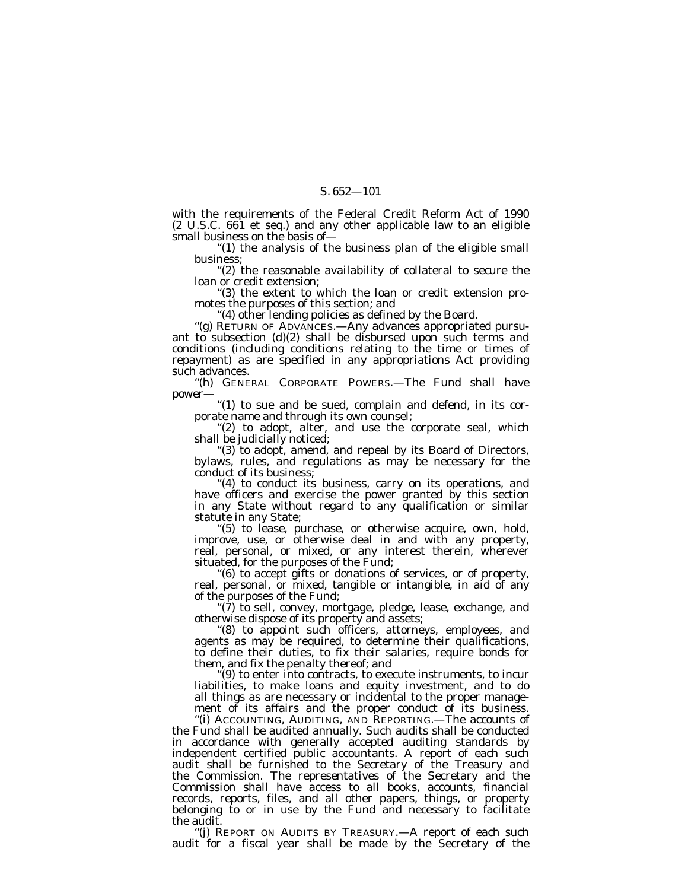with the requirements of the Federal Credit Reform Act of 1990 (2 U.S.C. 661 et seq.) and any other applicable law to an eligible small business on the basis of—

''(1) the analysis of the business plan of the eligible small business;

"(2) the reasonable availability of collateral to secure the loan or credit extension;

''(3) the extent to which the loan or credit extension promotes the purposes of this section; and

''(4) other lending policies as defined by the Board.

''(g) RETURN OF ADVANCES.—Any advances appropriated pursuant to subsection  $(d)(2)$  shall be disbursed upon such terms and conditions (including conditions relating to the time or times of repayment) as are specified in any appropriations Act providing such advances.

''(h) GENERAL CORPORATE POWERS.—The Fund shall have power—

''(1) to sue and be sued, complain and defend, in its corporate name and through its own counsel;

"(2) to adopt, alter, and use the corporate seal, which shall be judicially noticed;

"(3) to adopt, amend, and repeal by its Board of Directors, bylaws, rules, and regulations as may be necessary for the conduct of its business;

"(4) to conduct its business, carry on its operations, and have officers and exercise the power granted by this section in any State without regard to any qualification or similar

statute in any State;<br>"(5) to lease, purchase, or otherwise acquire, own, hold, improve, use, or otherwise deal in and with any property, real, personal, or mixed, or any interest therein, wherever situated, for the purposes of the Fund;

''(6) to accept gifts or donations of services, or of property, real, personal, or mixed, tangible or intangible, in aid of any of the purposes of the Fund;

" $(7)$  to sell, convey, mortgage, pledge, lease, exchange, and otherwise dispose of its property and assets;

"(8) to appoint such officers, attorneys, employees, and agents as may be required, to determine their qualifications, to define their duties, to fix their salaries, require bonds for

"(9) to enter into contracts, to execute instruments, to incur liabilities, to make loans and equity investment, and to do all things as are necessary or incidental to the proper management of its affairs and the proper conduct of its business.

''(i) ACCOUNTING, AUDITING, AND REPORTING.—The accounts of the Fund shall be audited annually. Such audits shall be conducted in accordance with generally accepted auditing standards by independent certified public accountants. A report of each such audit shall be furnished to the Secretary of the Treasury and the Commission. The representatives of the Secretary and the Commission shall have access to all books, accounts, financial records, reports, files, and all other papers, things, or property belonging to or in use by the Fund and necessary to facilitate the audit.

''(j) REPORT ON AUDITS BY TREASURY.—A report of each such audit for a fiscal year shall be made by the Secretary of the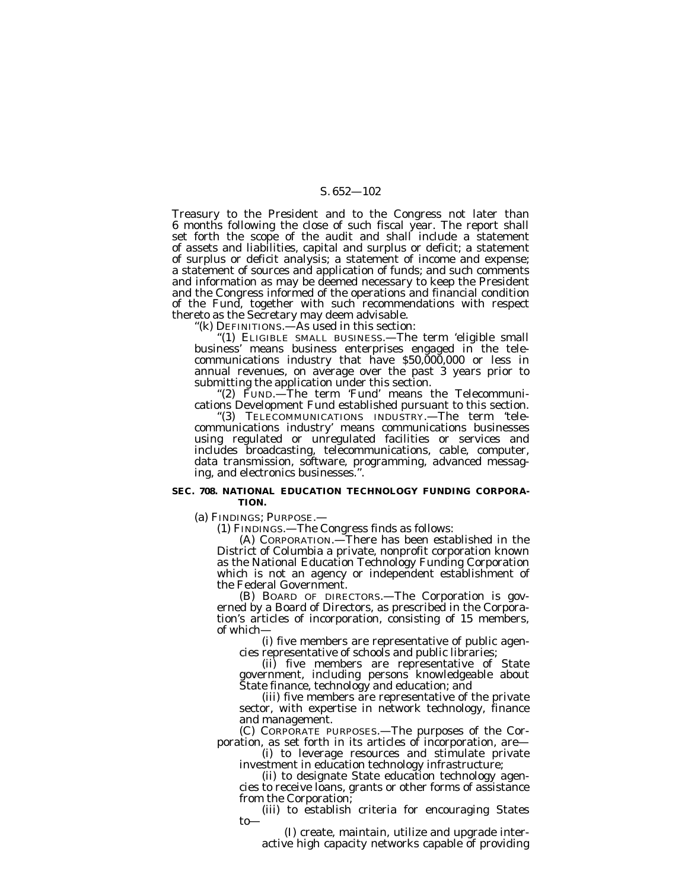Treasury to the President and to the Congress not later than 6 months following the close of such fiscal year. The report shall set forth the scope of the audit and shall include a statement of assets and liabilities, capital and surplus or deficit; a statement of surplus or deficit analysis; a statement of income and expense; a statement of sources and application of funds; and such comments and information as may be deemed necessary to keep the President and the Congress informed of the operations and financial condition of the Fund, together with such recommendations with respect thereto as the Secretary may deem advisable.

"(k) DEFINITIONS.—As used in this section:

'(1) ELIGIBLE SMALL BUSINESS.—The term 'eligible small business' means business enterprises engaged in the telecommunications industry that have \$50,000,000 or less in annual revenues, on average over the past 3 years prior to submitting the application under this section.

''(2) FUND.—The term 'Fund' means the Telecommunications Development Fund established pursuant to this section.

''(3) TELECOMMUNICATIONS INDUSTRY.—The term 'telecommunications industry' means communications businesses using regulated or unregulated facilities or services and includes broadcasting, telecommunications, cable, computer, data transmission, software, programming, advanced messaging, and electronics businesses.''.

#### **SEC. 708. NATIONAL EDUCATION TECHNOLOGY FUNDING CORPORA-TION.**

(a) FINDINGS; PURPOSE.—<br>
(1) FINDINGS.—The Congress finds as follows:<br>
(A) CORPORATION.—There has been established in the District of Columbia a private, nonprofit corporation known as the National Education Technology Funding Corporation which is not an agency or independent establishment of the Federal Government.

(B) BOARD OF DIRECTORS.—The Corporation is governed by a Board of Directors, as prescribed in the Corporation's articles of incorporation, consisting of 15 members, of which—

(i) five members are representative of public agencies representative of schools and public libraries;

(ii) five members are representative of State government, including persons knowledgeable about State finance, technology and education; and (iii) five members are representative of the private

sector, with expertise in network technology, finance and management.

(C) CORPORATE PURPOSES.—The purposes of the Corporation, as set forth in its articles of incorporation, are—

(i) to leverage resources and stimulate private investment in education technology infrastructure;

(ii) to designate State education technology agencies to receive loans, grants or other forms of assistance from the Corporation;

(iii) to establish criteria for encouraging States to—

(I) create, maintain, utilize and upgrade interactive high capacity networks capable of providing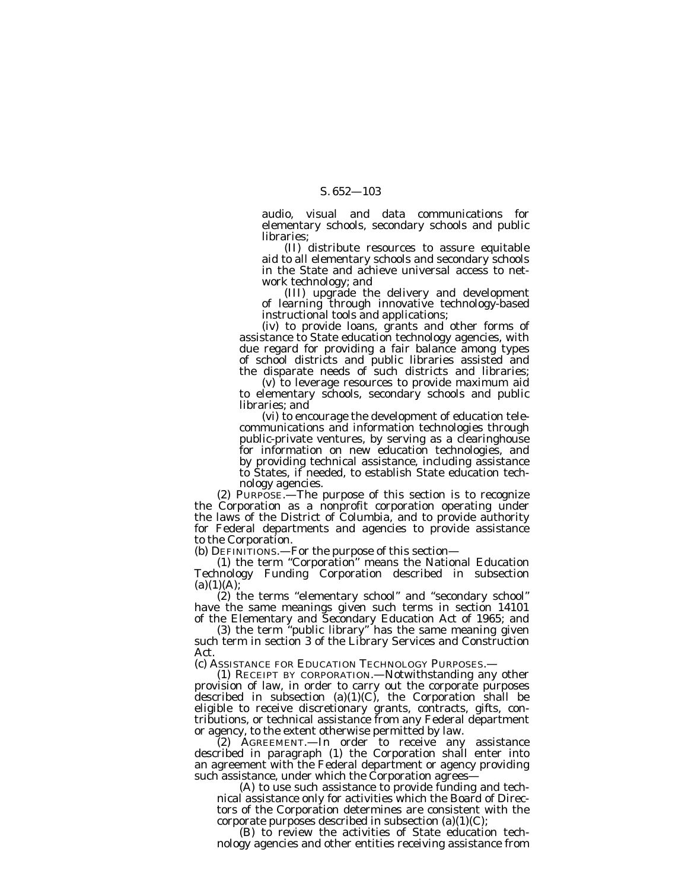audio, visual and data communications for elementary schools, secondary schools and public libraries;

(II) distribute resources to assure equitable aid to all elementary schools and secondary schools in the State and achieve universal access to network technology; and

(III) upgrade the delivery and development of learning through innovative technology-based instructional tools and applications;

(iv) to provide loans, grants and other forms of assistance to State education technology agencies, with due regard for providing a fair balance among types of school districts and public libraries assisted and the disparate needs of such districts and libraries;

(v) to leverage resources to provide maximum aid to elementary schools, secondary schools and public libraries; and

(vi) to encourage the development of education telecommunications and information technologies through public-private ventures, by serving as a clearinghouse for information on new education technologies, and by providing technical assistance, including assistance to States, if needed, to establish State education technology agencies.

(2) PURPOSE.—The purpose of this section is to recognize the Corporation as a nonprofit corporation operating under the laws of the District of Columbia, and to provide authority for Federal departments and agencies to provide assistance to the Corporation.

(b) DEFINITIONS.—For the purpose of this section—

(1) the term ''Corporation'' means the National Education Technology Funding Corporation described in subsection  $(a)(1)(A);$ 

(2) the terms ''elementary school'' and ''secondary school'' have the same meanings given such terms in section 14101 of the Elementary and Secondary Education Act of 1965; and (3) the term ''public library'' has the same meaning given

such term in section 3 of the Library Services and Construction Act.<br>(c) Assistance for Education Technology Purposes.–

(1) RECEIPT BY CORPORATION.—Notwithstanding any other provision of law, in order to carry out the corporate purposes described in subsection  $(a)(1)(C)$ , the Corporation shall be eligible to receive discretionary grants, contracts, gifts, contributions, or technical assistance from any Federal department or agency, to the extent otherwise permitted by law.

(2) AGREEMENT.—In order to receive any assistance described in paragraph (1) the Corporation shall enter into an agreement with the Federal department or agency providing such assistance, under which the Corporation agrees—

(A) to use such assistance to provide funding and technical assistance only for activities which the Board of Directors of the Corporation determines are consistent with the corporate purposes described in subsection  $(a)(1)(C)$ ;

(B) to review the activities of State education technology agencies and other entities receiving assistance from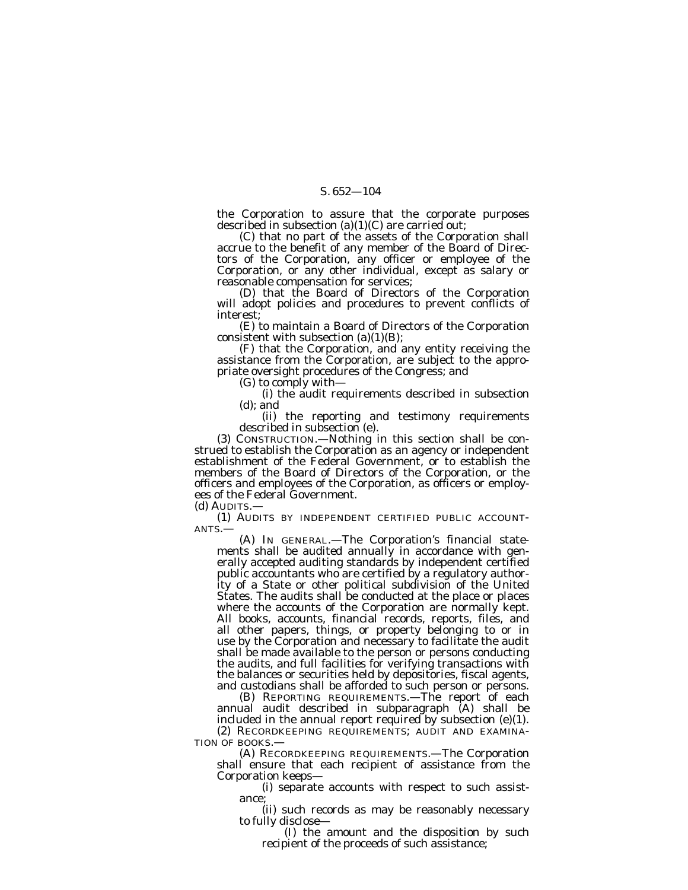the Corporation to assure that the corporate purposes described in subsection (a)(1)(C) are carried out;

(C) that no part of the assets of the Corporation shall accrue to the benefit of any member of the Board of Directors of the Corporation, any officer or employee of the Corporation, or any other individual, except as salary or reasonable compensation for services;

(D) that the Board of Directors of the Corporation will adopt policies and procedures to prevent conflicts of interest;

(E) to maintain a Board of Directors of the Corporation consistent with subsection  $(a)(1)(B)$ ;

(F) that the Corporation, and any entity receiving the assistance from the Corporation, are subject to the appropriate oversight procedures of the Congress; and

(G) to comply with—

(i) the audit requirements described in subsection (d); and

(ii) the reporting and testimony requirements described in subsection (e).

(3) CONSTRUCTION.—Nothing in this section shall be construed to establish the Corporation as an agency or independent establishment of the Federal Government, or to establish the members of the Board of Directors of the Corporation, or the officers and employees of the Corporation, as officers or employees of the Federal Government.

(d) AUDITS.—<br>(1) AUDITS BY INDEPENDENT CERTIFIED PUBLIC ACCOUNT-ANTS.—<br>(A) IN GENERAL.—The Corporation's financial state-

ments shall be audited annually in accordance with generally accepted auditing standards by independent certified public accountants who are certified by a regulatory authority of a State or other political subdivision of the United States. The audits shall be conducted at the place or places where the accounts of the Corporation are normally kept. All books, accounts, financial records, reports, files, and all other papers, things, or property belonging to or in use by the Corporation and necessary to facilitate the audit shall be made available to the person or persons conducting the audits, and full facilities for verifying transactions with the balances or securities held by depositories, fiscal agents, and custodians shall be afforded to such person or persons.

(B) REPORTING REQUIREMENTS. The report of each annual audit described in subparagraph (A) shall be included in the annual report required by subsection (e)(1). (2) RECORDKEEPING REQUIREMENTS; AUDIT AND EXAMINA-TION OF BOOKS.—

(A) RECORDKEEPING REQUIREMENTS.—The Corporation shall ensure that each recipient of assistance from the Corporation keeps—

(i) separate accounts with respect to such assistance;

(ii) such records as may be reasonably necessary to fully disclose—

(I) the amount and the disposition by such recipient of the proceeds of such assistance;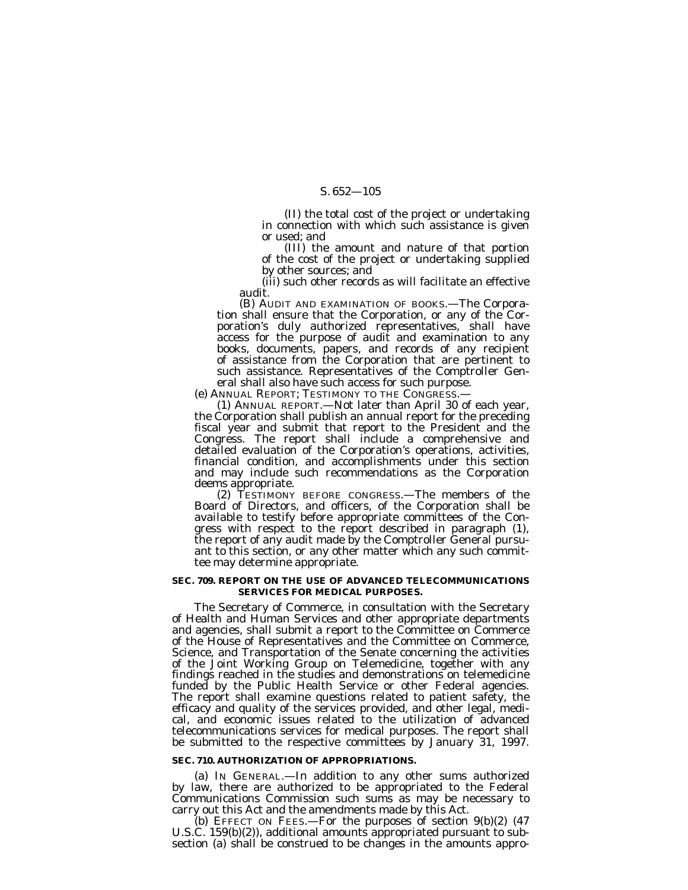(II) the total cost of the project or undertaking in connection with which such assistance is given or used; and

(III) the amount and nature of that portion of the cost of the project or undertaking supplied by other sources; and

(iii) such other records as will facilitate an effective audit.

(B) AUDIT AND EXAMINATION OF BOOKS.—The Corporation shall ensure that the Corporation, or any of the Corporation's duly authorized representatives, shall have access for the purpose of audit and examination to any books, documents, papers, and records of any recipient of assistance from the Corporation that are pertinent to such assistance. Representatives of the Comptroller General shall also have such access for such purpose.

(e) ANNUAL REPORT; TESTIMONY TO THE CONGRESS.—

(1) ANNUAL REPORT.—Not later than April 30 of each year, the Corporation shall publish an annual report for the preceding fiscal year and submit that report to the President and the Congress. The report shall include a comprehensive and detailed evaluation of the Corporation's operations, activities, financial condition, and accomplishments under this section and may include such recommendations as the Corporation deems appropriate.

(2) TESTIMONY BEFORE CONGRESS.—The members of the Board of Directors, and officers, of the Corporation shall be available to testify before appropriate committees of the Congress with respect to the report described in paragraph (1), the report of any audit made by the Comptroller General pursuant to this section, or any other matter which any such committee may determine appropriate.

### **SEC. 709. REPORT ON THE USE OF ADVANCED TELECOMMUNICATIONS SERVICES FOR MEDICAL PURPOSES.**

The Secretary of Commerce, in consultation with the Secretary of Health and Human Services and other appropriate departments and agencies, shall submit a report to the Committee on Commerce of the House of Representatives and the Committee on Commerce, Science, and Transportation of the Senate concerning the activities of the Joint Working Group on Telemedicine, together with any findings reached in the studies and demonstrations on telemedicine funded by the Public Health Service or other Federal agencies. The report shall examine questions related to patient safety, the efficacy and quality of the services provided, and other legal, medical, and economic issues related to the utilization of advanced telecommunications services for medical purposes. The report shall be submitted to the respective committees by January 31, 1997.

#### **SEC. 710. AUTHORIZATION OF APPROPRIATIONS.**

(a) IN GENERAL.—In addition to any other sums authorized by law, there are authorized to be appropriated to the Federal Communications Commission such sums as may be necessary to carry out this Act and the amendments made by this Act.

(b) EFFECT ON FEES.—For the purposes of section  $9(b)(2)$  (47) U.S.C. 159(b)(2)), additional amounts appropriated pursuant to subsection (a) shall be construed to be changes in the amounts appro-